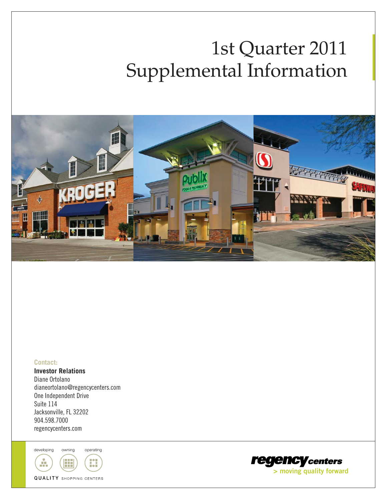# 1st Quarter 2011 Supplemental Information



#### **Contact:**

**Investor Relations** Diane Ortolano dianeortolano@regencycenters.com One Independent Drive Suite 114 Jacksonville, FL 32202 904.598.7000 regencycenters.com

developing owning operating



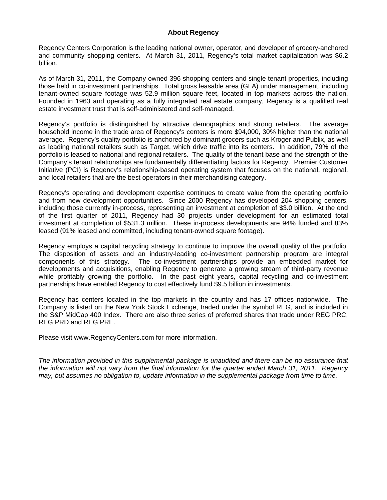#### **About Regency**

Regency Centers Corporation is the leading national owner, operator, and developer of grocery-anchored and community shopping centers. At March 31, 2011, Regency's total market capitalization was \$6.2 billion.

As of March 31, 2011, the Company owned 396 shopping centers and single tenant properties, including those held in co-investment partnerships. Total gross leasable area (GLA) under management, including tenant-owned square footage was 52.9 million square feet, located in top markets across the nation. Founded in 1963 and operating as a fully integrated real estate company, Regency is a qualified real estate investment trust that is self-administered and self-managed.

Regency's portfolio is distinguished by attractive demographics and strong retailers. The average household income in the trade area of Regency's centers is more \$94,000, 30% higher than the national average. Regency's quality portfolio is anchored by dominant grocers such as Kroger and Publix, as well as leading national retailers such as Target, which drive traffic into its centers. In addition, 79% of the portfolio is leased to national and regional retailers. The quality of the tenant base and the strength of the Company's tenant relationships are fundamentally differentiating factors for Regency. Premier Customer Initiative (PCI) is Regency's relationship-based operating system that focuses on the national, regional, and local retailers that are the best operators in their merchandising category.

Regency's operating and development expertise continues to create value from the operating portfolio and from new development opportunities. Since 2000 Regency has developed 204 shopping centers, including those currently in-process, representing an investment at completion of \$3.0 billion. At the end of the first quarter of 2011, Regency had 30 projects under development for an estimated total investment at completion of \$531.3 million. These in-process developments are 94% funded and 83% leased (91% leased and committed, including tenant-owned square footage).

Regency employs a capital recycling strategy to continue to improve the overall quality of the portfolio. The disposition of assets and an industry-leading co-investment partnership program are integral components of this strategy. The co-investment partnerships provide an embedded market for developments and acquisitions, enabling Regency to generate a growing stream of third-party revenue while profitably growing the portfolio. In the past eight years, capital recycling and co-investment partnerships have enabled Regency to cost effectively fund \$9.5 billion in investments.

Regency has centers located in the top markets in the country and has 17 offices nationwide. The Company is listed on the New York Stock Exchange, traded under the symbol REG, and is included in the S&P MidCap 400 Index. There are also three series of preferred shares that trade under REG PRC, REG PRD and REG PRE.

Please visit www.RegencyCenters.com for more information.

*The information provided in this supplemental package is unaudited and there can be no assurance that the information will not vary from the final information for the quarter ended March 31, 2011. Regency may, but assumes no obligation to, update information in the supplemental package from time to time.*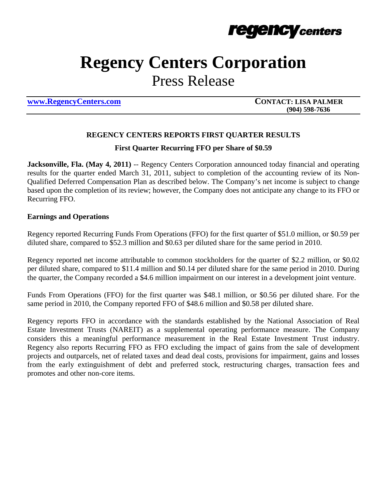

## **Regency Centers Corporation**

Press Release

**www.RegencyCenters.com CONTACT: LISA PALMER** 

 **(904) 598-7636**

## **REGENCY CENTERS REPORTS FIRST QUARTER RESULTS**

### **First Quarter Recurring FFO per Share of \$0.59**

**Jacksonville, Fla. (May 4, 2011)** -- Regency Centers Corporation announced today financial and operating results for the quarter ended March 31, 2011, subject to completion of the accounting review of its Non-Qualified Deferred Compensation Plan as described below. The Company's net income is subject to change based upon the completion of its review; however, the Company does not anticipate any change to its FFO or Recurring FFO.

### **Earnings and Operations**

Regency reported Recurring Funds From Operations (FFO) for the first quarter of \$51.0 million, or \$0.59 per diluted share, compared to \$52.3 million and \$0.63 per diluted share for the same period in 2010.

Regency reported net income attributable to common stockholders for the quarter of \$2.2 million, or \$0.02 per diluted share, compared to \$11.4 million and \$0.14 per diluted share for the same period in 2010. During the quarter, the Company recorded a \$4.6 million impairment on our interest in a development joint venture.

Funds From Operations (FFO) for the first quarter was \$48.1 million, or \$0.56 per diluted share. For the same period in 2010, the Company reported FFO of \$48.6 million and \$0.58 per diluted share.

Regency reports FFO in accordance with the standards established by the National Association of Real Estate Investment Trusts (NAREIT) as a supplemental operating performance measure. The Company considers this a meaningful performance measurement in the Real Estate Investment Trust industry. Regency also reports Recurring FFO as FFO excluding the impact of gains from the sale of development projects and outparcels, net of related taxes and dead deal costs, provisions for impairment, gains and losses from the early extinguishment of debt and preferred stock, restructuring charges, transaction fees and promotes and other non-core items.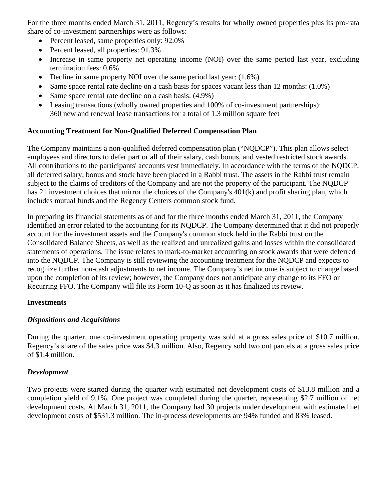For the three months ended March 31, 2011, Regency's results for wholly owned properties plus its pro-rata share of co-investment partnerships were as follows:

- Percent leased, same properties only:  $92.0\%$
- Percent leased, all properties:  $91.3\%$
- Increase in same property net operating income (NOI) over the same period last year, excluding termination fees: 0.6%
- Decline in same property NOI over the same period last year:  $(1.6\%)$
- Same space rental rate decline on a cash basis for spaces vacant less than 12 months:  $(1.0\%)$
- Same space rental rate decline on a cash basis:  $(4.9\%)$
- Leasing transactions (wholly owned properties and 100% of co-investment partnerships): 360 new and renewal lease transactions for a total of 1.3 million square feet

## **Accounting Treatment for Non-Qualified Deferred Compensation Plan**

The Company maintains a non-qualified deferred compensation plan ("NQDCP"). This plan allows select employees and directors to defer part or all of their salary, cash bonus, and vested restricted stock awards. All contributions to the participants' accounts vest immediately. In accordance with the terms of the NQDCP, all deferred salary, bonus and stock have been placed in a Rabbi trust. The assets in the Rabbi trust remain subject to the claims of creditors of the Company and are not the property of the participant. The NQDCP has 21 investment choices that mirror the choices of the Company's 401(k) and profit sharing plan, which includes mutual funds and the Regency Centers common stock fund.

In preparing its financial statements as of and for the three months ended March 31, 2011, the Company identified an error related to the accounting for its NQDCP. The Company determined that it did not properly account for the investment assets and the Company's common stock held in the Rabbi trust on the Consolidated Balance Sheets, as well as the realized and unrealized gains and losses within the consolidated statements of operations. The issue relates to mark-to-market accounting on stock awards that were deferred into the NQDCP. The Company is still reviewing the accounting treatment for the NQDCP and expects to recognize further non-cash adjustments to net income. The Company's net income is subject to change based upon the completion of its review; however, the Company does not anticipate any change to its FFO or Recurring FFO. The Company will file its Form 10-Q as soon as it has finalized its review.

## **Investments**

## *Dispositions and Acquisitions*

During the quarter, one co-investment operating property was sold at a gross sales price of \$10.7 million. Regency's share of the sales price was \$4.3 million. Also, Regency sold two out parcels at a gross sales price of \$1.4 million.

## *Development*

Two projects were started during the quarter with estimated net development costs of \$13.8 million and a completion yield of 9.1%. One project was completed during the quarter, representing \$2.7 million of net development costs. At March 31, 2011, the Company had 30 projects under development with estimated net development costs of \$531.3 million. The in-process developments are 94% funded and 83% leased.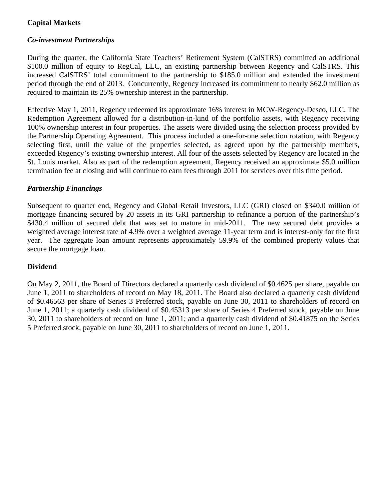## **Capital Markets**

## *Co-investment Partnerships*

During the quarter, the California State Teachers' Retirement System (CalSTRS) committed an additional \$100.0 million of equity to RegCal, LLC, an existing partnership between Regency and CalSTRS. This increased CalSTRS' total commitment to the partnership to \$185.0 million and extended the investment period through the end of 2013. Concurrently, Regency increased its commitment to nearly \$62.0 million as required to maintain its 25% ownership interest in the partnership.

Effective May 1, 2011, Regency redeemed its approximate 16% interest in MCW-Regency-Desco, LLC. The Redemption Agreement allowed for a distribution-in-kind of the portfolio assets, with Regency receiving 100% ownership interest in four properties. The assets were divided using the selection process provided by the Partnership Operating Agreement. This process included a one-for-one selection rotation, with Regency selecting first, until the value of the properties selected, as agreed upon by the partnership members, exceeded Regency's existing ownership interest. All four of the assets selected by Regency are located in the St. Louis market. Also as part of the redemption agreement, Regency received an approximate \$5.0 million termination fee at closing and will continue to earn fees through 2011 for services over this time period.

## *Partnership Financings*

Subsequent to quarter end, Regency and Global Retail Investors, LLC (GRI) closed on \$340.0 million of mortgage financing secured by 20 assets in its GRI partnership to refinance a portion of the partnership's \$430.4 million of secured debt that was set to mature in mid-2011. The new secured debt provides a weighted average interest rate of 4.9% over a weighted average 11-year term and is interest-only for the first year. The aggregate loan amount represents approximately 59.9% of the combined property values that secure the mortgage loan.

## **Dividend**

On May 2, 2011, the Board of Directors declared a quarterly cash dividend of \$0.4625 per share, payable on June 1, 2011 to shareholders of record on May 18, 2011. The Board also declared a quarterly cash dividend of \$0.46563 per share of Series 3 Preferred stock, payable on June 30, 2011 to shareholders of record on June 1, 2011; a quarterly cash dividend of \$0.45313 per share of Series 4 Preferred stock, payable on June 30, 2011 to shareholders of record on June 1, 2011; and a quarterly cash dividend of \$0.41875 on the Series 5 Preferred stock, payable on June 30, 2011 to shareholders of record on June 1, 2011.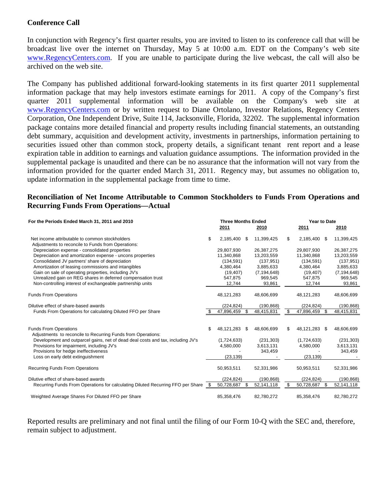## **Conference Call**

In conjunction with Regency's first quarter results, you are invited to listen to its conference call that will be broadcast live over the internet on Thursday, May 5 at 10:00 a.m. EDT on the Company's web site www.RegencyCenters.com. If you are unable to participate during the live webcast, the call will also be archived on the web site.

The Company has published additional forward-looking statements in its first quarter 2011 supplemental information package that may help investors estimate earnings for 2011. A copy of the Company's first quarter 2011 supplemental information will be available on the Company's web site at www.RegencyCenters.com or by written request to Diane Ortolano, Investor Relations, Regency Centers Corporation, One Independent Drive, Suite 114, Jacksonville, Florida, 32202. The supplemental information package contains more detailed financial and property results including financial statements, an outstanding debt summary, acquisition and development activity, investments in partnerships, information pertaining to securities issued other than common stock, property details, a significant tenant rent report and a lease expiration table in addition to earnings and valuation guidance assumptions. The information provided in the supplemental package is unaudited and there can be no assurance that the information will not vary from the information provided for the quarter ended March 31, 2011. Regency may, but assumes no obligation to, update information in the supplemental package from time to time.

## **Reconciliation of Net Income Attributable to Common Stockholders to Funds From Operations and Recurring Funds From Operations—Actual**

| For the Periods Ended March 31, 2011 and 2010                                                        | <b>Three Months Ended</b> |               | <b>Year to Date</b> |               |     |               |    |               |
|------------------------------------------------------------------------------------------------------|---------------------------|---------------|---------------------|---------------|-----|---------------|----|---------------|
|                                                                                                      |                           | 2011          |                     | 2010          |     | 2011          |    | 2010          |
| Net income attributable to common stockholders<br>Adjustments to reconcile to Funds from Operations: | \$                        | 2,185,400     | - \$                | 11,399,425    | \$  | 2,185,400 \$  |    | 11,399,425    |
| Depreciation expense - consolidated properties                                                       |                           | 29.807.930    |                     | 26,387,275    |     | 29,807,930    |    | 26,387,275    |
| Depreciation and amortization expense - uncons properties                                            |                           | 11,340,868    |                     | 13,203,559    |     | 11,340,868    |    | 13,203,559    |
| Consolidated JV partners' share of depreciation                                                      |                           | (134.591)     |                     | (137, 951)    |     | (134, 591)    |    | (137, 951)    |
| Amortization of leasing commissions and intangibles                                                  |                           | 4,380,464     |                     | 3,885,633     |     | 4,380,464     |    | 3,885,633     |
| Gain on sale of operating properties, including JV's                                                 |                           | (19, 407)     |                     | (7, 194, 648) |     | (19, 407)     |    | (7, 194, 648) |
| Unrealized gain on REG shares in deferred compensation trust                                         |                           | 547,875       |                     | 969,545       |     | 547,875       |    | 969,545       |
| Non-controlling interest of exchangeable partnership units                                           |                           | 12,744        |                     | 93,861        |     | 12,744        |    | 93,861        |
| <b>Funds From Operations</b>                                                                         |                           | 48,121,283    |                     | 48,606,699    |     | 48.121.283    |    | 48,606,699    |
| Dilutive effect of share-based awards                                                                |                           | (224.824)     |                     | (190, 868)    |     | (224.824)     |    | (190, 868)    |
| Funds From Operations for calculating Diluted FFO per Share                                          |                           | 47,896,459    | \$                  | 48,415,831    | \$. | 47,896,459    | \$ | 48,415,831    |
|                                                                                                      |                           |               |                     |               |     |               |    |               |
| <b>Funds From Operations</b><br>Adjustments to reconcile to Recurring Funds from Operations:         | \$                        | 48,121,283 \$ |                     | 48,606,699    | \$. | 48,121,283 \$ |    | 48,606,699    |
| Development and outparcel gains, net of dead deal costs and tax, including JV's                      |                           | (1,724,633)   |                     | (231, 303)    |     | (1,724,633)   |    | (231, 303)    |
| Provisions for impairment, including JV's                                                            |                           | 4,580,000     |                     | 3,613,131     |     | 4,580,000     |    | 3,613,131     |
| Provisions for hedge ineffectiveness                                                                 |                           |               |                     | 343,459       |     |               |    | 343,459       |
| Loss on early debt extinguishment                                                                    |                           | (23, 139)     |                     |               |     | (23, 139)     |    |               |
| <b>Recurring Funds From Operations</b>                                                               |                           | 50,953,511    |                     | 52,331,986    |     | 50,953,511    |    | 52,331,986    |
|                                                                                                      |                           |               |                     |               |     |               |    |               |
| Dilutive effect of share-based awards                                                                |                           | (224, 824)    |                     | (190, 868)    |     | (224, 824)    |    | (190, 868)    |
| Recurring Funds From Operations for calculating Diluted Recurring FFO per Share                      | \$.                       | 50,728,687    | \$.                 | 52,141,118    | \$. | 50,728,687    | \$ | 52,141,118    |
| Weighted Average Shares For Diluted FFO per Share                                                    |                           | 85,358,476    |                     | 82,780,272    |     | 85,358,476    |    | 82,780,272    |

Reported results are preliminary and not final until the filing of our Form 10-Q with the SEC and, therefore, remain subject to adjustment.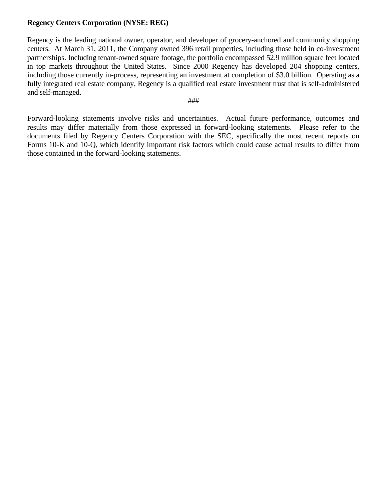## **Regency Centers Corporation (NYSE: REG)**

Regency is the leading national owner, operator, and developer of grocery-anchored and community shopping centers. At March 31, 2011, the Company owned 396 retail properties, including those held in co-investment partnerships. Including tenant-owned square footage, the portfolio encompassed 52.9 million square feet located in top markets throughout the United States. Since 2000 Regency has developed 204 shopping centers, including those currently in-process, representing an investment at completion of \$3.0 billion. Operating as a fully integrated real estate company, Regency is a qualified real estate investment trust that is self-administered and self-managed.

#### ###

Forward-looking statements involve risks and uncertainties. Actual future performance, outcomes and results may differ materially from those expressed in forward-looking statements. Please refer to the documents filed by Regency Centers Corporation with the SEC, specifically the most recent reports on Forms 10-K and 10-Q, which identify important risk factors which could cause actual results to differ from those contained in the forward-looking statements.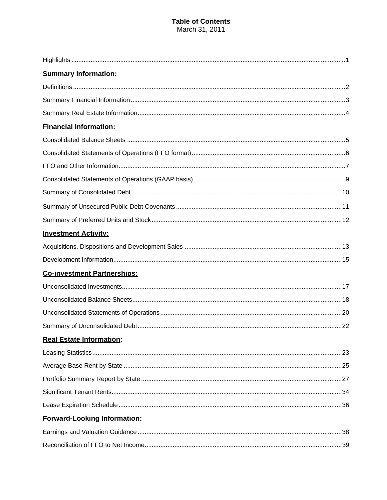### **Table of Contents** March 31, 2011

| <b>Summary Information:</b>         |  |
|-------------------------------------|--|
|                                     |  |
|                                     |  |
|                                     |  |
| <b>Financial Information:</b>       |  |
|                                     |  |
|                                     |  |
|                                     |  |
|                                     |  |
|                                     |  |
|                                     |  |
|                                     |  |
| <b>Investment Activity:</b>         |  |
|                                     |  |
|                                     |  |
| <b>Co-investment Partnerships:</b>  |  |
|                                     |  |
|                                     |  |
|                                     |  |
|                                     |  |
| <b>Real Estate Information:</b>     |  |
|                                     |  |
|                                     |  |
|                                     |  |
|                                     |  |
|                                     |  |
| <b>Forward-Looking Information:</b> |  |
|                                     |  |
|                                     |  |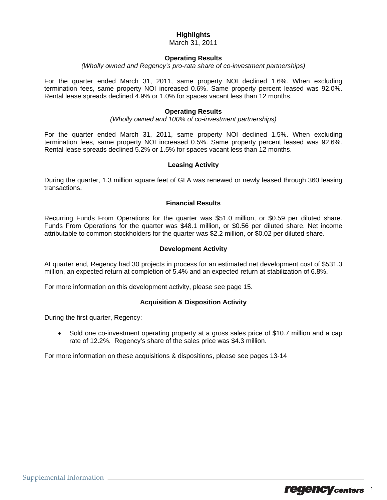## **Highlights**

March 31, 2011

#### **Operating Results**

*(Wholly owned and Regency's pro-rata share of co-investment partnerships)* 

For the quarter ended March 31, 2011, same property NOI declined 1.6%. When excluding termination fees, same property NOI increased 0.6%. Same property percent leased was 92.0%. Rental lease spreads declined 4.9% or 1.0% for spaces vacant less than 12 months.

#### **Operating Results**

*(Wholly owned and 100% of co-investment partnerships)* 

For the quarter ended March 31, 2011, same property NOI declined 1.5%. When excluding termination fees, same property NOI increased 0.5%. Same property percent leased was 92.6%. Rental lease spreads declined 5.2% or 1.5% for spaces vacant less than 12 months.

#### **Leasing Activity**

During the quarter, 1.3 million square feet of GLA was renewed or newly leased through 360 leasing transactions.

#### **Financial Results**

Recurring Funds From Operations for the quarter was \$51.0 million, or \$0.59 per diluted share. Funds From Operations for the quarter was \$48.1 million, or \$0.56 per diluted share. Net income attributable to common stockholders for the quarter was \$2.2 million, or \$0.02 per diluted share.

#### **Development Activity**

At quarter end, Regency had 30 projects in process for an estimated net development cost of \$531.3 million, an expected return at completion of 5.4% and an expected return at stabilization of 6.8%.

For more information on this development activity, please see page 15.

#### **Acquisition & Disposition Activity**

During the first quarter, Regency:

• Sold one co-investment operating property at a gross sales price of \$10.7 million and a cap rate of 12.2%. Regency's share of the sales price was \$4.3 million.

For more information on these acquisitions & dispositions, please see pages 13-14

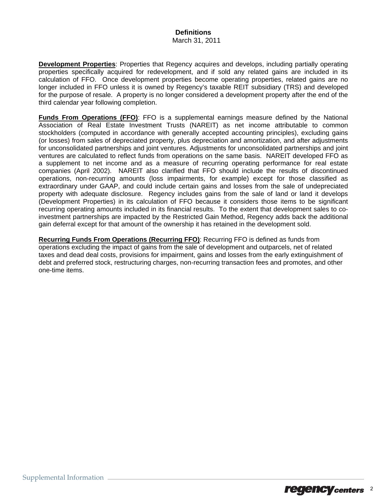#### **Definitions**  March 31, 2011

**Development Properties**: Properties that Regency acquires and develops, including partially operating properties specifically acquired for redevelopment, and if sold any related gains are included in its calculation of FFO. Once development properties become operating properties, related gains are no longer included in FFO unless it is owned by Regency's taxable REIT subsidiary (TRS) and developed for the purpose of resale. A property is no longer considered a development property after the end of the third calendar year following completion.

**Funds From Operations (FFO)**: FFO is a supplemental earnings measure defined by the National Association of Real Estate Investment Trusts (NAREIT) as net income attributable to common stockholders (computed in accordance with generally accepted accounting principles), excluding gains (or losses) from sales of depreciated property, plus depreciation and amortization, and after adjustments for unconsolidated partnerships and joint ventures. Adjustments for unconsolidated partnerships and joint ventures are calculated to reflect funds from operations on the same basis. NAREIT developed FFO as a supplement to net income and as a measure of recurring operating performance for real estate companies (April 2002). NAREIT also clarified that FFO should include the results of discontinued operations, non-recurring amounts (loss impairments, for example) except for those classified as extraordinary under GAAP, and could include certain gains and losses from the sale of undepreciated property with adequate disclosure. Regency includes gains from the sale of land or land it develops (Development Properties) in its calculation of FFO because it considers those items to be significant recurring operating amounts included in its financial results. To the extent that development sales to coinvestment partnerships are impacted by the Restricted Gain Method, Regency adds back the additional gain deferral except for that amount of the ownership it has retained in the development sold.

**Recurring Funds From Operations (Recurring FFO)**: Recurring FFO is defined as funds from operations excluding the impact of gains from the sale of development and outparcels, net of related taxes and dead deal costs, provisions for impairment, gains and losses from the early extinguishment of debt and preferred stock, restructuring charges, non-recurring transaction fees and promotes, and other one-time items.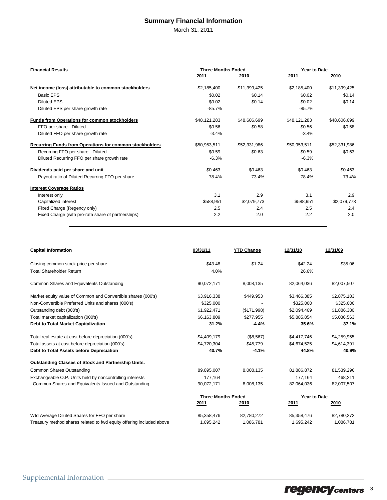## **Summary Financial Information**

March 31, 2011

| <b>Financial Results</b>                                       | <b>Three Months Ended</b> |              | Year to Date |              |  |
|----------------------------------------------------------------|---------------------------|--------------|--------------|--------------|--|
|                                                                | 2011                      | 2010         | <u>2011</u>  | 2010         |  |
| Net income (loss) attributable to common stockholders          | \$2,185,400               | \$11,399,425 | \$2,185,400  | \$11,399,425 |  |
| <b>Basic EPS</b>                                               | \$0.02                    | \$0.14       | \$0.02       | \$0.14       |  |
| <b>Diluted EPS</b>                                             | \$0.02                    | \$0.14       | \$0.02       | \$0.14       |  |
| Diluted EPS per share growth rate                              | $-85.7%$                  |              | $-85.7%$     |              |  |
| <b>Funds from Operations for common stockholders</b>           | \$48,121,283              | \$48,606,699 | \$48,121,283 | \$48,606,699 |  |
| FFO per share - Diluted                                        | \$0.56                    | \$0.58       | \$0.56       | \$0.58       |  |
| Diluted FFO per share growth rate                              | $-3.4%$                   |              | $-3.4%$      |              |  |
| <b>Recurring Funds from Operations for common stockholders</b> | \$50,953,511              | \$52,331,986 | \$50,953,511 | \$52,331,986 |  |
| Recurring FFO per share - Diluted                              | \$0.59                    | \$0.63       | \$0.59       | \$0.63       |  |
| Diluted Recurring FFO per share growth rate                    | $-6.3%$                   |              | $-6.3%$      |              |  |
| Dividends paid per share and unit                              | \$0.463                   | \$0.463      | \$0.463      | \$0.463      |  |
| Payout ratio of Diluted Recurring FFO per share                | 78.4%                     | 73.4%        | 78.4%        | 73.4%        |  |
| <b>Interest Coverage Ratios</b>                                |                           |              |              |              |  |
| Interest only                                                  | 3.1                       | 2.9          | 3.1          | 2.9          |  |
| Capitalized interest                                           | \$588,951                 | \$2,079,773  | \$588,951    | \$2,079,773  |  |
| Fixed Charge (Regency only)                                    | 2.5                       | 2.4          | 2.5          | 2.4          |  |
| Fixed Charge (with pro-rata share of partnerships)             | 2.2                       | 2.0          | 2.2          | 2.0          |  |

| <b>Capital Information</b>                                           | 03/31/11                  | <b>YTD Change</b> | 12/31/10     | 12/31/09    |  |
|----------------------------------------------------------------------|---------------------------|-------------------|--------------|-------------|--|
| Closing common stock price per share                                 | \$43.48                   | \$1.24            | \$42.24      | \$35.06     |  |
| <b>Total Shareholder Return</b>                                      | 4.0%                      |                   | 26.6%        |             |  |
| Common Shares and Equivalents Outstanding                            | 90,072,171                | 8,008,135         | 82,064,036   | 82,007,507  |  |
| Market equity value of Common and Convertible shares (000's)         | \$3,916,338               | \$449,953         | \$3,466,385  | \$2,875,183 |  |
| Non-Convertible Preferred Units and shares (000's)                   | \$325,000                 |                   | \$325,000    | \$325,000   |  |
| Outstanding debt (000's)                                             | \$1,922,471               | (\$171,998)       | \$2,094,469  | \$1,886,380 |  |
| Total market capitalization (000's)                                  | \$6,163,809               | \$277,955         | \$5,885,854  | \$5,086,563 |  |
| <b>Debt to Total Market Capitalization</b>                           | 31.2%                     | $-4.4%$           | 35.6%        | 37.1%       |  |
| Total real estate at cost before depreciation (000's)                | \$4,409,179               | (\$8,567)         | \$4,417,746  | \$4,259,955 |  |
| Total assets at cost before depreciation (000's)                     | \$4,720,304               | \$45,779          | \$4,674,525  | \$4,614,391 |  |
| Debt to Total Assets before Depreciation                             | 40.7%                     | $-4.1%$           | 44.8%        | 40.9%       |  |
| <b>Outstanding Classes of Stock and Partnership Units:</b>           |                           |                   |              |             |  |
| <b>Common Shares Outstanding</b>                                     | 89,895,007                | 8,008,135         | 81,886,872   | 81,539,296  |  |
| Exchangeable O.P. Units held by noncontrolling interests             | 177,164                   |                   | 177,164      | 468,211     |  |
| Common Shares and Equivalents Issued and Outstanding                 | 90,072,171                | 8,008,135         | 82,064,036   | 82,007,507  |  |
|                                                                      | <b>Three Months Ended</b> |                   | Year to Date |             |  |
|                                                                      | 2011                      | 2010              | 2011         | 2010        |  |
| Wtd Average Diluted Shares for FFO per share                         | 85,358,476                | 82,780,272        | 85,358,476   | 82,780,272  |  |
| Treasury method shares related to fwd equity offering included above | 1,695,242                 | 1,086,781         | 1,695,242    | 1,086,781   |  |

regency centers 3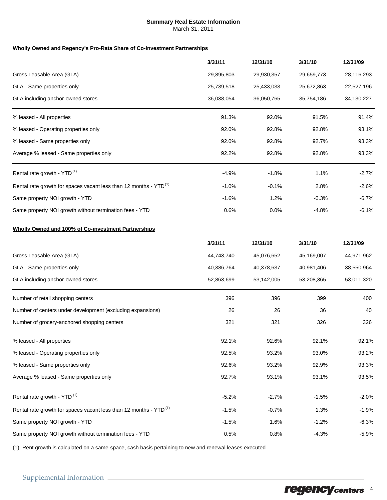#### **Summary Real Estate Information**

March 31, 2011

#### **Wholly Owned and Regency's Pro-Rata Share of Co-investment Partnerships**

|                                                                               | 3/31/11    | 12/31/10   | 3/31/10    | 12/31/09   |
|-------------------------------------------------------------------------------|------------|------------|------------|------------|
| Gross Leasable Area (GLA)                                                     | 29,895,803 | 29,930,357 | 29,659,773 | 28,116,293 |
| GLA - Same properties only                                                    | 25,739,518 | 25,433,033 | 25,672,863 | 22,527,196 |
| GLA including anchor-owned stores                                             | 36,038,054 | 36,050,765 | 35,754,186 | 34,130,227 |
| % leased - All properties                                                     | 91.3%      | 92.0%      | 91.5%      | 91.4%      |
| % leased - Operating properties only                                          | 92.0%      | 92.8%      | 92.8%      | 93.1%      |
| % leased - Same properties only                                               | 92.0%      | 92.8%      | 92.7%      | 93.3%      |
| Average % leased - Same properties only                                       | 92.2%      | 92.8%      | 92.8%      | 93.3%      |
| Rental rate growth - YTD <sup>(1)</sup>                                       | $-4.9%$    | $-1.8%$    | 1.1%       | $-2.7%$    |
| Rental rate growth for spaces vacant less than 12 months - YTD <sup>(1)</sup> | $-1.0%$    | $-0.1%$    | 2.8%       | $-2.6%$    |
| Same property NOI growth - YTD                                                | $-1.6%$    | 1.2%       | $-0.3%$    | $-6.7%$    |
| Same property NOI growth without termination fees - YTD                       | 0.6%       | $0.0\%$    | -4.8%      | $-6.1%$    |
|                                                                               |            |            |            |            |

#### **Wholly Owned and 100% of Co-investment Partnerships**

|                                                                               | 3/31/11    | 12/31/10   | 3/31/10    | 12/31/09   |
|-------------------------------------------------------------------------------|------------|------------|------------|------------|
| Gross Leasable Area (GLA)                                                     | 44,743,740 | 45,076,652 | 45,169,007 | 44,971,962 |
| GLA - Same properties only                                                    | 40,386,764 | 40,378,637 | 40,981,406 | 38,550,964 |
| GLA including anchor-owned stores                                             | 52,863,699 | 53,142,005 | 53,208,365 | 53,011,320 |
| Number of retail shopping centers                                             | 396        | 396        | 399        | 400        |
| Number of centers under development (excluding expansions)                    | 26         | 26         | 36         | 40         |
| Number of grocery-anchored shopping centers                                   | 321        | 321        | 326        | 326        |
| % leased - All properties                                                     | 92.1%      | 92.6%      | 92.1%      | 92.1%      |
| % leased - Operating properties only                                          | 92.5%      | 93.2%      | 93.0%      | 93.2%      |
| % leased - Same properties only                                               | 92.6%      | 93.2%      | 92.9%      | 93.3%      |
| Average % leased - Same properties only                                       | 92.7%      | 93.1%      | 93.1%      | 93.5%      |
| Rental rate growth - YTD <sup>(1)</sup>                                       | $-5.2%$    | $-2.7%$    | $-1.5%$    | $-2.0%$    |
| Rental rate growth for spaces vacant less than 12 months - YTD <sup>(1)</sup> | $-1.5%$    | $-0.7%$    | 1.3%       | $-1.9%$    |
| Same property NOI growth - YTD                                                | $-1.5%$    | 1.6%       | $-1.2%$    | $-6.3%$    |
| Same property NOI growth without termination fees - YTD                       | 0.5%       | 0.8%       | $-4.3%$    | $-5.9%$    |

(1) Rent growth is calculated on a same-space, cash basis pertaining to new and renewal leases executed.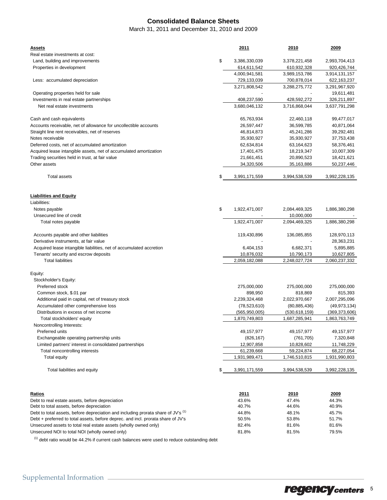## **Consolidated Balance Sheets**

March 31, 2011 and December 31, 2010 and 2009

| Assets                                                                            | 2011                | 2010           | 2009           |
|-----------------------------------------------------------------------------------|---------------------|----------------|----------------|
| Real estate investments at cost:                                                  |                     |                |                |
| Land, building and improvements                                                   | \$<br>3,386,330,039 | 3,378,221,458  | 2,993,704,413  |
| Properties in development                                                         | 614,611,542         | 610,932,328    | 920,426,744    |
|                                                                                   | 4,000,941,581       | 3,989,153,786  | 3,914,131,157  |
| Less: accumulated depreciation                                                    | 729,133,039         | 700,878,014    | 622,163,237    |
|                                                                                   | 3,271,808,542       | 3,288,275,772  | 3,291,967,920  |
| Operating properties held for sale                                                |                     |                | 19,611,481     |
| Investments in real estate partnerships                                           | 408,237,590         | 428,592,272    | 326,211,897    |
| Net real estate investments                                                       | 3,680,046,132       | 3,716,868,044  | 3,637,791,298  |
| Cash and cash equivalents                                                         | 65,763,934          | 22,460,118     | 99,477,017     |
| Accounts receivable, net of allowance for uncollectible accounts                  | 26,597,447          | 36,599,785     | 40,871,064     |
| Straight line rent receivables, net of reserves                                   | 46,814,873          | 45,241,286     | 39,292,481     |
| Notes receivable                                                                  | 35,930,927          | 35,930,927     | 37,753,438     |
| Deferred costs, net of accumulated amortization                                   | 62,634,814          | 63,164,623     | 58,376,461     |
| Acquired lease intangible assets, net of accumulated amortization                 | 17,401,475          | 18,219,347     | 10,007,309     |
| Trading securities held in trust, at fair value                                   | 21,661,451          | 20,890,523     | 18,421,621     |
| Other assets                                                                      | 34,320,506          | 35,163,886     | 50,237,446     |
| <b>Total assets</b>                                                               | \$<br>3,991,171,559 | 3,994,538,539  | 3,992,228,135  |
|                                                                                   |                     |                |                |
|                                                                                   |                     |                |                |
| <b>Liabilities and Equity</b><br>Liabilities:                                     |                     |                |                |
| Notes payable                                                                     | \$<br>1,922,471,007 | 2,084,469,325  | 1,886,380,298  |
| Unsecured line of credit                                                          |                     | 10,000,000     |                |
|                                                                                   | 1,922,471,007       |                |                |
| Total notes payable                                                               |                     | 2,094,469,325  | 1,886,380,298  |
| Accounts payable and other liabilities                                            | 119,430,896         | 136,085,855    | 128,970,113    |
| Derivative instruments, at fair value                                             |                     |                | 28,363,231     |
| Acquired lease intangible liabilities, net of accumulated accretion               | 6,404,153           | 6,682,371      | 5,895,885      |
| Tenants' security and escrow deposits                                             | 10,876,032          | 10,790,173     | 10,627,805     |
| <b>Total liabilities</b>                                                          | 2,059,182,088       | 2,248,027,724  | 2,060,237,332  |
| Equity:                                                                           |                     |                |                |
| Stockholder's Equity:                                                             |                     |                |                |
| Preferred stock                                                                   | 275,000,000         | 275,000,000    | 275,000,000    |
| Common stock, \$.01 par                                                           | 898,950             | 818,869        | 815,393        |
| Additional paid in capital, net of treasury stock                                 | 2,239,324,468       | 2,022,970,667  | 2,007,295,096  |
| Accumulated other comprehensive loss                                              | (78, 523, 610)      | (80, 885, 436) | (49, 973, 134) |
| Distributions in excess of net income                                             | (565, 950, 005)     | (530,618,159)  | (369,373,606)  |
| Total stockholders' equity                                                        | 1,870,749,803       | 1,687,285,941  | 1,863,763,749  |
| Noncontrolling Interests:                                                         |                     |                |                |
| Preferred units                                                                   | 49,157,977          | 49, 157, 977   | 49,157,977     |
| Exchangeable operating partnership units                                          | (826, 167)          | (761, 705)     | 7,320,848      |
| Limited partners' interest in consolidated partnerships                           | 12,907,858          | 10,828,602     | 11,748,229     |
| Total noncontrolling interests                                                    | 61,239,668          |                | 68,227,054     |
|                                                                                   |                     | 59,224,874     |                |
| Total equity                                                                      | 1,931,989,471       | 1,746,510,815  | 1,931,990,803  |
| Total liabilities and equity                                                      | \$<br>3,991,171,559 | 3,994,538,539  | 3,992,228,135  |
|                                                                                   |                     |                |                |
| <u>Ratios</u>                                                                     | 2011                | 2010           | 2009           |
| Debt to real estate assets, before depreciation                                   | 43.6%               | 47.4%          | 44.3%          |
| Debt to total assets, before depreciation                                         | 40.7%               | 44.6%          | 40.9%          |
| Debt to total assets, before depreciation and including prorata share of JV's (1) | 44.8%               | 48.1%          | 45.7%          |
| Debt + preferred to total assets, before deprec. and incl. prorata share of JV's  | 50.5%               | 53.8%          | 51.7%          |
| Unsecured assets to total real estate assets (wholly owned only)                  | 82.4%               | 81.6%          | 81.6%          |
| Unsecured NOI to total NOI (wholly owned only)                                    | 81.8%               | 81.5%          | 79.5%          |

 $<sup>(1)</sup>$  debt ratio would be 44.2% if current cash balances were used to reduce outstanding debt</sup>

regencycenters 5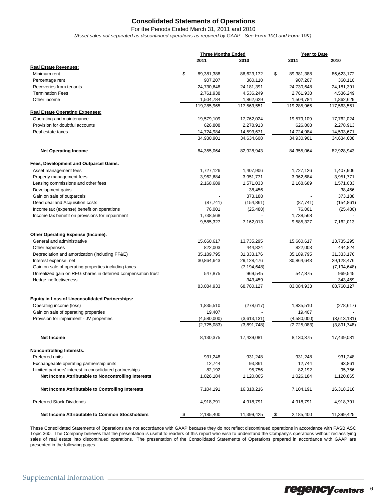## **Consolidated Statements of Operations**

*(Asset sales not separated as discontinued operations as required by GAAP - See Form 10Q and Form 10K)* For the Periods Ended March 31, 2011 and 2010

|                                                                 |                  | <b>Three Months Ended</b> |                  | Year to Date  |  |
|-----------------------------------------------------------------|------------------|---------------------------|------------------|---------------|--|
|                                                                 | 2011             | 2010                      | 2011             | 2010          |  |
| <b>Real Estate Revenues:</b>                                    |                  |                           |                  |               |  |
| Minimum rent                                                    | \$<br>89,381,388 | 86,623,172                | \$<br>89,381,388 | 86,623,172    |  |
| Percentage rent                                                 | 907,207          | 360,110                   | 907,207          | 360,110       |  |
| Recoveries from tenants                                         | 24,730,648       | 24,181,391                | 24,730,648       | 24,181,391    |  |
| <b>Termination Fees</b>                                         | 2,761,938        | 4,536,249                 | 2,761,938        | 4,536,249     |  |
| Other income                                                    | 1,504,784        | 1,862,629                 | 1,504,784        | 1,862,629     |  |
|                                                                 | 119,285,965      | 117,563,551               | 119,285,965      | 117,563,551   |  |
| <b>Real Estate Operating Expenses:</b>                          |                  |                           |                  |               |  |
| Operating and maintenance                                       | 19,579,109       | 17,762,024                | 19,579,109       | 17,762,024    |  |
| Provision for doubtful accounts                                 | 626,808          | 2,278,913                 | 626,808          | 2,278,913     |  |
| Real estate taxes                                               | 14,724,984       | 14,593,671                | 14,724,984       | 14,593,671    |  |
|                                                                 | 34,930,901       | 34,634,608                | 34,930,901       | 34,634,608    |  |
| <b>Net Operating Income</b>                                     | 84,355,064       | 82,928,943                | 84,355,064       | 82,928,943    |  |
|                                                                 |                  |                           |                  |               |  |
| Fees, Development and Outparcel Gains:<br>Asset management fees | 1,727,126        | 1,407,906                 | 1,727,126        | 1,407,906     |  |
| Property management fees                                        |                  |                           |                  | 3,951,771     |  |
|                                                                 | 3,962,684        | 3,951,771                 | 3,962,684        |               |  |
| Leasing commissions and other fees                              | 2,168,689        | 1,571,033                 | 2,168,689        | 1,571,033     |  |
| Development gains                                               |                  | 38,456                    |                  | 38,456        |  |
| Gain on sale of outparcels                                      |                  | 373,188                   |                  | 373,188       |  |
| Dead deal and Acquisition costs                                 | (87, 741)        | (154, 861)                | (87, 741)        | (154, 861)    |  |
| Income tax (expense) benefit on operations                      | 76,001           | (25, 480)                 | 76,001           | (25, 480)     |  |
| Income tax benefit on provisions for impairment                 | 1,738,568        |                           | 1,738,568        |               |  |
|                                                                 | 9,585,327        | 7,162,013                 | 9,585,327        | 7,162,013     |  |
| Other Operating Expense (Income):                               |                  |                           |                  |               |  |
| General and administrative                                      | 15,660,617       | 13,735,295                | 15,660,617       | 13,735,295    |  |
| Other expenses                                                  | 822,003          | 444,824                   | 822,003          | 444,824       |  |
| Depreciation and amortization (including FF&E)                  | 35, 189, 795     | 31,333,176                | 35, 189, 795     | 31,333,176    |  |
| Interest expense, net                                           | 30,864,643       | 29,128,476                | 30,864,643       | 29,128,476    |  |
| Gain on sale of operating properties including taxes            |                  | (7, 194, 648)             |                  | (7, 194, 648) |  |
| Unrealized gain on REG shares in deferred compensation trust    | 547,875          | 969,545                   | 547,875          | 969,545       |  |
| Hedge ineffectiveness                                           |                  | 343,459                   |                  | 343,459       |  |
|                                                                 | 83,084,933       | 68,760,127                | 83,084,933       | 68,760,127    |  |
| <b>Equity in Loss of Unconsolidated Partnerships:</b>           |                  |                           |                  |               |  |
| Operating income (loss)                                         | 1,835,510        | (278, 617)                | 1,835,510        | (278, 617)    |  |
| Gain on sale of operating properties                            | 19,407           |                           | 19,407           |               |  |
| Provision for impairment - JV properties                        | (4,580,000)      | (3,613,131)               | (4,580,000)      | (3,613,131)   |  |
|                                                                 | (2,725,083)      | (3,891,748)               | (2,725,083)      | (3,891,748)   |  |
|                                                                 |                  |                           |                  |               |  |
| Net Income                                                      | 8,130,375        | 17,439,081                | 8,130,375        | 17,439,081    |  |
| <b>Noncontrolling Interests:</b>                                |                  |                           |                  |               |  |
| Preferred units                                                 | 931,248          | 931,248                   | 931,248          | 931,248       |  |
| Exchangeable operating partnership units                        | 12,744           | 93,861                    | 12,744           | 93,861        |  |
| Limited partners' interest in consolidated partnerships         | 82,192           | 95,756                    | 82,192           | 95,756        |  |
| Net Income Attributable to Noncontrolling Interests             | 1,026,184        | 1,120,865                 | 1,026,184        | 1,120,865     |  |
| Net Income Attributable to Controlling Interests                | 7,104,191        | 16,318,216                | 7,104,191        | 16,318,216    |  |
| <b>Preferred Stock Dividends</b>                                | 4,918,791        | 4,918,791                 | 4,918,791        | 4,918,791     |  |
| Net Income Attributable to Common Stockholders                  | \$<br>2,185,400  | 11,399,425                | \$<br>2,185,400  | 11,399,425    |  |

These Consolidated Statements of Operations are not accordance with GAAP because they do not reflect discontinued operations in accordance with FASB ASC Topic 360. The Company believes that the presentation is useful to readers of this report who wish to understand the Company's operations without reclassifying sales of real estate into discontinued operations. The presentation of the Consolidated Statements of Operations prepared in accordance with GAAP are presented in the following pages.

## regency centers 6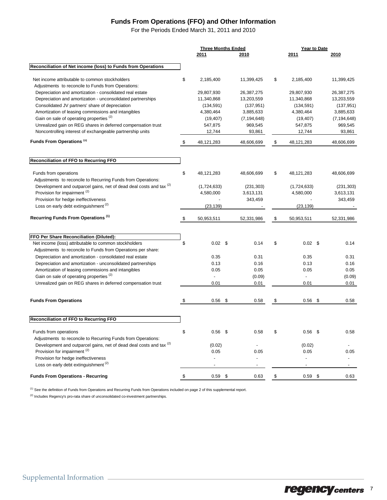## **Funds From Operations (FFO) and Other Information**

For the Periods Ended March 31, 2011 and 2010

|                                                                                | <b>Three Months Ended</b> |  | Year to Date             |                    |  |                          |
|--------------------------------------------------------------------------------|---------------------------|--|--------------------------|--------------------|--|--------------------------|
|                                                                                | 2011                      |  | 2010                     | 2011               |  | 2010                     |
| Reconciliation of Net income (loss) to Funds from Operations                   |                           |  |                          |                    |  |                          |
|                                                                                |                           |  |                          |                    |  |                          |
| Net income attributable to common stockholders                                 | \$<br>2,185,400           |  | 11,399,425               | \$<br>2,185,400    |  | 11,399,425               |
| Adjustments to reconcile to Funds from Operations:                             |                           |  |                          |                    |  |                          |
| Depreciation and amortization - consolidated real estate                       | 29,807,930                |  | 26,387,275               | 29,807,930         |  | 26,387,275               |
| Depreciation and amortization - unconsolidated partnerships                    | 11,340,868                |  | 13,203,559               | 11,340,868         |  | 13,203,559               |
| Consolidated JV partners' share of depreciation                                | (134, 591)                |  | (137, 951)               | (134, 591)         |  | (137, 951)               |
| Amortization of leasing commissions and intangibles                            | 4,380,464                 |  | 3,885,633                | 4,380,464          |  | 3,885,633                |
| Gain on sale of operating properties <sup>(2)</sup>                            | (19, 407)                 |  | (7, 194, 648)            | (19, 407)          |  | (7, 194, 648)            |
| Unrealized gain on REG shares in deferred compensation trust                   | 547,875                   |  | 969,545                  | 547,875            |  | 969,545                  |
| Noncontrolling interest of exchangeable partnership units                      | 12,744                    |  | 93,861                   | 12,744             |  | 93,861                   |
| Funds From Operations <sup>(1)</sup>                                           | \$<br>48,121,283          |  | 48,606,699               | \$<br>48, 121, 283 |  | 48,606,699               |
|                                                                                |                           |  |                          |                    |  |                          |
| Reconciliation of FFO to Recurring FFO                                         |                           |  |                          |                    |  |                          |
| Funds from operations                                                          | \$<br>48.121.283          |  | 48,606,699               | \$<br>48, 121, 283 |  | 48,606,699               |
| Adjustments to reconcile to Recurring Funds from Operations:                   |                           |  |                          |                    |  |                          |
| Development and outparcel gains, net of dead deal costs and tax (2)            | (1,724,633)               |  | (231, 303)               | (1,724,633)        |  | (231, 303)               |
| Provision for impairment <sup>(2)</sup>                                        | 4,580,000                 |  | 3,613,131                | 4,580,000          |  | 3,613,131                |
| Provision for hedge ineffectiveness                                            |                           |  | 343,459                  |                    |  | 343,459                  |
| Loss on early debt extinguishment <sup>(2)</sup>                               | (23, 139)                 |  |                          | (23, 139)          |  |                          |
| Recurring Funds From Operations <sup>(1)</sup>                                 | \$<br>50,953,511          |  | 52,331,986               | \$<br>50.953.511   |  | 52,331,986               |
| FFO Per Share Reconciliation (Diluted):                                        |                           |  |                          |                    |  |                          |
| Net income (loss) attributable to common stockholders                          | \$<br>$0.02 \quad$ \$     |  | 0.14                     | \$<br>$0.02$ \$    |  | 0.14                     |
| Adjustments to reconcile to Funds from Operations per share:                   |                           |  |                          |                    |  |                          |
| Depreciation and amortization - consolidated real estate                       | 0.35                      |  | 0.31                     | 0.35               |  | 0.31                     |
| Depreciation and amortization - unconsolidated partnerships                    | 0.13                      |  | 0.16                     | 0.13               |  | 0.16                     |
| Amortization of leasing commissions and intangibles                            | 0.05                      |  | 0.05                     | 0.05               |  | 0.05                     |
| Gain on sale of operating properties <sup>(2)</sup>                            |                           |  | (0.09)                   | $\overline{a}$     |  | (0.09)                   |
| Unrealized gain on REG shares in deferred compensation trust                   | 0.01                      |  | 0.01                     | 0.01               |  | 0.01                     |
|                                                                                |                           |  |                          |                    |  |                          |
| <b>Funds From Operations</b>                                                   | \$<br>$0.56$ \$           |  | 0.58                     | \$<br>$0.56$ \$    |  | 0.58                     |
|                                                                                |                           |  |                          |                    |  |                          |
| Reconciliation of FFO to Recurring FFO                                         |                           |  |                          |                    |  |                          |
| Funds from operations                                                          | \$<br>$0.56$ \$           |  | 0.58                     | \$<br>$0.56$ \$    |  | 0.58                     |
| Adjustments to reconcile to Recurring Funds from Operations:                   |                           |  |                          |                    |  |                          |
| Development and outparcel gains, net of dead deal costs and tax <sup>(2)</sup> | (0.02)                    |  |                          | (0.02)             |  |                          |
| Provision for impairment <sup>(2)</sup>                                        | 0.05                      |  | 0.05                     | 0.05               |  | 0.05                     |
| Provision for hedge ineffectiveness                                            |                           |  |                          |                    |  |                          |
| Loss on early debt extinguishment <sup>(2)</sup>                               | $\overline{\phantom{a}}$  |  | $\overline{\phantom{a}}$ | $\blacksquare$     |  | $\overline{\phantom{a}}$ |
| <b>Funds From Operations - Recurring</b>                                       | \$<br>$0.59$ \$           |  | 0.63                     | \$<br>$0.59$ \$    |  | 0.63                     |

<sup>(1)</sup> See the definition of Funds from Operations and Recurring Funds from Operations included on page 2 of this supplemental report.

 $^{(2)}$  Includes Regency's pro-rata share of unconsolidated co-investment partnerships.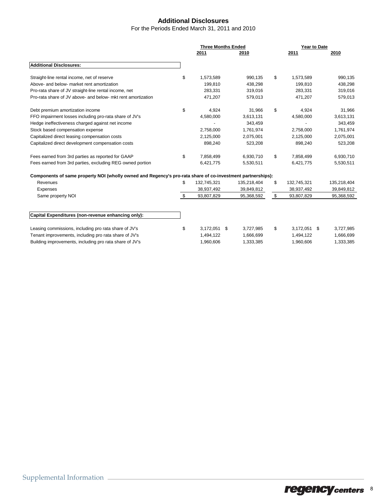## **Additional Disclosures**

For the Periods Ended March 31, 2011 and 2010

|                                                                                                            | <b>Three Months Ended</b> |    |             | Year to Date         |  |             |
|------------------------------------------------------------------------------------------------------------|---------------------------|----|-------------|----------------------|--|-------------|
|                                                                                                            | 2011                      |    | 2010        | 2011                 |  | 2010        |
| <b>Additional Disclosures:</b>                                                                             |                           |    |             |                      |  |             |
| Straight-line rental income, net of reserve                                                                | \$<br>1,573,589           |    | 990,135     | \$<br>1,573,589      |  | 990,135     |
| Above- and below- market rent amortization                                                                 | 199,810                   |    | 438,298     | 199,810              |  | 438,298     |
| Pro-rata share of JV straight-line rental income, net                                                      | 283,331                   |    | 319,016     | 283,331              |  | 319,016     |
| Pro-rata share of JV above- and below- mkt rent amortization                                               | 471,207                   |    | 579,013     | 471,207              |  | 579,013     |
| Debt premium amortization income                                                                           | \$<br>4,924               |    | 31,966      | \$<br>4,924          |  | 31,966      |
| FFO impairment losses including pro-rata share of JV's                                                     | 4,580,000                 |    | 3,613,131   | 4,580,000            |  | 3,613,131   |
| Hedge ineffectiveness charged against net income                                                           |                           |    | 343,459     |                      |  | 343,459     |
| Stock based compensation expense                                                                           | 2,758,000                 |    | 1,761,974   | 2,758,000            |  | 1,761,974   |
| Capitalized direct leasing compensation costs                                                              | 2,125,000                 |    | 2,075,001   | 2,125,000            |  | 2,075,001   |
| Capitalized direct development compensation costs                                                          | 898,240                   |    | 523,208     | 898,240              |  | 523,208     |
| Fees earned from 3rd parties as reported for GAAP                                                          | \$<br>7,858,499           |    | 6,930,710   | \$<br>7,858,499      |  | 6,930,710   |
| Fees earned from 3rd parties, excluding REG owned portion                                                  | 6,421,775                 |    | 5,530,511   | 6,421,775            |  | 5,530,511   |
| Components of same property NOI (wholly owned and Regency's pro-rata share of co-investment partnerships): |                           |    |             |                      |  |             |
| Revenues                                                                                                   | \$<br>132,745,321         |    | 135,218,404 | \$<br>132,745,321    |  | 135,218,404 |
| Expenses                                                                                                   | 38,937,492                |    | 39,849,812  | 38,937,492           |  | 39,849,812  |
| Same property NOI                                                                                          | \$<br>93,807,829          |    | 95,368,592  | \$<br>93,807,829     |  | 95,368,592  |
|                                                                                                            |                           |    |             |                      |  |             |
| Capital Expenditures (non-revenue enhancing only):                                                         |                           |    |             |                      |  |             |
| Leasing commissions, including pro rata share of JV's                                                      | \$<br>3,172,051           | \$ | 3,727,985   | \$<br>$3,172,051$ \$ |  | 3,727,985   |
| Tenant improvements, including pro rata share of JV's                                                      | 1,494,122                 |    | 1,666,699   | 1,494,122            |  | 1,666,699   |
| Building improvements, including pro rata share of JV's                                                    | 1,960,606                 |    | 1,333,385   | 1,960,606            |  | 1,333,385   |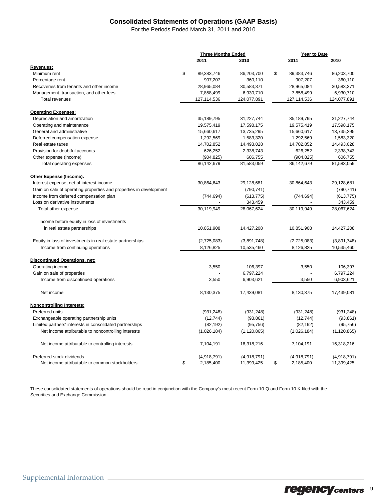## **Consolidated Statements of Operations (GAAP Basis)**

For the Periods Ended March 31, 2011 and 2010

|                                                                    | <b>Three Months Ended</b> |               | Year to Date     |               |  |
|--------------------------------------------------------------------|---------------------------|---------------|------------------|---------------|--|
|                                                                    | 2011                      | 2010          | 2011             | 2010          |  |
| <u>Revenues:</u>                                                   |                           |               |                  |               |  |
| Minimum rent                                                       | \$<br>89,383,746          | 86,203,700    | \$<br>89,383,746 | 86,203,700    |  |
| Percentage rent                                                    | 907,207                   | 360,110       | 907,207          | 360,110       |  |
| Recoveries from tenants and other income                           | 28,965,084                | 30,583,371    | 28,965,084       | 30,583,371    |  |
| Management, transaction, and other fees                            | 7,858,499                 | 6,930,710     | 7,858,499        | 6,930,710     |  |
| <b>Total revenues</b>                                              | 127,114,536               | 124,077,891   | 127, 114, 536    | 124,077,891   |  |
| <b>Operating Expenses:</b>                                         |                           |               |                  |               |  |
| Depreciation and amortization                                      | 35,189,795                | 31,227,744    | 35, 189, 795     | 31,227,744    |  |
| Operating and maintenance                                          | 19,575,419                | 17,598,175    | 19,575,419       | 17,598,175    |  |
| General and administrative                                         | 15,660,617                | 13,735,295    | 15,660,617       | 13,735,295    |  |
| Deferred compensation expense                                      | 1,292,569                 | 1,583,320     | 1,292,569        | 1,583,320     |  |
| Real estate taxes                                                  | 14,702,852                | 14,493,028    | 14,702,852       | 14,493,028    |  |
| Provision for doubtful accounts                                    | 626,252                   | 2,338,743     | 626,252          | 2,338,743     |  |
| Other expense (income)                                             | (904, 825)                | 606,755       | (904, 825)       | 606,755       |  |
| Total operating expenses                                           | 86,142,679                | 81,583,059    | 86,142,679       | 81,583,059    |  |
| Other Expense (Income):                                            |                           |               |                  |               |  |
| Interest expense, net of interest income                           | 30,864,643                | 29,128,681    | 30,864,643       | 29,128,681    |  |
| Gain on sale of operating properties and properties in development |                           | (790, 741)    |                  | (790, 741)    |  |
| Income from deferred compensation plan                             | (744, 694)                | (613, 775)    | (744, 694)       | (613, 775)    |  |
| Loss on derivative instruments                                     |                           | 343,459       |                  | 343,459       |  |
| Total other expense                                                | 30,119,949                | 28,067,624    | 30,119,949       | 28,067,624    |  |
|                                                                    |                           |               |                  |               |  |
| Income before equity in loss of investments                        |                           |               |                  |               |  |
| in real estate partnerships                                        | 10,851,908                | 14,427,208    | 10,851,908       | 14,427,208    |  |
| Equity in loss of investments in real estate partnerships          | (2,725,083)               | (3,891,748)   | (2,725,083)      | (3,891,748)   |  |
| Income from continuing operations                                  | 8,126,825                 | 10.535.460    | 8,126,825        | 10.535.460    |  |
| <b>Discontinued Operations, net:</b>                               |                           |               |                  |               |  |
| Operating income                                                   | 3,550                     | 106,397       | 3,550            | 106,397       |  |
| Gain on sale of properties                                         |                           | 6,797,224     |                  | 6,797,224     |  |
| Income from discontinued operations                                | 3,550                     | 6,903,621     | 3,550            | 6,903,621     |  |
| Net income                                                         | 8,130,375                 | 17,439,081    | 8,130,375        | 17,439,081    |  |
| <b>Noncontrolling Interests:</b>                                   |                           |               |                  |               |  |
| Preferred units                                                    | (931, 248)                | (931, 248)    | (931, 248)       | (931, 248)    |  |
| Exchangeable operating partnership units                           | (12, 744)                 | (93, 861)     | (12, 744)        | (93, 861)     |  |
| Limited partners' interests in consolidated partnerships           | (82, 192)                 | (95, 756)     | (82, 192)        | (95, 756)     |  |
| Net income attributable to noncontrolling interests                | (1,026,184)               | (1, 120, 865) | (1,026,184)      | (1, 120, 865) |  |
| Net income attributable to controlling interests                   | 7,104,191                 | 16,318,216    | 7,104,191        | 16,318,216    |  |
| Preferred stock dividends                                          | (4,918,791)               | (4,918,791)   | (4,918,791)      | (4,918,791)   |  |
| Net income attributable to common stockholders                     | \$<br>2,185,400           | 11,399,425    | \$<br>2,185,400  | 11,399,425    |  |

These consolidated statements of operations should be read in conjunction with the Company's most recent Form 10-Q and Form 10-K filed with the Securities and Exchange Commission.

regency centers<sup>9</sup>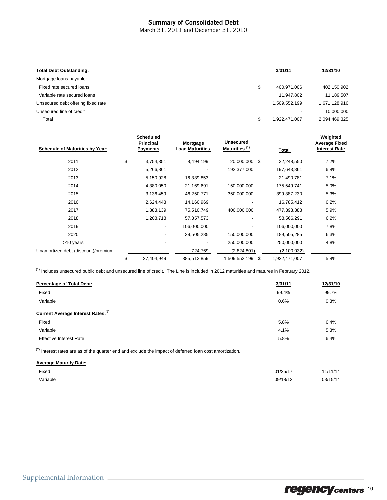### Summary of Consolidated Debt

March 31, 2011 and December 31, 2010

| <b>Total Debt Outstanding:</b>     | 3/31/11       | 12/31/10      |
|------------------------------------|---------------|---------------|
| Mortgage loans payable:            |               |               |
| Fixed rate secured loans           | 400,971,006   | 402,150,902   |
| Variable rate secured loans        | 11,947,802    | 11,189,507    |
| Unsecured debt offering fixed rate | 1,509,552,199 | 1,671,128,916 |
| Unsecured line of credit           | -             | 10,000,000    |
| Total                              | 922,471,007   | 2,094,469,325 |
|                                    |               |               |

| <b>Schedule of Maturities by Year:</b> | <b>Scheduled</b><br>Principal<br><b>Payments</b> | Mortgage<br><b>Loan Maturities</b> | <b>Unsecured</b><br>Maturities <sup>(1)</sup> |   | Total         | Weighted<br><b>Average Fixed</b><br><b>Interest Rate</b> |
|----------------------------------------|--------------------------------------------------|------------------------------------|-----------------------------------------------|---|---------------|----------------------------------------------------------|
| 2011                                   | \$<br>3,754,351                                  | 8,494,199                          | 20,000,000 \$                                 |   | 32,248,550    | 7.2%                                                     |
| 2012                                   | 5,266,861                                        |                                    | 192,377,000                                   |   | 197,643,861   | 6.8%                                                     |
| 2013                                   | 5,150,928                                        | 16,339,853                         |                                               |   | 21,490,781    | 7.1%                                                     |
| 2014                                   | 4,380,050                                        | 21,169,691                         | 150,000,000                                   |   | 175,549,741   | 5.0%                                                     |
| 2015                                   | 3,136,459                                        | 46,250,771                         | 350,000,000                                   |   | 399,387,230   | 5.3%                                                     |
| 2016                                   | 2,624,443                                        | 14,160,969                         |                                               |   | 16,785,412    | 6.2%                                                     |
| 2017                                   | 1,883,139                                        | 75,510,749                         | 400,000,000                                   |   | 477,393,888   | 5.9%                                                     |
| 2018                                   | 1,208,718                                        | 57, 357, 573                       |                                               |   | 58,566,291    | 6.2%                                                     |
| 2019                                   |                                                  | 106,000,000                        |                                               |   | 106,000,000   | 7.8%                                                     |
| 2020                                   |                                                  | 39,505,285                         | 150,000,000                                   |   | 189,505,285   | 6.3%                                                     |
| >10 years                              |                                                  |                                    | 250,000,000                                   |   | 250,000,000   | 4.8%                                                     |
| Unamortized debt (discount)/premium    |                                                  | 724,769                            | (2,824,801)                                   |   | (2,100,032)   |                                                          |
|                                        | 27,404,949                                       | 385,513,859                        | 1,509,552,199                                 | S | 1,922,471,007 | 5.8%                                                     |

(1) Includes unsecured public debt and unsecured line of credit. The Line is included in 2012 maturities and matures in February 2012.

| <b>Percentage of Total Debt:</b>               | 3/31/11 | 12/31/10 |
|------------------------------------------------|---------|----------|
| Fixed                                          | 99.4%   | 99.7%    |
| Variable                                       | 0.6%    | 0.3%     |
| Current Average Interest Rates: <sup>(2)</sup> |         |          |
| Fixed                                          | 5.8%    | 6.4%     |
| Variable                                       | 4.1%    | 5.3%     |
| <b>Effective Interest Rate</b>                 | 5.8%    | 6.4%     |
|                                                |         |          |

 $(2)$  Interest rates are as of the quarter end and exclude the impact of deferred loan cost amortization.

| <b>Average Maturity Date:</b> |          |          |
|-------------------------------|----------|----------|
| Fixed                         | 01/25/17 | 11/11/14 |
| Variable                      | 09/18/12 | 03/15/14 |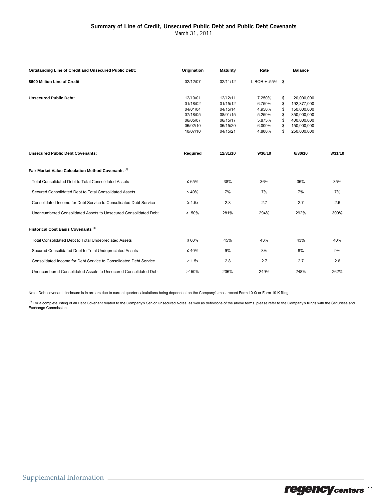### Summary of Line of Credit, Unsecured Public Debt and Public Debt Covenants

March 31, 2011

| <b>Outstanding Line of Credit and Unsecured Public Debt:</b>      | Origination | <b>Maturity</b> | Rate               | <b>Balance</b>    |         |
|-------------------------------------------------------------------|-------------|-----------------|--------------------|-------------------|---------|
| \$600 Million Line of Credit                                      | 02/12/07    | 02/11/12        | $LIBOR + .55\%$ \$ |                   |         |
| <b>Unsecured Public Debt:</b>                                     | 12/10/01    | 12/12/11        | 7.250%             | \$<br>20,000,000  |         |
|                                                                   | 01/18/02    | 01/15/12        | 6.750%             | \$<br>192,377,000 |         |
|                                                                   | 04/01/04    | 04/15/14        | 4.950%             | \$<br>150,000,000 |         |
|                                                                   | 07/18/05    | 08/01/15        | 5.250%             | \$<br>350,000,000 |         |
|                                                                   | 06/05/07    | 06/15/17        | 5.875%             | \$<br>400,000,000 |         |
|                                                                   | 06/02/10    | 06/15/20        | 6.000%             | \$<br>150,000,000 |         |
|                                                                   | 10/07/10    | 04/15/21        | 4.800%             | \$<br>250,000,000 |         |
|                                                                   |             |                 |                    |                   |         |
| <b>Unsecured Public Debt Covenants:</b>                           | Required    | 12/31/10        | 9/30/10            | 6/30/10           | 3/31/10 |
| Fair Market Value Calculation Method Covenants (1)                |             |                 |                    |                   |         |
| <b>Total Consolidated Debt to Total Consolidated Assets</b>       | $\leq 65\%$ | 38%             | 36%                | 36%               | 35%     |
| Secured Consolidated Debt to Total Consolidated Assets            | $\leq 40\%$ | 7%              | 7%                 | 7%                | 7%      |
| Consolidated Income for Debt Service to Consolidated Debt Service | $\geq 1.5x$ | 2.8             | 2.7                | 2.7               | 2.6     |
| Unencumbered Consolidated Assets to Unsecured Consolidated Debt   | >150%       | 281%            | 294%               | 292%              | 309%    |
| Historical Cost Basis Covenants <sup>(1)</sup>                    |             |                 |                    |                   |         |
| Total Consolidated Debt to Total Undepreciated Assets             | $\leq 60\%$ | 45%             | 43%                | 43%               | 40%     |
| Secured Consolidated Debt to Total Undepreciated Assets           | $\leq 40\%$ | 9%              | 8%                 | 8%                | 9%      |
| Consolidated Income for Debt Service to Consolidated Debt Service | $\geq 1.5x$ | 2.8             | 2.7                | 2.7               | 2.6     |
| Unencumbered Consolidated Assets to Unsecured Consolidated Debt   | >150%       | 236%            | 249%               | 248%              | 262%    |

Note: Debt covenant disclosure is in arrears due to current quarter calculations being dependent on the Company's most recent Form 10-Q or Form 10-K filing.

<sup>(1)</sup> For a complete listing of all Debt Covenant related to the Company's Senior Unsecured Notes, as well as definitions of the above terms, please refer to the Company's filings with the Securities and Exchange Commission.

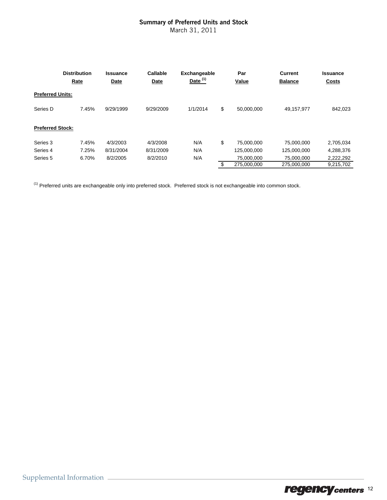## Summary of Preferred Units and Stock

March 31, 2011

|                         | <b>Distribution</b><br>Rate | <b>Issuance</b><br>Date | Callable<br>Date | <b>Exchangeable</b><br>Date $(1)$ | Par<br>Value      | <b>Current</b><br><b>Balance</b> | <b>Issuance</b><br><b>Costs</b> |
|-------------------------|-----------------------------|-------------------------|------------------|-----------------------------------|-------------------|----------------------------------|---------------------------------|
| <b>Preferred Units:</b> |                             |                         |                  |                                   |                   |                                  |                                 |
| Series D                | 7.45%                       | 9/29/1999               | 9/29/2009        | 1/1/2014                          | \$<br>50.000.000  | 49,157,977                       | 842,023                         |
| <b>Preferred Stock:</b> |                             |                         |                  |                                   |                   |                                  |                                 |
| Series 3                | 7.45%                       | 4/3/2003                | 4/3/2008         | N/A                               | \$<br>75.000.000  | 75.000.000                       | 2,705,034                       |
| Series 4                | 7.25%                       | 8/31/2004               | 8/31/2009        | N/A                               | 125,000,000       | 125,000,000                      | 4,288,376                       |
| Series 5                | 6.70%                       | 8/2/2005                | 8/2/2010         | N/A                               | 75.000.000        | 75.000.000                       | 2,222,292                       |
|                         |                             |                         |                  |                                   | \$<br>275.000.000 | 275.000.000                      | 9.215.702                       |

 $(1)$  Preferred units are exchangeable only into preferred stock. Preferred stock is not exchangeable into common stock.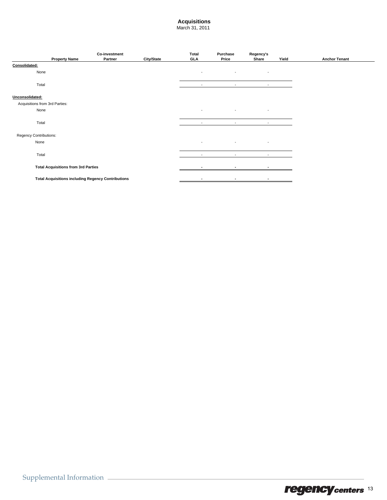## **Acquisitions**

March 31, 2011

|                                | <b>Property Name</b>                                      | <b>Co-investment</b><br>Partner | <b>City/State</b> | <b>Total</b><br><b>GLA</b> | Purchase<br>Price        | Regency's<br>Share       | Yield | <b>Anchor Tenant</b> |
|--------------------------------|-----------------------------------------------------------|---------------------------------|-------------------|----------------------------|--------------------------|--------------------------|-------|----------------------|
| Consolidated:                  |                                                           |                                 |                   |                            |                          |                          |       |                      |
| None                           |                                                           |                                 |                   | $\blacksquare$             | ٠                        |                          |       |                      |
| Total                          |                                                           |                                 |                   | $\overline{\phantom{a}}$   | $\overline{\phantom{a}}$ | $\overline{\phantom{a}}$ |       |                      |
| Unconsolidated:                |                                                           |                                 |                   |                            |                          |                          |       |                      |
| Acquisitions from 3rd Parties: |                                                           |                                 |                   |                            |                          |                          |       |                      |
| None                           |                                                           |                                 |                   | $\blacksquare$             | $\blacksquare$           | $\overline{\phantom{a}}$ |       |                      |
| Total                          |                                                           |                                 |                   | $\overline{\phantom{a}}$   | $\sim$                   | $\sim$                   |       |                      |
| Regency Contributions:         |                                                           |                                 |                   |                            |                          |                          |       |                      |
| None                           |                                                           |                                 |                   | $\overline{\phantom{a}}$   | $\overline{\phantom{a}}$ | $\overline{\phantom{a}}$ |       |                      |
| Total                          |                                                           |                                 |                   | $\overline{\phantom{a}}$   | $\overline{\phantom{a}}$ | $\overline{\phantom{a}}$ |       |                      |
|                                | <b>Total Acquisitions from 3rd Parties</b>                |                                 |                   |                            |                          |                          |       |                      |
|                                | <b>Total Acquisitions including Regency Contributions</b> |                                 |                   | ۰                          | $\overline{\phantom{a}}$ | $\blacksquare$           |       |                      |
|                                |                                                           |                                 |                   |                            |                          |                          |       |                      |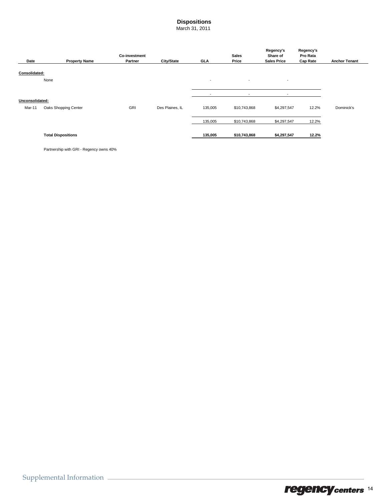## **Dispositions**

March 31, 2011

|                 |                           | <b>Co-investment</b> |                 |                          | <b>Sales</b>             | Regency's<br>Share of    | Regency's<br>Pro Rata |                      |
|-----------------|---------------------------|----------------------|-----------------|--------------------------|--------------------------|--------------------------|-----------------------|----------------------|
| Date            | <b>Property Name</b>      | Partner              | City/State      | <b>GLA</b>               | Price                    | <b>Sales Price</b>       | <b>Cap Rate</b>       | <b>Anchor Tenant</b> |
| Consolidated:   | None                      |                      |                 | $\overline{\phantom{a}}$ | $\overline{\phantom{0}}$ | $\overline{\phantom{a}}$ |                       |                      |
|                 |                           |                      |                 | -                        | $\overline{\phantom{a}}$ | $\overline{\phantom{a}}$ |                       |                      |
| Unconsolidated: |                           |                      |                 |                          |                          |                          |                       |                      |
| Mar-11          | Oaks Shopping Center      | GRI                  | Des Plaines, IL | 135,005                  | \$10,743,868             | \$4,297,547              | 12.2%                 | Dominick's           |
|                 |                           |                      |                 | 135,005                  | \$10,743,868             | \$4,297,547              | 12.2%                 |                      |
|                 | <b>Total Dispositions</b> |                      |                 | 135,005                  | \$10,743,868             | \$4,297,547              | 12.2%                 |                      |

Partnership with GRI - Regency owns 40%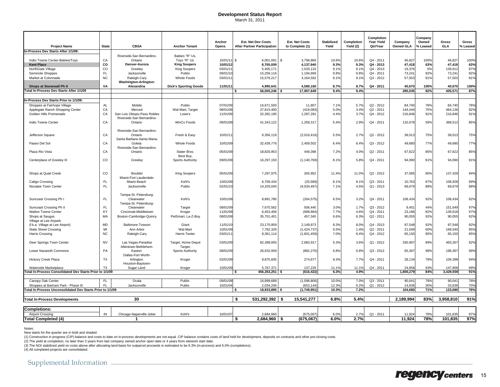#### **Development Status Report**

March 31, 2011

|                                                            |              |                                     |                              |                 |                                                                 |                                          |                            |                         | Completion             |                             | Company           |                     |                   |
|------------------------------------------------------------|--------------|-------------------------------------|------------------------------|-----------------|-----------------------------------------------------------------|------------------------------------------|----------------------------|-------------------------|------------------------|-----------------------------|-------------------|---------------------|-------------------|
| <b>Project Name</b>                                        | <b>State</b> | <b>CBSA</b>                         | <b>Anchor Tenant</b>         | Anchor<br>Opens | <b>Est. Net Dev Costs</b><br><b>After Partner Participation</b> | <b>Est. Net Costs</b><br>to Complete (1) | <b>Stabilized</b><br>Yield | Completion<br>Yield (2) | Year Yield<br>Qtr/Year | Company<br><b>Owned GLA</b> | Owned<br>% Leased | Gross<br><b>GLA</b> | Gross<br>% Leased |
| In-Process Dev Starts After 1/1/09:                        |              |                                     |                              |                 |                                                                 |                                          |                            |                         |                        |                             |                   |                     |                   |
|                                                            |              | Riverside-San Bernardino-           | Babies "R" Us,               |                 |                                                                 |                                          |                            |                         |                        |                             |                   |                     |                   |
| Indio Towne Center-Babies/Toys                             | CA           | Ontario                             | Toys "R" Us                  | 10/01/11        | \$.<br>6,001,091                                                | \$<br>3,796,866                          | 10.6%                      | 10.6%                   | Q4 - 2011              | 46,827                      | 100%              | 46,827              | 100%              |
| <b>Kent Place</b>                                          | co           | Denver-Aurora                       | <b>King Soopers</b>          | 10/01/12        | 8,765,009                                                       | 4,137,940                                | 9.3%                       | 9.3%                    | $Q4 - 2013$            | 47,418                      | 63%               | 47,418              | 63%               |
| NorthGate Village                                          | CO           | Greelev                             | <b>King Soopers</b>          | 03/01/1         | 5,405,171                                                       | 1.033.132                                | 9.1%                       | 9.1%                    | $Q4 - 2013$            | 19,376                      | 5%                | 139.91              | 87%               |
| Seminole Shoppes                                           | <b>FL</b>    | Jacksonville                        | Publix                       | 09/01/10        | 15,259,116                                                      | 1,194,969                                | 9.8%                       | 9.8%                    | Q4 - 2011              | 73,241                      | 92%               | 73,241              | 92%               |
| Market at Colonnade                                        | <b>NC</b>    | Raleigh-Cary                        | <b>Whole Foods</b>           | 03/01/11        | 15,579,217                                                      | 3,164,582                                | 9.1%                       | 9.1%                    | $Q3 - 2012$            | 57,503                      | 81%               | 57,503              | 81%               |
|                                                            |              | Washington-Arlington-               |                              |                 |                                                                 |                                          |                            |                         |                        |                             |                   |                     |                   |
| Shops at Stonewall Ph II                                   | VA           | Alexandria                          | <b>Dick's Sporting Goods</b> | 11/01/1         | 4,995,641                                                       | 4,580,160                                | 8.7%                       | 8.7%                    | Q4 - 2011              | 40,670                      | 100%              | 40,670              | 100%              |
| otal In-Process Dev Starts After 1/1/09                    |              |                                     |                              |                 | 56,005,246                                                      | 17,907,649                               | 9.4%                       | 9.4%                    |                        | 285,035                     | 82%               | 405,571             | 87%               |
|                                                            |              |                                     |                              |                 |                                                                 |                                          |                            |                         |                        |                             |                   |                     |                   |
| In-Process Dev Starts Prior to 1/1/09:                     |              |                                     |                              |                 |                                                                 |                                          |                            |                         |                        |                             |                   |                     |                   |
| Shoppes at Fairhope Village                                | AL           | Mobile                              | Publix                       | 07/01/09        | 16,671,593                                                      | 11,907                                   | 7.1%                       | 5.7%                    | $Q2 - 2012$            | 84,740                      | 78%               | 84,740              | 78%               |
| Applegate Ranch Shopping Center                            | CA           | Merced                              | Wal-Mart, Target             | 08/01/08        | 37,815,400                                                      | (419,083                                 | $5.0$ <sup>9</sup>         | 3.4%                    | $Q2 - 2011$            | 144,444                     | 75%               | 464,136             | 92%               |
| Golden Hills Promenade                                     | CA           | San Luis Obispo-Paso Robles         | Lowe's                       | 11/01/09        | 32,392,195                                                      | 1,287,281                                | 4.4%                       | 3.7%                    | Q4 - 2012              | 216,846                     | 91%               | 216,846             | 91%               |
|                                                            |              | Riverside-San Bernardino-           |                              |                 |                                                                 |                                          |                            |                         |                        |                             |                   |                     |                   |
| Indio Towne Center                                         | CA           | Ontario                             | WinCo Foods                  | 09/01/08        | 41,343,122                                                      | 1,259,317                                | 5.4%                       | 2.9%                    | Q4 - 2011              | 132,678                     | 59%               | 368,51              | 85%               |
|                                                            |              | Riverside-San Bernardino-           |                              |                 |                                                                 |                                          |                            |                         |                        |                             |                   |                     |                   |
| Jefferson Square                                           | CA           | Ontario                             | Fresh & Easy                 | 10/01/1         | 9,356,119                                                       | (2,016,416)                              | 5.5%                       | 2.7%                    | Q2 - 2012              | 38,013                      | 75%               | 38,01               | 75%               |
|                                                            |              | Santa Barbara-Santa Maria-          |                              |                 |                                                                 |                                          |                            |                         |                        |                             |                   |                     |                   |
| Paseo Del Sol                                              | CA           | Goleta                              | Whole Foods                  | 10/01/09        | 32,439,776                                                      | 2,409,502                                | 6.4%                       | 6.4%                    | Q3 - 2012              | 49,680                      | 77%               | 49,680              | 77%               |
|                                                            |              | Riverside-San Bernardino-           |                              |                 |                                                                 |                                          |                            |                         |                        |                             |                   |                     |                   |
| Plaza Rio Vista                                            | CA           | Ontario                             | Stater Bros.                 | 05/01/08        | 18,820,953                                                      | 449,398                                  | 7.2%                       | 4.0%                    | $Q2 - 2011$            | 67,622                      | 85%               | 67,622              | 85%               |
|                                                            |              |                                     | Best Buy,                    |                 |                                                                 |                                          |                            |                         |                        |                             |                   |                     |                   |
| Centerplace of Greeley III                                 | <b>CO</b>    | Greeley                             | <b>Sports Authority</b>      | 09/01/08        | 16,297,150                                                      | (1, 140, 769)                            | 8.1%                       | 5.8%                    | Q4 - 2011              | 94,090                      | 81%               | 94,090              | 81%               |
|                                                            |              |                                     |                              |                 |                                                                 |                                          |                            |                         |                        |                             |                   |                     |                   |
|                                                            |              |                                     |                              |                 |                                                                 |                                          |                            |                         |                        |                             |                   |                     |                   |
| Shops at Quail Creek                                       | $_{\rm CO}$  | Boulder                             | <b>King Soopers</b>          | 05/01/09        | 7,297,975                                                       | 265,952                                  | 11.4%                      | 11.0%                   | $Q2 - 2012$            | 37,585                      | 80%               | 137,429             | 94%               |
|                                                            |              | Miami-Fort Lauderdale-              |                              |                 |                                                                 |                                          |                            |                         |                        |                             |                   |                     |                   |
| Caligo Crossing                                            | <b>FL</b>    | Miami Beach                         | Kohl's                       | 10/01/08        | 6,709,434                                                       | (25, 589)                                | 8.1%                       | 8.1%                    | $Q3 - 2011$            | 10,763                      | 87%               | 108,928             | 99%               |
| Nocatee Town Center                                        | <b>FL</b>    | Jacksonville                        | Publix                       | 02/01/10        | 14,203,045                                                      | (4,034,497)                              | 7.1%                       | 4.5%                    | Q1 - 2013              | 69,679                      | 88%               | 69,679              | 88%               |
|                                                            |              |                                     |                              |                 |                                                                 |                                          |                            |                         |                        |                             |                   |                     |                   |
| Suncoast Crossing Ph I                                     | FL.          | Tampa-St. Petersburg-<br>Clearwater | Kohl's                       | 10/01/08        | 8,891,780                                                       | (264, 575)                               | 6.5%                       | 3.2%                    | Q4 - 2011              | 108,434                     | 92%               | 108,434             | 92%               |
|                                                            |              | Tampa-St. Petersburg-               |                              |                 |                                                                 |                                          |                            |                         |                        |                             |                   |                     |                   |
| Suncoast Crossing Ph II                                    | <b>FL</b>    | Clearwater                          | Target                       | 08/01/09        | 7,670,562                                                       | 506,440                                  | 3.0%                       | 1.7%                    | $Q3 - 2012$            | 9,451                       | 44%               | 151,649             | 97%               |
| <b>Walton Towne Center</b>                                 | KY           | Cincinnati-Middletown               | Kroger                       | 11/01/08        | 6,453,406                                                       | (699, 864)                               | 7.7%                       | 4.6%                    | Q4 - 2011              | 23,186                      | 82%               | 139,618             | 97%               |
| Shops at Saugus                                            | MA           | Boston-Cambridge-Quincy             | PetSmart, La-Z-Boy           | 08/01/08        | 35,701,401                                                      | 457,345                                  | 6.6%                       | 6.3%                    | Q2 - 2011              | 90,055                      | 92%               | 90,055              | 92%               |
| Village at Lee Airpark                                     |              |                                     |                              |                 |                                                                 |                                          |                            |                         |                        |                             |                   |                     |                   |
| (f.k.a. Village at Lee Airport)                            | <b>MD</b>    | Baltimore-Towson                    | Giant                        | 11/01/10        | 23,170,959                                                      | 2,149,873                                | 8.3%                       | 8.0%                    | Q4 - 2013              | 87,548                      | 92%               | 87,548              | 92%               |
| <b>State Street Crossing</b>                               | MI           | Ann Arbor                           | Wal-Mart                     | 10/01/09        | 7,792,326                                                       | (1,424,737)                              | 6.5%                       | 1.4%                    | Q2 - 2011              | 21,049                      | 60%               | 168,540             | 95%               |
| Harris Crossing                                            | <b>NC</b>    | Raleigh-Cary                        | <b>Harris Teeter</b>         | 03/01/1         | 8,361,114                                                       | (1,601,459)                              | 7.0%                       | 6.4%                    | Q4 - 2012              | 65,150                      | 85%               | 65,150              | 85%               |
|                                                            |              |                                     |                              |                 |                                                                 |                                          |                            |                         |                        |                             |                   |                     |                   |
| Deer Springs Town Center                                   | <b>NV</b>    | Las Vegas-Paradise                  | Target, Home Depot           | 03/01/09        | 82,389,005                                                      | 2,683,917                                | 5.3%                       | 3.6%                    | Q1 - 2012              | 330,907                     | 89%               | 463,267             | 92%               |
|                                                            |              | Allentown-Bethlehem-                | Target,                      |                 |                                                                 |                                          |                            |                         |                        |                             |                   |                     |                   |
| Lower Nazareth Commons                                     | PA           | Easton                              | <b>Sports Authority</b>      | 08/01/09        | 26,932,959                                                      | (882, 270)                               | 6.8%                       | 6.8%                    | $Q3 - 2012$            | 65,367                      | 98%               | 198,367             | 99%               |
|                                                            |              | Dallas-Fort Worth-                  |                              |                 |                                                                 |                                          |                            |                         |                        |                             |                   |                     |                   |
| Hickory Creek Plaza                                        | <b>TX</b>    | Arlington                           | Kroger                       | 02/01/09        | 9,875,605                                                       | 274,677                                  | 8.3%                       | 7.7%                    | Q4 - 2011              | 28,134                      | 78%               | 109,398             | 94%               |
| Waterside Marketplace                                      | TX           | Houston-Baytown-<br>Sugar Land      | Kroger                       | 10/01/09        | 5.767.371                                                       | 137,229                                  | 11.1%                      | 11.1%                   | $Q4 - 2011$            | 24.858                      | 93%               | 147.85              | 99%               |
| otal In-Process Consolidated Dev Starts Prior to 1/1/09    |              |                                     |                              |                 | 456,353,251 \$<br>\$                                            | (616, 422)                               | 6.3%                       | 4.9%                    |                        | 1,800,279                   | 84%               | 3,429,559           | 91%               |
|                                                            |              |                                     |                              |                 |                                                                 |                                          |                            |                         |                        |                             |                   |                     |                   |
| Canopy Oak Center                                          | <b>FL</b>    | Ocala                               | Publix                       | 09/01/08        | 16,899,689                                                      | (1,096,806)                              | 10.0%                      | 7.0%                    | Q3 - 2011              | 90,041                      | 78%               | 90,041              | 78%               |
| Shoppes at Bartram Park - Phase III                        | EL.          | Jacksonville                        | Publix                       | 10/01/04        | 2,034,206                                                       | (653, 144)                               | 12.3%                      | 9.2%                    | Q1 - 2012              | 14.639                      | 30%               | 33.639              | 70%               |
| Total In-Process Unconsolidated Dev Starts Prior to 1/1/09 |              |                                     |                              |                 | 18,933,895                                                      | (1,749,951)                              | 10.3%                      | 7.2%                    |                        | 104,680                     | 71%               | 123,680             | 76%               |
|                                                            |              |                                     |                              |                 |                                                                 |                                          |                            |                         |                        |                             |                   |                     |                   |
| <b>Total In-Process Developments</b>                       |              | 30                                  |                              |                 | $531,292,392$ \$<br>\$                                          | 15,541,277                               | 6.8%                       | 5.4%                    |                        | 2,189,994                   | 83%               | 3,958,810           | 91%               |
|                                                            |              |                                     |                              |                 |                                                                 |                                          |                            |                         |                        |                             |                   |                     |                   |
| <b>Completions:</b>                                        |              |                                     |                              |                 |                                                                 |                                          |                            |                         |                        |                             |                   |                     |                   |
| <b>Airport Crossing</b>                                    | IN           | Chicago-Naperville-Joliet           | Kohl's                       | 10/01/07        | 2.684.960                                                       | (675,067)                                | 6.0%                       | 2.7%                    | $Q1 - 2011$            | 11,924                      | 78%               | 101.83              | 97%               |
| <b>Total Completed (4)</b>                                 |              | -1                                  |                              |                 | $2.684.960$ \ \$<br>\$                                          | (675.067)                                | 6.0%                       | 2.7%                    |                        | 11.924                      | 78%               | 101.835             | 97%               |

Notes:

New starts for the quarter are in bold and shaded.

(1) Construction in progress (CIP) balance and costs to date on in-process developments are not equal. CIP balance contains costs of land held for development, deposits on contracts and other pre-closing costs.

(2) The yield at completion, no later than 3 years from last company owned anchor open date or 4 years from sitework start date.

(3) The NOI stabilized yield on costs above after allocating land basis for outparcel proceeds is estimated to be 6.3% (in-process) and 6.0% (completions). (4) All completed projects are consolidated.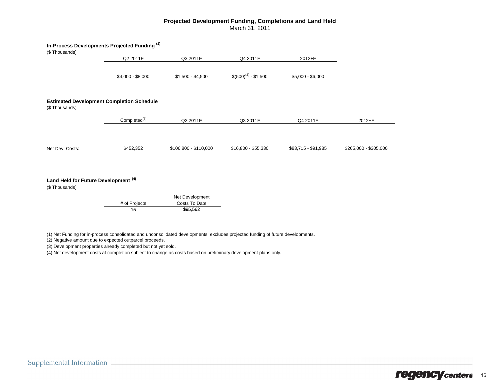#### **Projected Development Funding, Completions and Land Held** March 31, 2011

| In-Process Developments Projected Funding (1)                     |                          |                       |                         |                     |                       |
|-------------------------------------------------------------------|--------------------------|-----------------------|-------------------------|---------------------|-----------------------|
| (\$Thousands)                                                     |                          |                       |                         |                     |                       |
|                                                                   | Q2 2011E                 | Q3 2011E              | Q4 2011E                | 2012+E              |                       |
|                                                                   | \$4,000 - \$8,000        | $$1,500 - $4,500$     | $$(500)^{(2)} - $1,500$ | $$5,000 - $6,000$   |                       |
| <b>Estimated Development Completion Schedule</b><br>(\$Thousands) |                          |                       |                         |                     |                       |
|                                                                   | Completed <sup>(3)</sup> | Q2 2011E              | Q3 2011E                | Q4 2011E            | 2012+E                |
| Net Dev. Costs:                                                   | \$452,352                | \$106,800 - \$110,000 | \$16,800 - \$55,330     | \$83,715 - \$91,985 | \$265,000 - \$305,000 |
|                                                                   |                          |                       |                         |                     |                       |

#### **Land Held for Future Development (4)**

(\$ Thousands)

|               | Net Development |
|---------------|-----------------|
| # of Projects | Costs To Date   |
| 15            | \$95.562        |

(1) Net Funding for in-process consolidated and unconsolidated developments, excludes projected funding of future developments.

(2) Negative amount due to expected outparcel proceeds.

(3) Development properties already completed but not yet sold.

(4) Net development costs at completion subject to change as costs based on preliminary development plans only.

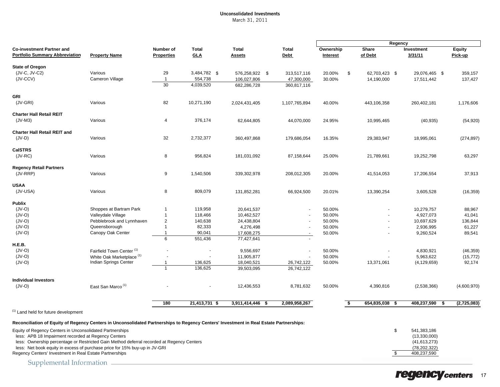#### Unconsolidated Investments March 31, 2011

|                                                                                                                                                                                                                                                                                            |                                                                                                       |                                         |                                      |                                       |                           | Regency                    |                                            |                                                                   |                                  |
|--------------------------------------------------------------------------------------------------------------------------------------------------------------------------------------------------------------------------------------------------------------------------------------------|-------------------------------------------------------------------------------------------------------|-----------------------------------------|--------------------------------------|---------------------------------------|---------------------------|----------------------------|--------------------------------------------|-------------------------------------------------------------------|----------------------------------|
| <b>Co-investment Partner and</b><br><b>Portfolio Summary Abbreviation</b>                                                                                                                                                                                                                  | <b>Property Name</b>                                                                                  | Number of<br><b>Properties</b>          | <b>Total</b><br><b>GLA</b>           | <b>Total</b><br><b>Assets</b>         | Total<br><b>Debt</b>      | Ownership<br>Interest      | Share<br>of Debt                           | Investment<br>3/31/11                                             | <b>Equity</b><br>Pick-up         |
| <b>State of Oregon</b><br>(JV-C, JV-C2)<br>$(JV-CCV)$                                                                                                                                                                                                                                      | Various<br>Cameron Village                                                                            | 29<br>$\mathbf{1}$<br>$\overline{30}$   | 3,484,782 \$<br>554,738<br>4,039,520 | 576,258,922 \$<br>106,027,806         | 313,517,116<br>47,300,000 | \$<br>20.00%<br>30.00%     | 62,703,423 \$<br>14,190,000                | 29,076,465 \$<br>17,511,442                                       | 359,157<br>137,427               |
|                                                                                                                                                                                                                                                                                            |                                                                                                       |                                         |                                      | 682,286,728                           | 360,817,116               |                            |                                            |                                                                   |                                  |
| <b>GRI</b><br>$(JV-GRI)$                                                                                                                                                                                                                                                                   | Various                                                                                               | 82                                      | 10,271,190                           | 2,024,431,405                         | 1,107,765,894             | 40.00%                     | 443,106,358                                | 260,402,181                                                       | 1,176,606                        |
| <b>Charter Hall Retail REIT</b><br>$(JV-M3)$                                                                                                                                                                                                                                               | Various                                                                                               | 4                                       | 376,174                              | 62,644,805                            | 44,070,000                | 24.95%                     | 10,995,465                                 | (40, 935)                                                         | (54, 920)                        |
| <b>Charter Hall Retail REIT and</b><br>$(JV-D)$                                                                                                                                                                                                                                            | Various                                                                                               | 32                                      | 2,732,377                            | 360,497,868                           | 179,686,054               | 16.35%                     | 29,383,947                                 | 18,995,061                                                        | (274, 897)                       |
| <b>CalSTRS</b><br>$(JV-RC)$                                                                                                                                                                                                                                                                | Various                                                                                               | 8                                       | 956,824                              | 181,031,092                           | 87,158,644                | 25.00%                     | 21,789,661                                 | 19,252,798                                                        | 63,297                           |
| <b>Regency Retail Partners</b><br>$(JV-RRP)$                                                                                                                                                                                                                                               | Various                                                                                               | 9                                       | 1,540,506                            | 339,302,978                           | 208,012,305               | 20.00%                     | 41,514,053                                 | 17,206,554                                                        | 37,913                           |
|                                                                                                                                                                                                                                                                                            |                                                                                                       |                                         |                                      |                                       |                           |                            |                                            |                                                                   |                                  |
| <b>USAA</b><br>(JV-USA)                                                                                                                                                                                                                                                                    | Various                                                                                               | 8                                       | 809,079                              | 131,852,281                           | 66,924,500                | 20.01%                     | 13,390,254                                 | 3,605,528                                                         | (16, 359)                        |
| <b>Publix</b><br>$(JV-O)$                                                                                                                                                                                                                                                                  | Shoppes at Bartram Park                                                                               | $\mathbf{1}$                            | 119,958                              | 20,641,537                            |                           | 50.00%                     |                                            | 10,279,757                                                        | 88,967                           |
| $(JV-O)$<br>$(JV-O)$                                                                                                                                                                                                                                                                       | Valleydale Village<br>Pebblebrook and Lynnhaven                                                       | $\mathbf{1}$<br>$\overline{\mathbf{c}}$ | 118,466<br>140,638                   | 10,462,527<br>24,438,804              |                           | 50.00%<br>50.00%           | $\overline{\phantom{a}}$<br>$\overline{a}$ | 4,927,073<br>10,697,629                                           | 41,041<br>136,844                |
| $(JV-O)$<br>$(JV-O)$                                                                                                                                                                                                                                                                       | Queensborough<br>Canopy Oak Center                                                                    | $\mathbf{1}$<br>$\mathbf 1$             | 82,333<br>90,041                     | 4,276,498<br>17,608,275               |                           | 50.00%<br>50.00%           |                                            | 2,936,995<br>9,260,524                                            | 61,227<br>89,541                 |
| H.E.B.                                                                                                                                                                                                                                                                                     |                                                                                                       | 6                                       | 551,436                              | 77,427,641                            |                           |                            |                                            |                                                                   |                                  |
| $(JV-O)$<br>$(JV-O)$<br>$(JV-O)$                                                                                                                                                                                                                                                           | Fairfield Town Center <sup>(1)</sup><br>White Oak Marketplace <sup>(1)</sup><br>Indian Springs Center | -1                                      | 136,625                              | 9,556,697<br>11,905,877<br>18,040,521 | 26,742,122                | 50.00%<br>50.00%<br>50.00% | 13,371,061                                 | 4,830,921<br>5,963,622<br>(4, 129, 659)                           | (46, 359)<br>(15, 772)<br>92,174 |
|                                                                                                                                                                                                                                                                                            |                                                                                                       | $\mathbf{1}$                            | 136,625                              | 39,503,095                            | 26,742,122                |                            |                                            |                                                                   |                                  |
| <b>Individual Investors</b>                                                                                                                                                                                                                                                                |                                                                                                       |                                         |                                      |                                       |                           |                            |                                            |                                                                   |                                  |
| $(JV-O)$                                                                                                                                                                                                                                                                                   | East San Marco <sup>(1)</sup>                                                                         |                                         |                                      | 12,436,553                            | 8,781,632                 | 50.00%                     | 4,390,816                                  | (2,538,366)                                                       | (4,600,970)                      |
|                                                                                                                                                                                                                                                                                            |                                                                                                       | 180                                     | 21,413,731 \$                        | 3,911,414,446 \$                      | 2,089,958,267             | S,                         | 654,835,038 \$                             | 408,237,590<br>-\$                                                | (2,725,083)                      |
| <sup>(1)</sup> Land held for future development                                                                                                                                                                                                                                            |                                                                                                       |                                         |                                      |                                       |                           |                            |                                            |                                                                   |                                  |
| Reconciliation of Equity of Regency Centers in Unconsolidated Partnerships to Regency Centers' Investment in Real Estate Partnerships:                                                                                                                                                     |                                                                                                       |                                         |                                      |                                       |                           |                            |                                            |                                                                   |                                  |
| Equity of Regency Centers in Unconsolidated Partnerships<br>less: APB 18 Impairment recorded at Regency Centers<br>less: Ownership percentage or Restricted Gain Method deferral recorded at Regency Centers<br>less: Net book equity in excess of purchase price for 15% buy-up in JV-GRI |                                                                                                       |                                         |                                      |                                       |                           |                            | \$                                         | 541,383,186<br>(13, 330, 000)<br>(41, 613, 273)<br>(78, 202, 322) |                                  |
| Regency Centers' Investment in Real Estate Partnerships                                                                                                                                                                                                                                    |                                                                                                       |                                         |                                      |                                       |                           |                            | \$                                         | 408,237,590                                                       |                                  |

Supplemental Information =

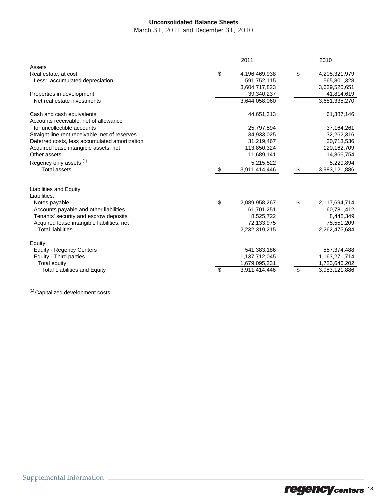## Unconsolidated Balance Sheets

March 31, 2011 and December 31, 2010

|                                                | 2011 |               |  | 2010 |               |  |
|------------------------------------------------|------|---------------|--|------|---------------|--|
| Assets                                         |      |               |  |      |               |  |
| Real estate, at cost                           | \$   | 4,196,469,938 |  | \$   | 4,205,321,979 |  |
| Less: accumulated depreciation                 |      | 591,752,115   |  |      | 565,801,328   |  |
|                                                |      | 3,604,717,823 |  |      | 3,639,520,651 |  |
| Properties in development                      |      | 39,340,237    |  |      | 41,814,619    |  |
| Net real estate investments                    |      | 3,644,058,060 |  |      | 3,681,335,270 |  |
| Cash and cash equivalents                      |      | 44,651,313    |  |      | 61,387,146    |  |
| Accounts receivable, net of allowance          |      |               |  |      |               |  |
| for uncollectible accounts                     |      | 25,797,594    |  |      | 37, 164, 261  |  |
| Straight line rent receivable, net of reserves |      | 34,933,025    |  |      | 32,262,316    |  |
| Deferred costs, less accumulated amortization  |      | 31,219,467    |  |      | 30,713,536    |  |
| Acquired lease intangible assets, net          |      | 113,850,324   |  |      | 120,162,709   |  |
| Other assets                                   |      | 11,689,141    |  |      | 14,866,754    |  |
| Regency only assets <sup>(1)</sup>             |      | 5,215,522     |  |      | 5,229,894     |  |
| <b>Total assets</b>                            | \$   | 3,911,414,446 |  | \$   | 3,983,121,886 |  |
|                                                |      |               |  |      |               |  |
| Liabilities and Equity                         |      |               |  |      |               |  |
| Liabilities:                                   |      |               |  |      |               |  |
| Notes payable                                  | \$   | 2,089,958,267 |  | \$   | 2,117,694,714 |  |
| Accounts payable and other liabilities         |      | 61,701,251    |  |      | 60,781,412    |  |
| Tenants' security and escrow deposits          |      | 8,525,722     |  |      | 8,448,349     |  |
| Acquired lease intangible liabilities, net     |      | 72,133,975    |  |      | 75,551,209    |  |
| <b>Total liabilities</b>                       |      | 2,232,319,215 |  |      | 2,262,475,684 |  |
| Equity:                                        |      |               |  |      |               |  |
| <b>Equity - Regency Centers</b>                |      | 541,383,186   |  |      | 557,374,488   |  |
| Equity - Third parties                         |      | 1,137,712,045 |  |      | 1,163,271,714 |  |
| Total equity                                   |      | 1,679,095,231 |  |      | 1,720,646,202 |  |
| <b>Total Liabilities and Equity</b>            | \$   | 3,911,414,446 |  | \$   | 3,983,121,886 |  |
|                                                |      |               |  |      |               |  |

(1) Capitalized development costs

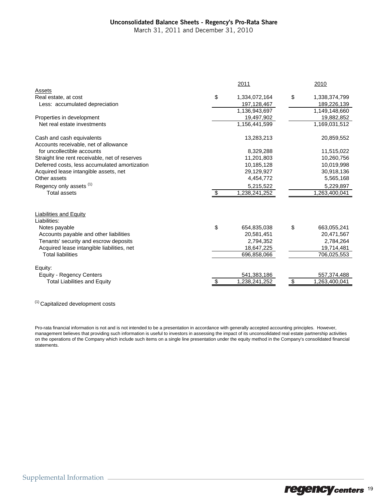#### Unconsolidated Balance Sheets - Regency's Pro-Rata Share

March 31, 2011 and December 31, 2010

|                                                |      | 2011          | 2010                |
|------------------------------------------------|------|---------------|---------------------|
| Assets                                         |      |               |                     |
| Real estate, at cost                           | \$   | 1,334,072,164 | \$<br>1,338,374,799 |
| Less: accumulated depreciation                 |      | 197,128,467   | 189,226,139         |
|                                                |      | 1,136,943,697 | 1,149,148,660       |
| Properties in development                      |      | 19,497,902    | 19,882,852          |
| Net real estate investments                    |      | 1,156,441,599 | 1,169,031,512       |
| Cash and cash equivalents                      |      | 13,283,213    | 20,859,552          |
| Accounts receivable, net of allowance          |      |               |                     |
| for uncollectible accounts                     |      | 8,329,288     | 11,515,022          |
| Straight line rent receivable, net of reserves |      | 11,201,803    | 10,260,756          |
| Deferred costs, less accumulated amortization  |      | 10,185,128    | 10,019,998          |
| Acquired lease intangible assets, net          |      | 29,129,927    | 30,918,136          |
| Other assets                                   |      | 4,454,772     | 5,565,168           |
| Regency only assets <sup>(1)</sup>             |      | 5,215,522     | 5,229,897           |
| <b>Total assets</b>                            | - \$ | 1,238,241,252 | 1,263,400,041       |
|                                                |      |               |                     |
| Liabilities and Equity                         |      |               |                     |
| Liabilities:                                   |      |               |                     |
| Notes payable                                  | \$   | 654,835,038   | \$<br>663,055,241   |
| Accounts payable and other liabilities         |      | 20,581,451    | 20,471,567          |
| Tenants' security and escrow deposits          |      | 2,794,352     | 2,784,264           |
| Acquired lease intangible liabilities, net     |      | 18,647,225    | 19,714,481          |
| <b>Total liabilities</b>                       |      | 696,858,066   | 706,025,553         |
| Equity:                                        |      |               |                     |
| <b>Equity - Regency Centers</b>                |      | 541,383,186   | 557,374,488         |
| <b>Total Liabilities and Equity</b>            | \$   | 1,238,241,252 | \$<br>1,263,400,041 |

(1) Capitalized development costs

Pro-rata financial information is not and is not intended to be a presentation in accordance with generally accepted accounting principles. However, management believes that providing such information is useful to investors in assessing the impact of its unconsolidated real estate partnership activities on the operations of the Company which include such items on a single line presentation under the equity method in the Company's consolidated financial statements.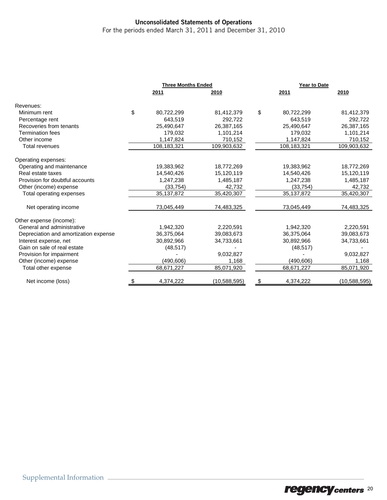## Unconsolidated Statements of Operations

For the periods ended March 31, 2011 and December 31, 2010

|                                       | <b>Three Months Ended</b> |              | Year to Date     |              |  |
|---------------------------------------|---------------------------|--------------|------------------|--------------|--|
|                                       | 2011                      | 2010         | 2011             | 2010         |  |
| Revenues:                             |                           |              |                  |              |  |
| Minimum rent                          | \$<br>80,722,299          | 81,412,379   | \$<br>80,722,299 | 81,412,379   |  |
| Percentage rent                       | 643.519                   | 292.722      | 643,519          | 292,722      |  |
| Recoveries from tenants               | 25,490,647                | 26,387,165   | 25,490,647       | 26,387,165   |  |
| <b>Termination fees</b>               | 179,032                   | 1,101,214    | 179,032          | 1,101,214    |  |
| Other income                          | 1,147,824                 | 710,152      | 1,147,824        | 710,152      |  |
| Total revenues                        | 108,183,321               | 109,903,632  | 108,183,321      | 109,903,632  |  |
| Operating expenses:                   |                           |              |                  |              |  |
| Operating and maintenance             | 19,383,962                | 18,772,269   | 19,383,962       | 18,772,269   |  |
| Real estate taxes                     | 14,540,426                | 15,120,119   | 14,540,426       | 15,120,119   |  |
| Provision for doubtful accounts       | 1,247,238                 | 1,485,187    | 1,247,238        | 1,485,187    |  |
| Other (income) expense                | (33, 754)                 | 42,732       | (33, 754)        | 42,732       |  |
| Total operating expenses              | 35, 137, 872              | 35,420,307   | 35,137,872       | 35,420,307   |  |
| Net operating income                  | 73,045,449                | 74,483,325   | 73,045,449       | 74,483,325   |  |
| Other expense (income):               |                           |              |                  |              |  |
| General and administrative            | 1,942,320                 | 2,220,591    | 1,942,320        | 2,220,591    |  |
| Depreciation and amortization expense | 36,375,064                | 39,083,673   | 36,375,064       | 39,083,673   |  |
| Interest expense, net                 | 30,892,966                | 34,733,661   | 30,892,966       | 34,733,661   |  |
| Gain on sale of real estate           | (48, 517)                 |              | (48, 517)        |              |  |
| Provision for impairment              |                           | 9,032,827    |                  | 9,032,827    |  |
| Other (income) expense                | (490, 606)                | 1,168        | (490,606)        | 1,168        |  |
| Total other expense                   | 68,671,227                | 85,071,920   | 68,671,227       | 85,071,920   |  |
| Net income (loss)                     | 4,374,222                 | (10,588,595) | \$<br>4,374,222  | (10,588,595) |  |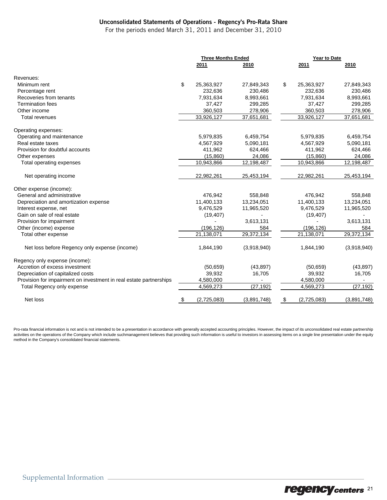#### Unconsolidated Statements of Operations - Regency's Pro-Rata Share

For the periods ended March 31, 2011 and December 31, 2010

| 2010<br>2011<br>2011<br>2010<br>Revenues:<br>\$<br>25,363,927<br>\$<br>25,363,927<br>Minimum rent<br>27,849,343<br>27,849,343<br>232,636<br>230,486<br>232,636<br>Percentage rent<br>Recoveries from tenants<br>7,931,634<br>8,993,661<br>7,931,634<br>8,993,661<br><b>Termination fees</b><br>37,427<br>299,285<br>37,427<br>Other income<br>360,503<br>278,906<br>360,503<br>33,926,127<br>33,926,127<br>37,651,681<br>37,651,681<br><b>Total revenues</b><br>Operating expenses:<br>Operating and maintenance<br>5,979,835<br>6,459,754<br>5,979,835<br>Real estate taxes<br>4,567,929<br>5,090,181<br>4,567,929<br>411,962<br>411,962<br>Provision for doubtful accounts<br>624,466<br>(15,860)<br>(15,860)<br>Other expenses<br>24,086<br>12,198,487<br>10,943,866<br>10,943,866<br>12,198,487<br>Total operating expenses<br>Net operating income<br>22,982,261<br>25,453,194<br>22,982,261<br>25,453,194<br>Other expense (income):<br>General and administrative<br>476,942<br>558,848<br>476,942<br>Depreciation and amortization expense<br>11,400,133<br>13,234,051<br>11,400,133<br>13,234,051<br>9,476,529<br>11,965,520<br>Interest expense, net<br>9,476,529<br>11,965,520<br>Gain on sale of real estate<br>(19, 407)<br>(19, 407)<br>3,613,131<br>Provision for impairment<br>Other (income) expense<br>(196, 126)<br>584<br>(196, 126)<br>29,372,134<br>29,372,134<br>21,138,071<br>21,138,071<br>Total other expense |             |
|-----------------------------------------------------------------------------------------------------------------------------------------------------------------------------------------------------------------------------------------------------------------------------------------------------------------------------------------------------------------------------------------------------------------------------------------------------------------------------------------------------------------------------------------------------------------------------------------------------------------------------------------------------------------------------------------------------------------------------------------------------------------------------------------------------------------------------------------------------------------------------------------------------------------------------------------------------------------------------------------------------------------------------------------------------------------------------------------------------------------------------------------------------------------------------------------------------------------------------------------------------------------------------------------------------------------------------------------------------------------------------------------------------------------------------------------|-------------|
|                                                                                                                                                                                                                                                                                                                                                                                                                                                                                                                                                                                                                                                                                                                                                                                                                                                                                                                                                                                                                                                                                                                                                                                                                                                                                                                                                                                                                                         |             |
|                                                                                                                                                                                                                                                                                                                                                                                                                                                                                                                                                                                                                                                                                                                                                                                                                                                                                                                                                                                                                                                                                                                                                                                                                                                                                                                                                                                                                                         |             |
|                                                                                                                                                                                                                                                                                                                                                                                                                                                                                                                                                                                                                                                                                                                                                                                                                                                                                                                                                                                                                                                                                                                                                                                                                                                                                                                                                                                                                                         |             |
|                                                                                                                                                                                                                                                                                                                                                                                                                                                                                                                                                                                                                                                                                                                                                                                                                                                                                                                                                                                                                                                                                                                                                                                                                                                                                                                                                                                                                                         | 230,486     |
|                                                                                                                                                                                                                                                                                                                                                                                                                                                                                                                                                                                                                                                                                                                                                                                                                                                                                                                                                                                                                                                                                                                                                                                                                                                                                                                                                                                                                                         |             |
|                                                                                                                                                                                                                                                                                                                                                                                                                                                                                                                                                                                                                                                                                                                                                                                                                                                                                                                                                                                                                                                                                                                                                                                                                                                                                                                                                                                                                                         | 299,285     |
|                                                                                                                                                                                                                                                                                                                                                                                                                                                                                                                                                                                                                                                                                                                                                                                                                                                                                                                                                                                                                                                                                                                                                                                                                                                                                                                                                                                                                                         | 278,906     |
|                                                                                                                                                                                                                                                                                                                                                                                                                                                                                                                                                                                                                                                                                                                                                                                                                                                                                                                                                                                                                                                                                                                                                                                                                                                                                                                                                                                                                                         |             |
|                                                                                                                                                                                                                                                                                                                                                                                                                                                                                                                                                                                                                                                                                                                                                                                                                                                                                                                                                                                                                                                                                                                                                                                                                                                                                                                                                                                                                                         |             |
|                                                                                                                                                                                                                                                                                                                                                                                                                                                                                                                                                                                                                                                                                                                                                                                                                                                                                                                                                                                                                                                                                                                                                                                                                                                                                                                                                                                                                                         | 6,459,754   |
|                                                                                                                                                                                                                                                                                                                                                                                                                                                                                                                                                                                                                                                                                                                                                                                                                                                                                                                                                                                                                                                                                                                                                                                                                                                                                                                                                                                                                                         | 5,090,181   |
|                                                                                                                                                                                                                                                                                                                                                                                                                                                                                                                                                                                                                                                                                                                                                                                                                                                                                                                                                                                                                                                                                                                                                                                                                                                                                                                                                                                                                                         | 624,466     |
|                                                                                                                                                                                                                                                                                                                                                                                                                                                                                                                                                                                                                                                                                                                                                                                                                                                                                                                                                                                                                                                                                                                                                                                                                                                                                                                                                                                                                                         | 24,086      |
|                                                                                                                                                                                                                                                                                                                                                                                                                                                                                                                                                                                                                                                                                                                                                                                                                                                                                                                                                                                                                                                                                                                                                                                                                                                                                                                                                                                                                                         |             |
|                                                                                                                                                                                                                                                                                                                                                                                                                                                                                                                                                                                                                                                                                                                                                                                                                                                                                                                                                                                                                                                                                                                                                                                                                                                                                                                                                                                                                                         |             |
|                                                                                                                                                                                                                                                                                                                                                                                                                                                                                                                                                                                                                                                                                                                                                                                                                                                                                                                                                                                                                                                                                                                                                                                                                                                                                                                                                                                                                                         |             |
|                                                                                                                                                                                                                                                                                                                                                                                                                                                                                                                                                                                                                                                                                                                                                                                                                                                                                                                                                                                                                                                                                                                                                                                                                                                                                                                                                                                                                                         | 558,848     |
|                                                                                                                                                                                                                                                                                                                                                                                                                                                                                                                                                                                                                                                                                                                                                                                                                                                                                                                                                                                                                                                                                                                                                                                                                                                                                                                                                                                                                                         |             |
|                                                                                                                                                                                                                                                                                                                                                                                                                                                                                                                                                                                                                                                                                                                                                                                                                                                                                                                                                                                                                                                                                                                                                                                                                                                                                                                                                                                                                                         |             |
|                                                                                                                                                                                                                                                                                                                                                                                                                                                                                                                                                                                                                                                                                                                                                                                                                                                                                                                                                                                                                                                                                                                                                                                                                                                                                                                                                                                                                                         |             |
|                                                                                                                                                                                                                                                                                                                                                                                                                                                                                                                                                                                                                                                                                                                                                                                                                                                                                                                                                                                                                                                                                                                                                                                                                                                                                                                                                                                                                                         | 3,613,131   |
|                                                                                                                                                                                                                                                                                                                                                                                                                                                                                                                                                                                                                                                                                                                                                                                                                                                                                                                                                                                                                                                                                                                                                                                                                                                                                                                                                                                                                                         | 584         |
|                                                                                                                                                                                                                                                                                                                                                                                                                                                                                                                                                                                                                                                                                                                                                                                                                                                                                                                                                                                                                                                                                                                                                                                                                                                                                                                                                                                                                                         |             |
| Net loss before Regency only expense (income)<br>1,844,190<br>(3,918,940)<br>1,844,190                                                                                                                                                                                                                                                                                                                                                                                                                                                                                                                                                                                                                                                                                                                                                                                                                                                                                                                                                                                                                                                                                                                                                                                                                                                                                                                                                  | (3,918,940) |
| Regency only expense (income):                                                                                                                                                                                                                                                                                                                                                                                                                                                                                                                                                                                                                                                                                                                                                                                                                                                                                                                                                                                                                                                                                                                                                                                                                                                                                                                                                                                                          |             |
| Accretion of excess investment<br>(43, 897)<br>(50, 659)<br>(50, 659)                                                                                                                                                                                                                                                                                                                                                                                                                                                                                                                                                                                                                                                                                                                                                                                                                                                                                                                                                                                                                                                                                                                                                                                                                                                                                                                                                                   | (43, 897)   |
| 39,932<br>Depreciation of capitalized costs<br>16,705<br>39,932                                                                                                                                                                                                                                                                                                                                                                                                                                                                                                                                                                                                                                                                                                                                                                                                                                                                                                                                                                                                                                                                                                                                                                                                                                                                                                                                                                         | 16,705      |
| Provision for impairment on investment in real estate partnerships<br>4,580,000<br>4,580,000                                                                                                                                                                                                                                                                                                                                                                                                                                                                                                                                                                                                                                                                                                                                                                                                                                                                                                                                                                                                                                                                                                                                                                                                                                                                                                                                            |             |
| (27, 192)<br>4,569,273<br>Total Regency only expense<br>4,569,273                                                                                                                                                                                                                                                                                                                                                                                                                                                                                                                                                                                                                                                                                                                                                                                                                                                                                                                                                                                                                                                                                                                                                                                                                                                                                                                                                                       | (27, 192)   |
| \$<br>Net loss<br>\$<br>(2,725,083)<br>(3,891,748)<br>(2,725,083)                                                                                                                                                                                                                                                                                                                                                                                                                                                                                                                                                                                                                                                                                                                                                                                                                                                                                                                                                                                                                                                                                                                                                                                                                                                                                                                                                                       | (3,891,748) |

Pro-rata financial information is not and is not intended to be a presentation in accordance with generally accepted accounting principles. However, the impact of its unconsolidated real estate partnership activities on the operations of the Company which include suchmanagement believes that providing such information is useful to investors in assessing items on a single line presentation under the equity method in the Company's consolidated financial statements.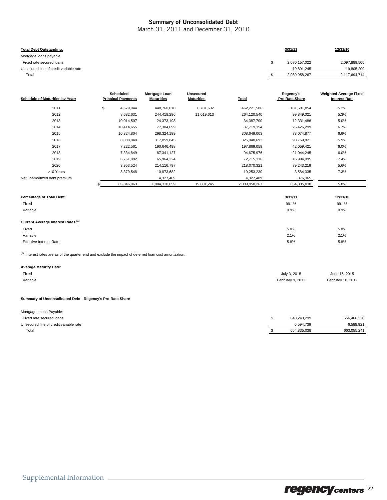#### Summary of Unconsolidated Debt

March 31, 2011 and December 31, 2010

| <b>Total Debt Outstanding:</b>         | 3/31/11       | 12/31/10      |
|----------------------------------------|---------------|---------------|
| Mortgage loans payable:                |               |               |
| Fixed rate secured loans               | 2,070,157,022 | 2,097,889,505 |
| Unsecured line of credit variable rate | 19.801.245    | 19,805,209    |
| Total                                  | 2,089,958,267 | 2,117,694,714 |

| Schedule of Maturities by Year:                                                                                    | <b>Scheduled</b><br><b>Principal Payments</b> | Mortgage Loan<br><b>Maturities</b> | <b>Unsecured</b><br><b>Maturities</b> | Total         | Regency's<br>Pro Rata Share | <b>Weighted Average Fixed</b><br><b>Interest Rate</b> |
|--------------------------------------------------------------------------------------------------------------------|-----------------------------------------------|------------------------------------|---------------------------------------|---------------|-----------------------------|-------------------------------------------------------|
| 2011                                                                                                               | \$<br>4,679,944                               | 448,760,010                        | 8,781,632                             | 462,221,586   | 181,581,854                 | 5.2%                                                  |
| 2012                                                                                                               | 8,682,631                                     | 244,418,296                        | 11,019,613                            | 264,120,540   | 99,849,021                  | 5.3%                                                  |
| 2013                                                                                                               | 10,014,507                                    | 24,373,193                         |                                       | 34,387,700    | 12,331,486                  | 5.0%                                                  |
| 2014                                                                                                               | 10,414,655                                    | 77,304,699                         |                                       | 87,719,354    | 25,426,299                  | 6.7%                                                  |
| 2015                                                                                                               | 10,324,804                                    | 298,324,199                        |                                       | 308,649,003   | 73,074,877                  | 6.6%                                                  |
| 2016                                                                                                               | 8,088,848                                     | 317,859,845                        |                                       | 325,948,693   | 98,769,821                  | 5.9%                                                  |
| 2017                                                                                                               | 7,222,561                                     | 190,646,498                        |                                       | 197,869,059   | 42,059,421                  | 6.0%                                                  |
| 2018                                                                                                               | 7,334,849                                     | 87,341,127                         |                                       | 94,675,976    | 21,044,245                  | 6.0%                                                  |
| 2019                                                                                                               | 6,751,092                                     | 65,964,224                         |                                       | 72,715,316    | 16,994,095                  | 7.4%                                                  |
| 2020                                                                                                               | 3,953,524                                     | 214,116,797                        |                                       | 218,070,321   | 79,243,219                  | 5.6%                                                  |
| >10 Years                                                                                                          | 8,379,548                                     | 10,873,682                         |                                       | 19,253,230    | 3,584,335                   | 7.3%                                                  |
| Net unamortized debt premium                                                                                       |                                               | 4,327,489                          |                                       | 4,327,489     | 876,365                     |                                                       |
|                                                                                                                    | 85,846,963                                    | 1,984,310,059                      | 19,801,245                            | 2,089,958,267 | 654,835,038                 | 5.8%                                                  |
| Percentage of Total Debt:                                                                                          |                                               |                                    |                                       |               | 3/31/11                     | 12/31/10                                              |
| Fixed                                                                                                              |                                               |                                    |                                       |               | 99.1%                       | 99.1%                                                 |
| Variable                                                                                                           |                                               |                                    |                                       |               | 0.9%                        | 0.9%                                                  |
| Current Average Interest Rates:(1)                                                                                 |                                               |                                    |                                       |               |                             |                                                       |
| Fixed                                                                                                              |                                               |                                    |                                       |               | 5.8%                        | 5.8%                                                  |
| Variable                                                                                                           |                                               |                                    |                                       |               | 2.1%                        | 2.1%                                                  |
| <b>Effective Interest Rate</b>                                                                                     |                                               |                                    |                                       |               | 5.8%                        | 5.8%                                                  |
| <sup>(1)</sup> Interest rates are as of the quarter end and exclude the impact of deferred loan cost amortization. |                                               |                                    |                                       |               |                             |                                                       |

#### **Average Maturity Date:**

| Fixed    | July 3, 2015     | June 15, 2015     |
|----------|------------------|-------------------|
| Variable | February 9, 2012 | February 10, 2012 |

#### **Summary of Unconsolidated Debt - Regency's Pro-Rata Share**

| Mortgage Loans Payable:                |             |             |
|----------------------------------------|-------------|-------------|
| Fixed rate secured loans               | 648.240.299 | 656,466,320 |
| Unsecured line of credit variable rate | 6.594.739   | 6,588,921   |
| Total                                  | 654.835.038 | 663.055.241 |
|                                        |             |             |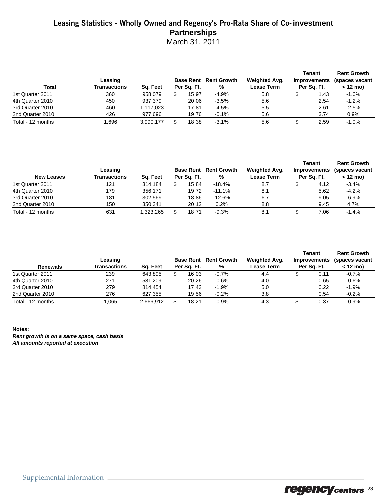## Leasing Statistics - Wholly Owned and Regency's Pro-Rata Share of Co-**investment Partnerships**

March 31, 2011

|                   |                         |           |             |                                   |                             | Tenant                             | <b>Rent Growth</b>           |
|-------------------|-------------------------|-----------|-------------|-----------------------------------|-----------------------------|------------------------------------|------------------------------|
| Total             | Leasing<br>Transactions | Sq. Feet  | Per Sa. Ft. | <b>Base Rent Rent Growth</b><br>% | Weighted Avg.<br>Lease Term | <b>Improvements</b><br>Per Sa. Ft. | (spaces vacant<br>$<$ 12 mo) |
| 1st Quarter 2011  | 360                     | 958.079   | 15.97       | $-4.9%$                           | 5.8                         | 1.43                               | $-1.0%$                      |
| 4th Quarter 2010  | 450                     | 937.379   | 20.06       | $-3.5%$                           | 5.6                         | 2.54                               | $-1.2%$                      |
| 3rd Quarter 2010  | 460                     | 1,117,023 | 17.81       | $-4.5%$                           | 5.5                         | 2.61                               | $-2.5%$                      |
| 2nd Quarter 2010  | 426                     | 977,696   | 19.76       | $-0.1%$                           | 5.6                         | 3.74                               | $0.9\%$                      |
| Total - 12 months | .696                    | 3,990,177 | 18.38       | $-3.1%$                           | 5.6                         | 2.59                               | $-1.0%$                      |

| <b>New Leases</b> | Leasing<br>Transactions | Sa. Feet | <b>Base Rent</b><br>Per Sa. Ft. | <b>Rent Growth</b><br>% | <b>Weighted Avg.</b><br><b>Lease Term</b> | <b>Tenant</b><br><b>Improvements</b><br>Per Sa. Ft. | <b>Rent Growth</b><br>(spaces vacant<br>$<$ 12 mo) |
|-------------------|-------------------------|----------|---------------------------------|-------------------------|-------------------------------------------|-----------------------------------------------------|----------------------------------------------------|
| 1st Quarter 2011  | 121                     | 314.184  | 15.84                           | $-18.4%$                | 8.7                                       | 4.12                                                | $-3.4%$                                            |
| 4th Quarter 2010  | 179                     | 356.171  | 19.72                           | $-11.1%$                | 8.1                                       | 5.62                                                | $-4.2%$                                            |
| 3rd Quarter 2010  | 181                     | 302.569  | 18.86                           | $-12.6%$                | 6.7                                       | 9.05                                                | $-6.9%$                                            |
| 2nd Quarter 2010  | 150                     | 350.341  | 20.12                           | 0.2%                    | 8.8                                       | 9.45                                                | 4.7%                                               |
| Total - 12 months | 631                     | 323,265  | 18.71                           | $-9.3%$                 | 8.1                                       | 7.06                                                | $-1.4%$                                            |

| <b>Renewals</b>   | Leasing<br><b>Transactions</b> | Sq. Feet  | <b>Base Rent</b><br>Per Sq. Ft. | <b>Rent Growth</b><br>% | Weighted Avg.<br>Lease Term | Tenant<br><b>Improvements</b><br>Per Sq. Ft. | <b>Rent Growth</b><br>(spaces vacant<br>$< 12 \text{ mo}$ |
|-------------------|--------------------------------|-----------|---------------------------------|-------------------------|-----------------------------|----------------------------------------------|-----------------------------------------------------------|
| 1st Quarter 2011  | 239                            | 643.895   | 16.03                           | $-0.7%$                 | 4.4                         | 0.11                                         | $-0.7%$                                                   |
| 4th Quarter 2010  | 271                            | 581.209   | 20.26                           | $-0.6%$                 | 4.0                         | 0.65                                         | $-0.6%$                                                   |
| 3rd Quarter 2010  | 279                            | 814.454   | 17.43                           | $-1.9%$                 | 5.0                         | 0.22                                         | $-1.9%$                                                   |
| 2nd Quarter 2010  | 276                            | 627.355   | 19.56                           | $-0.2%$                 | 3.8                         | 0.54                                         | $-0.2%$                                                   |
| Total - 12 months | .065                           | 2.666.912 | 18.21                           | $-0.9%$                 | 4.3                         | 0.37                                         | $-0.9%$                                                   |

#### **Notes:**

*Rent growth is on a same space, cash basis All amounts reported at execution*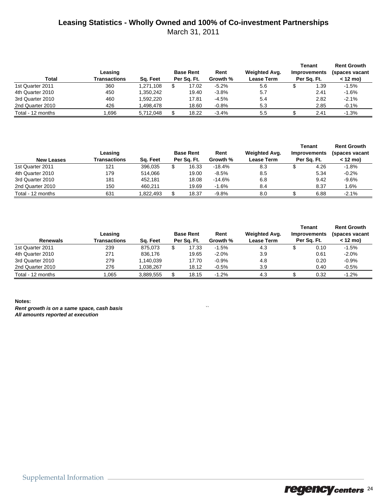## **Leasing Statistics - Wholly Owned and 100% of Co-investment Partnerships**

March 31, 2011

| Total             | Leasing<br>Transactions | Sa. Feet  | <b>Base Rent</b><br>Per Sa. Ft. | Rent<br>Growth % | Weighted Avg.<br><b>Lease Term</b> | Tenant<br><b>Improvements</b><br>Per Sa. Ft. | <b>Rent Growth</b><br>(spaces vacant<br>$< 12 \text{ mo}$ |
|-------------------|-------------------------|-----------|---------------------------------|------------------|------------------------------------|----------------------------------------------|-----------------------------------------------------------|
| 1st Quarter 2011  | 360                     | 1.271.108 | 17.02                           | $-5.2%$          | 5.6                                | 1.39                                         | $-1.5%$                                                   |
| 4th Quarter 2010  | 450                     | 1.350.242 | 19.40                           | $-3.8%$          | 5.7                                | 2.41                                         | $-1.6%$                                                   |
| 3rd Quarter 2010  | 460                     | 1.592.220 | 17.81                           | $-4.5%$          | 5.4                                | 2.82                                         | $-2.1%$                                                   |
| 2nd Quarter 2010  | 426                     | 1.498.478 | 18.60                           | $-0.8%$          | 5.3                                | 2.85                                         | $-0.1%$                                                   |
| Total - 12 months | .696                    | 5.712.048 | 18.22                           | $-3.4%$          | 5.5                                | 2.41                                         | $-1.3%$                                                   |

| <b>New Leases</b> | Leasing<br>Transactions | Sa. Feet | <b>Base Rent</b><br>Per Sa. Ft. | Rent<br>Growth % | Weighted Avg.<br><b>Lease Term</b> | Tenant<br><b>Improvements</b><br>Per Sq. Ft. | <b>Rent Growth</b><br>(spaces vacant<br>$< 12 \text{ mo}$ |
|-------------------|-------------------------|----------|---------------------------------|------------------|------------------------------------|----------------------------------------------|-----------------------------------------------------------|
| 1st Quarter 2011  | 121                     | 396.035  | 16.33                           | $-18.4%$         | 8.3                                | 4.26                                         | $-1.8%$                                                   |
| 4th Quarter 2010  | 179                     | 514.066  | 19.00                           | $-8.5%$          | 8.5                                | 5.34                                         | $-0.2%$                                                   |
| 3rd Quarter 2010  | 181                     | 452.181  | 18.08                           | $-14.6%$         | 6.8                                | 9.42                                         | $-9.6%$                                                   |
| 2nd Quarter 2010  | 150                     | 460.211  | 19.69                           | $-1.6%$          | 8.4                                | 8.37                                         | 1.6%                                                      |
| Total - 12 months | 631                     | .822.493 | 18.37                           | $-9.8%$          | 8.0                                | 6.88                                         | $-2.1%$                                                   |

| <b>Renewals</b>   | Leasing<br>Transactions | Sa. Feet  | <b>Base Rent</b><br>Per Sq. Ft. | Rent<br>Growth % | Weighted Avg.<br><b>Lease Term</b> | Tenant<br><b>Improvements</b><br>Per Sq. Ft. | <b>Rent Growth</b><br>(spaces vacant<br>$< 12 \text{ mo}$ |
|-------------------|-------------------------|-----------|---------------------------------|------------------|------------------------------------|----------------------------------------------|-----------------------------------------------------------|
| 1st Quarter 2011  | 239                     | 875.073   | 17.33                           | $-1.5%$          | 4.3                                | 0.10                                         | $-1.5%$                                                   |
| 4th Quarter 2010  | 271                     | 836.176   | 19.65                           | $-2.0%$          | 3.9                                | 0.61                                         | $-2.0%$                                                   |
| 3rd Quarter 2010  | 279                     | 1,140,039 | 17.70                           | $-0.9%$          | 4.8                                | 0.20                                         | $-0.9%$                                                   |
| 2nd Quarter 2010  | 276                     | 1.038.267 | 18.12                           | $-0.5%$          | 3.9                                | 0.40                                         | $-0.5%$                                                   |
| Total - 12 months | ,065                    | 3,889,555 | 18.15                           | $-1.2%$          | 4.3                                | 0.32                                         | $-1.2%$                                                   |

#### **Notes:** *Rent growth is on a same space, cash basis* `` *All amounts reported at execution*

Supplemental Information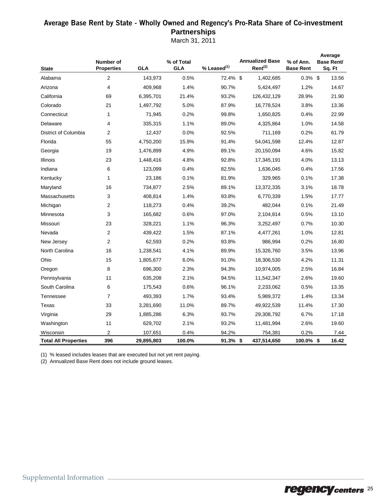## Average Base Rent by State - Wholly Owned and Regency's Pro-Rata Share of Co-**investment Partnerships**

March 31, 2011

| <b>State</b>                | Number of<br><b>Properties</b> | GLA        | % of Total<br>GLA | $%$ Leased $(1)$ | <b>Annualized Base</b><br>$Rent^{(2)}$ | % of Ann.<br><b>Base Rent</b> | Average<br><b>Base Rent/</b><br>Sq. Ft |
|-----------------------------|--------------------------------|------------|-------------------|------------------|----------------------------------------|-------------------------------|----------------------------------------|
| Alabama                     | 2                              | 143,973    | 0.5%              | 72.4% \$         | 1,402,685                              | $0.3\%$ \$                    | 13.56                                  |
| Arizona                     | 4                              | 409,968    | 1.4%              | 90.7%            | 5,424,497                              | 1.2%                          | 14.67                                  |
| California                  | 69                             | 6,395,701  | 21.4%             | 93.2%            | 126,432,129                            | 28.9%                         | 21.90                                  |
| Colorado                    | 21                             | 1,497,792  | 5.0%              | 87.9%            | 16,778,524                             | 3.8%                          | 13.36                                  |
| Connecticut                 | 1                              | 71,945     | 0.2%              | 99.8%            | 1,650,825                              | 0.4%                          | 22.99                                  |
| Delaware                    | 4                              | 335,315    | 1.1%              | 89.0%            | 4,325,864                              | 1.0%                          | 14.58                                  |
| District of Columbia        | $\overline{2}$                 | 12,437     | 0.0%              | 92.5%            | 711,169                                | 0.2%                          | 61.79                                  |
| Florida                     | 55                             | 4,750,200  | 15.9%             | 91.4%            | 54,041,598                             | 12.4%                         | 12.87                                  |
| Georgia                     | 19                             | 1,476,899  | 4.9%              | 89.1%            | 20,150,094                             | 4.6%                          | 15.82                                  |
| Illinois                    | 23                             | 1,448,416  | 4.8%              | 92.8%            | 17,345,191                             | 4.0%                          | 13.13                                  |
| Indiana                     | 6                              | 123,099    | 0.4%              | 82.5%            | 1,636,045                              | 0.4%                          | 17.56                                  |
| Kentucky                    | 1                              | 23,186     | 0.1%              | 81.9%            | 329,965                                | 0.1%                          | 17.38                                  |
| Maryland                    | 16                             | 734,877    | 2.5%              | 89.1%            | 13,372,335                             | 3.1%                          | 18.78                                  |
| Massachusetts               | 3                              | 408,814    | 1.4%              | 93.8%            | 6,770,339                              | 1.5%                          | 17.77                                  |
| Michigan                    | 2                              | 118,273    | 0.4%              | 39.2%            | 482,044                                | 0.1%                          | 21.49                                  |
| Minnesota                   | 3                              | 165,682    | 0.6%              | 97.0%            | 2,104,814                              | 0.5%                          | 13.10                                  |
| Missouri                    | 23                             | 328,221    | 1.1%              | 96.3%            | 3,252,497                              | 0.7%                          | 10.30                                  |
| Nevada                      | $\overline{2}$                 | 439,422    | 1.5%              | 87.1%            | 4,477,261                              | 1.0%                          | 12.81                                  |
| New Jersey                  | $\overline{2}$                 | 62,593     | 0.2%              | 93.8%            | 986,994                                | 0.2%                          | 16.80                                  |
| North Carolina              | 16                             | 1,238,541  | 4.1%              | 89.9%            | 15,326,760                             | 3.5%                          | 13.96                                  |
| Ohio                        | 15                             | 1,805,677  | 6.0%              | 91.0%            | 18,306,530                             | 4.2%                          | 11.31                                  |
| Oregon                      | 8                              | 696,300    | 2.3%              | 94.3%            | 10,974,005                             | 2.5%                          | 16.84                                  |
| Pennsylvania                | 11                             | 635,208    | 2.1%              | 94.5%            | 11,542,347                             | 2.6%                          | 19.60                                  |
| South Carolina              | 6                              | 175,543    | 0.6%              | 96.1%            | 2,233,062                              | 0.5%                          | 13.35                                  |
| Tennessee                   | $\overline{7}$                 | 493,393    | 1.7%              | 93.4%            | 5,989,372                              | 1.4%                          | 13.34                                  |
| Texas                       | 33                             | 3,281,690  | 11.0%             | 89.7%            | 49,922,539                             | 11.4%                         | 17.30                                  |
| Virginia                    | 29                             | 1,885,286  | 6.3%              | 93.7%            | 29,308,792                             | 6.7%                          | 17.18                                  |
| Washington                  | 11                             | 629,702    | 2.1%              | 93.2%            | 11,481,994                             | 2.6%                          | 19.60                                  |
| Wisconsin                   | 2                              | 107,651    | 0.4%              | 94.2%            | 754,381                                | 0.2%                          | 7.44                                   |
| <b>Total All Properties</b> | 396                            | 29,895,803 | 100.0%            | $91.3\%$ \$      | 437,514,650                            | 100.0% \$                     | 16.42                                  |

(1) % leased includes leases that are executed but not yet rent paying.

(2) Annualized Base Rent does not include ground leases.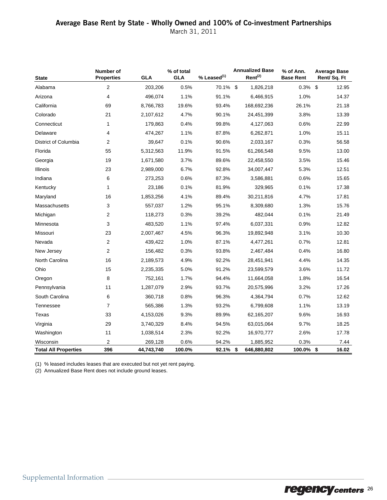March 31, 2011

| <b>State</b>                | Number of<br><b>Properties</b> | <b>GLA</b> | % of total<br><b>GLA</b> | $%$ Leased $(1)$ | <b>Annualized Base</b><br>Rent <sup>(2)</sup> | % of Ann.<br><b>Base Rent</b> | <b>Average Base</b><br>Rent/Sq. Ft |
|-----------------------------|--------------------------------|------------|--------------------------|------------------|-----------------------------------------------|-------------------------------|------------------------------------|
| Alabama                     | 2                              | 203,206    | 0.5%                     | 70.1% \$         | 1,826,218                                     | 0.3%                          | \$<br>12.95                        |
| Arizona                     | 4                              | 496,074    | 1.1%                     | 91.1%            | 6,466,915                                     | 1.0%                          | 14.37                              |
| California                  | 69                             | 8,766,783  | 19.6%                    | 93.4%            | 168,692,236                                   | 26.1%                         | 21.18                              |
| Colorado                    | 21                             | 2,107,612  | 4.7%                     | 90.1%            | 24,451,399                                    | 3.8%                          | 13.39                              |
| Connecticut                 | $\mathbf{1}$                   | 179,863    | 0.4%                     | 99.8%            | 4,127,063                                     | 0.6%                          | 22.99                              |
| Delaware                    | $\overline{4}$                 | 474,267    | 1.1%                     | 87.8%            | 6,262,871                                     | 1.0%                          | 15.11                              |
| District of Columbia        | $\overline{2}$                 | 39,647     | 0.1%                     | 90.6%            | 2,033,167                                     | 0.3%                          | 56.58                              |
| Florida                     | 55                             | 5,312,563  | 11.9%                    | 91.5%            | 61,266,548                                    | 9.5%                          | 13.00                              |
| Georgia                     | 19                             | 1,671,580  | 3.7%                     | 89.6%            | 22,458,550                                    | 3.5%                          | 15.46                              |
| Illinois                    | 23                             | 2,989,000  | 6.7%                     | 92.8%            | 34,007,447                                    | 5.3%                          | 12.51                              |
| Indiana                     | 6                              | 273,253    | 0.6%                     | 87.3%            | 3,586,881                                     | 0.6%                          | 15.65                              |
| Kentucky                    | 1                              | 23,186     | 0.1%                     | 81.9%            | 329,965                                       | 0.1%                          | 17.38                              |
| Maryland                    | 16                             | 1,853,256  | 4.1%                     | 89.4%            | 30,211,816                                    | 4.7%                          | 17.81                              |
| Massachusetts               | 3                              | 557,037    | 1.2%                     | 95.1%            | 8,309,680                                     | 1.3%                          | 15.76                              |
| Michigan                    | $\overline{2}$                 | 118,273    | 0.3%                     | 39.2%            | 482,044                                       | 0.1%                          | 21.49                              |
| Minnesota                   | 3                              | 483,520    | 1.1%                     | 97.4%            | 6,037,331                                     | 0.9%                          | 12.82                              |
| Missouri                    | 23                             | 2,007,467  | 4.5%                     | 96.3%            | 19,892,948                                    | 3.1%                          | 10.30                              |
| Nevada                      | 2                              | 439,422    | 1.0%                     | 87.1%            | 4,477,261                                     | 0.7%                          | 12.81                              |
| New Jersey                  | $\overline{2}$                 | 156,482    | 0.3%                     | 93.8%            | 2,467,484                                     | 0.4%                          | 16.80                              |
| North Carolina              | 16                             | 2,189,573  | 4.9%                     | 92.2%            | 28,451,941                                    | 4.4%                          | 14.35                              |
| Ohio                        | 15                             | 2,235,335  | 5.0%                     | 91.2%            | 23,599,579                                    | 3.6%                          | 11.72                              |
| Oregon                      | 8                              | 752,161    | 1.7%                     | 94.4%            | 11,664,058                                    | 1.8%                          | 16.54                              |
| Pennsylvania                | 11                             | 1,287,079  | 2.9%                     | 93.7%            | 20,575,996                                    | 3.2%                          | 17.26                              |
| South Carolina              | 6                              | 360,718    | 0.8%                     | 96.3%            | 4,364,794                                     | 0.7%                          | 12.62                              |
| Tennessee                   | $\overline{7}$                 | 565,386    | 1.3%                     | 93.2%            | 6,799,608                                     | 1.1%                          | 13.19                              |
| Texas                       | 33                             | 4,153,026  | 9.3%                     | 89.9%            | 62,165,207                                    | 9.6%                          | 16.93                              |
| Virginia                    | 29                             | 3,740,329  | 8.4%                     | 94.5%            | 63,015,064                                    | 9.7%                          | 18.25                              |
| Washington                  | 11                             | 1,038,514  | 2.3%                     | 92.2%            | 16,970,777                                    | 2.6%                          | 17.78                              |
| Wisconsin                   | $\overline{2}$                 | 269,128    | 0.6%                     | 94.2%            | 1,885,952                                     | 0.3%                          | 7.44                               |
| <b>Total All Properties</b> | 396                            | 44,743,740 | 100.0%                   | 92.1%            | \$<br>646,880,802                             | 100.0% \$                     | 16.02                              |

(1) % leased includes leases that are executed but not yet rent paying.

(2) Annualized Base Rent does not include ground leases.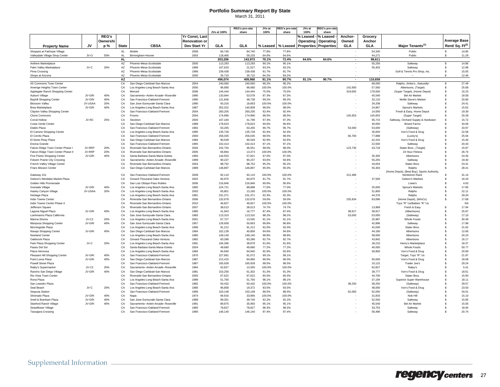## **Portfolio Summary Report By State**

|                                   |         |              |              |                                     |                      |             | REG's pro-rata | JVs at   | :EG's pro-rat | JVs at    | <b>EG's pro-rata</b>         |                          |            |                                                               |                    |                             |
|-----------------------------------|---------|--------------|--------------|-------------------------------------|----------------------|-------------|----------------|----------|---------------|-----------|------------------------------|--------------------------|------------|---------------------------------------------------------------|--------------------|-----------------------------|
|                                   |         |              |              |                                     |                      | JVs at 100% | share          | 100%     | share         | 100%      | share                        |                          |            |                                                               |                    |                             |
|                                   |         | <b>REG's</b> |              |                                     | Yr Const, Last       |             |                |          |               | % Leased  | % Leased                     | Anchor-                  | Grocery    |                                                               |                    |                             |
|                                   |         | Ownershi     |              |                                     | <b>Renovation or</b> |             |                |          |               | Operating | Operating                    | Owned                    | Anchor     |                                                               |                    | <b>Average Base</b>         |
| <b>Property Name</b>              | JV.     | p %          | <b>State</b> | <b>CBSA</b>                         | Dev Start Yr         | GLA         | GLA            | % Leased | % Leased      |           | <b>Properties Properties</b> | <b>GLA</b>               | <b>GLA</b> | Maior Tenants <sup>(1)</sup>                                  |                    | Rent/ Sq. Ft <sup>(2)</sup> |
| Shoppes at Fairhope Village       |         |              | AL.          | Mobile                              | 2008                 | 84,740      | 84,740         | 77.8%    | 77.8%         |           |                              | $\sim$                   | 54,340     | Publix                                                        | $\mathbf{s}$       | 14.85                       |
| Valleydale Village Shop Center    | JV-O    | 50%          | AI           | Birmingham-Hoover                   | 2003                 | 118,466     | 59.233         | 64.6%    | 64.6%         |           |                              |                          | 44.271     | Publix                                                        | $\mathbf{s}$       | 11.29                       |
|                                   |         |              | <b>AL</b>    |                                     |                      | 203,206     | 143,973        | 70.1%    | 72.4%         | 64.6%     | 64.6%                        |                          | 98.611     |                                                               |                    |                             |
| Anthem Marketplace                |         |              | AZ           | Phoenix-Mesa-Scottsdale             | 2000                 | 113,293     | 113,293        | 90.1%    | 90.1%         |           |                              |                          | 55,256     | Safeway                                                       | $\mathbb{S}$       | 14.86                       |
| Palm Valley Marketplace           | JV-C    | 20%          | AZ           | Phoenix-Mesa-Scottsdale             | 1999                 | 107,633     | 21,527         | 93.2%    | 93.2%         |           |                              |                          | 55,403     | Safeway                                                       | \$                 | 12.98                       |
| Pima Crossing                     |         |              | AZ           | Phoenix-Mesa-Scottsdale             | 1996                 | 239,438     | 239,438        | 91.7%    | 91.7%         |           |                              |                          |            | Golf & Tennis Pro Shop, Inc.                                  | -S                 | 15.05                       |
| Shops at Arizona                  |         |              | AZ           | Phoenix-Mesa-Scottsdale             | 2000                 | 35.710      | 35,710         | 84.2%    | 84.2%         |           |                              |                          |            | $\sim$                                                        | $\mathbf{s}$       | 12.46                       |
|                                   |         |              | AZ           |                                     |                      | 496,074     | 409,968        | 91.1%    | 90.7%         | 91.1%     | 90.7%                        | $\overline{\phantom{a}}$ | 110,659    |                                                               |                    |                             |
| 4S Commons Town Center            |         |              | CA           | San Diego-Carlsbad-San Marcos       | 2004                 | 240,060     | 240,060        | 96.2%    | 96.2%         |           |                              |                          | 68,000     | Ralphs, Jimbo'sNaturally!                                     | -S                 | 27.49                       |
| Amerige Heights Town Center       |         |              | CA           | Los Angeles-Long Beach-Santa Ana    | 2000                 | 96,680      | 96,680         | 100.0%   | 100.0%        |           |                              | 142,600                  | 57,560     | Albertsons, (Target)                                          | \$                 | 25.68                       |
| Applegate Ranch Shopping Center   |         |              | CA           | Merced                              | 2006                 | 144,444     | 144.444        | 75.0%    | 75.0%         |           |                              | 319,692                  | 178,500    | (Super Target), (Home Depot)                                  | - \$               | 15.23                       |
| Auburn Village                    | JV-GRI  | 40%          | CA           | Sacramento--Arden-Arcade--Roseville | 1990                 | 133.944     | 53,578         | 87.3%    | 87.3%         |           |                              |                          | 45,540     | <b>Bel Air Market</b>                                         | \$.                | 18.58                       |
| <b>Bayhill Shopping Center</b>    | JV-GRI  | 40%          | CA           | San Francisco-Oakland-Fremont       | 1990                 | 121,846     | 48,738         | 99.2%    | 99.2%         |           |                              |                          | 32,110     | Mollie Stone's Market                                         | \$                 | 20.90                       |
| <b>Blossom Valley</b>             | JV-USAA | 20%          | CA           | San Jose-Sunnyvale-Santa Clara      | 1990                 | 93,316      | 18,663         | 100.0%   | 100.0%        |           |                              |                          | 34,208     | Safeway                                                       | \$                 | 24.41                       |
| <b>Brea Marketplace</b>           | JV-GRI  | 40%          | CA           | Los Angeles-Long Beach-Santa Ana    | 1987                 | 352,022     | 140,809        | 98.0%    | 98.0%         |           |                              |                          | 24,867     | Sprout's Markets                                              | s.                 | 15.62                       |
| Clayton Valley Shopping Center    |         |              | CA           | San Francisco-Oakland-Fremont       | 2004                 | 260,205     | 260,205        | 92.4%    | 92.4%         |           |                              |                          | 14,000     | Fresh & Easy, Home Depot                                      | - \$               | 19.39                       |
| Clovis Commons                    |         |              | CA           | Fresno                              | 2004                 | 174,990     | 174,990        | 98.5%    | 98.5%         |           |                              | 145,653                  | 145,653    | (Super Target)                                                | s.                 | 20.28                       |
| Corral Hollow                     | JV-RC   | 25%          | CA           | Stockton                            | 2000                 | 167,184     | 41,796         | 97.3%    | 97.3%         |           |                              |                          | 65,715     | Safeway, Orchard Supply & Hardware                            | s.                 | 15.72                       |
| Costa Verde Center                |         |              | CA           | San Diego-Carlsbad-San Marcos       | 1988                 | 178,623     | 178,623        | 90.6%    | 90.6%         |           |                              |                          | 40,000     | <b>Bristol Farms</b>                                          | $\mathbf{s}$       | 34.06                       |
| Diablo Plaza                      |         |              | C.A          | San Francisco-Oakland-Fremont       | 1982                 | 63.265      | 63.265         | 96.7%    | 96.7%         |           |                              | 53,000                   | 53,000     | (Safeway)                                                     | $\mathbf{s}$       | 33.97                       |
| El Camino Shopping Center         |         |              | CA           | Los Angeles-Long Beach-Santa Ana    | 1995                 | 135,728     | 135,728        | 92.4%    | 92.4%         |           |                              |                          | 35,650     | Von's Food & Drug                                             | \$.                | 22.58                       |
| El Cerrito Plaza                  |         |              | CA           | San Francisco-Oakland-Fremont       | 2000                 | 256,035     | 256,035        | 98.5%    | 98.5%         |           |                              | 66,700                   | 77,888     | (Lucky's)                                                     | s.                 | 25.04                       |
| El Norte Pkwy Plaza               |         |              | CA           | San Diego-Carlsbad-San Marcos       | 1984                 | 90.549      | 90.549         | 92.9%    | 92.9%         |           |                              |                          | 42,315     | Von's Food & Drug                                             |                    | 15.40                       |
| <b>Encina Grande</b>              |         |              | CA           | San Francisco-Oakland-Fremont       | 1965                 | 102,413     | 102,413        | 97.1%    | 97.1%         |           |                              |                          | 22,500     | Safeway                                                       |                    | 20.43                       |
| Falcon Ridge Town Center Phase I  | JV-RRP  | 20%          | CA           | Riverside-San Bernardino-Ontario    | 2004                 | 232,754     | 46,551         | 98.0%    | 98.0%         |           |                              | 123,735                  | 43,718     | Stater Bros., (Target)                                        | -S                 | 15.97                       |
| Falcon Ridge Town Center Phase II | JV-RRP  | 20%          | CA           | Riverside-San Bernardino-Ontario    | 2005                 | 66.864      | 13.373         | 100.0%   | 100.0%        |           |                              |                          |            | 24 Hour Fitness                                               | - \$               | 26.74                       |
| Five Points Shopping Center       | JV-GRI  | 40%          | CA           | Santa Barbara-Santa Maria-Goleta    | 1960                 | 144,553     | 57,821         | 97.0%    | 97.0%         |           |                              |                          | 35,305     | Albertsons                                                    | \$.                | 24.35                       |
| Folsom Prairie City Crossing      |         |              | CA           | Sacramento--Arden-Arcade--Roseville | 1999                 | 90,237      | 90,237         | 93.6%    | 93.6%         |           |                              |                          | 55,255     | Safeway                                                       | s.                 | 19.40                       |
| French Valley Village Center      |         |              | CA           | Riverside-San Bernardino-Ontario    | 2004                 | 98.752      | 98,752         | 95.2%    | 95.2%         |           |                              |                          | 44,054     | Stater Bros.                                                  | $\mathbf{\hat{s}}$ | 23.31                       |
| <b>Friars Mission Center</b>      |         |              | CA           | San Diego-Carlsbad-San Marcos       | 1989                 | 146.897     | 146.897        | 95.0%    | 95.0%         |           |                              |                          | 55,303     | Ralphs                                                        | \$.                | 28.41                       |
| Gateway 101                       |         |              | CA           | San Francisco-Oakland-Fremont       | 2008                 | 92,110      | 92,110         | 100.0%   | 100.0%        |           |                              | 212,485                  |            | (Home Depot), (Best Buy), Sports Authority,<br>Nordstrom Rack |                    | 31.14                       |
| Gelson's Westlake Market Plaza    |         |              | CA           | Oxnard-Thousand Oaks-Ventura        | 2002                 | 84,975      | 84,975         | 91.7%    | 91.7%         |           |                              |                          | 37,500     | Gelson's Markets                                              | \$                 | 16.43                       |
| Golden Hills Promenade            |         |              | CA           | San Luis Obispo-Paso Robles         | 2006                 | 216,846     | 216,846        | 90.6%    | 90.6%         |           |                              |                          |            | Lowe's                                                        | s.                 | 4.63                        |
| Granada Village                   | JV-GRI  | 40%          | CA           | Los Angeles-Long Beach-Santa Ana    | 1965                 | 224,721     | 89.888         | 77.0%    | 77.0%         |           |                              |                          | 25,000     | Sprout's Markets                                              | - \$               | 17.95                       |
| Hasley Canyon Village             | JV-USAA | 20%          | CA           | Los Angeles-Long Beach-Santa Ana    | 2003                 | 65,801      | 13,160         | 100.0%   | 100.0%        |           |                              |                          | 51,800     | Ralphs                                                        | Ŝ.                 | 22.11                       |
| Heritage Plaza                    |         |              | CA           | Los Angeles-Long Beach-Santa Ana    | 1981                 | 231,371     | 231,371        | 92.3%    | 92.3%         |           |                              |                          | 44,376     | Ralphs                                                        | \$                 | 29.20                       |
| Indio Towne Center                |         |              | CA           | Riverside-San Bernardino-Ontario    | 2006                 | 132.678     | 132,678        | 59.0%    | 59.0%         |           |                              | 235,834                  | 93,696     | (Home Depot), (WinCo)                                         | $\mathbf{\hat{s}}$ | 17.68                       |
| Indio Towne Center Phase II       |         |              | CA           | Riverside-San Bernardino-Ontario    | 2010                 | 46.827      | 46.827         | 100.0%   | 100.0%        |           |                              |                          |            | Toys "R" Us/Babies "R" Us                                     |                    | <b>NA</b>                   |
| Jefferson Square                  |         |              | CA           | Riverside-San Bernardino-Ontario    | 2007                 | 38,013      | 38,013         | 74.7%    | 74.7%         |           |                              |                          | 13,969     | Fresh & Easy                                                  | -S                 | 17.94                       |
| Laguna Niguel Plaza               | JV-GRI  | 40%          | CA           | Los Angeles-Long Beach-Santa Ana    | 1985                 | 41,943      | 16,777         | 87.4%    | 87.4%         |           |                              | 38,917                   | 38,917     | (Albertsons)                                                  | -S                 | 25.97                       |
| Loehmanns Plaza California        |         |              | CA           | San Jose-Sunnyvale-Santa Clara      | 1983                 | 113,310     | 113,310        | 98.2%    | 98.2%         |           |                              | 53,000                   | 53,000     | (Safeway)                                                     | s                  | 17.10                       |
| Marina Shores                     | JV-C2   | 20%          | CA           | Los Angeles-Long Beach-Santa Ana    | 2001                 | 67,727      | 13,545         | 91.1%    | 91.1%         |           |                              |                          | 25,987     | Whole Foods                                                   | \$.                | 30.49                       |
| Mariposa Shopping Center          | JV-GRI  | 40%          | CA           | San Jose-Sunnyvale-Santa Clara      | 1957                 | 126.658     | 50.663         | 96.8%    | 96.8%         |           |                              |                          | 42.896     | Safeway                                                       | - \$               | 17.98                       |
| Morningside Plaza                 |         |              | CA           | Los Angeles-Long Beach-Santa Ana    | 1996                 | 91,212      | 91,212         | 92.0%    | 92.0%         |           |                              |                          | 42,630     | Stater Bros.                                                  | £.                 | 21.62                       |
| Navajo Shopping Center            | JV-GRI  | 40%          | CA           | San Diego-Carlsbad-San Marcos       | 1964                 | 102,139     | 40,856         | 94.6%    | 94.6%         |           |                              |                          | 44,180     | Albertsons                                                    | \$.                | 12.66                       |
| Newland Center                    |         |              | C.A          | Los Angeles-Long Beach-Santa Ana    | 1985                 | 149,140     | 149,140        | 98.8%    | 98.8%         |           |                              |                          | 58,000     | Albertsons                                                    |                    | 20.23                       |
| Oakbrook Plaza                    |         |              | CA           | Oxnard-Thousand Oaks-Ventura        | 1982                 | 83.286      | 83.286         | 92.7%    | 92.7%         |           |                              |                          | 43.842     | Albertsons                                                    | $\mathbf{\hat{s}}$ | 16.17                       |
| Park Plaza Shopping Center        | JV-C    | 20%          | CA           | Los Angeles-Long Beach-Santa Ana    | 1991                 | 194,396     | 38,879         | 91.6%    | 91.6%         |           |                              |                          | 28,210     | Henry's Marketplace                                           | - \$               | 18.37                       |
| Paseo Del Sol                     |         |              | CA           | Santa Barbara-Santa Maria-Goleta    | 2004                 | 49,680      | 49,680         | 77.2%    | 77.2%         |           |                              |                          | 40,000     | Whole Foods                                                   | s.                 | 50.77                       |
| Plaza Hermosa                     |         |              | CA           | Los Angeles-Long Beach-Santa Ana    | 1984                 | 94,940      | 94,940         | 92.9%    | 92.9%         |           |                              |                          | 36,800     | Von's Food & Drug                                             | \$                 | 20.69                       |
| Pleasant Hill Shopping Center     | JV-GRI  | 40%          | CA           | San Francisco-Oakland-Fremont       | 1970                 | 227,681     | 91,072         | 99.1%    | 99.1%         |           |                              |                          |            | Target, Toys "R" Us                                           | s.                 | 21.97                       |
| Point Loma Plaza                  | JV-GRI  | 40%          | CA           | San Diego-Carlsbad-San Marcos       | 1987                 | 212,415     | 84,966         | 96.0%    | 96.0%         |           |                              |                          | 50,000     | Von's Food & Drug                                             | \$.                | 18.08                       |
| Powell Street Plaza               |         |              | C.A          | San Francisco-Oakland-Fremont       | 1987                 | 165.928     | 165.928        | 98.5%    | 98.5%         |           |                              |                          | 10,122     | Trader Joe's                                                  | - \$               | 29.24                       |
| Raley's Supermarket               | $JV-C2$ | 20%          | CA           | Sacramento--Arden-Arcade--Roseville | 1964                 | 62.827      | 12,565         | 100.0%   | 100.0%        |           |                              |                          | 62,827     | Raley's                                                       | \$.                | 5.41                        |
| Rancho San Diego Village          | JV-GRI  | 40%          | CA           | San Diego-Carlsbad-San Marcos       | 1981                 | 153,256     | 61,302         | 91.3%    | 91.3%         |           |                              |                          | 39,777     | Von's Food & Drug                                             | s.                 | 18.61                       |
| Rio Vista Town Center             |         |              | C.A          | Riverside-San Bernardino-Ontario    | 2005                 | 67.622      | 67,622         | 85.5%    | 85.5%         |           |                              |                          | 44.700     | <b>Stater Bros</b>                                            | $\mathbf{\hat{s}}$ | 15.93                       |
| Rona Plaza                        |         |              | CA           | Los Angeles-Long Beach-Santa Ana    | 1989                 | 51,760      | 51,760         | 98.1%    | 98.1%         |           |                              |                          | 37,194     | Superior Super Warehouse                                      | -S                 | 18.11                       |
| San Leandro Plaza                 |         |              | CA           | San Francisco-Oakland-Fremont       | 1982                 | 50,432      | 50,432         | 100.0%   | 100.0%        |           |                              | 38,250                   | 38,250     | (Safeway)                                                     | - \$               | 29.57                       |
| Seal Beach                        | JV-C    | 20%          | CA           | Los Angeles-Long Beach-Santa Ana    | 1966                 | 96,858      | 19,372         | 93.5%    | 93.5%         |           |                              |                          | 48,000     | Von's Food & Drug                                             | s.                 | 23.50                       |
| Sequoia Station                   |         |              | CA           | San Francisco-Oakland-Fremont       | 1996                 | 103,148     | 103,148        | 88.5%    | 88.5%         |           |                              | 62,050                   | 62,050     | (Safeway)                                                     | \$                 | 34.01                       |
| Silverado Plaza                   | JV-GRI  | 40%          | CA           | Napa                                | 1974                 | 84,916      | 33,966         | 100.0%   | 100.0%        |           |                              |                          | 31,833     | Nob Hill                                                      | \$.                | 15.10                       |
| Snell & Branham Plaza             | JV-GRI  | 40%          | CA           | San Jose-Sunnvvale-Santa Clara      | 1988                 | 99.351      | 39.740         | 92.2%    | 92.2%         |           |                              |                          | 52,550     | Safeway                                                       | £.                 | 15.85                       |
| <b>Stanford Ranch Village</b>     | JV-GRI  | 40%          | CA           | Sacramento--Arden-Arcade--Roseville | 1991                 | 89.875      | 35,950         | 95.1%    | 95.1%         |           |                              |                          | 45.540     | <b>Bel Air Market</b>                                         |                    | 15.56                       |
| Strawflower Village               |         |              | CA           | San Francisco-Oakland-Fremont       | 1985                 | 78,827      | 78,827         | 98.3%    | 98.3%         |           |                              |                          | 33,753     | Safeway                                                       | \$.                | 18.94                       |
| Tassajara Crossing                |         |              | CA           | San Francisco-Oakland-Fremont       | 1990                 | 146.140     | 146.140        | 97.4%    | 97.4%         |           |                              |                          | 56,496     | Safeway                                                       |                    | 20.74                       |
|                                   |         |              |              |                                     |                      |             |                |          |               |           |                              |                          |            |                                                               |                    |                             |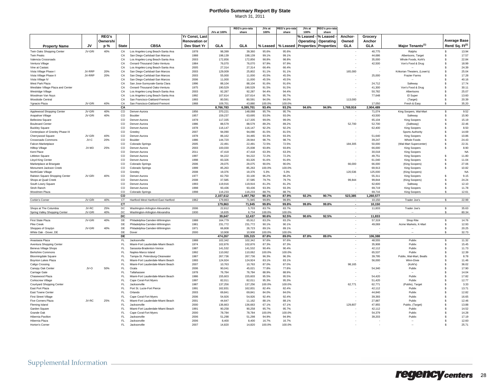| <b>REG's</b><br><b>Yr Const, Last</b><br>% Leased $\cdot$<br>% Leased<br>Anchor-<br>Grocery<br><b>Average Base</b><br>Ownershi<br><b>Renovation or</b><br>Operating<br>Operating<br>Owned<br>Anchor<br>Rent/ Sq. Ft <sup>(2)</sup><br>JV<br><b>CBSA</b><br>Dev Start Yr<br><b>GLA</b><br>GLA<br>GLA<br><b>GLA</b><br>Major Tenants <sup>(1)</sup><br><b>State</b><br>% Leased<br>% Leased<br><b>Properties Properties</b><br><b>Property Name</b><br>p %<br>Twin Oaks Shopping Center<br>JV-GRI<br>40%<br>CA<br>Los Angeles-Long Beach-Santa Ana<br>98,399<br>39,360<br>95.6%<br>40,775<br>Ralphs<br>s.<br>13.94<br>1978<br>95.6%<br>San Diego-Carlsbad-San Marcos<br>44.686<br>Albertsons, Target<br>17.57<br><b>Twin Peaks</b><br>CA<br>1988<br>198,139<br>198,139<br>99.1%<br>99.1%<br>\$<br>Valencia Crossroads<br>C.A<br>Los Angeles-Long Beach-Santa Ana<br>2003<br>172,856<br>172,856<br>98.8%<br>98.8%<br>35,000<br>Whole Foods, Kohl's<br>\$<br>22.84<br>Ventura Village<br>C.A<br>Oxnard-Thousand Oaks-Ventura<br>1984<br>76,070<br>76,070<br>97.9%<br>97.9%<br>42,500<br>Von's Food & Drug<br>\$<br>18.99<br>Vine at Castaic<br>CA<br>Los Angeles-Long Beach-Santa Ana<br>2005<br>27,314<br>27,314<br>66.4%<br>66.4%<br>s.<br>24.39<br>Vista Village Phase I<br>JV-RRP<br>20%<br>CA<br>San Diego-Carlsbad-San Marcos<br>2003<br>129,009<br>25,802<br>91.1%<br>91.1%<br>165,000<br>Krikorian Theaters, (Lowe's)<br>s.<br>25.04<br>Vista Village Phase II<br>JV-RRP<br>20%<br>CA<br>San Diego-Carlsbad-San Marcos<br>2003<br>55,000<br>11,000<br>45.5%<br>45.5%<br>25,000<br>\$<br>17.28<br><b>Frazier Farms</b><br>CA<br>San Diego-Carlsbad-San Marcos<br>2006<br>11.000<br>11.000<br>45.5%<br>45.5%<br>40.16<br>Vista Village IV<br>\$.<br>CA<br>91.6%<br>24.712<br>17.74<br>West Park Plaza<br>San Jose-Sunnyvale-Santa Clara<br>1996<br>88.104<br>88.104<br>91.6%<br>Safeway<br>\$.<br>1975<br>190.529<br>Westlake Village Plaza and Center<br>CA<br>Oxnard-Thousand Oaks-Ventura<br>190,529<br>91.5%<br>91.5%<br>41.300<br>Von's Food & Drug<br>30.11<br>\$.<br>CA<br>2003<br>94.4%<br>50,782<br>25.07<br>Westridge Village<br>Los Angeles-Long Beach-Santa Ana<br>92.287<br>92.287<br>94.4%<br>\$.<br>Albertsons<br>107,614<br>13.60<br>Woodman Van Nuys<br>CA<br>Los Angeles-Long Beach-Santa Ana<br>1992<br>107,614<br>95.7%<br>95.7%<br>77,648<br>El Super<br>s<br>20.39<br>CA<br>San Francisco-Oakland-Fremont<br>1993<br>80,591<br>94.0%<br>94.0%<br>113,000<br><b>Woodside Central</b><br>80.591<br>(Target)<br>s<br>JV-GRI<br>Ygnacio Plaza<br>40%<br>CA<br>San Francisco-Oakland-Fremont<br>1968<br>109,701<br>43.880<br>100.0%<br>17.050<br>Fresh & Easy<br>35.20<br>100.0%<br>s<br>2,904,489<br>CA<br>8,766,783<br>6,395,701<br>93.4%<br>93.2%<br>94.6%<br>94.9%<br>1,769,916<br>9.52<br>JV-GRI<br>$_{\rm CO}$<br>1956<br>$\mathbb{S}$<br>Applewood Shopping Center<br>40%<br>Denver-Aurora<br>370,221<br>148,088<br>95.7%<br>95.7%<br>71,074<br>King Soopers, Wal-Mart<br>15.90<br>Arapahoe Village<br>JV-GRI<br>40%<br><b>CO</b><br>Boulder<br>1957<br>159,237<br>63,695<br>93.0%<br>93.0%<br>43,500<br>Safeway<br>\$<br><b>Belleview Square</b><br>$_{\rm CO}$<br>Denver-Aurora<br>1978<br>117,335<br>117,335<br>99.0%<br>99.0%<br>65,104<br>King Soopers<br>\$<br>15.19<br><b>Boulevard Center</b><br>$_{\rm CO}$<br>1986<br>88,579<br>88,579<br>89.2%<br>89.2%<br>52,700<br>52,700<br>(Safeway)<br>s<br>22.46<br>Denver-Aurora<br>$_{\rm CO}$<br>1978<br>116,147<br>116,147<br>92.2%<br>92.2%<br>62,400<br>King Soopers<br>s<br>8.50<br><b>Buckley Square</b><br>Denver-Aurora<br>Centerplace of Greeley Phase III<br>$_{\rm CO}$<br>2007<br>94,090<br>94,090<br>81.5%<br>81.5%<br>s<br>14.69<br>Greeley<br><b>Sports Authority</b><br>JV-GRI<br>40%<br>$_{\rm CO}$<br>1978<br>34,465<br>93.3%<br>51,640<br>10.86<br>Cherrywood Square<br>Denver-Aurora<br>86.162<br>93.3%<br><b>King Soopers</b><br>s<br>1986<br>144,720<br>24.43<br>Crossroads Commons<br>JV-C<br>20%<br>CO<br>Boulder<br>28,944<br>98.7%<br>98.7%<br>39.247<br>Whole Foods<br>s<br>Falcon Marketplace<br>$_{\rm CO}$<br>Colorado Springs<br>2005<br>22,491<br>22,491<br>72.5%<br>72.5%<br>184,305<br>50,000<br>(Wal-Mart Supercenter)<br>s<br>22.31<br><b>Hilltop Village</b><br>JV-M3<br>25%<br>$_{\rm CO}$<br>2003<br>100,030<br>25,008<br>93.8%<br>93.8%<br>66,000<br><b>King Soopers</b><br>s<br>8.90<br>Denver-Aurora<br>$_{\rm CO}$<br>2011<br>47,418<br>47,418<br>63.3%<br>30,018<br><b>NA</b><br>Kent Place<br>Denver-Aurora<br>63.3%<br><b>King Soopers</b><br>$_{\rm CO}$<br>1997<br>94,222<br>94,222<br>72.2%<br>s<br>11.80<br>Littleton Square<br>Denver-Aurora<br>72.2%<br>49.751<br><b>King Soopers</b><br>$_{\rm CO}$<br>11.04<br><b>Lloyd King Center</b><br>Denver-Aurora<br>1998<br>83.326<br>83.326<br>91.6%<br>91.6%<br>61.040<br><b>King Soopers</b><br>s<br>66,000<br>27.06<br>Marketplace at Briargate<br><sub>CO</sub><br>Colorado Springs<br>2006<br>29.075<br>29,075<br>90.0%<br>90.0%<br>66,000<br>(King Soopers)<br>s<br>10.82<br>Monument Jackson Creek<br>$_{\rm CO}$<br>Colorado Springs<br>1999<br>85.263<br>85,263<br>100.0%<br>100.0%<br>69,913<br><b>King Soopers</b><br>s<br>120,536<br>NorthGate Village<br>$_{\rm CO}$<br>Greeley<br>2008<br>19.376<br>19,376<br>5.3%<br>5.3%<br>125,000<br>(King Soopers)<br><b>NA</b><br>Ralston Square Shopping Center<br>JV-GRI<br>40%<br>$_{\rm CO}$<br>Denver-Aurora<br>1977<br>82,750<br>33,100<br>96.2%<br>96.2%<br>55,311<br>King Soopers<br>s<br>9.15<br>Shops at Quail Creek<br>$_{\rm CO}$<br>Denver-Aurora<br>2008<br>37,585<br>37,585<br>79.7%<br>79.7%<br>99,844<br>99,844<br>(King Soopers)<br>s.<br>24.24<br>$_{\rm CO}$<br>1993<br>119,916<br>119,916<br>81.2%<br>81.2%<br>62,600<br>12.10<br>Denver-Aurora<br>Safeway<br>\$<br>$_{\rm CO}$<br>1998<br>93,436<br>93,436<br>93.3%<br>93.3%<br>69,719<br>11.78<br>Denver-Aurora<br>King Soopers<br>$\mathbf{\hat{s}}$<br>$_{\rm CO}$<br>1998<br>116.233<br>116.233<br>88.7%<br>88.7%<br>69,716<br>King Soopers<br>12.61<br>Colorado Springs<br>\$<br><b>CO</b><br>2,107,612<br>1.497.792<br>90.1%<br>87.9%<br>92.2%<br>90.7%<br>523.385<br>1.260.577<br>JV-GRI<br>40%<br>CT<br>Hartford-West Hartford-East Hartford<br>1962<br>179,863<br>71,945<br>99.8%<br>99.8%<br>10.150<br>$\overline{\mathbf{s}}$<br>22.99<br>Trader Joe's<br>cr<br>179.863<br>71.945<br>99.8%<br>99.8%<br>99.8%<br>99.8%<br>10.150<br>$\overline{\phantom{a}}$<br>JV-RC<br>25%<br>2006<br>5,703<br>35.63<br>DC<br>Washington-Arlington-Alexandria<br>22,812<br>83.7%<br>83.7%<br>11,833<br>Trader Joe's<br>\$<br>JV-GRI<br>40%<br>1930<br>16.835<br>6.734<br>80.34<br>DC<br>Washington-Arlington-Alexandria<br>100.0%<br>100.0%<br>Spring Valley Shopping Center<br>\$<br>39,647<br>12,437<br>90.6%<br>92.5%<br>11,833<br>DC<br>90.6%<br>92.5%<br>$\sim$<br>JV-GRI<br>40%<br>1988<br>14.76<br>DE<br>Philadelphia-Camden-Wilmington<br>164,779<br>65,912<br>57,319<br>Shop Rite<br>\$<br>83.2%<br>83.2%<br>1981<br>231,772<br>231,772<br>12.93<br>Pike Creek<br>DE<br>Philadelphia-Camden-Wilmington<br>90.1%<br>90.1%<br>49,069<br>Acme Markets, K-Mart<br>\$<br>20.25<br>Shoppes of Graylyn<br>JV-GRI<br>40%<br>DE<br>Philadelphia-Camden-Wilmington<br>1971<br>66,808<br>26,723<br>89.1%<br>89.1%<br>\$<br>32.73<br>White Oak - Dover, DE<br>DE<br>Dove<br>2000<br>10,908<br>10,908<br>100.0%<br>100.0%<br>s<br>DE<br>474,267<br>335.315<br>87.8%<br>89.0%<br>106,388<br>87.8%<br>89.0%<br>$\overline{a}$<br>11.32<br>Anastasia Plaza<br>FL.<br>Jacksonville<br>1988<br>102,342<br>102,342<br>97.6%<br>97.6%<br>48,555<br>Publix<br>\$<br>Miami-Fort Lauderdale-Miami Beach<br>1974<br>102,876<br>102,876<br>87.3%<br>87.3%<br>35,908<br>Publix<br>15.45<br>Aventura Shopping Center<br>FL<br>Ŝ<br>11.73<br>Beneva Village Shops<br>FL<br>Sarasota-Bradenton-Venice<br>1987<br>141,532<br>141,532<br>90.4%<br>90.4%<br>42,112<br>Publix<br>\$<br>12.39<br><b>Berkshire Commons</b><br>FL<br>Naples-Marco Island<br>1992<br>110,062<br>110,062<br>100.0%<br>100.0%<br>65,537<br>Publix<br>\$<br><b>Bloomingdale Square</b><br>FL<br>Tampa-St. Petersburg-Clearwater<br>1987<br>267,736<br>267,736<br>96.3%<br>96.3%<br>39,795<br>Publix, Wal-Mart, Bealls<br>8.78<br>ŝ.<br><b>Boynton Lakes Plaza</b><br>FL<br>Miami-Fort Lauderdale-Miami Beach<br>1993<br>124,924<br>124,924<br>83.1%<br>83.1%<br>56,000<br>Winn-Dixie<br>11.46<br>ŝ.<br>FL.<br>Miami-Fort Lauderdale-Miami Beach<br>2007<br>10,763<br>10,763<br>87.0%<br>87.0%<br>98,165<br>36.02<br>Caligo Crossing<br>(Kohl's)<br>s<br>Canopy Oak Center<br>JV-O<br>50%<br>$\mathsf{FL}$<br>Ocala<br>2006<br>90,041<br>45,021<br>77.8%<br>77.8%<br>54,340<br>17.90<br>Publix<br>Ś<br>$\mathsf{FL}$<br>1978<br>76,784<br>88.9%<br>14.04<br>Carriage Gate<br>Tallahassee<br>76.784<br>88.9%<br>Ś<br>Miami-Fort Lauderdale-Miami Beach<br>1986<br>155,603<br>95.5%<br>Publix<br>17.82<br>Chasewood Plaza<br>FL<br>155,603<br>95.5%<br>54,420<br>s<br>1997<br>12.77<br><b>Corkscrew Village</b><br>FL.<br>Cape Coral-Fort Myers<br>82,011<br>82,011<br>95.3%<br>95.3%<br>51,420<br>Publix<br>\$.<br>Courtyard Shopping Center<br>FL.<br>Jacksonville<br>1987<br>137,256<br>137,256<br>100.0%<br>100.0%<br>62,771<br>62,771<br>(Publix), Target<br>\$.<br>3.33<br>East Port Plaza<br>FL.<br>Port St. Lucie-Fort Pierce<br>1991<br>162,831<br>162,831<br>82.4%<br>82.4%<br>42,112<br>Publix<br>s<br>13.71<br>East Towne Center<br>FL.<br>Orlando<br>2003<br>69,841<br>69,841<br>84.0%<br>84.0%<br>44,840<br>Publix<br>s<br>12.82<br>$\mathsf{FL}$<br>Cape Coral-Fort Myers<br>2006<br>54,926<br>54,926<br>92.4%<br>92.4%<br>39,393<br>Publix<br>16.65<br><b>First Street Village</b><br>s<br>JV-RC<br>25%<br>$\mathsf{FL}$<br>Miami-Fort Lauderdale-Miami Beach<br>2001<br>44,647<br>88.1%<br>88.1%<br>27,887<br>Publix<br>12.46<br>Five Corners Plaza<br>11.162<br>\$.<br>FL.<br>2000<br>136.663<br>67.1%<br>129,807<br>13.88<br>Fleming Island<br><b>Jacksonville</b><br>136.663<br>67.1%<br>47.955<br>Publix, (Target)<br>\$<br>FL.<br>14.52<br>Miami-Fort Lauderdale-Miami Beach<br>1991<br>90.258<br>90.258<br>95.7%<br>95.7%<br>42.112<br>Publix<br>Garden Square<br>£.<br>FL.<br>2000<br>14.28<br>Cape Coral-Fort Myers<br>78.784<br>78.784<br>100.0%<br>100.0%<br>54.379<br>Publix<br>Grande Oak<br>£.<br>17.19<br>FI.<br>2006<br>94.9%<br>94.9%<br>39,203<br>Publix<br>Hibernia Pavilion<br>Jacksonville<br>51.298<br>51.298<br>$\mathbf{\hat{s}}$<br>Hibernia Plaza<br>$\mathsf{FL}$<br>2006<br>12.60<br>Jacksonville<br>8.400<br>8.400<br>16.7%<br>16.7%<br>$\mathbf{s}$<br>$\sim$<br>2007<br>25.71<br>Horton's Corner<br>FL.<br><b>Jacksonville</b><br>14.820<br>14.820<br>100.0%<br>100.0%<br>£. |                       |  |  |             | <b>REG's pro-rata</b> | JVs at | :EG's pro-rat | JVs at | रEG's pro-rat |  |  |  |
|-----------------------------------------------------------------------------------------------------------------------------------------------------------------------------------------------------------------------------------------------------------------------------------------------------------------------------------------------------------------------------------------------------------------------------------------------------------------------------------------------------------------------------------------------------------------------------------------------------------------------------------------------------------------------------------------------------------------------------------------------------------------------------------------------------------------------------------------------------------------------------------------------------------------------------------------------------------------------------------------------------------------------------------------------------------------------------------------------------------------------------------------------------------------------------------------------------------------------------------------------------------------------------------------------------------------------------------------------------------------------------------------------------------------------------------------------------------------------------------------------------------------------------------------------------------------------------------------------------------------------------------------------------------------------------------------------------------------------------------------------------------------------------------------------------------------------------------------------------------------------------------------------------------------------------------------------------------------------------------------------------------------------------------------------------------------------------------------------------------------------------------------------------------------------------------------------------------------------------------------------------------------------------------------------------------------------------------------------------------------------------------------------------------------------------------------------------------------------------------------------------------------------------------------------------------------------------------------------------------------------------------------------------------------------------------------------------------------------------------------------------------------------------------------------------------------------------------------------------------------------------------------------------------------------------------------------------------------------------------------------------------------------------------------------------------------------------------------------------------------------------------------------------------------------------------------------------------------------------------------------------------------------------------------------------------------------------------------------------------------------------------------------------------------------------------------------------------------------------------------------------------------------------------------------------------------------------------------------------------------------------------------------------------------------------------------------------------------------------------------------------------------------------------------------------------------------------------------------------------------------------------------------------------------------------------------------------------------------------------------------------------------------------------------------------------------------------------------------------------------------------------------------------------------------------------------------------------------------------------------------------------------------------------------------------------------------------------------------------------------------------------------------------------------------------------------------------------------------------------------------------------------------------------------------------------------------------------------------------------------------------------------------------------------------------------------------------------------------------------------------------------------------------------------------------------------------------------------------------------------------------------------------------------------------------------------------------------------------------------------------------------------------------------------------------------------------------------------------------------------------------------------------------------------------------------------------------------------------------------------------------------------------------------------------------------------------------------------------------------------------------------------------------------------------------------------------------------------------------------------------------------------------------------------------------------------------------------------------------------------------------------------------------------------------------------------------------------------------------------------------------------------------------------------------------------------------------------------------------------------------------------------------------------------------------------------------------------------------------------------------------------------------------------------------------------------------------------------------------------------------------------------------------------------------------------------------------------------------------------------------------------------------------------------------------------------------------------------------------------------------------------------------------------------------------------------------------------------------------------------------------------------------------------------------------------------------------------------------------------------------------------------------------------------------------------------------------------------------------------------------------------------------------------------------------------------------------------------------------------------------------------------------------------------------------------------------------------------------------------------------------------------------------------------------------------------------------------------------------------------------------------------------------------------------------------------------------------------------------------------------------------------------------------------------------------------------------------------------------------------------------------------------------------------------------------------------------------------------------------------------------------------------------------------------------------------------------------------------------------------------------------------------------------------------------------------------------------------------------------------------------------------------------------------------------------------------------------------------------------------------------------------------------------------------------------------------------------------------------------------------------------------------------------------------------------------------------------------------------------------------------------------------------------------------------------------------------------------------------------------------------------------------------------------------------------------------------------------------------------------------------------------------------------------------------------------------------------------------------------------------------------------------------------------------------------------------------------------------------------------------------------------------------------------------------------------------------------------------------------------------------------------------------------------------------------------------------------------------------------------------------------------------------------------------------------------------------------------------------------------------------------------------------------------------------------------------------------------------------------------------------------------------------------------------------------------------------------------------------------------------------------------------------------------------------------------------------------------------------------------------------------------------------------------------------------------------------------------------------------------------------------------------------------------------------------------------------------------------------------------------------------------------------------------------------------------------------------------------------------------------------------------------------------------------------------------------------------------------------------------------------------------------------------------------------------------------------------------------------------------------------------------------------------------------------------------------------------------------------------------------------------------------------------------------------------------------------------------------------------------------------------------------------------------------------------------------------------------------------------------------------------------------------------------------------------------------------------------------------------------------------------------------------------------------------------------------------------------------------------------------------------------------------------------------------------------------------------------------------------------------------------------------------|-----------------------|--|--|-------------|-----------------------|--------|---------------|--------|---------------|--|--|--|
|                                                                                                                                                                                                                                                                                                                                                                                                                                                                                                                                                                                                                                                                                                                                                                                                                                                                                                                                                                                                                                                                                                                                                                                                                                                                                                                                                                                                                                                                                                                                                                                                                                                                                                                                                                                                                                                                                                                                                                                                                                                                                                                                                                                                                                                                                                                                                                                                                                                                                                                                                                                                                                                                                                                                                                                                                                                                                                                                                                                                                                                                                                                                                                                                                                                                                                                                                                                                                                                                                                                                                                                                                                                                                                                                                                                                                                                                                                                                                                                                                                                                                                                                                                                                                                                                                                                                                                                                                                                                                                                                                                                                                                                                                                                                                                                                                                                                                                                                                                                                                                                                                                                                                                                                                                                                                                                                                                                                                                                                                                                                                                                                                                                                                                                                                                                                                                                                                                                                                                                                                                                                                                                                                                                                                                                                                                                                                                                                                                                                                                                                                                                                                                                                                                                                                                                                                                                                                                                                                                                                                                                                                                                                                                                                                                                                                                                                                                                                                                                                                                                                                                                                                                                                                                                                                                                                                                                                                                                                                                                                                                                                                                                                                                                                                                                                                                                                                                                                                                                                                                                                                                                                                                                                                                                                                                                                                                                                                                                                                                                                                                                                                                                                                                                                                                                                                                                                                                                                                                                                                                                                                                                                                                                                                                                                                                                                                                                                                                                                                                                                                                                                                                                                                                                                                                                                                                                                                                                                                                                                                                                                                                                                                                                                                                                                                                             |                       |  |  | JVs at 100% | share                 | 100%   | share         | 100%   | share         |  |  |  |
|                                                                                                                                                                                                                                                                                                                                                                                                                                                                                                                                                                                                                                                                                                                                                                                                                                                                                                                                                                                                                                                                                                                                                                                                                                                                                                                                                                                                                                                                                                                                                                                                                                                                                                                                                                                                                                                                                                                                                                                                                                                                                                                                                                                                                                                                                                                                                                                                                                                                                                                                                                                                                                                                                                                                                                                                                                                                                                                                                                                                                                                                                                                                                                                                                                                                                                                                                                                                                                                                                                                                                                                                                                                                                                                                                                                                                                                                                                                                                                                                                                                                                                                                                                                                                                                                                                                                                                                                                                                                                                                                                                                                                                                                                                                                                                                                                                                                                                                                                                                                                                                                                                                                                                                                                                                                                                                                                                                                                                                                                                                                                                                                                                                                                                                                                                                                                                                                                                                                                                                                                                                                                                                                                                                                                                                                                                                                                                                                                                                                                                                                                                                                                                                                                                                                                                                                                                                                                                                                                                                                                                                                                                                                                                                                                                                                                                                                                                                                                                                                                                                                                                                                                                                                                                                                                                                                                                                                                                                                                                                                                                                                                                                                                                                                                                                                                                                                                                                                                                                                                                                                                                                                                                                                                                                                                                                                                                                                                                                                                                                                                                                                                                                                                                                                                                                                                                                                                                                                                                                                                                                                                                                                                                                                                                                                                                                                                                                                                                                                                                                                                                                                                                                                                                                                                                                                                                                                                                                                                                                                                                                                                                                                                                                                                                                                                                             |                       |  |  |             |                       |        |               |        |               |  |  |  |
|                                                                                                                                                                                                                                                                                                                                                                                                                                                                                                                                                                                                                                                                                                                                                                                                                                                                                                                                                                                                                                                                                                                                                                                                                                                                                                                                                                                                                                                                                                                                                                                                                                                                                                                                                                                                                                                                                                                                                                                                                                                                                                                                                                                                                                                                                                                                                                                                                                                                                                                                                                                                                                                                                                                                                                                                                                                                                                                                                                                                                                                                                                                                                                                                                                                                                                                                                                                                                                                                                                                                                                                                                                                                                                                                                                                                                                                                                                                                                                                                                                                                                                                                                                                                                                                                                                                                                                                                                                                                                                                                                                                                                                                                                                                                                                                                                                                                                                                                                                                                                                                                                                                                                                                                                                                                                                                                                                                                                                                                                                                                                                                                                                                                                                                                                                                                                                                                                                                                                                                                                                                                                                                                                                                                                                                                                                                                                                                                                                                                                                                                                                                                                                                                                                                                                                                                                                                                                                                                                                                                                                                                                                                                                                                                                                                                                                                                                                                                                                                                                                                                                                                                                                                                                                                                                                                                                                                                                                                                                                                                                                                                                                                                                                                                                                                                                                                                                                                                                                                                                                                                                                                                                                                                                                                                                                                                                                                                                                                                                                                                                                                                                                                                                                                                                                                                                                                                                                                                                                                                                                                                                                                                                                                                                                                                                                                                                                                                                                                                                                                                                                                                                                                                                                                                                                                                                                                                                                                                                                                                                                                                                                                                                                                                                                                                                                             |                       |  |  |             |                       |        |               |        |               |  |  |  |
|                                                                                                                                                                                                                                                                                                                                                                                                                                                                                                                                                                                                                                                                                                                                                                                                                                                                                                                                                                                                                                                                                                                                                                                                                                                                                                                                                                                                                                                                                                                                                                                                                                                                                                                                                                                                                                                                                                                                                                                                                                                                                                                                                                                                                                                                                                                                                                                                                                                                                                                                                                                                                                                                                                                                                                                                                                                                                                                                                                                                                                                                                                                                                                                                                                                                                                                                                                                                                                                                                                                                                                                                                                                                                                                                                                                                                                                                                                                                                                                                                                                                                                                                                                                                                                                                                                                                                                                                                                                                                                                                                                                                                                                                                                                                                                                                                                                                                                                                                                                                                                                                                                                                                                                                                                                                                                                                                                                                                                                                                                                                                                                                                                                                                                                                                                                                                                                                                                                                                                                                                                                                                                                                                                                                                                                                                                                                                                                                                                                                                                                                                                                                                                                                                                                                                                                                                                                                                                                                                                                                                                                                                                                                                                                                                                                                                                                                                                                                                                                                                                                                                                                                                                                                                                                                                                                                                                                                                                                                                                                                                                                                                                                                                                                                                                                                                                                                                                                                                                                                                                                                                                                                                                                                                                                                                                                                                                                                                                                                                                                                                                                                                                                                                                                                                                                                                                                                                                                                                                                                                                                                                                                                                                                                                                                                                                                                                                                                                                                                                                                                                                                                                                                                                                                                                                                                                                                                                                                                                                                                                                                                                                                                                                                                                                                                                                             |                       |  |  |             |                       |        |               |        |               |  |  |  |
|                                                                                                                                                                                                                                                                                                                                                                                                                                                                                                                                                                                                                                                                                                                                                                                                                                                                                                                                                                                                                                                                                                                                                                                                                                                                                                                                                                                                                                                                                                                                                                                                                                                                                                                                                                                                                                                                                                                                                                                                                                                                                                                                                                                                                                                                                                                                                                                                                                                                                                                                                                                                                                                                                                                                                                                                                                                                                                                                                                                                                                                                                                                                                                                                                                                                                                                                                                                                                                                                                                                                                                                                                                                                                                                                                                                                                                                                                                                                                                                                                                                                                                                                                                                                                                                                                                                                                                                                                                                                                                                                                                                                                                                                                                                                                                                                                                                                                                                                                                                                                                                                                                                                                                                                                                                                                                                                                                                                                                                                                                                                                                                                                                                                                                                                                                                                                                                                                                                                                                                                                                                                                                                                                                                                                                                                                                                                                                                                                                                                                                                                                                                                                                                                                                                                                                                                                                                                                                                                                                                                                                                                                                                                                                                                                                                                                                                                                                                                                                                                                                                                                                                                                                                                                                                                                                                                                                                                                                                                                                                                                                                                                                                                                                                                                                                                                                                                                                                                                                                                                                                                                                                                                                                                                                                                                                                                                                                                                                                                                                                                                                                                                                                                                                                                                                                                                                                                                                                                                                                                                                                                                                                                                                                                                                                                                                                                                                                                                                                                                                                                                                                                                                                                                                                                                                                                                                                                                                                                                                                                                                                                                                                                                                                                                                                                                                             |                       |  |  |             |                       |        |               |        |               |  |  |  |
|                                                                                                                                                                                                                                                                                                                                                                                                                                                                                                                                                                                                                                                                                                                                                                                                                                                                                                                                                                                                                                                                                                                                                                                                                                                                                                                                                                                                                                                                                                                                                                                                                                                                                                                                                                                                                                                                                                                                                                                                                                                                                                                                                                                                                                                                                                                                                                                                                                                                                                                                                                                                                                                                                                                                                                                                                                                                                                                                                                                                                                                                                                                                                                                                                                                                                                                                                                                                                                                                                                                                                                                                                                                                                                                                                                                                                                                                                                                                                                                                                                                                                                                                                                                                                                                                                                                                                                                                                                                                                                                                                                                                                                                                                                                                                                                                                                                                                                                                                                                                                                                                                                                                                                                                                                                                                                                                                                                                                                                                                                                                                                                                                                                                                                                                                                                                                                                                                                                                                                                                                                                                                                                                                                                                                                                                                                                                                                                                                                                                                                                                                                                                                                                                                                                                                                                                                                                                                                                                                                                                                                                                                                                                                                                                                                                                                                                                                                                                                                                                                                                                                                                                                                                                                                                                                                                                                                                                                                                                                                                                                                                                                                                                                                                                                                                                                                                                                                                                                                                                                                                                                                                                                                                                                                                                                                                                                                                                                                                                                                                                                                                                                                                                                                                                                                                                                                                                                                                                                                                                                                                                                                                                                                                                                                                                                                                                                                                                                                                                                                                                                                                                                                                                                                                                                                                                                                                                                                                                                                                                                                                                                                                                                                                                                                                                                                             |                       |  |  |             |                       |        |               |        |               |  |  |  |
|                                                                                                                                                                                                                                                                                                                                                                                                                                                                                                                                                                                                                                                                                                                                                                                                                                                                                                                                                                                                                                                                                                                                                                                                                                                                                                                                                                                                                                                                                                                                                                                                                                                                                                                                                                                                                                                                                                                                                                                                                                                                                                                                                                                                                                                                                                                                                                                                                                                                                                                                                                                                                                                                                                                                                                                                                                                                                                                                                                                                                                                                                                                                                                                                                                                                                                                                                                                                                                                                                                                                                                                                                                                                                                                                                                                                                                                                                                                                                                                                                                                                                                                                                                                                                                                                                                                                                                                                                                                                                                                                                                                                                                                                                                                                                                                                                                                                                                                                                                                                                                                                                                                                                                                                                                                                                                                                                                                                                                                                                                                                                                                                                                                                                                                                                                                                                                                                                                                                                                                                                                                                                                                                                                                                                                                                                                                                                                                                                                                                                                                                                                                                                                                                                                                                                                                                                                                                                                                                                                                                                                                                                                                                                                                                                                                                                                                                                                                                                                                                                                                                                                                                                                                                                                                                                                                                                                                                                                                                                                                                                                                                                                                                                                                                                                                                                                                                                                                                                                                                                                                                                                                                                                                                                                                                                                                                                                                                                                                                                                                                                                                                                                                                                                                                                                                                                                                                                                                                                                                                                                                                                                                                                                                                                                                                                                                                                                                                                                                                                                                                                                                                                                                                                                                                                                                                                                                                                                                                                                                                                                                                                                                                                                                                                                                                                                             |                       |  |  |             |                       |        |               |        |               |  |  |  |
|                                                                                                                                                                                                                                                                                                                                                                                                                                                                                                                                                                                                                                                                                                                                                                                                                                                                                                                                                                                                                                                                                                                                                                                                                                                                                                                                                                                                                                                                                                                                                                                                                                                                                                                                                                                                                                                                                                                                                                                                                                                                                                                                                                                                                                                                                                                                                                                                                                                                                                                                                                                                                                                                                                                                                                                                                                                                                                                                                                                                                                                                                                                                                                                                                                                                                                                                                                                                                                                                                                                                                                                                                                                                                                                                                                                                                                                                                                                                                                                                                                                                                                                                                                                                                                                                                                                                                                                                                                                                                                                                                                                                                                                                                                                                                                                                                                                                                                                                                                                                                                                                                                                                                                                                                                                                                                                                                                                                                                                                                                                                                                                                                                                                                                                                                                                                                                                                                                                                                                                                                                                                                                                                                                                                                                                                                                                                                                                                                                                                                                                                                                                                                                                                                                                                                                                                                                                                                                                                                                                                                                                                                                                                                                                                                                                                                                                                                                                                                                                                                                                                                                                                                                                                                                                                                                                                                                                                                                                                                                                                                                                                                                                                                                                                                                                                                                                                                                                                                                                                                                                                                                                                                                                                                                                                                                                                                                                                                                                                                                                                                                                                                                                                                                                                                                                                                                                                                                                                                                                                                                                                                                                                                                                                                                                                                                                                                                                                                                                                                                                                                                                                                                                                                                                                                                                                                                                                                                                                                                                                                                                                                                                                                                                                                                                                                                             |                       |  |  |             |                       |        |               |        |               |  |  |  |
|                                                                                                                                                                                                                                                                                                                                                                                                                                                                                                                                                                                                                                                                                                                                                                                                                                                                                                                                                                                                                                                                                                                                                                                                                                                                                                                                                                                                                                                                                                                                                                                                                                                                                                                                                                                                                                                                                                                                                                                                                                                                                                                                                                                                                                                                                                                                                                                                                                                                                                                                                                                                                                                                                                                                                                                                                                                                                                                                                                                                                                                                                                                                                                                                                                                                                                                                                                                                                                                                                                                                                                                                                                                                                                                                                                                                                                                                                                                                                                                                                                                                                                                                                                                                                                                                                                                                                                                                                                                                                                                                                                                                                                                                                                                                                                                                                                                                                                                                                                                                                                                                                                                                                                                                                                                                                                                                                                                                                                                                                                                                                                                                                                                                                                                                                                                                                                                                                                                                                                                                                                                                                                                                                                                                                                                                                                                                                                                                                                                                                                                                                                                                                                                                                                                                                                                                                                                                                                                                                                                                                                                                                                                                                                                                                                                                                                                                                                                                                                                                                                                                                                                                                                                                                                                                                                                                                                                                                                                                                                                                                                                                                                                                                                                                                                                                                                                                                                                                                                                                                                                                                                                                                                                                                                                                                                                                                                                                                                                                                                                                                                                                                                                                                                                                                                                                                                                                                                                                                                                                                                                                                                                                                                                                                                                                                                                                                                                                                                                                                                                                                                                                                                                                                                                                                                                                                                                                                                                                                                                                                                                                                                                                                                                                                                                                                                             |                       |  |  |             |                       |        |               |        |               |  |  |  |
|                                                                                                                                                                                                                                                                                                                                                                                                                                                                                                                                                                                                                                                                                                                                                                                                                                                                                                                                                                                                                                                                                                                                                                                                                                                                                                                                                                                                                                                                                                                                                                                                                                                                                                                                                                                                                                                                                                                                                                                                                                                                                                                                                                                                                                                                                                                                                                                                                                                                                                                                                                                                                                                                                                                                                                                                                                                                                                                                                                                                                                                                                                                                                                                                                                                                                                                                                                                                                                                                                                                                                                                                                                                                                                                                                                                                                                                                                                                                                                                                                                                                                                                                                                                                                                                                                                                                                                                                                                                                                                                                                                                                                                                                                                                                                                                                                                                                                                                                                                                                                                                                                                                                                                                                                                                                                                                                                                                                                                                                                                                                                                                                                                                                                                                                                                                                                                                                                                                                                                                                                                                                                                                                                                                                                                                                                                                                                                                                                                                                                                                                                                                                                                                                                                                                                                                                                                                                                                                                                                                                                                                                                                                                                                                                                                                                                                                                                                                                                                                                                                                                                                                                                                                                                                                                                                                                                                                                                                                                                                                                                                                                                                                                                                                                                                                                                                                                                                                                                                                                                                                                                                                                                                                                                                                                                                                                                                                                                                                                                                                                                                                                                                                                                                                                                                                                                                                                                                                                                                                                                                                                                                                                                                                                                                                                                                                                                                                                                                                                                                                                                                                                                                                                                                                                                                                                                                                                                                                                                                                                                                                                                                                                                                                                                                                                                                             |                       |  |  |             |                       |        |               |        |               |  |  |  |
|                                                                                                                                                                                                                                                                                                                                                                                                                                                                                                                                                                                                                                                                                                                                                                                                                                                                                                                                                                                                                                                                                                                                                                                                                                                                                                                                                                                                                                                                                                                                                                                                                                                                                                                                                                                                                                                                                                                                                                                                                                                                                                                                                                                                                                                                                                                                                                                                                                                                                                                                                                                                                                                                                                                                                                                                                                                                                                                                                                                                                                                                                                                                                                                                                                                                                                                                                                                                                                                                                                                                                                                                                                                                                                                                                                                                                                                                                                                                                                                                                                                                                                                                                                                                                                                                                                                                                                                                                                                                                                                                                                                                                                                                                                                                                                                                                                                                                                                                                                                                                                                                                                                                                                                                                                                                                                                                                                                                                                                                                                                                                                                                                                                                                                                                                                                                                                                                                                                                                                                                                                                                                                                                                                                                                                                                                                                                                                                                                                                                                                                                                                                                                                                                                                                                                                                                                                                                                                                                                                                                                                                                                                                                                                                                                                                                                                                                                                                                                                                                                                                                                                                                                                                                                                                                                                                                                                                                                                                                                                                                                                                                                                                                                                                                                                                                                                                                                                                                                                                                                                                                                                                                                                                                                                                                                                                                                                                                                                                                                                                                                                                                                                                                                                                                                                                                                                                                                                                                                                                                                                                                                                                                                                                                                                                                                                                                                                                                                                                                                                                                                                                                                                                                                                                                                                                                                                                                                                                                                                                                                                                                                                                                                                                                                                                                                                             |                       |  |  |             |                       |        |               |        |               |  |  |  |
|                                                                                                                                                                                                                                                                                                                                                                                                                                                                                                                                                                                                                                                                                                                                                                                                                                                                                                                                                                                                                                                                                                                                                                                                                                                                                                                                                                                                                                                                                                                                                                                                                                                                                                                                                                                                                                                                                                                                                                                                                                                                                                                                                                                                                                                                                                                                                                                                                                                                                                                                                                                                                                                                                                                                                                                                                                                                                                                                                                                                                                                                                                                                                                                                                                                                                                                                                                                                                                                                                                                                                                                                                                                                                                                                                                                                                                                                                                                                                                                                                                                                                                                                                                                                                                                                                                                                                                                                                                                                                                                                                                                                                                                                                                                                                                                                                                                                                                                                                                                                                                                                                                                                                                                                                                                                                                                                                                                                                                                                                                                                                                                                                                                                                                                                                                                                                                                                                                                                                                                                                                                                                                                                                                                                                                                                                                                                                                                                                                                                                                                                                                                                                                                                                                                                                                                                                                                                                                                                                                                                                                                                                                                                                                                                                                                                                                                                                                                                                                                                                                                                                                                                                                                                                                                                                                                                                                                                                                                                                                                                                                                                                                                                                                                                                                                                                                                                                                                                                                                                                                                                                                                                                                                                                                                                                                                                                                                                                                                                                                                                                                                                                                                                                                                                                                                                                                                                                                                                                                                                                                                                                                                                                                                                                                                                                                                                                                                                                                                                                                                                                                                                                                                                                                                                                                                                                                                                                                                                                                                                                                                                                                                                                                                                                                                                                                             |                       |  |  |             |                       |        |               |        |               |  |  |  |
|                                                                                                                                                                                                                                                                                                                                                                                                                                                                                                                                                                                                                                                                                                                                                                                                                                                                                                                                                                                                                                                                                                                                                                                                                                                                                                                                                                                                                                                                                                                                                                                                                                                                                                                                                                                                                                                                                                                                                                                                                                                                                                                                                                                                                                                                                                                                                                                                                                                                                                                                                                                                                                                                                                                                                                                                                                                                                                                                                                                                                                                                                                                                                                                                                                                                                                                                                                                                                                                                                                                                                                                                                                                                                                                                                                                                                                                                                                                                                                                                                                                                                                                                                                                                                                                                                                                                                                                                                                                                                                                                                                                                                                                                                                                                                                                                                                                                                                                                                                                                                                                                                                                                                                                                                                                                                                                                                                                                                                                                                                                                                                                                                                                                                                                                                                                                                                                                                                                                                                                                                                                                                                                                                                                                                                                                                                                                                                                                                                                                                                                                                                                                                                                                                                                                                                                                                                                                                                                                                                                                                                                                                                                                                                                                                                                                                                                                                                                                                                                                                                                                                                                                                                                                                                                                                                                                                                                                                                                                                                                                                                                                                                                                                                                                                                                                                                                                                                                                                                                                                                                                                                                                                                                                                                                                                                                                                                                                                                                                                                                                                                                                                                                                                                                                                                                                                                                                                                                                                                                                                                                                                                                                                                                                                                                                                                                                                                                                                                                                                                                                                                                                                                                                                                                                                                                                                                                                                                                                                                                                                                                                                                                                                                                                                                                                                                             |                       |  |  |             |                       |        |               |        |               |  |  |  |
|                                                                                                                                                                                                                                                                                                                                                                                                                                                                                                                                                                                                                                                                                                                                                                                                                                                                                                                                                                                                                                                                                                                                                                                                                                                                                                                                                                                                                                                                                                                                                                                                                                                                                                                                                                                                                                                                                                                                                                                                                                                                                                                                                                                                                                                                                                                                                                                                                                                                                                                                                                                                                                                                                                                                                                                                                                                                                                                                                                                                                                                                                                                                                                                                                                                                                                                                                                                                                                                                                                                                                                                                                                                                                                                                                                                                                                                                                                                                                                                                                                                                                                                                                                                                                                                                                                                                                                                                                                                                                                                                                                                                                                                                                                                                                                                                                                                                                                                                                                                                                                                                                                                                                                                                                                                                                                                                                                                                                                                                                                                                                                                                                                                                                                                                                                                                                                                                                                                                                                                                                                                                                                                                                                                                                                                                                                                                                                                                                                                                                                                                                                                                                                                                                                                                                                                                                                                                                                                                                                                                                                                                                                                                                                                                                                                                                                                                                                                                                                                                                                                                                                                                                                                                                                                                                                                                                                                                                                                                                                                                                                                                                                                                                                                                                                                                                                                                                                                                                                                                                                                                                                                                                                                                                                                                                                                                                                                                                                                                                                                                                                                                                                                                                                                                                                                                                                                                                                                                                                                                                                                                                                                                                                                                                                                                                                                                                                                                                                                                                                                                                                                                                                                                                                                                                                                                                                                                                                                                                                                                                                                                                                                                                                                                                                                                                                             |                       |  |  |             |                       |        |               |        |               |  |  |  |
|                                                                                                                                                                                                                                                                                                                                                                                                                                                                                                                                                                                                                                                                                                                                                                                                                                                                                                                                                                                                                                                                                                                                                                                                                                                                                                                                                                                                                                                                                                                                                                                                                                                                                                                                                                                                                                                                                                                                                                                                                                                                                                                                                                                                                                                                                                                                                                                                                                                                                                                                                                                                                                                                                                                                                                                                                                                                                                                                                                                                                                                                                                                                                                                                                                                                                                                                                                                                                                                                                                                                                                                                                                                                                                                                                                                                                                                                                                                                                                                                                                                                                                                                                                                                                                                                                                                                                                                                                                                                                                                                                                                                                                                                                                                                                                                                                                                                                                                                                                                                                                                                                                                                                                                                                                                                                                                                                                                                                                                                                                                                                                                                                                                                                                                                                                                                                                                                                                                                                                                                                                                                                                                                                                                                                                                                                                                                                                                                                                                                                                                                                                                                                                                                                                                                                                                                                                                                                                                                                                                                                                                                                                                                                                                                                                                                                                                                                                                                                                                                                                                                                                                                                                                                                                                                                                                                                                                                                                                                                                                                                                                                                                                                                                                                                                                                                                                                                                                                                                                                                                                                                                                                                                                                                                                                                                                                                                                                                                                                                                                                                                                                                                                                                                                                                                                                                                                                                                                                                                                                                                                                                                                                                                                                                                                                                                                                                                                                                                                                                                                                                                                                                                                                                                                                                                                                                                                                                                                                                                                                                                                                                                                                                                                                                                                                                                             |                       |  |  |             |                       |        |               |        |               |  |  |  |
|                                                                                                                                                                                                                                                                                                                                                                                                                                                                                                                                                                                                                                                                                                                                                                                                                                                                                                                                                                                                                                                                                                                                                                                                                                                                                                                                                                                                                                                                                                                                                                                                                                                                                                                                                                                                                                                                                                                                                                                                                                                                                                                                                                                                                                                                                                                                                                                                                                                                                                                                                                                                                                                                                                                                                                                                                                                                                                                                                                                                                                                                                                                                                                                                                                                                                                                                                                                                                                                                                                                                                                                                                                                                                                                                                                                                                                                                                                                                                                                                                                                                                                                                                                                                                                                                                                                                                                                                                                                                                                                                                                                                                                                                                                                                                                                                                                                                                                                                                                                                                                                                                                                                                                                                                                                                                                                                                                                                                                                                                                                                                                                                                                                                                                                                                                                                                                                                                                                                                                                                                                                                                                                                                                                                                                                                                                                                                                                                                                                                                                                                                                                                                                                                                                                                                                                                                                                                                                                                                                                                                                                                                                                                                                                                                                                                                                                                                                                                                                                                                                                                                                                                                                                                                                                                                                                                                                                                                                                                                                                                                                                                                                                                                                                                                                                                                                                                                                                                                                                                                                                                                                                                                                                                                                                                                                                                                                                                                                                                                                                                                                                                                                                                                                                                                                                                                                                                                                                                                                                                                                                                                                                                                                                                                                                                                                                                                                                                                                                                                                                                                                                                                                                                                                                                                                                                                                                                                                                                                                                                                                                                                                                                                                                                                                                                                                             |                       |  |  |             |                       |        |               |        |               |  |  |  |
|                                                                                                                                                                                                                                                                                                                                                                                                                                                                                                                                                                                                                                                                                                                                                                                                                                                                                                                                                                                                                                                                                                                                                                                                                                                                                                                                                                                                                                                                                                                                                                                                                                                                                                                                                                                                                                                                                                                                                                                                                                                                                                                                                                                                                                                                                                                                                                                                                                                                                                                                                                                                                                                                                                                                                                                                                                                                                                                                                                                                                                                                                                                                                                                                                                                                                                                                                                                                                                                                                                                                                                                                                                                                                                                                                                                                                                                                                                                                                                                                                                                                                                                                                                                                                                                                                                                                                                                                                                                                                                                                                                                                                                                                                                                                                                                                                                                                                                                                                                                                                                                                                                                                                                                                                                                                                                                                                                                                                                                                                                                                                                                                                                                                                                                                                                                                                                                                                                                                                                                                                                                                                                                                                                                                                                                                                                                                                                                                                                                                                                                                                                                                                                                                                                                                                                                                                                                                                                                                                                                                                                                                                                                                                                                                                                                                                                                                                                                                                                                                                                                                                                                                                                                                                                                                                                                                                                                                                                                                                                                                                                                                                                                                                                                                                                                                                                                                                                                                                                                                                                                                                                                                                                                                                                                                                                                                                                                                                                                                                                                                                                                                                                                                                                                                                                                                                                                                                                                                                                                                                                                                                                                                                                                                                                                                                                                                                                                                                                                                                                                                                                                                                                                                                                                                                                                                                                                                                                                                                                                                                                                                                                                                                                                                                                                                                                             |                       |  |  |             |                       |        |               |        |               |  |  |  |
|                                                                                                                                                                                                                                                                                                                                                                                                                                                                                                                                                                                                                                                                                                                                                                                                                                                                                                                                                                                                                                                                                                                                                                                                                                                                                                                                                                                                                                                                                                                                                                                                                                                                                                                                                                                                                                                                                                                                                                                                                                                                                                                                                                                                                                                                                                                                                                                                                                                                                                                                                                                                                                                                                                                                                                                                                                                                                                                                                                                                                                                                                                                                                                                                                                                                                                                                                                                                                                                                                                                                                                                                                                                                                                                                                                                                                                                                                                                                                                                                                                                                                                                                                                                                                                                                                                                                                                                                                                                                                                                                                                                                                                                                                                                                                                                                                                                                                                                                                                                                                                                                                                                                                                                                                                                                                                                                                                                                                                                                                                                                                                                                                                                                                                                                                                                                                                                                                                                                                                                                                                                                                                                                                                                                                                                                                                                                                                                                                                                                                                                                                                                                                                                                                                                                                                                                                                                                                                                                                                                                                                                                                                                                                                                                                                                                                                                                                                                                                                                                                                                                                                                                                                                                                                                                                                                                                                                                                                                                                                                                                                                                                                                                                                                                                                                                                                                                                                                                                                                                                                                                                                                                                                                                                                                                                                                                                                                                                                                                                                                                                                                                                                                                                                                                                                                                                                                                                                                                                                                                                                                                                                                                                                                                                                                                                                                                                                                                                                                                                                                                                                                                                                                                                                                                                                                                                                                                                                                                                                                                                                                                                                                                                                                                                                                                                                             |                       |  |  |             |                       |        |               |        |               |  |  |  |
|                                                                                                                                                                                                                                                                                                                                                                                                                                                                                                                                                                                                                                                                                                                                                                                                                                                                                                                                                                                                                                                                                                                                                                                                                                                                                                                                                                                                                                                                                                                                                                                                                                                                                                                                                                                                                                                                                                                                                                                                                                                                                                                                                                                                                                                                                                                                                                                                                                                                                                                                                                                                                                                                                                                                                                                                                                                                                                                                                                                                                                                                                                                                                                                                                                                                                                                                                                                                                                                                                                                                                                                                                                                                                                                                                                                                                                                                                                                                                                                                                                                                                                                                                                                                                                                                                                                                                                                                                                                                                                                                                                                                                                                                                                                                                                                                                                                                                                                                                                                                                                                                                                                                                                                                                                                                                                                                                                                                                                                                                                                                                                                                                                                                                                                                                                                                                                                                                                                                                                                                                                                                                                                                                                                                                                                                                                                                                                                                                                                                                                                                                                                                                                                                                                                                                                                                                                                                                                                                                                                                                                                                                                                                                                                                                                                                                                                                                                                                                                                                                                                                                                                                                                                                                                                                                                                                                                                                                                                                                                                                                                                                                                                                                                                                                                                                                                                                                                                                                                                                                                                                                                                                                                                                                                                                                                                                                                                                                                                                                                                                                                                                                                                                                                                                                                                                                                                                                                                                                                                                                                                                                                                                                                                                                                                                                                                                                                                                                                                                                                                                                                                                                                                                                                                                                                                                                                                                                                                                                                                                                                                                                                                                                                                                                                                                                                             |                       |  |  |             |                       |        |               |        |               |  |  |  |
|                                                                                                                                                                                                                                                                                                                                                                                                                                                                                                                                                                                                                                                                                                                                                                                                                                                                                                                                                                                                                                                                                                                                                                                                                                                                                                                                                                                                                                                                                                                                                                                                                                                                                                                                                                                                                                                                                                                                                                                                                                                                                                                                                                                                                                                                                                                                                                                                                                                                                                                                                                                                                                                                                                                                                                                                                                                                                                                                                                                                                                                                                                                                                                                                                                                                                                                                                                                                                                                                                                                                                                                                                                                                                                                                                                                                                                                                                                                                                                                                                                                                                                                                                                                                                                                                                                                                                                                                                                                                                                                                                                                                                                                                                                                                                                                                                                                                                                                                                                                                                                                                                                                                                                                                                                                                                                                                                                                                                                                                                                                                                                                                                                                                                                                                                                                                                                                                                                                                                                                                                                                                                                                                                                                                                                                                                                                                                                                                                                                                                                                                                                                                                                                                                                                                                                                                                                                                                                                                                                                                                                                                                                                                                                                                                                                                                                                                                                                                                                                                                                                                                                                                                                                                                                                                                                                                                                                                                                                                                                                                                                                                                                                                                                                                                                                                                                                                                                                                                                                                                                                                                                                                                                                                                                                                                                                                                                                                                                                                                                                                                                                                                                                                                                                                                                                                                                                                                                                                                                                                                                                                                                                                                                                                                                                                                                                                                                                                                                                                                                                                                                                                                                                                                                                                                                                                                                                                                                                                                                                                                                                                                                                                                                                                                                                                                                             |                       |  |  |             |                       |        |               |        |               |  |  |  |
|                                                                                                                                                                                                                                                                                                                                                                                                                                                                                                                                                                                                                                                                                                                                                                                                                                                                                                                                                                                                                                                                                                                                                                                                                                                                                                                                                                                                                                                                                                                                                                                                                                                                                                                                                                                                                                                                                                                                                                                                                                                                                                                                                                                                                                                                                                                                                                                                                                                                                                                                                                                                                                                                                                                                                                                                                                                                                                                                                                                                                                                                                                                                                                                                                                                                                                                                                                                                                                                                                                                                                                                                                                                                                                                                                                                                                                                                                                                                                                                                                                                                                                                                                                                                                                                                                                                                                                                                                                                                                                                                                                                                                                                                                                                                                                                                                                                                                                                                                                                                                                                                                                                                                                                                                                                                                                                                                                                                                                                                                                                                                                                                                                                                                                                                                                                                                                                                                                                                                                                                                                                                                                                                                                                                                                                                                                                                                                                                                                                                                                                                                                                                                                                                                                                                                                                                                                                                                                                                                                                                                                                                                                                                                                                                                                                                                                                                                                                                                                                                                                                                                                                                                                                                                                                                                                                                                                                                                                                                                                                                                                                                                                                                                                                                                                                                                                                                                                                                                                                                                                                                                                                                                                                                                                                                                                                                                                                                                                                                                                                                                                                                                                                                                                                                                                                                                                                                                                                                                                                                                                                                                                                                                                                                                                                                                                                                                                                                                                                                                                                                                                                                                                                                                                                                                                                                                                                                                                                                                                                                                                                                                                                                                                                                                                                                                                             |                       |  |  |             |                       |        |               |        |               |  |  |  |
|                                                                                                                                                                                                                                                                                                                                                                                                                                                                                                                                                                                                                                                                                                                                                                                                                                                                                                                                                                                                                                                                                                                                                                                                                                                                                                                                                                                                                                                                                                                                                                                                                                                                                                                                                                                                                                                                                                                                                                                                                                                                                                                                                                                                                                                                                                                                                                                                                                                                                                                                                                                                                                                                                                                                                                                                                                                                                                                                                                                                                                                                                                                                                                                                                                                                                                                                                                                                                                                                                                                                                                                                                                                                                                                                                                                                                                                                                                                                                                                                                                                                                                                                                                                                                                                                                                                                                                                                                                                                                                                                                                                                                                                                                                                                                                                                                                                                                                                                                                                                                                                                                                                                                                                                                                                                                                                                                                                                                                                                                                                                                                                                                                                                                                                                                                                                                                                                                                                                                                                                                                                                                                                                                                                                                                                                                                                                                                                                                                                                                                                                                                                                                                                                                                                                                                                                                                                                                                                                                                                                                                                                                                                                                                                                                                                                                                                                                                                                                                                                                                                                                                                                                                                                                                                                                                                                                                                                                                                                                                                                                                                                                                                                                                                                                                                                                                                                                                                                                                                                                                                                                                                                                                                                                                                                                                                                                                                                                                                                                                                                                                                                                                                                                                                                                                                                                                                                                                                                                                                                                                                                                                                                                                                                                                                                                                                                                                                                                                                                                                                                                                                                                                                                                                                                                                                                                                                                                                                                                                                                                                                                                                                                                                                                                                                                                                             |                       |  |  |             |                       |        |               |        |               |  |  |  |
|                                                                                                                                                                                                                                                                                                                                                                                                                                                                                                                                                                                                                                                                                                                                                                                                                                                                                                                                                                                                                                                                                                                                                                                                                                                                                                                                                                                                                                                                                                                                                                                                                                                                                                                                                                                                                                                                                                                                                                                                                                                                                                                                                                                                                                                                                                                                                                                                                                                                                                                                                                                                                                                                                                                                                                                                                                                                                                                                                                                                                                                                                                                                                                                                                                                                                                                                                                                                                                                                                                                                                                                                                                                                                                                                                                                                                                                                                                                                                                                                                                                                                                                                                                                                                                                                                                                                                                                                                                                                                                                                                                                                                                                                                                                                                                                                                                                                                                                                                                                                                                                                                                                                                                                                                                                                                                                                                                                                                                                                                                                                                                                                                                                                                                                                                                                                                                                                                                                                                                                                                                                                                                                                                                                                                                                                                                                                                                                                                                                                                                                                                                                                                                                                                                                                                                                                                                                                                                                                                                                                                                                                                                                                                                                                                                                                                                                                                                                                                                                                                                                                                                                                                                                                                                                                                                                                                                                                                                                                                                                                                                                                                                                                                                                                                                                                                                                                                                                                                                                                                                                                                                                                                                                                                                                                                                                                                                                                                                                                                                                                                                                                                                                                                                                                                                                                                                                                                                                                                                                                                                                                                                                                                                                                                                                                                                                                                                                                                                                                                                                                                                                                                                                                                                                                                                                                                                                                                                                                                                                                                                                                                                                                                                                                                                                                                                             |                       |  |  |             |                       |        |               |        |               |  |  |  |
|                                                                                                                                                                                                                                                                                                                                                                                                                                                                                                                                                                                                                                                                                                                                                                                                                                                                                                                                                                                                                                                                                                                                                                                                                                                                                                                                                                                                                                                                                                                                                                                                                                                                                                                                                                                                                                                                                                                                                                                                                                                                                                                                                                                                                                                                                                                                                                                                                                                                                                                                                                                                                                                                                                                                                                                                                                                                                                                                                                                                                                                                                                                                                                                                                                                                                                                                                                                                                                                                                                                                                                                                                                                                                                                                                                                                                                                                                                                                                                                                                                                                                                                                                                                                                                                                                                                                                                                                                                                                                                                                                                                                                                                                                                                                                                                                                                                                                                                                                                                                                                                                                                                                                                                                                                                                                                                                                                                                                                                                                                                                                                                                                                                                                                                                                                                                                                                                                                                                                                                                                                                                                                                                                                                                                                                                                                                                                                                                                                                                                                                                                                                                                                                                                                                                                                                                                                                                                                                                                                                                                                                                                                                                                                                                                                                                                                                                                                                                                                                                                                                                                                                                                                                                                                                                                                                                                                                                                                                                                                                                                                                                                                                                                                                                                                                                                                                                                                                                                                                                                                                                                                                                                                                                                                                                                                                                                                                                                                                                                                                                                                                                                                                                                                                                                                                                                                                                                                                                                                                                                                                                                                                                                                                                                                                                                                                                                                                                                                                                                                                                                                                                                                                                                                                                                                                                                                                                                                                                                                                                                                                                                                                                                                                                                                                                                                             |                       |  |  |             |                       |        |               |        |               |  |  |  |
|                                                                                                                                                                                                                                                                                                                                                                                                                                                                                                                                                                                                                                                                                                                                                                                                                                                                                                                                                                                                                                                                                                                                                                                                                                                                                                                                                                                                                                                                                                                                                                                                                                                                                                                                                                                                                                                                                                                                                                                                                                                                                                                                                                                                                                                                                                                                                                                                                                                                                                                                                                                                                                                                                                                                                                                                                                                                                                                                                                                                                                                                                                                                                                                                                                                                                                                                                                                                                                                                                                                                                                                                                                                                                                                                                                                                                                                                                                                                                                                                                                                                                                                                                                                                                                                                                                                                                                                                                                                                                                                                                                                                                                                                                                                                                                                                                                                                                                                                                                                                                                                                                                                                                                                                                                                                                                                                                                                                                                                                                                                                                                                                                                                                                                                                                                                                                                                                                                                                                                                                                                                                                                                                                                                                                                                                                                                                                                                                                                                                                                                                                                                                                                                                                                                                                                                                                                                                                                                                                                                                                                                                                                                                                                                                                                                                                                                                                                                                                                                                                                                                                                                                                                                                                                                                                                                                                                                                                                                                                                                                                                                                                                                                                                                                                                                                                                                                                                                                                                                                                                                                                                                                                                                                                                                                                                                                                                                                                                                                                                                                                                                                                                                                                                                                                                                                                                                                                                                                                                                                                                                                                                                                                                                                                                                                                                                                                                                                                                                                                                                                                                                                                                                                                                                                                                                                                                                                                                                                                                                                                                                                                                                                                                                                                                                                                                             |                       |  |  |             |                       |        |               |        |               |  |  |  |
|                                                                                                                                                                                                                                                                                                                                                                                                                                                                                                                                                                                                                                                                                                                                                                                                                                                                                                                                                                                                                                                                                                                                                                                                                                                                                                                                                                                                                                                                                                                                                                                                                                                                                                                                                                                                                                                                                                                                                                                                                                                                                                                                                                                                                                                                                                                                                                                                                                                                                                                                                                                                                                                                                                                                                                                                                                                                                                                                                                                                                                                                                                                                                                                                                                                                                                                                                                                                                                                                                                                                                                                                                                                                                                                                                                                                                                                                                                                                                                                                                                                                                                                                                                                                                                                                                                                                                                                                                                                                                                                                                                                                                                                                                                                                                                                                                                                                                                                                                                                                                                                                                                                                                                                                                                                                                                                                                                                                                                                                                                                                                                                                                                                                                                                                                                                                                                                                                                                                                                                                                                                                                                                                                                                                                                                                                                                                                                                                                                                                                                                                                                                                                                                                                                                                                                                                                                                                                                                                                                                                                                                                                                                                                                                                                                                                                                                                                                                                                                                                                                                                                                                                                                                                                                                                                                                                                                                                                                                                                                                                                                                                                                                                                                                                                                                                                                                                                                                                                                                                                                                                                                                                                                                                                                                                                                                                                                                                                                                                                                                                                                                                                                                                                                                                                                                                                                                                                                                                                                                                                                                                                                                                                                                                                                                                                                                                                                                                                                                                                                                                                                                                                                                                                                                                                                                                                                                                                                                                                                                                                                                                                                                                                                                                                                                                                                             |                       |  |  |             |                       |        |               |        |               |  |  |  |
|                                                                                                                                                                                                                                                                                                                                                                                                                                                                                                                                                                                                                                                                                                                                                                                                                                                                                                                                                                                                                                                                                                                                                                                                                                                                                                                                                                                                                                                                                                                                                                                                                                                                                                                                                                                                                                                                                                                                                                                                                                                                                                                                                                                                                                                                                                                                                                                                                                                                                                                                                                                                                                                                                                                                                                                                                                                                                                                                                                                                                                                                                                                                                                                                                                                                                                                                                                                                                                                                                                                                                                                                                                                                                                                                                                                                                                                                                                                                                                                                                                                                                                                                                                                                                                                                                                                                                                                                                                                                                                                                                                                                                                                                                                                                                                                                                                                                                                                                                                                                                                                                                                                                                                                                                                                                                                                                                                                                                                                                                                                                                                                                                                                                                                                                                                                                                                                                                                                                                                                                                                                                                                                                                                                                                                                                                                                                                                                                                                                                                                                                                                                                                                                                                                                                                                                                                                                                                                                                                                                                                                                                                                                                                                                                                                                                                                                                                                                                                                                                                                                                                                                                                                                                                                                                                                                                                                                                                                                                                                                                                                                                                                                                                                                                                                                                                                                                                                                                                                                                                                                                                                                                                                                                                                                                                                                                                                                                                                                                                                                                                                                                                                                                                                                                                                                                                                                                                                                                                                                                                                                                                                                                                                                                                                                                                                                                                                                                                                                                                                                                                                                                                                                                                                                                                                                                                                                                                                                                                                                                                                                                                                                                                                                                                                                                                                             |                       |  |  |             |                       |        |               |        |               |  |  |  |
|                                                                                                                                                                                                                                                                                                                                                                                                                                                                                                                                                                                                                                                                                                                                                                                                                                                                                                                                                                                                                                                                                                                                                                                                                                                                                                                                                                                                                                                                                                                                                                                                                                                                                                                                                                                                                                                                                                                                                                                                                                                                                                                                                                                                                                                                                                                                                                                                                                                                                                                                                                                                                                                                                                                                                                                                                                                                                                                                                                                                                                                                                                                                                                                                                                                                                                                                                                                                                                                                                                                                                                                                                                                                                                                                                                                                                                                                                                                                                                                                                                                                                                                                                                                                                                                                                                                                                                                                                                                                                                                                                                                                                                                                                                                                                                                                                                                                                                                                                                                                                                                                                                                                                                                                                                                                                                                                                                                                                                                                                                                                                                                                                                                                                                                                                                                                                                                                                                                                                                                                                                                                                                                                                                                                                                                                                                                                                                                                                                                                                                                                                                                                                                                                                                                                                                                                                                                                                                                                                                                                                                                                                                                                                                                                                                                                                                                                                                                                                                                                                                                                                                                                                                                                                                                                                                                                                                                                                                                                                                                                                                                                                                                                                                                                                                                                                                                                                                                                                                                                                                                                                                                                                                                                                                                                                                                                                                                                                                                                                                                                                                                                                                                                                                                                                                                                                                                                                                                                                                                                                                                                                                                                                                                                                                                                                                                                                                                                                                                                                                                                                                                                                                                                                                                                                                                                                                                                                                                                                                                                                                                                                                                                                                                                                                                                                                             |                       |  |  |             |                       |        |               |        |               |  |  |  |
|                                                                                                                                                                                                                                                                                                                                                                                                                                                                                                                                                                                                                                                                                                                                                                                                                                                                                                                                                                                                                                                                                                                                                                                                                                                                                                                                                                                                                                                                                                                                                                                                                                                                                                                                                                                                                                                                                                                                                                                                                                                                                                                                                                                                                                                                                                                                                                                                                                                                                                                                                                                                                                                                                                                                                                                                                                                                                                                                                                                                                                                                                                                                                                                                                                                                                                                                                                                                                                                                                                                                                                                                                                                                                                                                                                                                                                                                                                                                                                                                                                                                                                                                                                                                                                                                                                                                                                                                                                                                                                                                                                                                                                                                                                                                                                                                                                                                                                                                                                                                                                                                                                                                                                                                                                                                                                                                                                                                                                                                                                                                                                                                                                                                                                                                                                                                                                                                                                                                                                                                                                                                                                                                                                                                                                                                                                                                                                                                                                                                                                                                                                                                                                                                                                                                                                                                                                                                                                                                                                                                                                                                                                                                                                                                                                                                                                                                                                                                                                                                                                                                                                                                                                                                                                                                                                                                                                                                                                                                                                                                                                                                                                                                                                                                                                                                                                                                                                                                                                                                                                                                                                                                                                                                                                                                                                                                                                                                                                                                                                                                                                                                                                                                                                                                                                                                                                                                                                                                                                                                                                                                                                                                                                                                                                                                                                                                                                                                                                                                                                                                                                                                                                                                                                                                                                                                                                                                                                                                                                                                                                                                                                                                                                                                                                                                                                             |                       |  |  |             |                       |        |               |        |               |  |  |  |
|                                                                                                                                                                                                                                                                                                                                                                                                                                                                                                                                                                                                                                                                                                                                                                                                                                                                                                                                                                                                                                                                                                                                                                                                                                                                                                                                                                                                                                                                                                                                                                                                                                                                                                                                                                                                                                                                                                                                                                                                                                                                                                                                                                                                                                                                                                                                                                                                                                                                                                                                                                                                                                                                                                                                                                                                                                                                                                                                                                                                                                                                                                                                                                                                                                                                                                                                                                                                                                                                                                                                                                                                                                                                                                                                                                                                                                                                                                                                                                                                                                                                                                                                                                                                                                                                                                                                                                                                                                                                                                                                                                                                                                                                                                                                                                                                                                                                                                                                                                                                                                                                                                                                                                                                                                                                                                                                                                                                                                                                                                                                                                                                                                                                                                                                                                                                                                                                                                                                                                                                                                                                                                                                                                                                                                                                                                                                                                                                                                                                                                                                                                                                                                                                                                                                                                                                                                                                                                                                                                                                                                                                                                                                                                                                                                                                                                                                                                                                                                                                                                                                                                                                                                                                                                                                                                                                                                                                                                                                                                                                                                                                                                                                                                                                                                                                                                                                                                                                                                                                                                                                                                                                                                                                                                                                                                                                                                                                                                                                                                                                                                                                                                                                                                                                                                                                                                                                                                                                                                                                                                                                                                                                                                                                                                                                                                                                                                                                                                                                                                                                                                                                                                                                                                                                                                                                                                                                                                                                                                                                                                                                                                                                                                                                                                                                                                             |                       |  |  |             |                       |        |               |        |               |  |  |  |
|                                                                                                                                                                                                                                                                                                                                                                                                                                                                                                                                                                                                                                                                                                                                                                                                                                                                                                                                                                                                                                                                                                                                                                                                                                                                                                                                                                                                                                                                                                                                                                                                                                                                                                                                                                                                                                                                                                                                                                                                                                                                                                                                                                                                                                                                                                                                                                                                                                                                                                                                                                                                                                                                                                                                                                                                                                                                                                                                                                                                                                                                                                                                                                                                                                                                                                                                                                                                                                                                                                                                                                                                                                                                                                                                                                                                                                                                                                                                                                                                                                                                                                                                                                                                                                                                                                                                                                                                                                                                                                                                                                                                                                                                                                                                                                                                                                                                                                                                                                                                                                                                                                                                                                                                                                                                                                                                                                                                                                                                                                                                                                                                                                                                                                                                                                                                                                                                                                                                                                                                                                                                                                                                                                                                                                                                                                                                                                                                                                                                                                                                                                                                                                                                                                                                                                                                                                                                                                                                                                                                                                                                                                                                                                                                                                                                                                                                                                                                                                                                                                                                                                                                                                                                                                                                                                                                                                                                                                                                                                                                                                                                                                                                                                                                                                                                                                                                                                                                                                                                                                                                                                                                                                                                                                                                                                                                                                                                                                                                                                                                                                                                                                                                                                                                                                                                                                                                                                                                                                                                                                                                                                                                                                                                                                                                                                                                                                                                                                                                                                                                                                                                                                                                                                                                                                                                                                                                                                                                                                                                                                                                                                                                                                                                                                                                                                             |                       |  |  |             |                       |        |               |        |               |  |  |  |
|                                                                                                                                                                                                                                                                                                                                                                                                                                                                                                                                                                                                                                                                                                                                                                                                                                                                                                                                                                                                                                                                                                                                                                                                                                                                                                                                                                                                                                                                                                                                                                                                                                                                                                                                                                                                                                                                                                                                                                                                                                                                                                                                                                                                                                                                                                                                                                                                                                                                                                                                                                                                                                                                                                                                                                                                                                                                                                                                                                                                                                                                                                                                                                                                                                                                                                                                                                                                                                                                                                                                                                                                                                                                                                                                                                                                                                                                                                                                                                                                                                                                                                                                                                                                                                                                                                                                                                                                                                                                                                                                                                                                                                                                                                                                                                                                                                                                                                                                                                                                                                                                                                                                                                                                                                                                                                                                                                                                                                                                                                                                                                                                                                                                                                                                                                                                                                                                                                                                                                                                                                                                                                                                                                                                                                                                                                                                                                                                                                                                                                                                                                                                                                                                                                                                                                                                                                                                                                                                                                                                                                                                                                                                                                                                                                                                                                                                                                                                                                                                                                                                                                                                                                                                                                                                                                                                                                                                                                                                                                                                                                                                                                                                                                                                                                                                                                                                                                                                                                                                                                                                                                                                                                                                                                                                                                                                                                                                                                                                                                                                                                                                                                                                                                                                                                                                                                                                                                                                                                                                                                                                                                                                                                                                                                                                                                                                                                                                                                                                                                                                                                                                                                                                                                                                                                                                                                                                                                                                                                                                                                                                                                                                                                                                                                                                                                             |                       |  |  |             |                       |        |               |        |               |  |  |  |
|                                                                                                                                                                                                                                                                                                                                                                                                                                                                                                                                                                                                                                                                                                                                                                                                                                                                                                                                                                                                                                                                                                                                                                                                                                                                                                                                                                                                                                                                                                                                                                                                                                                                                                                                                                                                                                                                                                                                                                                                                                                                                                                                                                                                                                                                                                                                                                                                                                                                                                                                                                                                                                                                                                                                                                                                                                                                                                                                                                                                                                                                                                                                                                                                                                                                                                                                                                                                                                                                                                                                                                                                                                                                                                                                                                                                                                                                                                                                                                                                                                                                                                                                                                                                                                                                                                                                                                                                                                                                                                                                                                                                                                                                                                                                                                                                                                                                                                                                                                                                                                                                                                                                                                                                                                                                                                                                                                                                                                                                                                                                                                                                                                                                                                                                                                                                                                                                                                                                                                                                                                                                                                                                                                                                                                                                                                                                                                                                                                                                                                                                                                                                                                                                                                                                                                                                                                                                                                                                                                                                                                                                                                                                                                                                                                                                                                                                                                                                                                                                                                                                                                                                                                                                                                                                                                                                                                                                                                                                                                                                                                                                                                                                                                                                                                                                                                                                                                                                                                                                                                                                                                                                                                                                                                                                                                                                                                                                                                                                                                                                                                                                                                                                                                                                                                                                                                                                                                                                                                                                                                                                                                                                                                                                                                                                                                                                                                                                                                                                                                                                                                                                                                                                                                                                                                                                                                                                                                                                                                                                                                                                                                                                                                                                                                                                                                             |                       |  |  |             |                       |        |               |        |               |  |  |  |
|                                                                                                                                                                                                                                                                                                                                                                                                                                                                                                                                                                                                                                                                                                                                                                                                                                                                                                                                                                                                                                                                                                                                                                                                                                                                                                                                                                                                                                                                                                                                                                                                                                                                                                                                                                                                                                                                                                                                                                                                                                                                                                                                                                                                                                                                                                                                                                                                                                                                                                                                                                                                                                                                                                                                                                                                                                                                                                                                                                                                                                                                                                                                                                                                                                                                                                                                                                                                                                                                                                                                                                                                                                                                                                                                                                                                                                                                                                                                                                                                                                                                                                                                                                                                                                                                                                                                                                                                                                                                                                                                                                                                                                                                                                                                                                                                                                                                                                                                                                                                                                                                                                                                                                                                                                                                                                                                                                                                                                                                                                                                                                                                                                                                                                                                                                                                                                                                                                                                                                                                                                                                                                                                                                                                                                                                                                                                                                                                                                                                                                                                                                                                                                                                                                                                                                                                                                                                                                                                                                                                                                                                                                                                                                                                                                                                                                                                                                                                                                                                                                                                                                                                                                                                                                                                                                                                                                                                                                                                                                                                                                                                                                                                                                                                                                                                                                                                                                                                                                                                                                                                                                                                                                                                                                                                                                                                                                                                                                                                                                                                                                                                                                                                                                                                                                                                                                                                                                                                                                                                                                                                                                                                                                                                                                                                                                                                                                                                                                                                                                                                                                                                                                                                                                                                                                                                                                                                                                                                                                                                                                                                                                                                                                                                                                                                                                             |                       |  |  |             |                       |        |               |        |               |  |  |  |
|                                                                                                                                                                                                                                                                                                                                                                                                                                                                                                                                                                                                                                                                                                                                                                                                                                                                                                                                                                                                                                                                                                                                                                                                                                                                                                                                                                                                                                                                                                                                                                                                                                                                                                                                                                                                                                                                                                                                                                                                                                                                                                                                                                                                                                                                                                                                                                                                                                                                                                                                                                                                                                                                                                                                                                                                                                                                                                                                                                                                                                                                                                                                                                                                                                                                                                                                                                                                                                                                                                                                                                                                                                                                                                                                                                                                                                                                                                                                                                                                                                                                                                                                                                                                                                                                                                                                                                                                                                                                                                                                                                                                                                                                                                                                                                                                                                                                                                                                                                                                                                                                                                                                                                                                                                                                                                                                                                                                                                                                                                                                                                                                                                                                                                                                                                                                                                                                                                                                                                                                                                                                                                                                                                                                                                                                                                                                                                                                                                                                                                                                                                                                                                                                                                                                                                                                                                                                                                                                                                                                                                                                                                                                                                                                                                                                                                                                                                                                                                                                                                                                                                                                                                                                                                                                                                                                                                                                                                                                                                                                                                                                                                                                                                                                                                                                                                                                                                                                                                                                                                                                                                                                                                                                                                                                                                                                                                                                                                                                                                                                                                                                                                                                                                                                                                                                                                                                                                                                                                                                                                                                                                                                                                                                                                                                                                                                                                                                                                                                                                                                                                                                                                                                                                                                                                                                                                                                                                                                                                                                                                                                                                                                                                                                                                                                                                             |                       |  |  |             |                       |        |               |        |               |  |  |  |
|                                                                                                                                                                                                                                                                                                                                                                                                                                                                                                                                                                                                                                                                                                                                                                                                                                                                                                                                                                                                                                                                                                                                                                                                                                                                                                                                                                                                                                                                                                                                                                                                                                                                                                                                                                                                                                                                                                                                                                                                                                                                                                                                                                                                                                                                                                                                                                                                                                                                                                                                                                                                                                                                                                                                                                                                                                                                                                                                                                                                                                                                                                                                                                                                                                                                                                                                                                                                                                                                                                                                                                                                                                                                                                                                                                                                                                                                                                                                                                                                                                                                                                                                                                                                                                                                                                                                                                                                                                                                                                                                                                                                                                                                                                                                                                                                                                                                                                                                                                                                                                                                                                                                                                                                                                                                                                                                                                                                                                                                                                                                                                                                                                                                                                                                                                                                                                                                                                                                                                                                                                                                                                                                                                                                                                                                                                                                                                                                                                                                                                                                                                                                                                                                                                                                                                                                                                                                                                                                                                                                                                                                                                                                                                                                                                                                                                                                                                                                                                                                                                                                                                                                                                                                                                                                                                                                                                                                                                                                                                                                                                                                                                                                                                                                                                                                                                                                                                                                                                                                                                                                                                                                                                                                                                                                                                                                                                                                                                                                                                                                                                                                                                                                                                                                                                                                                                                                                                                                                                                                                                                                                                                                                                                                                                                                                                                                                                                                                                                                                                                                                                                                                                                                                                                                                                                                                                                                                                                                                                                                                                                                                                                                                                                                                                                                                                             |                       |  |  |             |                       |        |               |        |               |  |  |  |
|                                                                                                                                                                                                                                                                                                                                                                                                                                                                                                                                                                                                                                                                                                                                                                                                                                                                                                                                                                                                                                                                                                                                                                                                                                                                                                                                                                                                                                                                                                                                                                                                                                                                                                                                                                                                                                                                                                                                                                                                                                                                                                                                                                                                                                                                                                                                                                                                                                                                                                                                                                                                                                                                                                                                                                                                                                                                                                                                                                                                                                                                                                                                                                                                                                                                                                                                                                                                                                                                                                                                                                                                                                                                                                                                                                                                                                                                                                                                                                                                                                                                                                                                                                                                                                                                                                                                                                                                                                                                                                                                                                                                                                                                                                                                                                                                                                                                                                                                                                                                                                                                                                                                                                                                                                                                                                                                                                                                                                                                                                                                                                                                                                                                                                                                                                                                                                                                                                                                                                                                                                                                                                                                                                                                                                                                                                                                                                                                                                                                                                                                                                                                                                                                                                                                                                                                                                                                                                                                                                                                                                                                                                                                                                                                                                                                                                                                                                                                                                                                                                                                                                                                                                                                                                                                                                                                                                                                                                                                                                                                                                                                                                                                                                                                                                                                                                                                                                                                                                                                                                                                                                                                                                                                                                                                                                                                                                                                                                                                                                                                                                                                                                                                                                                                                                                                                                                                                                                                                                                                                                                                                                                                                                                                                                                                                                                                                                                                                                                                                                                                                                                                                                                                                                                                                                                                                                                                                                                                                                                                                                                                                                                                                                                                                                                                                                             | South Lowry Square    |  |  |             |                       |        |               |        |               |  |  |  |
|                                                                                                                                                                                                                                                                                                                                                                                                                                                                                                                                                                                                                                                                                                                                                                                                                                                                                                                                                                                                                                                                                                                                                                                                                                                                                                                                                                                                                                                                                                                                                                                                                                                                                                                                                                                                                                                                                                                                                                                                                                                                                                                                                                                                                                                                                                                                                                                                                                                                                                                                                                                                                                                                                                                                                                                                                                                                                                                                                                                                                                                                                                                                                                                                                                                                                                                                                                                                                                                                                                                                                                                                                                                                                                                                                                                                                                                                                                                                                                                                                                                                                                                                                                                                                                                                                                                                                                                                                                                                                                                                                                                                                                                                                                                                                                                                                                                                                                                                                                                                                                                                                                                                                                                                                                                                                                                                                                                                                                                                                                                                                                                                                                                                                                                                                                                                                                                                                                                                                                                                                                                                                                                                                                                                                                                                                                                                                                                                                                                                                                                                                                                                                                                                                                                                                                                                                                                                                                                                                                                                                                                                                                                                                                                                                                                                                                                                                                                                                                                                                                                                                                                                                                                                                                                                                                                                                                                                                                                                                                                                                                                                                                                                                                                                                                                                                                                                                                                                                                                                                                                                                                                                                                                                                                                                                                                                                                                                                                                                                                                                                                                                                                                                                                                                                                                                                                                                                                                                                                                                                                                                                                                                                                                                                                                                                                                                                                                                                                                                                                                                                                                                                                                                                                                                                                                                                                                                                                                                                                                                                                                                                                                                                                                                                                                                                                             | Stroh Ranch           |  |  |             |                       |        |               |        |               |  |  |  |
|                                                                                                                                                                                                                                                                                                                                                                                                                                                                                                                                                                                                                                                                                                                                                                                                                                                                                                                                                                                                                                                                                                                                                                                                                                                                                                                                                                                                                                                                                                                                                                                                                                                                                                                                                                                                                                                                                                                                                                                                                                                                                                                                                                                                                                                                                                                                                                                                                                                                                                                                                                                                                                                                                                                                                                                                                                                                                                                                                                                                                                                                                                                                                                                                                                                                                                                                                                                                                                                                                                                                                                                                                                                                                                                                                                                                                                                                                                                                                                                                                                                                                                                                                                                                                                                                                                                                                                                                                                                                                                                                                                                                                                                                                                                                                                                                                                                                                                                                                                                                                                                                                                                                                                                                                                                                                                                                                                                                                                                                                                                                                                                                                                                                                                                                                                                                                                                                                                                                                                                                                                                                                                                                                                                                                                                                                                                                                                                                                                                                                                                                                                                                                                                                                                                                                                                                                                                                                                                                                                                                                                                                                                                                                                                                                                                                                                                                                                                                                                                                                                                                                                                                                                                                                                                                                                                                                                                                                                                                                                                                                                                                                                                                                                                                                                                                                                                                                                                                                                                                                                                                                                                                                                                                                                                                                                                                                                                                                                                                                                                                                                                                                                                                                                                                                                                                                                                                                                                                                                                                                                                                                                                                                                                                                                                                                                                                                                                                                                                                                                                                                                                                                                                                                                                                                                                                                                                                                                                                                                                                                                                                                                                                                                                                                                                                                                             | Woodmen Plaza         |  |  |             |                       |        |               |        |               |  |  |  |
|                                                                                                                                                                                                                                                                                                                                                                                                                                                                                                                                                                                                                                                                                                                                                                                                                                                                                                                                                                                                                                                                                                                                                                                                                                                                                                                                                                                                                                                                                                                                                                                                                                                                                                                                                                                                                                                                                                                                                                                                                                                                                                                                                                                                                                                                                                                                                                                                                                                                                                                                                                                                                                                                                                                                                                                                                                                                                                                                                                                                                                                                                                                                                                                                                                                                                                                                                                                                                                                                                                                                                                                                                                                                                                                                                                                                                                                                                                                                                                                                                                                                                                                                                                                                                                                                                                                                                                                                                                                                                                                                                                                                                                                                                                                                                                                                                                                                                                                                                                                                                                                                                                                                                                                                                                                                                                                                                                                                                                                                                                                                                                                                                                                                                                                                                                                                                                                                                                                                                                                                                                                                                                                                                                                                                                                                                                                                                                                                                                                                                                                                                                                                                                                                                                                                                                                                                                                                                                                                                                                                                                                                                                                                                                                                                                                                                                                                                                                                                                                                                                                                                                                                                                                                                                                                                                                                                                                                                                                                                                                                                                                                                                                                                                                                                                                                                                                                                                                                                                                                                                                                                                                                                                                                                                                                                                                                                                                                                                                                                                                                                                                                                                                                                                                                                                                                                                                                                                                                                                                                                                                                                                                                                                                                                                                                                                                                                                                                                                                                                                                                                                                                                                                                                                                                                                                                                                                                                                                                                                                                                                                                                                                                                                                                                                                                                                             |                       |  |  |             |                       |        |               |        |               |  |  |  |
|                                                                                                                                                                                                                                                                                                                                                                                                                                                                                                                                                                                                                                                                                                                                                                                                                                                                                                                                                                                                                                                                                                                                                                                                                                                                                                                                                                                                                                                                                                                                                                                                                                                                                                                                                                                                                                                                                                                                                                                                                                                                                                                                                                                                                                                                                                                                                                                                                                                                                                                                                                                                                                                                                                                                                                                                                                                                                                                                                                                                                                                                                                                                                                                                                                                                                                                                                                                                                                                                                                                                                                                                                                                                                                                                                                                                                                                                                                                                                                                                                                                                                                                                                                                                                                                                                                                                                                                                                                                                                                                                                                                                                                                                                                                                                                                                                                                                                                                                                                                                                                                                                                                                                                                                                                                                                                                                                                                                                                                                                                                                                                                                                                                                                                                                                                                                                                                                                                                                                                                                                                                                                                                                                                                                                                                                                                                                                                                                                                                                                                                                                                                                                                                                                                                                                                                                                                                                                                                                                                                                                                                                                                                                                                                                                                                                                                                                                                                                                                                                                                                                                                                                                                                                                                                                                                                                                                                                                                                                                                                                                                                                                                                                                                                                                                                                                                                                                                                                                                                                                                                                                                                                                                                                                                                                                                                                                                                                                                                                                                                                                                                                                                                                                                                                                                                                                                                                                                                                                                                                                                                                                                                                                                                                                                                                                                                                                                                                                                                                                                                                                                                                                                                                                                                                                                                                                                                                                                                                                                                                                                                                                                                                                                                                                                                                                                             | Corbin's Corner       |  |  |             |                       |        |               |        |               |  |  |  |
|                                                                                                                                                                                                                                                                                                                                                                                                                                                                                                                                                                                                                                                                                                                                                                                                                                                                                                                                                                                                                                                                                                                                                                                                                                                                                                                                                                                                                                                                                                                                                                                                                                                                                                                                                                                                                                                                                                                                                                                                                                                                                                                                                                                                                                                                                                                                                                                                                                                                                                                                                                                                                                                                                                                                                                                                                                                                                                                                                                                                                                                                                                                                                                                                                                                                                                                                                                                                                                                                                                                                                                                                                                                                                                                                                                                                                                                                                                                                                                                                                                                                                                                                                                                                                                                                                                                                                                                                                                                                                                                                                                                                                                                                                                                                                                                                                                                                                                                                                                                                                                                                                                                                                                                                                                                                                                                                                                                                                                                                                                                                                                                                                                                                                                                                                                                                                                                                                                                                                                                                                                                                                                                                                                                                                                                                                                                                                                                                                                                                                                                                                                                                                                                                                                                                                                                                                                                                                                                                                                                                                                                                                                                                                                                                                                                                                                                                                                                                                                                                                                                                                                                                                                                                                                                                                                                                                                                                                                                                                                                                                                                                                                                                                                                                                                                                                                                                                                                                                                                                                                                                                                                                                                                                                                                                                                                                                                                                                                                                                                                                                                                                                                                                                                                                                                                                                                                                                                                                                                                                                                                                                                                                                                                                                                                                                                                                                                                                                                                                                                                                                                                                                                                                                                                                                                                                                                                                                                                                                                                                                                                                                                                                                                                                                                                                                                             |                       |  |  |             |                       |        |               |        |               |  |  |  |
|                                                                                                                                                                                                                                                                                                                                                                                                                                                                                                                                                                                                                                                                                                                                                                                                                                                                                                                                                                                                                                                                                                                                                                                                                                                                                                                                                                                                                                                                                                                                                                                                                                                                                                                                                                                                                                                                                                                                                                                                                                                                                                                                                                                                                                                                                                                                                                                                                                                                                                                                                                                                                                                                                                                                                                                                                                                                                                                                                                                                                                                                                                                                                                                                                                                                                                                                                                                                                                                                                                                                                                                                                                                                                                                                                                                                                                                                                                                                                                                                                                                                                                                                                                                                                                                                                                                                                                                                                                                                                                                                                                                                                                                                                                                                                                                                                                                                                                                                                                                                                                                                                                                                                                                                                                                                                                                                                                                                                                                                                                                                                                                                                                                                                                                                                                                                                                                                                                                                                                                                                                                                                                                                                                                                                                                                                                                                                                                                                                                                                                                                                                                                                                                                                                                                                                                                                                                                                                                                                                                                                                                                                                                                                                                                                                                                                                                                                                                                                                                                                                                                                                                                                                                                                                                                                                                                                                                                                                                                                                                                                                                                                                                                                                                                                                                                                                                                                                                                                                                                                                                                                                                                                                                                                                                                                                                                                                                                                                                                                                                                                                                                                                                                                                                                                                                                                                                                                                                                                                                                                                                                                                                                                                                                                                                                                                                                                                                                                                                                                                                                                                                                                                                                                                                                                                                                                                                                                                                                                                                                                                                                                                                                                                                                                                                                                                             | Shops at The Columbia |  |  |             |                       |        |               |        |               |  |  |  |
|                                                                                                                                                                                                                                                                                                                                                                                                                                                                                                                                                                                                                                                                                                                                                                                                                                                                                                                                                                                                                                                                                                                                                                                                                                                                                                                                                                                                                                                                                                                                                                                                                                                                                                                                                                                                                                                                                                                                                                                                                                                                                                                                                                                                                                                                                                                                                                                                                                                                                                                                                                                                                                                                                                                                                                                                                                                                                                                                                                                                                                                                                                                                                                                                                                                                                                                                                                                                                                                                                                                                                                                                                                                                                                                                                                                                                                                                                                                                                                                                                                                                                                                                                                                                                                                                                                                                                                                                                                                                                                                                                                                                                                                                                                                                                                                                                                                                                                                                                                                                                                                                                                                                                                                                                                                                                                                                                                                                                                                                                                                                                                                                                                                                                                                                                                                                                                                                                                                                                                                                                                                                                                                                                                                                                                                                                                                                                                                                                                                                                                                                                                                                                                                                                                                                                                                                                                                                                                                                                                                                                                                                                                                                                                                                                                                                                                                                                                                                                                                                                                                                                                                                                                                                                                                                                                                                                                                                                                                                                                                                                                                                                                                                                                                                                                                                                                                                                                                                                                                                                                                                                                                                                                                                                                                                                                                                                                                                                                                                                                                                                                                                                                                                                                                                                                                                                                                                                                                                                                                                                                                                                                                                                                                                                                                                                                                                                                                                                                                                                                                                                                                                                                                                                                                                                                                                                                                                                                                                                                                                                                                                                                                                                                                                                                                                                                             |                       |  |  |             |                       |        |               |        |               |  |  |  |
|                                                                                                                                                                                                                                                                                                                                                                                                                                                                                                                                                                                                                                                                                                                                                                                                                                                                                                                                                                                                                                                                                                                                                                                                                                                                                                                                                                                                                                                                                                                                                                                                                                                                                                                                                                                                                                                                                                                                                                                                                                                                                                                                                                                                                                                                                                                                                                                                                                                                                                                                                                                                                                                                                                                                                                                                                                                                                                                                                                                                                                                                                                                                                                                                                                                                                                                                                                                                                                                                                                                                                                                                                                                                                                                                                                                                                                                                                                                                                                                                                                                                                                                                                                                                                                                                                                                                                                                                                                                                                                                                                                                                                                                                                                                                                                                                                                                                                                                                                                                                                                                                                                                                                                                                                                                                                                                                                                                                                                                                                                                                                                                                                                                                                                                                                                                                                                                                                                                                                                                                                                                                                                                                                                                                                                                                                                                                                                                                                                                                                                                                                                                                                                                                                                                                                                                                                                                                                                                                                                                                                                                                                                                                                                                                                                                                                                                                                                                                                                                                                                                                                                                                                                                                                                                                                                                                                                                                                                                                                                                                                                                                                                                                                                                                                                                                                                                                                                                                                                                                                                                                                                                                                                                                                                                                                                                                                                                                                                                                                                                                                                                                                                                                                                                                                                                                                                                                                                                                                                                                                                                                                                                                                                                                                                                                                                                                                                                                                                                                                                                                                                                                                                                                                                                                                                                                                                                                                                                                                                                                                                                                                                                                                                                                                                                                                                             |                       |  |  |             |                       |        |               |        |               |  |  |  |
|                                                                                                                                                                                                                                                                                                                                                                                                                                                                                                                                                                                                                                                                                                                                                                                                                                                                                                                                                                                                                                                                                                                                                                                                                                                                                                                                                                                                                                                                                                                                                                                                                                                                                                                                                                                                                                                                                                                                                                                                                                                                                                                                                                                                                                                                                                                                                                                                                                                                                                                                                                                                                                                                                                                                                                                                                                                                                                                                                                                                                                                                                                                                                                                                                                                                                                                                                                                                                                                                                                                                                                                                                                                                                                                                                                                                                                                                                                                                                                                                                                                                                                                                                                                                                                                                                                                                                                                                                                                                                                                                                                                                                                                                                                                                                                                                                                                                                                                                                                                                                                                                                                                                                                                                                                                                                                                                                                                                                                                                                                                                                                                                                                                                                                                                                                                                                                                                                                                                                                                                                                                                                                                                                                                                                                                                                                                                                                                                                                                                                                                                                                                                                                                                                                                                                                                                                                                                                                                                                                                                                                                                                                                                                                                                                                                                                                                                                                                                                                                                                                                                                                                                                                                                                                                                                                                                                                                                                                                                                                                                                                                                                                                                                                                                                                                                                                                                                                                                                                                                                                                                                                                                                                                                                                                                                                                                                                                                                                                                                                                                                                                                                                                                                                                                                                                                                                                                                                                                                                                                                                                                                                                                                                                                                                                                                                                                                                                                                                                                                                                                                                                                                                                                                                                                                                                                                                                                                                                                                                                                                                                                                                                                                                                                                                                                                                             | First State Plaza     |  |  |             |                       |        |               |        |               |  |  |  |
|                                                                                                                                                                                                                                                                                                                                                                                                                                                                                                                                                                                                                                                                                                                                                                                                                                                                                                                                                                                                                                                                                                                                                                                                                                                                                                                                                                                                                                                                                                                                                                                                                                                                                                                                                                                                                                                                                                                                                                                                                                                                                                                                                                                                                                                                                                                                                                                                                                                                                                                                                                                                                                                                                                                                                                                                                                                                                                                                                                                                                                                                                                                                                                                                                                                                                                                                                                                                                                                                                                                                                                                                                                                                                                                                                                                                                                                                                                                                                                                                                                                                                                                                                                                                                                                                                                                                                                                                                                                                                                                                                                                                                                                                                                                                                                                                                                                                                                                                                                                                                                                                                                                                                                                                                                                                                                                                                                                                                                                                                                                                                                                                                                                                                                                                                                                                                                                                                                                                                                                                                                                                                                                                                                                                                                                                                                                                                                                                                                                                                                                                                                                                                                                                                                                                                                                                                                                                                                                                                                                                                                                                                                                                                                                                                                                                                                                                                                                                                                                                                                                                                                                                                                                                                                                                                                                                                                                                                                                                                                                                                                                                                                                                                                                                                                                                                                                                                                                                                                                                                                                                                                                                                                                                                                                                                                                                                                                                                                                                                                                                                                                                                                                                                                                                                                                                                                                                                                                                                                                                                                                                                                                                                                                                                                                                                                                                                                                                                                                                                                                                                                                                                                                                                                                                                                                                                                                                                                                                                                                                                                                                                                                                                                                                                                                                                                             |                       |  |  |             |                       |        |               |        |               |  |  |  |
|                                                                                                                                                                                                                                                                                                                                                                                                                                                                                                                                                                                                                                                                                                                                                                                                                                                                                                                                                                                                                                                                                                                                                                                                                                                                                                                                                                                                                                                                                                                                                                                                                                                                                                                                                                                                                                                                                                                                                                                                                                                                                                                                                                                                                                                                                                                                                                                                                                                                                                                                                                                                                                                                                                                                                                                                                                                                                                                                                                                                                                                                                                                                                                                                                                                                                                                                                                                                                                                                                                                                                                                                                                                                                                                                                                                                                                                                                                                                                                                                                                                                                                                                                                                                                                                                                                                                                                                                                                                                                                                                                                                                                                                                                                                                                                                                                                                                                                                                                                                                                                                                                                                                                                                                                                                                                                                                                                                                                                                                                                                                                                                                                                                                                                                                                                                                                                                                                                                                                                                                                                                                                                                                                                                                                                                                                                                                                                                                                                                                                                                                                                                                                                                                                                                                                                                                                                                                                                                                                                                                                                                                                                                                                                                                                                                                                                                                                                                                                                                                                                                                                                                                                                                                                                                                                                                                                                                                                                                                                                                                                                                                                                                                                                                                                                                                                                                                                                                                                                                                                                                                                                                                                                                                                                                                                                                                                                                                                                                                                                                                                                                                                                                                                                                                                                                                                                                                                                                                                                                                                                                                                                                                                                                                                                                                                                                                                                                                                                                                                                                                                                                                                                                                                                                                                                                                                                                                                                                                                                                                                                                                                                                                                                                                                                                                                                             |                       |  |  |             |                       |        |               |        |               |  |  |  |
|                                                                                                                                                                                                                                                                                                                                                                                                                                                                                                                                                                                                                                                                                                                                                                                                                                                                                                                                                                                                                                                                                                                                                                                                                                                                                                                                                                                                                                                                                                                                                                                                                                                                                                                                                                                                                                                                                                                                                                                                                                                                                                                                                                                                                                                                                                                                                                                                                                                                                                                                                                                                                                                                                                                                                                                                                                                                                                                                                                                                                                                                                                                                                                                                                                                                                                                                                                                                                                                                                                                                                                                                                                                                                                                                                                                                                                                                                                                                                                                                                                                                                                                                                                                                                                                                                                                                                                                                                                                                                                                                                                                                                                                                                                                                                                                                                                                                                                                                                                                                                                                                                                                                                                                                                                                                                                                                                                                                                                                                                                                                                                                                                                                                                                                                                                                                                                                                                                                                                                                                                                                                                                                                                                                                                                                                                                                                                                                                                                                                                                                                                                                                                                                                                                                                                                                                                                                                                                                                                                                                                                                                                                                                                                                                                                                                                                                                                                                                                                                                                                                                                                                                                                                                                                                                                                                                                                                                                                                                                                                                                                                                                                                                                                                                                                                                                                                                                                                                                                                                                                                                                                                                                                                                                                                                                                                                                                                                                                                                                                                                                                                                                                                                                                                                                                                                                                                                                                                                                                                                                                                                                                                                                                                                                                                                                                                                                                                                                                                                                                                                                                                                                                                                                                                                                                                                                                                                                                                                                                                                                                                                                                                                                                                                                                                                                                             |                       |  |  |             |                       |        |               |        |               |  |  |  |
|                                                                                                                                                                                                                                                                                                                                                                                                                                                                                                                                                                                                                                                                                                                                                                                                                                                                                                                                                                                                                                                                                                                                                                                                                                                                                                                                                                                                                                                                                                                                                                                                                                                                                                                                                                                                                                                                                                                                                                                                                                                                                                                                                                                                                                                                                                                                                                                                                                                                                                                                                                                                                                                                                                                                                                                                                                                                                                                                                                                                                                                                                                                                                                                                                                                                                                                                                                                                                                                                                                                                                                                                                                                                                                                                                                                                                                                                                                                                                                                                                                                                                                                                                                                                                                                                                                                                                                                                                                                                                                                                                                                                                                                                                                                                                                                                                                                                                                                                                                                                                                                                                                                                                                                                                                                                                                                                                                                                                                                                                                                                                                                                                                                                                                                                                                                                                                                                                                                                                                                                                                                                                                                                                                                                                                                                                                                                                                                                                                                                                                                                                                                                                                                                                                                                                                                                                                                                                                                                                                                                                                                                                                                                                                                                                                                                                                                                                                                                                                                                                                                                                                                                                                                                                                                                                                                                                                                                                                                                                                                                                                                                                                                                                                                                                                                                                                                                                                                                                                                                                                                                                                                                                                                                                                                                                                                                                                                                                                                                                                                                                                                                                                                                                                                                                                                                                                                                                                                                                                                                                                                                                                                                                                                                                                                                                                                                                                                                                                                                                                                                                                                                                                                                                                                                                                                                                                                                                                                                                                                                                                                                                                                                                                                                                                                                                                             |                       |  |  |             |                       |        |               |        |               |  |  |  |
|                                                                                                                                                                                                                                                                                                                                                                                                                                                                                                                                                                                                                                                                                                                                                                                                                                                                                                                                                                                                                                                                                                                                                                                                                                                                                                                                                                                                                                                                                                                                                                                                                                                                                                                                                                                                                                                                                                                                                                                                                                                                                                                                                                                                                                                                                                                                                                                                                                                                                                                                                                                                                                                                                                                                                                                                                                                                                                                                                                                                                                                                                                                                                                                                                                                                                                                                                                                                                                                                                                                                                                                                                                                                                                                                                                                                                                                                                                                                                                                                                                                                                                                                                                                                                                                                                                                                                                                                                                                                                                                                                                                                                                                                                                                                                                                                                                                                                                                                                                                                                                                                                                                                                                                                                                                                                                                                                                                                                                                                                                                                                                                                                                                                                                                                                                                                                                                                                                                                                                                                                                                                                                                                                                                                                                                                                                                                                                                                                                                                                                                                                                                                                                                                                                                                                                                                                                                                                                                                                                                                                                                                                                                                                                                                                                                                                                                                                                                                                                                                                                                                                                                                                                                                                                                                                                                                                                                                                                                                                                                                                                                                                                                                                                                                                                                                                                                                                                                                                                                                                                                                                                                                                                                                                                                                                                                                                                                                                                                                                                                                                                                                                                                                                                                                                                                                                                                                                                                                                                                                                                                                                                                                                                                                                                                                                                                                                                                                                                                                                                                                                                                                                                                                                                                                                                                                                                                                                                                                                                                                                                                                                                                                                                                                                                                                                                             |                       |  |  |             |                       |        |               |        |               |  |  |  |
|                                                                                                                                                                                                                                                                                                                                                                                                                                                                                                                                                                                                                                                                                                                                                                                                                                                                                                                                                                                                                                                                                                                                                                                                                                                                                                                                                                                                                                                                                                                                                                                                                                                                                                                                                                                                                                                                                                                                                                                                                                                                                                                                                                                                                                                                                                                                                                                                                                                                                                                                                                                                                                                                                                                                                                                                                                                                                                                                                                                                                                                                                                                                                                                                                                                                                                                                                                                                                                                                                                                                                                                                                                                                                                                                                                                                                                                                                                                                                                                                                                                                                                                                                                                                                                                                                                                                                                                                                                                                                                                                                                                                                                                                                                                                                                                                                                                                                                                                                                                                                                                                                                                                                                                                                                                                                                                                                                                                                                                                                                                                                                                                                                                                                                                                                                                                                                                                                                                                                                                                                                                                                                                                                                                                                                                                                                                                                                                                                                                                                                                                                                                                                                                                                                                                                                                                                                                                                                                                                                                                                                                                                                                                                                                                                                                                                                                                                                                                                                                                                                                                                                                                                                                                                                                                                                                                                                                                                                                                                                                                                                                                                                                                                                                                                                                                                                                                                                                                                                                                                                                                                                                                                                                                                                                                                                                                                                                                                                                                                                                                                                                                                                                                                                                                                                                                                                                                                                                                                                                                                                                                                                                                                                                                                                                                                                                                                                                                                                                                                                                                                                                                                                                                                                                                                                                                                                                                                                                                                                                                                                                                                                                                                                                                                                                                                                             |                       |  |  |             |                       |        |               |        |               |  |  |  |
|                                                                                                                                                                                                                                                                                                                                                                                                                                                                                                                                                                                                                                                                                                                                                                                                                                                                                                                                                                                                                                                                                                                                                                                                                                                                                                                                                                                                                                                                                                                                                                                                                                                                                                                                                                                                                                                                                                                                                                                                                                                                                                                                                                                                                                                                                                                                                                                                                                                                                                                                                                                                                                                                                                                                                                                                                                                                                                                                                                                                                                                                                                                                                                                                                                                                                                                                                                                                                                                                                                                                                                                                                                                                                                                                                                                                                                                                                                                                                                                                                                                                                                                                                                                                                                                                                                                                                                                                                                                                                                                                                                                                                                                                                                                                                                                                                                                                                                                                                                                                                                                                                                                                                                                                                                                                                                                                                                                                                                                                                                                                                                                                                                                                                                                                                                                                                                                                                                                                                                                                                                                                                                                                                                                                                                                                                                                                                                                                                                                                                                                                                                                                                                                                                                                                                                                                                                                                                                                                                                                                                                                                                                                                                                                                                                                                                                                                                                                                                                                                                                                                                                                                                                                                                                                                                                                                                                                                                                                                                                                                                                                                                                                                                                                                                                                                                                                                                                                                                                                                                                                                                                                                                                                                                                                                                                                                                                                                                                                                                                                                                                                                                                                                                                                                                                                                                                                                                                                                                                                                                                                                                                                                                                                                                                                                                                                                                                                                                                                                                                                                                                                                                                                                                                                                                                                                                                                                                                                                                                                                                                                                                                                                                                                                                                                                                                             |                       |  |  |             |                       |        |               |        |               |  |  |  |
|                                                                                                                                                                                                                                                                                                                                                                                                                                                                                                                                                                                                                                                                                                                                                                                                                                                                                                                                                                                                                                                                                                                                                                                                                                                                                                                                                                                                                                                                                                                                                                                                                                                                                                                                                                                                                                                                                                                                                                                                                                                                                                                                                                                                                                                                                                                                                                                                                                                                                                                                                                                                                                                                                                                                                                                                                                                                                                                                                                                                                                                                                                                                                                                                                                                                                                                                                                                                                                                                                                                                                                                                                                                                                                                                                                                                                                                                                                                                                                                                                                                                                                                                                                                                                                                                                                                                                                                                                                                                                                                                                                                                                                                                                                                                                                                                                                                                                                                                                                                                                                                                                                                                                                                                                                                                                                                                                                                                                                                                                                                                                                                                                                                                                                                                                                                                                                                                                                                                                                                                                                                                                                                                                                                                                                                                                                                                                                                                                                                                                                                                                                                                                                                                                                                                                                                                                                                                                                                                                                                                                                                                                                                                                                                                                                                                                                                                                                                                                                                                                                                                                                                                                                                                                                                                                                                                                                                                                                                                                                                                                                                                                                                                                                                                                                                                                                                                                                                                                                                                                                                                                                                                                                                                                                                                                                                                                                                                                                                                                                                                                                                                                                                                                                                                                                                                                                                                                                                                                                                                                                                                                                                                                                                                                                                                                                                                                                                                                                                                                                                                                                                                                                                                                                                                                                                                                                                                                                                                                                                                                                                                                                                                                                                                                                                                                                             |                       |  |  |             |                       |        |               |        |               |  |  |  |
|                                                                                                                                                                                                                                                                                                                                                                                                                                                                                                                                                                                                                                                                                                                                                                                                                                                                                                                                                                                                                                                                                                                                                                                                                                                                                                                                                                                                                                                                                                                                                                                                                                                                                                                                                                                                                                                                                                                                                                                                                                                                                                                                                                                                                                                                                                                                                                                                                                                                                                                                                                                                                                                                                                                                                                                                                                                                                                                                                                                                                                                                                                                                                                                                                                                                                                                                                                                                                                                                                                                                                                                                                                                                                                                                                                                                                                                                                                                                                                                                                                                                                                                                                                                                                                                                                                                                                                                                                                                                                                                                                                                                                                                                                                                                                                                                                                                                                                                                                                                                                                                                                                                                                                                                                                                                                                                                                                                                                                                                                                                                                                                                                                                                                                                                                                                                                                                                                                                                                                                                                                                                                                                                                                                                                                                                                                                                                                                                                                                                                                                                                                                                                                                                                                                                                                                                                                                                                                                                                                                                                                                                                                                                                                                                                                                                                                                                                                                                                                                                                                                                                                                                                                                                                                                                                                                                                                                                                                                                                                                                                                                                                                                                                                                                                                                                                                                                                                                                                                                                                                                                                                                                                                                                                                                                                                                                                                                                                                                                                                                                                                                                                                                                                                                                                                                                                                                                                                                                                                                                                                                                                                                                                                                                                                                                                                                                                                                                                                                                                                                                                                                                                                                                                                                                                                                                                                                                                                                                                                                                                                                                                                                                                                                                                                                                                                             |                       |  |  |             |                       |        |               |        |               |  |  |  |
|                                                                                                                                                                                                                                                                                                                                                                                                                                                                                                                                                                                                                                                                                                                                                                                                                                                                                                                                                                                                                                                                                                                                                                                                                                                                                                                                                                                                                                                                                                                                                                                                                                                                                                                                                                                                                                                                                                                                                                                                                                                                                                                                                                                                                                                                                                                                                                                                                                                                                                                                                                                                                                                                                                                                                                                                                                                                                                                                                                                                                                                                                                                                                                                                                                                                                                                                                                                                                                                                                                                                                                                                                                                                                                                                                                                                                                                                                                                                                                                                                                                                                                                                                                                                                                                                                                                                                                                                                                                                                                                                                                                                                                                                                                                                                                                                                                                                                                                                                                                                                                                                                                                                                                                                                                                                                                                                                                                                                                                                                                                                                                                                                                                                                                                                                                                                                                                                                                                                                                                                                                                                                                                                                                                                                                                                                                                                                                                                                                                                                                                                                                                                                                                                                                                                                                                                                                                                                                                                                                                                                                                                                                                                                                                                                                                                                                                                                                                                                                                                                                                                                                                                                                                                                                                                                                                                                                                                                                                                                                                                                                                                                                                                                                                                                                                                                                                                                                                                                                                                                                                                                                                                                                                                                                                                                                                                                                                                                                                                                                                                                                                                                                                                                                                                                                                                                                                                                                                                                                                                                                                                                                                                                                                                                                                                                                                                                                                                                                                                                                                                                                                                                                                                                                                                                                                                                                                                                                                                                                                                                                                                                                                                                                                                                                                                                                             |                       |  |  |             |                       |        |               |        |               |  |  |  |
|                                                                                                                                                                                                                                                                                                                                                                                                                                                                                                                                                                                                                                                                                                                                                                                                                                                                                                                                                                                                                                                                                                                                                                                                                                                                                                                                                                                                                                                                                                                                                                                                                                                                                                                                                                                                                                                                                                                                                                                                                                                                                                                                                                                                                                                                                                                                                                                                                                                                                                                                                                                                                                                                                                                                                                                                                                                                                                                                                                                                                                                                                                                                                                                                                                                                                                                                                                                                                                                                                                                                                                                                                                                                                                                                                                                                                                                                                                                                                                                                                                                                                                                                                                                                                                                                                                                                                                                                                                                                                                                                                                                                                                                                                                                                                                                                                                                                                                                                                                                                                                                                                                                                                                                                                                                                                                                                                                                                                                                                                                                                                                                                                                                                                                                                                                                                                                                                                                                                                                                                                                                                                                                                                                                                                                                                                                                                                                                                                                                                                                                                                                                                                                                                                                                                                                                                                                                                                                                                                                                                                                                                                                                                                                                                                                                                                                                                                                                                                                                                                                                                                                                                                                                                                                                                                                                                                                                                                                                                                                                                                                                                                                                                                                                                                                                                                                                                                                                                                                                                                                                                                                                                                                                                                                                                                                                                                                                                                                                                                                                                                                                                                                                                                                                                                                                                                                                                                                                                                                                                                                                                                                                                                                                                                                                                                                                                                                                                                                                                                                                                                                                                                                                                                                                                                                                                                                                                                                                                                                                                                                                                                                                                                                                                                                                                                                             |                       |  |  |             |                       |        |               |        |               |  |  |  |
|                                                                                                                                                                                                                                                                                                                                                                                                                                                                                                                                                                                                                                                                                                                                                                                                                                                                                                                                                                                                                                                                                                                                                                                                                                                                                                                                                                                                                                                                                                                                                                                                                                                                                                                                                                                                                                                                                                                                                                                                                                                                                                                                                                                                                                                                                                                                                                                                                                                                                                                                                                                                                                                                                                                                                                                                                                                                                                                                                                                                                                                                                                                                                                                                                                                                                                                                                                                                                                                                                                                                                                                                                                                                                                                                                                                                                                                                                                                                                                                                                                                                                                                                                                                                                                                                                                                                                                                                                                                                                                                                                                                                                                                                                                                                                                                                                                                                                                                                                                                                                                                                                                                                                                                                                                                                                                                                                                                                                                                                                                                                                                                                                                                                                                                                                                                                                                                                                                                                                                                                                                                                                                                                                                                                                                                                                                                                                                                                                                                                                                                                                                                                                                                                                                                                                                                                                                                                                                                                                                                                                                                                                                                                                                                                                                                                                                                                                                                                                                                                                                                                                                                                                                                                                                                                                                                                                                                                                                                                                                                                                                                                                                                                                                                                                                                                                                                                                                                                                                                                                                                                                                                                                                                                                                                                                                                                                                                                                                                                                                                                                                                                                                                                                                                                                                                                                                                                                                                                                                                                                                                                                                                                                                                                                                                                                                                                                                                                                                                                                                                                                                                                                                                                                                                                                                                                                                                                                                                                                                                                                                                                                                                                                                                                                                                                                                             |                       |  |  |             |                       |        |               |        |               |  |  |  |
|                                                                                                                                                                                                                                                                                                                                                                                                                                                                                                                                                                                                                                                                                                                                                                                                                                                                                                                                                                                                                                                                                                                                                                                                                                                                                                                                                                                                                                                                                                                                                                                                                                                                                                                                                                                                                                                                                                                                                                                                                                                                                                                                                                                                                                                                                                                                                                                                                                                                                                                                                                                                                                                                                                                                                                                                                                                                                                                                                                                                                                                                                                                                                                                                                                                                                                                                                                                                                                                                                                                                                                                                                                                                                                                                                                                                                                                                                                                                                                                                                                                                                                                                                                                                                                                                                                                                                                                                                                                                                                                                                                                                                                                                                                                                                                                                                                                                                                                                                                                                                                                                                                                                                                                                                                                                                                                                                                                                                                                                                                                                                                                                                                                                                                                                                                                                                                                                                                                                                                                                                                                                                                                                                                                                                                                                                                                                                                                                                                                                                                                                                                                                                                                                                                                                                                                                                                                                                                                                                                                                                                                                                                                                                                                                                                                                                                                                                                                                                                                                                                                                                                                                                                                                                                                                                                                                                                                                                                                                                                                                                                                                                                                                                                                                                                                                                                                                                                                                                                                                                                                                                                                                                                                                                                                                                                                                                                                                                                                                                                                                                                                                                                                                                                                                                                                                                                                                                                                                                                                                                                                                                                                                                                                                                                                                                                                                                                                                                                                                                                                                                                                                                                                                                                                                                                                                                                                                                                                                                                                                                                                                                                                                                                                                                                                                                                             |                       |  |  |             |                       |        |               |        |               |  |  |  |
|                                                                                                                                                                                                                                                                                                                                                                                                                                                                                                                                                                                                                                                                                                                                                                                                                                                                                                                                                                                                                                                                                                                                                                                                                                                                                                                                                                                                                                                                                                                                                                                                                                                                                                                                                                                                                                                                                                                                                                                                                                                                                                                                                                                                                                                                                                                                                                                                                                                                                                                                                                                                                                                                                                                                                                                                                                                                                                                                                                                                                                                                                                                                                                                                                                                                                                                                                                                                                                                                                                                                                                                                                                                                                                                                                                                                                                                                                                                                                                                                                                                                                                                                                                                                                                                                                                                                                                                                                                                                                                                                                                                                                                                                                                                                                                                                                                                                                                                                                                                                                                                                                                                                                                                                                                                                                                                                                                                                                                                                                                                                                                                                                                                                                                                                                                                                                                                                                                                                                                                                                                                                                                                                                                                                                                                                                                                                                                                                                                                                                                                                                                                                                                                                                                                                                                                                                                                                                                                                                                                                                                                                                                                                                                                                                                                                                                                                                                                                                                                                                                                                                                                                                                                                                                                                                                                                                                                                                                                                                                                                                                                                                                                                                                                                                                                                                                                                                                                                                                                                                                                                                                                                                                                                                                                                                                                                                                                                                                                                                                                                                                                                                                                                                                                                                                                                                                                                                                                                                                                                                                                                                                                                                                                                                                                                                                                                                                                                                                                                                                                                                                                                                                                                                                                                                                                                                                                                                                                                                                                                                                                                                                                                                                                                                                                                                                             |                       |  |  |             |                       |        |               |        |               |  |  |  |
|                                                                                                                                                                                                                                                                                                                                                                                                                                                                                                                                                                                                                                                                                                                                                                                                                                                                                                                                                                                                                                                                                                                                                                                                                                                                                                                                                                                                                                                                                                                                                                                                                                                                                                                                                                                                                                                                                                                                                                                                                                                                                                                                                                                                                                                                                                                                                                                                                                                                                                                                                                                                                                                                                                                                                                                                                                                                                                                                                                                                                                                                                                                                                                                                                                                                                                                                                                                                                                                                                                                                                                                                                                                                                                                                                                                                                                                                                                                                                                                                                                                                                                                                                                                                                                                                                                                                                                                                                                                                                                                                                                                                                                                                                                                                                                                                                                                                                                                                                                                                                                                                                                                                                                                                                                                                                                                                                                                                                                                                                                                                                                                                                                                                                                                                                                                                                                                                                                                                                                                                                                                                                                                                                                                                                                                                                                                                                                                                                                                                                                                                                                                                                                                                                                                                                                                                                                                                                                                                                                                                                                                                                                                                                                                                                                                                                                                                                                                                                                                                                                                                                                                                                                                                                                                                                                                                                                                                                                                                                                                                                                                                                                                                                                                                                                                                                                                                                                                                                                                                                                                                                                                                                                                                                                                                                                                                                                                                                                                                                                                                                                                                                                                                                                                                                                                                                                                                                                                                                                                                                                                                                                                                                                                                                                                                                                                                                                                                                                                                                                                                                                                                                                                                                                                                                                                                                                                                                                                                                                                                                                                                                                                                                                                                                                                                                                             |                       |  |  |             |                       |        |               |        |               |  |  |  |
|                                                                                                                                                                                                                                                                                                                                                                                                                                                                                                                                                                                                                                                                                                                                                                                                                                                                                                                                                                                                                                                                                                                                                                                                                                                                                                                                                                                                                                                                                                                                                                                                                                                                                                                                                                                                                                                                                                                                                                                                                                                                                                                                                                                                                                                                                                                                                                                                                                                                                                                                                                                                                                                                                                                                                                                                                                                                                                                                                                                                                                                                                                                                                                                                                                                                                                                                                                                                                                                                                                                                                                                                                                                                                                                                                                                                                                                                                                                                                                                                                                                                                                                                                                                                                                                                                                                                                                                                                                                                                                                                                                                                                                                                                                                                                                                                                                                                                                                                                                                                                                                                                                                                                                                                                                                                                                                                                                                                                                                                                                                                                                                                                                                                                                                                                                                                                                                                                                                                                                                                                                                                                                                                                                                                                                                                                                                                                                                                                                                                                                                                                                                                                                                                                                                                                                                                                                                                                                                                                                                                                                                                                                                                                                                                                                                                                                                                                                                                                                                                                                                                                                                                                                                                                                                                                                                                                                                                                                                                                                                                                                                                                                                                                                                                                                                                                                                                                                                                                                                                                                                                                                                                                                                                                                                                                                                                                                                                                                                                                                                                                                                                                                                                                                                                                                                                                                                                                                                                                                                                                                                                                                                                                                                                                                                                                                                                                                                                                                                                                                                                                                                                                                                                                                                                                                                                                                                                                                                                                                                                                                                                                                                                                                                                                                                                                                             |                       |  |  |             |                       |        |               |        |               |  |  |  |
|                                                                                                                                                                                                                                                                                                                                                                                                                                                                                                                                                                                                                                                                                                                                                                                                                                                                                                                                                                                                                                                                                                                                                                                                                                                                                                                                                                                                                                                                                                                                                                                                                                                                                                                                                                                                                                                                                                                                                                                                                                                                                                                                                                                                                                                                                                                                                                                                                                                                                                                                                                                                                                                                                                                                                                                                                                                                                                                                                                                                                                                                                                                                                                                                                                                                                                                                                                                                                                                                                                                                                                                                                                                                                                                                                                                                                                                                                                                                                                                                                                                                                                                                                                                                                                                                                                                                                                                                                                                                                                                                                                                                                                                                                                                                                                                                                                                                                                                                                                                                                                                                                                                                                                                                                                                                                                                                                                                                                                                                                                                                                                                                                                                                                                                                                                                                                                                                                                                                                                                                                                                                                                                                                                                                                                                                                                                                                                                                                                                                                                                                                                                                                                                                                                                                                                                                                                                                                                                                                                                                                                                                                                                                                                                                                                                                                                                                                                                                                                                                                                                                                                                                                                                                                                                                                                                                                                                                                                                                                                                                                                                                                                                                                                                                                                                                                                                                                                                                                                                                                                                                                                                                                                                                                                                                                                                                                                                                                                                                                                                                                                                                                                                                                                                                                                                                                                                                                                                                                                                                                                                                                                                                                                                                                                                                                                                                                                                                                                                                                                                                                                                                                                                                                                                                                                                                                                                                                                                                                                                                                                                                                                                                                                                                                                                                                                             |                       |  |  |             |                       |        |               |        |               |  |  |  |
|                                                                                                                                                                                                                                                                                                                                                                                                                                                                                                                                                                                                                                                                                                                                                                                                                                                                                                                                                                                                                                                                                                                                                                                                                                                                                                                                                                                                                                                                                                                                                                                                                                                                                                                                                                                                                                                                                                                                                                                                                                                                                                                                                                                                                                                                                                                                                                                                                                                                                                                                                                                                                                                                                                                                                                                                                                                                                                                                                                                                                                                                                                                                                                                                                                                                                                                                                                                                                                                                                                                                                                                                                                                                                                                                                                                                                                                                                                                                                                                                                                                                                                                                                                                                                                                                                                                                                                                                                                                                                                                                                                                                                                                                                                                                                                                                                                                                                                                                                                                                                                                                                                                                                                                                                                                                                                                                                                                                                                                                                                                                                                                                                                                                                                                                                                                                                                                                                                                                                                                                                                                                                                                                                                                                                                                                                                                                                                                                                                                                                                                                                                                                                                                                                                                                                                                                                                                                                                                                                                                                                                                                                                                                                                                                                                                                                                                                                                                                                                                                                                                                                                                                                                                                                                                                                                                                                                                                                                                                                                                                                                                                                                                                                                                                                                                                                                                                                                                                                                                                                                                                                                                                                                                                                                                                                                                                                                                                                                                                                                                                                                                                                                                                                                                                                                                                                                                                                                                                                                                                                                                                                                                                                                                                                                                                                                                                                                                                                                                                                                                                                                                                                                                                                                                                                                                                                                                                                                                                                                                                                                                                                                                                                                                                                                                                                                             |                       |  |  |             |                       |        |               |        |               |  |  |  |
|                                                                                                                                                                                                                                                                                                                                                                                                                                                                                                                                                                                                                                                                                                                                                                                                                                                                                                                                                                                                                                                                                                                                                                                                                                                                                                                                                                                                                                                                                                                                                                                                                                                                                                                                                                                                                                                                                                                                                                                                                                                                                                                                                                                                                                                                                                                                                                                                                                                                                                                                                                                                                                                                                                                                                                                                                                                                                                                                                                                                                                                                                                                                                                                                                                                                                                                                                                                                                                                                                                                                                                                                                                                                                                                                                                                                                                                                                                                                                                                                                                                                                                                                                                                                                                                                                                                                                                                                                                                                                                                                                                                                                                                                                                                                                                                                                                                                                                                                                                                                                                                                                                                                                                                                                                                                                                                                                                                                                                                                                                                                                                                                                                                                                                                                                                                                                                                                                                                                                                                                                                                                                                                                                                                                                                                                                                                                                                                                                                                                                                                                                                                                                                                                                                                                                                                                                                                                                                                                                                                                                                                                                                                                                                                                                                                                                                                                                                                                                                                                                                                                                                                                                                                                                                                                                                                                                                                                                                                                                                                                                                                                                                                                                                                                                                                                                                                                                                                                                                                                                                                                                                                                                                                                                                                                                                                                                                                                                                                                                                                                                                                                                                                                                                                                                                                                                                                                                                                                                                                                                                                                                                                                                                                                                                                                                                                                                                                                                                                                                                                                                                                                                                                                                                                                                                                                                                                                                                                                                                                                                                                                                                                                                                                                                                                                                                             |                       |  |  |             |                       |        |               |        |               |  |  |  |
|                                                                                                                                                                                                                                                                                                                                                                                                                                                                                                                                                                                                                                                                                                                                                                                                                                                                                                                                                                                                                                                                                                                                                                                                                                                                                                                                                                                                                                                                                                                                                                                                                                                                                                                                                                                                                                                                                                                                                                                                                                                                                                                                                                                                                                                                                                                                                                                                                                                                                                                                                                                                                                                                                                                                                                                                                                                                                                                                                                                                                                                                                                                                                                                                                                                                                                                                                                                                                                                                                                                                                                                                                                                                                                                                                                                                                                                                                                                                                                                                                                                                                                                                                                                                                                                                                                                                                                                                                                                                                                                                                                                                                                                                                                                                                                                                                                                                                                                                                                                                                                                                                                                                                                                                                                                                                                                                                                                                                                                                                                                                                                                                                                                                                                                                                                                                                                                                                                                                                                                                                                                                                                                                                                                                                                                                                                                                                                                                                                                                                                                                                                                                                                                                                                                                                                                                                                                                                                                                                                                                                                                                                                                                                                                                                                                                                                                                                                                                                                                                                                                                                                                                                                                                                                                                                                                                                                                                                                                                                                                                                                                                                                                                                                                                                                                                                                                                                                                                                                                                                                                                                                                                                                                                                                                                                                                                                                                                                                                                                                                                                                                                                                                                                                                                                                                                                                                                                                                                                                                                                                                                                                                                                                                                                                                                                                                                                                                                                                                                                                                                                                                                                                                                                                                                                                                                                                                                                                                                                                                                                                                                                                                                                                                                                                                                                                             |                       |  |  |             |                       |        |               |        |               |  |  |  |
|                                                                                                                                                                                                                                                                                                                                                                                                                                                                                                                                                                                                                                                                                                                                                                                                                                                                                                                                                                                                                                                                                                                                                                                                                                                                                                                                                                                                                                                                                                                                                                                                                                                                                                                                                                                                                                                                                                                                                                                                                                                                                                                                                                                                                                                                                                                                                                                                                                                                                                                                                                                                                                                                                                                                                                                                                                                                                                                                                                                                                                                                                                                                                                                                                                                                                                                                                                                                                                                                                                                                                                                                                                                                                                                                                                                                                                                                                                                                                                                                                                                                                                                                                                                                                                                                                                                                                                                                                                                                                                                                                                                                                                                                                                                                                                                                                                                                                                                                                                                                                                                                                                                                                                                                                                                                                                                                                                                                                                                                                                                                                                                                                                                                                                                                                                                                                                                                                                                                                                                                                                                                                                                                                                                                                                                                                                                                                                                                                                                                                                                                                                                                                                                                                                                                                                                                                                                                                                                                                                                                                                                                                                                                                                                                                                                                                                                                                                                                                                                                                                                                                                                                                                                                                                                                                                                                                                                                                                                                                                                                                                                                                                                                                                                                                                                                                                                                                                                                                                                                                                                                                                                                                                                                                                                                                                                                                                                                                                                                                                                                                                                                                                                                                                                                                                                                                                                                                                                                                                                                                                                                                                                                                                                                                                                                                                                                                                                                                                                                                                                                                                                                                                                                                                                                                                                                                                                                                                                                                                                                                                                                                                                                                                                                                                                                                                             |                       |  |  |             |                       |        |               |        |               |  |  |  |
|                                                                                                                                                                                                                                                                                                                                                                                                                                                                                                                                                                                                                                                                                                                                                                                                                                                                                                                                                                                                                                                                                                                                                                                                                                                                                                                                                                                                                                                                                                                                                                                                                                                                                                                                                                                                                                                                                                                                                                                                                                                                                                                                                                                                                                                                                                                                                                                                                                                                                                                                                                                                                                                                                                                                                                                                                                                                                                                                                                                                                                                                                                                                                                                                                                                                                                                                                                                                                                                                                                                                                                                                                                                                                                                                                                                                                                                                                                                                                                                                                                                                                                                                                                                                                                                                                                                                                                                                                                                                                                                                                                                                                                                                                                                                                                                                                                                                                                                                                                                                                                                                                                                                                                                                                                                                                                                                                                                                                                                                                                                                                                                                                                                                                                                                                                                                                                                                                                                                                                                                                                                                                                                                                                                                                                                                                                                                                                                                                                                                                                                                                                                                                                                                                                                                                                                                                                                                                                                                                                                                                                                                                                                                                                                                                                                                                                                                                                                                                                                                                                                                                                                                                                                                                                                                                                                                                                                                                                                                                                                                                                                                                                                                                                                                                                                                                                                                                                                                                                                                                                                                                                                                                                                                                                                                                                                                                                                                                                                                                                                                                                                                                                                                                                                                                                                                                                                                                                                                                                                                                                                                                                                                                                                                                                                                                                                                                                                                                                                                                                                                                                                                                                                                                                                                                                                                                                                                                                                                                                                                                                                                                                                                                                                                                                                                                                             |                       |  |  |             |                       |        |               |        |               |  |  |  |
|                                                                                                                                                                                                                                                                                                                                                                                                                                                                                                                                                                                                                                                                                                                                                                                                                                                                                                                                                                                                                                                                                                                                                                                                                                                                                                                                                                                                                                                                                                                                                                                                                                                                                                                                                                                                                                                                                                                                                                                                                                                                                                                                                                                                                                                                                                                                                                                                                                                                                                                                                                                                                                                                                                                                                                                                                                                                                                                                                                                                                                                                                                                                                                                                                                                                                                                                                                                                                                                                                                                                                                                                                                                                                                                                                                                                                                                                                                                                                                                                                                                                                                                                                                                                                                                                                                                                                                                                                                                                                                                                                                                                                                                                                                                                                                                                                                                                                                                                                                                                                                                                                                                                                                                                                                                                                                                                                                                                                                                                                                                                                                                                                                                                                                                                                                                                                                                                                                                                                                                                                                                                                                                                                                                                                                                                                                                                                                                                                                                                                                                                                                                                                                                                                                                                                                                                                                                                                                                                                                                                                                                                                                                                                                                                                                                                                                                                                                                                                                                                                                                                                                                                                                                                                                                                                                                                                                                                                                                                                                                                                                                                                                                                                                                                                                                                                                                                                                                                                                                                                                                                                                                                                                                                                                                                                                                                                                                                                                                                                                                                                                                                                                                                                                                                                                                                                                                                                                                                                                                                                                                                                                                                                                                                                                                                                                                                                                                                                                                                                                                                                                                                                                                                                                                                                                                                                                                                                                                                                                                                                                                                                                                                                                                                                                                                                                             |                       |  |  |             |                       |        |               |        |               |  |  |  |
|                                                                                                                                                                                                                                                                                                                                                                                                                                                                                                                                                                                                                                                                                                                                                                                                                                                                                                                                                                                                                                                                                                                                                                                                                                                                                                                                                                                                                                                                                                                                                                                                                                                                                                                                                                                                                                                                                                                                                                                                                                                                                                                                                                                                                                                                                                                                                                                                                                                                                                                                                                                                                                                                                                                                                                                                                                                                                                                                                                                                                                                                                                                                                                                                                                                                                                                                                                                                                                                                                                                                                                                                                                                                                                                                                                                                                                                                                                                                                                                                                                                                                                                                                                                                                                                                                                                                                                                                                                                                                                                                                                                                                                                                                                                                                                                                                                                                                                                                                                                                                                                                                                                                                                                                                                                                                                                                                                                                                                                                                                                                                                                                                                                                                                                                                                                                                                                                                                                                                                                                                                                                                                                                                                                                                                                                                                                                                                                                                                                                                                                                                                                                                                                                                                                                                                                                                                                                                                                                                                                                                                                                                                                                                                                                                                                                                                                                                                                                                                                                                                                                                                                                                                                                                                                                                                                                                                                                                                                                                                                                                                                                                                                                                                                                                                                                                                                                                                                                                                                                                                                                                                                                                                                                                                                                                                                                                                                                                                                                                                                                                                                                                                                                                                                                                                                                                                                                                                                                                                                                                                                                                                                                                                                                                                                                                                                                                                                                                                                                                                                                                                                                                                                                                                                                                                                                                                                                                                                                                                                                                                                                                                                                                                                                                                                                                                             |                       |  |  |             |                       |        |               |        |               |  |  |  |
|                                                                                                                                                                                                                                                                                                                                                                                                                                                                                                                                                                                                                                                                                                                                                                                                                                                                                                                                                                                                                                                                                                                                                                                                                                                                                                                                                                                                                                                                                                                                                                                                                                                                                                                                                                                                                                                                                                                                                                                                                                                                                                                                                                                                                                                                                                                                                                                                                                                                                                                                                                                                                                                                                                                                                                                                                                                                                                                                                                                                                                                                                                                                                                                                                                                                                                                                                                                                                                                                                                                                                                                                                                                                                                                                                                                                                                                                                                                                                                                                                                                                                                                                                                                                                                                                                                                                                                                                                                                                                                                                                                                                                                                                                                                                                                                                                                                                                                                                                                                                                                                                                                                                                                                                                                                                                                                                                                                                                                                                                                                                                                                                                                                                                                                                                                                                                                                                                                                                                                                                                                                                                                                                                                                                                                                                                                                                                                                                                                                                                                                                                                                                                                                                                                                                                                                                                                                                                                                                                                                                                                                                                                                                                                                                                                                                                                                                                                                                                                                                                                                                                                                                                                                                                                                                                                                                                                                                                                                                                                                                                                                                                                                                                                                                                                                                                                                                                                                                                                                                                                                                                                                                                                                                                                                                                                                                                                                                                                                                                                                                                                                                                                                                                                                                                                                                                                                                                                                                                                                                                                                                                                                                                                                                                                                                                                                                                                                                                                                                                                                                                                                                                                                                                                                                                                                                                                                                                                                                                                                                                                                                                                                                                                                                                                                                                                             |                       |  |  |             |                       |        |               |        |               |  |  |  |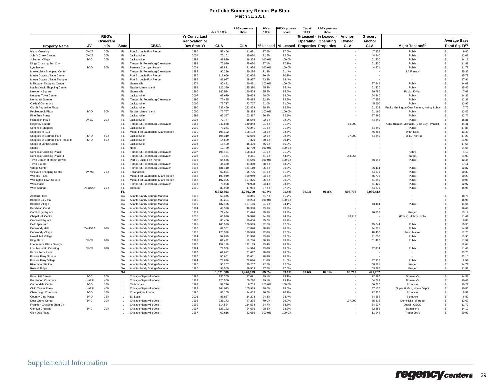|                                                           |         |              |              |                                    |                      | JVs at 100%         | REG's pro-rata<br>share | JVs at<br>100%  | EG's pro-rata<br>share | JVs at<br>100%               | <b>≀EG's pro-rata</b><br>share |            |                  |                                              |                             |                |
|-----------------------------------------------------------|---------|--------------|--------------|------------------------------------|----------------------|---------------------|-------------------------|-----------------|------------------------|------------------------------|--------------------------------|------------|------------------|----------------------------------------------|-----------------------------|----------------|
|                                                           |         | <b>REG's</b> |              |                                    | Yr Const, Last       |                     |                         |                 |                        |                              |                                |            |                  |                                              |                             |                |
|                                                           |         |              |              |                                    |                      |                     |                         |                 |                        | % Leased                     | % Leased                       | Anchor     | Grocery          |                                              | <b>Average Base</b>         |                |
|                                                           |         | Ownershi     |              |                                    | <b>Renovation or</b> |                     |                         |                 |                        | <b>Operating</b>             | Operating                      | Owned      | Anchor           |                                              |                             |                |
| <b>Property Name</b>                                      | JV      | p %          | <b>State</b> | <b>CBSA</b>                        | Dev Start Yr         | GLA                 | GLA                     | % Leased        | % Leased               | <b>Properties Properties</b> |                                | <b>GLA</b> | <b>GLA</b>       | Major Tenants <sup>(1)</sup>                 | Rent/ Sq. Ft <sup>(2)</sup> |                |
| <b>Island Crossing</b>                                    | JV-C2   | 20%          | FL.          | Port St. Lucie-Fort Pierce         | 1996                 | 58,456              | 11,691                  | 97.6%           | 97.6%                  |                              |                                |            | 47,955           | Publix                                       | \$.                         | 9.86           |
| John's Creek Center                                       | JV-C2   | 20%          | FL.          | Jacksonville                       | 2004                 | 75,101              | 15,020                  | 92.5%           | 92.5%                  |                              |                                |            | 44.840           | Publix                                       | \$                          | 13.08          |
| Julington Village                                         | JV-C    | 20%          | FL           | <b>Jacksonville</b>                | 1999                 | 81,820              | 16,364                  | 100.0%          | 100.0%                 |                              |                                |            | 51,420           | Publix                                       | \$                          | 14.11          |
| Kings Crossing Sun City                                   |         |              | FL.          | Tampa-St. Petersburg-Clearwater    | 1999                 | 75,020              | 75,020                  | 97.1%           | 97.1%                  |                              |                                |            | 51,420           | Publix                                       | \$                          | 11.89          |
| Lynnhaven                                                 | JV-O    | 50%          | FL.          | Panama City-Lynn Haven             | 2001                 | 63,871              | 31,936                  | 100.0%          | 100.0%                 |                              |                                |            | 44,271           | Publix                                       | \$                          | 11.79          |
| Marketplace Shopping Center                               |         |              | FL.          | Tampa-St. Petersburg-Clearwater    | 1983                 | 90,296              | 90,296                  | 71.4%           | 71.4%                  |                              |                                |            |                  | <b>LA Fitness</b>                            | \$                          | 25.33          |
| Martin Downs Village Center                               |         |              | FL.<br>FL.   | Port St. Lucie-Fort Pierce         | 1985<br>1998         | 112.666             | 112,666                 | 90.1%           | 90.1%                  |                              |                                |            |                  | $\overline{\phantom{a}}$                     | \$.                         | 15.79          |
| Martin Downs Village Shoppes                              |         |              | EL.          | Port St. Lucie-Fort Pierce         |                      | 48,937              | 48.937                  | 83.4%           | 83.4%                  |                              |                                |            |                  |                                              | \$<br>\$                    | 17.91          |
| Millhopper Shopping Center<br>Naples Walk Shopping Center |         |              | FL.          | Gainesville<br>Naples-Marco Island | 1974<br>1999         | 80,421<br>125,390   | 80,421<br>125,390       | 100.0%<br>85.4% | 100.0%<br>85.4%        |                              |                                |            | 37,244<br>51,420 | Publix<br>Publix                             | \$                          | 14.09<br>15.42 |
| Newberry Square                                           |         |              | FL.          | Gainesville                        | 1986                 | 180,524             | 180,524                 | 95.5%           | 95.5%                  |                              |                                |            | 39,795           | Publix, K-Mart                               | \$                          | 7.68           |
| Nocatee Town Center                                       |         |              | FL.          | <b>Jacksonville</b>                | 2007                 | 69.679              | 69.679                  | 88.0%           | 88.0%                  |                              |                                |            | 54.340           | Publix                                       | \$.                         | 14.36          |
| Northgate Square                                          |         |              | FL.          | Tampa-St. Petersburg-Clearwater    | 1995                 | 75,495              | 75,495                  | 92.3%           | 92.3%                  |                              |                                |            | 47.955           | Publix                                       | \$                          | 12.38          |
| Oakleaf Commons                                           |         |              | FL.          | Jacksonville                       | 2006                 | 73,717              | 73,717                  | 81.0%           | 81.0%                  |                              |                                |            | 45,600           | Publix                                       | \$                          | 13.93          |
| Old St Augustine Plaza                                    |         |              | FL.          | Jacksonville                       | 1990                 | 232,459             | 232,459                 | 98.3%           | 98.3%                  |                              |                                |            | 51,832           | Publix, Burlington Coat Factory, Hobby Lobby | -S                          | 7.77           |
| Pebblebrook Plaza                                         | JV-O    | 50%          | FL.          | Naples-Marco Island                | 2000                 | 76,767              | 38,384                  | 100.0%          | 100.0%                 |                              |                                |            | 61,166           | Publix                                       | S                           | 13.06          |
| Pine Tree Plaza                                           |         |              | FL.          | Jacksonville                       | 1999                 | 63.387              | 63.387                  | 96.8%           | 96.8%                  |                              |                                |            | 37,866           | Publix                                       | \$.                         | 12.72          |
| <b>Plantation Plaza</b>                                   | JV-C2   | 20%          | FL.          | Jacksonville                       | 2004                 | 77,747              | 15.549                  | 92.9%           | 92.9%                  |                              |                                |            | 44,840           | Publix                                       | \$.                         | 15.81          |
| Regency Square                                            |         |              | FL           | Tampa-St. Petersburg-Clearwater    | 1986                 | 349,848             | 349,848                 | 91.8%           | 91.8%                  |                              |                                | 66,000     |                  | AMC Theater, Michaels, (Best Buy), (Macdill) | s                           | 14.41          |
| Seminole Shoppes                                          |         |              | FL.          | Jacksonville                       | 2009                 | 73,241              | 73,241                  | 91.6%           | 91.6%                  |                              |                                |            | 54,340           | Publix                                       | S                           | 17.88          |
| Shoppes @ 104                                             |         |              | EL.          | Miami-Fort Lauderdale-Miami Beach  | 1990                 | 108,192             | 108,192                 | 93.5%           | 93.5%                  |                              |                                |            | 46,368           | Winn-Dixie                                   | \$                          | 13.43          |
| Shoppes at Bartram Park                                   | JV-O    | 50%          | FL.          | Jacksonville                       | 2004                 | 105.319             | 52,660                  | 92.5%           | 92.5%                  |                              |                                | 97.000     | 44.840           | Publix, (Kohl's)                             | \$.                         | 17.23          |
| Shoppes at Bartram Park Phase II                          | JV-O    | 50%          | FL           | <b>Jacksonville</b>                | 2008                 | 14,639              | 7,320                   | 30.1%           | 30.1%                  |                              |                                |            |                  |                                              | \$                          | 21.08          |
| Shops at John's Creek                                     |         |              | FL           | Jacksonville                       | 2004                 | 15,490              | 15,490                  | 65.0%           | 65.0%                  |                              |                                |            |                  |                                              | \$                          | 17.56          |
| Starke                                                    |         |              | FL           | None                               | 2000                 | 12,739              | 12,739                  | 100.0%          | 100.0%                 |                              |                                |            |                  |                                              | \$                          | 24.65          |
| Suncoast Crossing Phase                                   |         |              | FL           | Tampa-St. Petersburg-Clearwater    | 2007                 | 108,434             | 108,434                 | 91.9%           | 91.9%                  |                              |                                |            |                  | Kohl's                                       | s                           | 4.13           |
| Suncoast Crossing Phase II                                |         |              | FL.          | Tampa-St. Petersburg-Clearwater    | 2008                 | 9,451               | 9,451                   | 44.5%           | 44.5%                  |                              |                                | 143,055    |                  | (Target)                                     | s                           | 21.00          |
| Town Center at Martin Downs                               |         |              | FL.          | Port St. Lucie-Fort Pierce         | 1996                 | 64.546              | 64.546                  | 100.0%          | 100.0%                 |                              |                                |            | 56.146           | Publix                                       | $\mathbf{s}$                | 12.44          |
| Town Square                                               |         |              | FL           | Tampa-St. Petersburg-Clearwater    | 1999                 | 44,380              | 44,380                  | 88.2%           | 88.2%                  |                              |                                |            |                  | $\overline{\phantom{a}}$                     | s                           | 27.11          |
| Village Center                                            |         |              | FL           | Tampa-St. Petersburg-Clearwater    | 1993                 | 181,110             | 181,110                 | 96.3%           | 96.3%                  |                              |                                |            | 36,434           | Publix                                       | \$                          | 12.87          |
| Vineyard Shopping Center                                  | JV-M3   | 25%          | FL.          | Tallahassee                        | 2002                 | 62,821              | 15,705                  | 81.6%           | 81.6%                  |                              |                                |            | 44,271           | Publix                                       | s                           | 10.39          |
| Welleby Plaza                                             |         |              | EL.          | Miami-Fort Lauderdale-Miami Beach  | 1982                 | 109,949             | 109,949                 | 93.5%           | 93.5%                  |                              |                                |            | 46,779           | Publix                                       | s                           | 10.20          |
| Wellington Town Square                                    |         |              | FL           | Miami-Fort Lauderdale-Miami Beach  | 1982                 | 107,325             | 107,325                 | 96.2%           | 96.2%                  |                              |                                |            | 44,840           | Publix                                       | s                           | 19.06          |
| Westchase                                                 |         |              | FL.          | Tampa-St. Petersburg-Clearwater    | 1998                 | 78,998              | 78,998                  | 93.4%           | 93.4%                  |                              |                                |            | 51,420           | Publix                                       | s                           | 12.97          |
| Willa Springs                                             | JV-USAA | 20%          | FL.          | Orlando                            | 2000                 | 89,930              | 17,986                  | 97.8%           | 97.8%                  |                              |                                |            | 44,271           | Publix                                       | \$                          | 15.96          |
| Ashford Place                                             |         |              | FL<br>GA     | Atlanta-Sandy Springs-Marietta     | 1993                 | 5,312,563<br>53.345 | 4,750,200<br>53.345     | 91.5%           | 91.4%<br>61.7%         | 92.1%                        | 91.8%                          | 596,798    | 2,030,412        |                                              | Ŝ.                          | 18.75          |
| <b>Briarcliff La Vista</b>                                |         |              | GA           | Atlanta-Sandy Springs-Marietta     | 1962                 | 39,204              | 39,204                  | 61.7%<br>100.0% | 100.0%                 |                              |                                |            |                  |                                              | s                           | 16.96          |
| <b>Briarcliff Village</b>                                 |         |              | GA           | Atlanta-Sandy Springs-Marietta     | 1990                 | 187,156             | 187,156                 | 94.1%           | 94.1%                  |                              |                                |            | 43,454           | Publix                                       | s                           | 14.64          |
| <b>Buckhead Court</b>                                     |         |              | GA           | Atlanta-Sandy Springs-Marietta     | 1984                 | 48,338              | 48,338                  | 93.3%           | 93.3%                  |                              |                                |            |                  |                                              | \$                          | 16.68          |
| Cambridge Square                                          |         |              | GA           | Atlanta-Sandy Springs-Marietta     | 1979                 | 71,474              | 71,474                  | 99.9%           | 99.9%                  |                              |                                |            | 40,852           | Kroger                                       | s                           | 13.12          |
| Chapel Hill Centre                                        |         |              | GA           | Atlanta-Sandy Springs-Marietta     | 2005                 | 66,970              | 66,970                  | 94.3%           | 94.3%                  |                              |                                | 88,713     |                  | (Kohľs), Hobby Lobby                         | s                           | 11.41          |
| Cromwell Square                                           |         |              | GA           | Atlanta-Sandy Springs-Marietta     | 1990                 | 80,406              | 80,406                  | 95.7%           | 95.7%                  |                              |                                |            |                  |                                              | s                           | 9.83           |
| Delk Spectrum                                             |         |              | GA           | Atlanta-Sandy Springs-Marietta     | 1991                 | 100,539             | 100,539                 | 82.0%           | 82.0%                  |                              |                                |            | 45.044           | Publix                                       | s                           | 15.30          |
| Dunwoody Hall                                             | JV-USAA | 20%          | GA           | Atlanta-Sandy Springs-Marietta     | 1986                 | 89,351              | 17,870                  | 98.8%           | 98.8%                  |                              |                                |            | 44,271           | Publix                                       | \$                          | 14.91          |
| Dunwoody Village                                          |         |              | GA           | Atlanta-Sandy Springs-Marietta     | 1975                 | 120,598             | 120,598                 | 92.0%           | 92.0%                  |                              |                                |            | 18,400           | Fresh Market                                 | s                           | 17.20          |
| Howell Mill Village                                       |         |              | GA           | Atlanta-Sandy Springs-Marietta     | 1984                 | 97,990              | 97,990                  | 83.6%           | 83.6%                  |                              |                                |            | 31.000           | Publix                                       | \$.                         | 15.95          |
| King Plaza                                                | JV-C2   | 20%          | GA           | Atlanta-Sandy Springs-Marietta     | 1998                 | 81,432              | 16,286                  | 88.9%           | 88.9%                  |                              |                                |            | 51,420           | Publix                                       | s                           | 11.57          |
| Loehmanns Plaza Georgia                                   |         |              | GA           | Atlanta-Sandy Springs-Marietta     | 1986                 | 137,139             | 137,139                 | 93.4%           | 93.4%                  |                              |                                |            |                  |                                              | s                           | 18.64          |
| <b>Lost Mountain Crossing</b>                             | JV-C2   | 20%          | GA           | Atlanta-Sandy Springs-Marietta     | 1994                 | 72.568              | 14.514                  | 93.0%           | 93.0%                  |                              |                                |            | 47.814           | Publix                                       | $\mathbf{s}$                | 11.43          |
| Paces Ferry Plaza                                         |         |              | GA           | Atlanta-Sandy Springs-Marietta     | 1987                 | 61,697              | 61,697                  | 98.0%           | 98.0%                  |                              |                                |            |                  | $\sim$                                       | s                           | 30.75          |
| Powers Ferry Square                                       |         |              | GA           | Atlanta-Sandy Springs-Marietta     | 1987                 | 95,651              | 95,651                  | 78.8%           | 78.8%                  |                              |                                |            |                  |                                              | \$                          | 23.10          |
| Powers Ferry Village                                      |         |              | GA           | Atlanta-Sandy Springs-Marietta     | 1994                 | 78,896              | 78,896                  | 81.0%           | 81.0%                  |                              |                                |            | 47,955           | Publix                                       | s                           | 9.92           |
| <b>Rivermont Station</b>                                  |         |              | GA           | Atlanta-Sandy Springs-Marietta     | 1996                 | 90,267              | 90,267                  | 72.5%           | 72.5%                  |                              |                                |            | 58,261           | Kroger                                       | Ŝ.                          | 14.71          |
| Russell Ridge                                             |         |              | GA           | Atlanta-Sandy Springs-Marietta     | 1995                 | 98.559              | 98.559                  | 97.6%           | 97.6%                  |                              |                                |            | 63,296           | Kroger                                       | \$.                         | 11.59          |
|                                                           |         |              | GA           |                                    |                      | 1,671,580           | 1.476.899               | 89.6%           | 89.1%                  | 89.6%                        | 89.1%                          | 88,713     | 491,767          |                                              |                             |                |
| <b>Baker Hill Center</b>                                  | JV-C    | 20%          | IL.          | Chicago-Naperville-Joliet          | 1998                 | 135,355             | 27,071                  | 99.1%           | 99.1%                  |                              |                                |            | 72,397           | Dominick's                                   | $\mathbb{S}$                | 14.33          |
| <b>Brentwood Commons</b>                                  | JV-GRI  | 40%          | IL           | Chicago-Naperville-Joliet          | 1962                 | 125,550             | 50,220                  | 99.1%           | 99.1%                  |                              |                                |            | 64,762           | Dominick's                                   | \$                          | 10.48          |
| Carbondale Center                                         | JV-D    | 16%          | $\mathbf{H}$ | Carbondale                         | 1997                 | 59,726              | 9,765                   | 100.0%          | 100.0%                 |                              |                                |            | 56,726           | Schnucks                                     | \$                          | 10.21          |
| Civic Center Plaza                                        | JV-GRI  | 40%          | $\mathbf{H}$ | Chicago-Naperville-Joliet          | 1989                 | 264.973             | 105.989                 | 98.0%           | 98.0%                  |                              |                                |            | 87.135           | Super H Mart, Home Depot                     | \$.                         | 10.85          |
| Champaign Commons                                         | JV-D    | 16%          | $\mathbf{H}$ | Champaign-Urbana                   | 1990                 | 88.105              | 14,405                  | 90.7%           | 90.7%                  |                              |                                |            | 72,326           | Schnucks                                     | \$                          | 8.59           |
| Country Club Plaza                                        | JV-D    | 16%          | IL.          | St. Louis                          | 2001                 | 86,867              | 14,203                  | 94.4%           | 94.4%                  |                              |                                |            | 54,554           | Schnucks                                     | \$                          | 6.82           |
| Deer Grove Center                                         | JV-C    | 20%          |              | Chicago-Naperville-Joliet          | 1996                 | 236,173             | 47,235                  | 79.0%           | 79.0%                  |                              |                                | 117,000    | 65.816           | Dominick's, (Target)                         | \$                          | 13.69          |
| Frankfort Crossing Shpg Ctr                               |         |              | Ш.           | Chicago-Naperville-Joliet          | 1992                 | 114,534             | 114,534                 | 84.7%           | 84.7%                  |                              |                                |            | 64,937           | Jewel / OSCO                                 | \$                          | 11.77          |
| Geneva Crossing                                           | JV-C    | 20%          | $\mathbf{H}$ | Chicago-Naperville-Joliet          | 1997                 | 123.182             | 24.636                  | 98.8%           | 98.8%                  |                              |                                |            | 72.385           | Dominick's                                   | \$.                         | 14.10          |
| Glen Oak Plaza                                            |         |              | $\mathbf{H}$ | Chicago-Naperville-Joliet          | 1967                 | 62.616              | 62,616                  | 100.0%          | 100.0%                 |                              |                                |            | 11,944           | Trader Joe's                                 | \$.                         | 20.99          |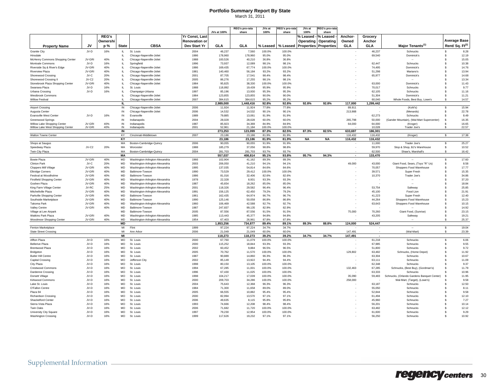|                                                                 |                  |              |              |                                                        |                       |                    | REG's pro-rata   | JVs at          | EG's pro-rat    | JVs at                       | REG's pro-rat |                          |                          |                                                   |                             |                |
|-----------------------------------------------------------------|------------------|--------------|--------------|--------------------------------------------------------|-----------------------|--------------------|------------------|-----------------|-----------------|------------------------------|---------------|--------------------------|--------------------------|---------------------------------------------------|-----------------------------|----------------|
|                                                                 |                  |              |              |                                                        |                       | JVs at 100%        | share            | 100%            | share           | 100%                         | share         |                          |                          |                                                   |                             |                |
|                                                                 |                  | <b>REG's</b> |              |                                                        | <b>Yr Const, Last</b> |                    |                  |                 |                 | % Leased                     | % Leased      | Anchor-                  | Grocery                  |                                                   |                             |                |
|                                                                 |                  | Ownershi     |              |                                                        | <b>Renovation or</b>  |                    |                  |                 |                 | Operating                    | Operating     | Owned                    | Anchor                   |                                                   | <b>Average Base</b>         |                |
| <b>Property Name</b>                                            | JV               | p %          | <b>State</b> | <b>CBSA</b>                                            | Dev Start Yr          | GLA                | GLA              | % Leased        | % Leased        | <b>Properties Properties</b> |               | GLA                      | <b>GLA</b>               | Major Tenants <sup>(1)</sup>                      | Rent/ Sq. Ft <sup>(2)</sup> |                |
| <b>Granite City</b>                                             | JV-D             | 16%          | Ш.           | St. Louis                                              | 2004                  | 46,237             | 7,560            | 100.0%          | 100.0%          |                              |               |                          | 46,237                   | Schnucks                                          | s.                          | 8.28           |
| Hinsdale                                                        |                  |              | IL.          | Chicago-Naperville-Joliet                              | 1986                  | 178,960            | 178,960          | 95.0%           | 95.0%           |                              |               |                          | 69,540                   | Dominick's                                        | s.                          | 12.19          |
| McHenry Commons Shopping Center                                 | JV-GRI           | 40%          | IL.          | Chicago-Naperville-Joliet                              | 1988                  | 100,526            | 40,210           | 36.8%           | 36.8%           |                              |               |                          |                          |                                                   | \$                          | 15.05          |
| Montvale Commons                                                | JV-D             | 16%          | $\mathbf{H}$ | Springfield                                            | 1996                  | 73,937             | 12,089           | 98.1%           | 98.1%           |                              |               |                          | 62,447                   | Schnucks                                          | \$                          | 10.38          |
| Riverside Sq & River's Edge                                     | JV-GRI           | 40%          | IL.          | Chicago-Naperville-Joliet                              | 1986                  | 169,435            | 67,774           | 100.0%          | 100.0%          |                              |               |                          | 74,495                   | Dominick's                                        | \$                          | 14.76          |
| <b>Riverview Plaza</b>                                          | JV-GRI           | 40%          | $\mathbf{H}$ | Chicago-Naperville-Joliet                              | 1981                  | 140.460            | 56.184           | 93.2%           | 93.2%           |                              |               |                          | 51.298                   | Mariano's                                         | \$.                         | 13.94          |
| Shorewood Crossing                                              | JV-C             | 20%          | IL           | Chicago-Naperville-Joliet                              | 2001                  | 87,705             | 17,541           | 98.4%           | 98.4%           |                              |               |                          | 65,977                   | Dominick's                                        | \$                          | 14.68          |
| Shorewood Crossing II                                           | JV-C2            | 20%          | IL.          | Chicago-Naperville-Joliet                              | 2005                  | 86,276             | 17,255           | 98.1%           | 98.1%           |                              |               |                          |                          | $\overline{\phantom{a}}$                          | \$                          | 13.34          |
| Stonebrook Plaza Shopping Center                                | JV-GRI           | 40%          | IL.          | Chicago-Naperville-Joliet                              | 1984                  | 95,825             | 38,330           | 100.0%          | 100.0%          |                              |               |                          | 63,000                   | Dominick's                                        | \$                          | 11.43          |
| Swansea Plaza                                                   | JV-D             | 16%          | IL.          | St. Louis                                              | 1988                  | 118,892            | 19,439           | 95.9%           | 95.9%           |                              |               |                          | 70.017                   | Schnucks                                          | \$                          | 9.77           |
| Urbana Crossing                                                 | JV-D             | 16%          | $\mathbf{H}$ | Champaign-Urbana                                       | 1997                  | 85,196             | 13,930           | 95.3%           | 95.3%           |                              |               |                          | 62,105                   | Schnucks                                          | \$                          | 11.16          |
| Westbrook Commons                                               |                  |              | IL.          | Chicago-Naperville-Joliet                              | 1984                  | 123,855            | 123,855          | 90.0%           | 90.0%           |                              |               |                          | 51,304                   | Dominick's                                        | \$                          | 11.21          |
| <b>Willow Festival</b>                                          |                  |              | $\mathbf{H}$ | Chicago-Naperville-Joliet                              | 2007                  | 384.615            | 384.615          | 95.2%           | 95.2%           |                              |               |                          | 60,040                   | Whole Foods, Best Buv, Lowe's                     | $\mathbf{s}$                | 14.57          |
|                                                                 |                  |              | IL.          |                                                        |                       | 2.989.000          | 1.448.416        | 92.8%           | 92.8%           | 92.8%                        | 92.8%         | 117.000                  | 1,299,442                |                                                   |                             |                |
|                                                                 |                  |              |              |                                                        | 2006                  |                    |                  |                 |                 |                              |               |                          |                          |                                                   |                             | 15.94          |
| <b>Airport Crossing</b><br>Augusta Center                       |                  |              | IN<br>IN     | Chicago-Naperville-Joliet<br>Chicago-Naperville-Joliet | 2006                  | 11,924<br>14,532   | 11,924<br>14,532 | 77.8%<br>90.1%  | 77.8%<br>90.1%  |                              |               | 89,911<br>213,988        |                          | (Kohl's)<br>(Menards)                             | \$<br>22.78<br>s            |                |
| Evansville West Center                                          | JV-D             | 16%          | IN           | Evansville                                             | 1989                  | 79,885             |                  | 91.9%           | 91.9%           |                              |               |                          | 62,273                   | Schnucks                                          | s                           | 8.49           |
|                                                                 |                  |              |              |                                                        |                       |                    | 13,061           |                 |                 |                              |               |                          |                          |                                                   |                             |                |
| <b>Greenwood Springs</b>                                        |                  |              | IN           | Indianapolis                                           | 2004                  | 28,028             | 28,028           | 60.0%           | 60.0%           |                              |               | 265,798                  | 50,000                   | (Gander Mountain), (Wal-Mart Supercenter)         | s                           | 16.35          |
| Willow Lake Shopping Center<br>Willow Lake West Shopping Center | JV-GRI<br>JV-GRI | 40%<br>40%   | IN<br>IN     | Indianapolis<br>Indianapolis                           | 1987<br>2001          | 85,923<br>52,961   | 34,369<br>21,184 | 84.9%<br>100.0% | 84.9%<br>100.0% |                              |               | 64,000                   | 64,000<br>10.028         | (Kroger)<br>Trader Joe's                          | s<br>s                      | 16.65<br>22.57 |
|                                                                 |                  |              | IN           |                                                        |                       | 273,253            | 123.099          | 87.3%           | 82.5%           | 87.3%                        | 82.5%         | 633,697                  | 186,301                  |                                                   |                             |                |
| Walton Towne Center                                             |                  |              | KY           | Cincinnati-Middletown                                  | 2007                  | 23,186             | 23,186           | 81.9%           | 81.9%           |                              |               | 116,432                  | 116,432                  | (Kroger)                                          | $\mathbf{s}$                | 17.38          |
|                                                                 |                  |              | KY           |                                                        |                       | 23.186             | 23.186           | 81.9%           | 81.9%           | <b>NA</b>                    | <b>NA</b>     | 116.432                  | 116.432                  |                                                   |                             |                |
|                                                                 |                  |              | MA           |                                                        | 2006                  | 90,055             | 90,055           | 91.9%           | 91.9%           |                              |               |                          | 11,000                   | Trader Joe's                                      | 25.27<br>s.                 |                |
| Shops at Saugus                                                 | JV-C2            | 20%          | MA           | Boston-Cambridge-Quincy<br>Worceste                    | 1988                  |                    | 37,056           | 98.8%           | 98.8%           |                              |               |                          |                          |                                                   |                             |                |
| Speedway Plaza<br>Twin City Plaza                               |                  |              | MA           | Boston-Cambridge-Quincy                                | 2004                  | 185,279<br>281,703 | 281,703          | 93.7%           | 93.7%           |                              |               |                          | 59,970<br>62,500         | Stop & Shop, BJ's Warehouse<br>Shaw's, Marshall's | \$<br>$\mathbf{s}$          | 10.52<br>16.42 |
|                                                                 |                  |              | МA           |                                                        |                       | 557,037            | 408,814          | 95.1%           | 93.8%           | 95.7%                        | 94.3%         | $\overline{\phantom{a}}$ | 133,470                  |                                                   |                             |                |
| Bowie Plaza                                                     | JV-GRI           | 40%          | MD           | Washington-Arlington-Alexandria                        | 1966                  | 102,904            | 41,162           | 89.3%           | 89.3%           |                              |               |                          |                          |                                                   | \$                          | 17.60          |
| <b>Clinton Park</b>                                             | JV-C             | 20%          | MD           | Washington-Arlington-Alexandria                        | 2003                  | 206,050            | 41,210           | 94.1%           | 94.1%           |                              |               | 49,000                   | 43,000                   | Giant Food, Sears, (Toys "R" Us)                  | \$                          | 8.58           |
| <b>Cloppers Mill Village</b>                                    | JV-GRI           | 40%          | MD           | Washington-Arlington-Alexandria                        | 1995                  | 137,035            | 54,814           | 84.6%           | 84.6%           |                              |               |                          | 70,057                   | Shoppers Food Warehouse                           | Ŝ.                          | 17.77          |
|                                                                 | JV-GRI           | 40%          | <b>MD</b>    | Baltimore-Towson                                       | 1990                  | 73.529             | 29.412           | 100.0%          | 100.0%          |                              |               |                          | 39.571                   | Super Fresh                                       | \$.                         | 15.35          |
| <b>Elkridge Corners</b>                                         |                  | 40%          | <b>MD</b>    |                                                        | 1986                  |                    |                  |                 | 82.6%           |                              |               |                          |                          |                                                   |                             |                |
| Festival at Woodholme                                           | JV-GRI           | 40%          | <b>MD</b>    | Baltimore-Towson                                       |                       | 81,016             | 32,406           | 82.6%           |                 |                              |               |                          | 10,370                   | Trader Joe's                                      | \$                          | 34.86          |
| <b>Firstfield Shopping Center</b>                               | JV-GRI           |              |              | Washington-Arlington-Alexandria                        | 1978                  | 22,328             | 8.931            | 93.3%           | 93.3%           |                              |               |                          |                          |                                                   | 37.20<br>\$                 |                |
| Goshen Plaza                                                    | JV-GRI           | 40%          | <b>MD</b>    | Washington-Arlington-Alexandria                        | 1987                  | 45,654             | 18,262           | 85.0%           | 85.0%           |                              |               |                          |                          |                                                   | \$                          | 18.84          |
| King Farm Village Center                                        | JV-RC            | 25%          | MD           | Washington-Arlington-Alexandria                        | 2001                  | 118,326            | 29,582           | 96.4%           | 96.4%           |                              |               |                          | 53,754                   | Safeway                                           | \$                          | 25.85          |
| Mitchellville Plaza                                             | JV-GRI           | 40%          | MD           | Washington-Arlington-Alexandria                        | 1991                  | 156,125            | 62,450           | 79.2%           | 79.2%           |                              |               |                          | 45,100                   | Food Lion                                         | 21.91<br>$\mathbf{\hat{s}}$ |                |
| Parkville Shopping Center                                       | JV-GRI           | 40%          | MD           | Baltimore-Towson                                       | 1961                  | 162,435            | 64,974           | 96.7%           | 96.7%           |                              |               |                          | 41,223                   | Super Fresh                                       | \$                          | 12.40          |
| Southside Marketplace                                           | JV-GRI           | 40%          | <b>MD</b>    | Baltimore-Towson                                       | 1990                  | 125.146            | 50.058           | 86.8%           | 86.8%           |                              |               |                          | 44.264                   | Shoppers Food Warehouse                           | \$                          | 15.23          |
| <b>Takoma Park</b>                                              | JV-GRI           | 40%          | MD           | Washington-Arlington-Alexandria                        | 1960                  | 106.469            | 42,588           | 92.7%           | 92.7%           |                              |               |                          | 63,643                   | Shoppers Food Warehouse                           | \$                          | 10.15          |
| Valley Centre                                                   | JV-GRI           | 40%          | MD           | Baltimore-Towson                                       | 1987                  | 247,837            | 99,135           | 82.9%           | 82.9%           |                              |               |                          |                          |                                                   | \$                          | 14.92          |
| Village at Lee Airpark                                          |                  |              | MD           | Baltimore-Towson                                       | 2005                  | 87,556             | 87,556           | 91.5%           | 91.5%           |                              |               | 75,000                   | 70,260                   | Giant Food, (Sunrise)                             | 23.15<br>\$                 |                |
| Watkins Park Plaza                                              | JV-GRI           | 40%          | MD           | Washington-Arlington-Alexandria                        | 1985                  | 113,443            | 45,377           | 94.8%           | 94.8%           |                              |               |                          | 43,205                   | Safeway                                           | \$                          | 19.21          |
| Woodmoor Shopping Center                                        | .IV-GRI          | 40%          | <b>MD</b>    | Washington-Arlington-Alexandria                        | 1954                  | 67.403             | 26.961           | 87.8%           | 87.8%           |                              |               |                          |                          |                                                   | $\mathbf{\hat{s}}$          | 25.37          |
|                                                                 |                  |              | <b>MD</b>    |                                                        |                       | 1,853,256          | 734,877          | 89.4%           | 89.1%           | 89.3%                        | 88.8%         | 124,000                  | 524,447                  |                                                   |                             |                |
| Fenton Marketplace                                              |                  |              | MI           | Flint                                                  | 1999                  | 97.224             | 97,224           | 34.7%           | 34.7%           |                              |               |                          |                          |                                                   | \$                          | 19.04          |
| <b>State Street Crossing</b>                                    |                  |              | MI           | Ann Arbor                                              | 2006                  | 21,049             | 21.049           | 60.0%           | 60.0%           |                              |               | 147.491                  |                          | (Wal-Mart)                                        | \$.                         | 23.39          |
|                                                                 |                  |              | MI           |                                                        |                       | 118,273            | 118,273          | 39.2%           | 39.2%           | 34.7%                        | 34.7%         | 147,491                  | $\overline{\phantom{a}}$ |                                                   |                             |                |
| Affton Plaza                                                    | .JV-D            | 16%          | <b>MO</b>    | St. Louis                                              | 2000                  | 67,760             | 11,079           | 100.0%          | 100.0%          |                              |               |                          | 61,218                   | Schnucks                                          | Ŝ.                          | 6.06           |
| <b>Bellerive Plaza</b>                                          | JV-D             | 16%          | MO           | St. Louis                                              | 2000                  | 115,252            | 18,844           | 93.3%           | 93.3%           |                              |               |                          | 67,985                   | Schnucks                                          | \$                          | 9.55           |
| <b>Brentwood Plaza</b>                                          | JV-D             | 16%          | <b>MO</b>    | St. Louis                                              | 2002                  | 60,452             | 9,884            | 96.5%           | 96.5%           |                              |               |                          | 51,800                   | Schnucks                                          | \$                          | 9.72           |
| Bridgeton                                                       | JV-D             | 16%          | MO           | St. Louis                                              | 2005                  | 70,762             | 11,570           | 100.0%          | 100.0%          |                              |               | 129,802                  | 63,482                   | Schnucks, (Home Depot)                            | \$                          | 11.92          |
| <b>Butler Hill Centre</b>                                       | JV-D             | 16%          | MO           | St. Louis                                              | 1987                  | 90,889             | 14,860           | 96.3%           | 96.3%           |                              |               |                          | 63,304                   | Schnucks                                          | \$                          | 10.67          |
| Capital Crossing                                                | JV-D             | 16%          | MO           | Jefferson City                                         | 2002                  | 85,149             | 13,922           | 94.4%           | 94.4%           |                              |               |                          | 63,111                   | Schnucks                                          | \$                          | 11.09          |
| City Plaza                                                      | JV-D             | 16%          | <b>MO</b>    | St. Louis                                              | 1998                  | 80.150             | 13,105           | 100.0%          | 100.0%          |                              |               |                          | 62.348                   | Schnucks                                          | \$                          | 9.37           |
| <b>Crestwood Commons</b>                                        | JV-D             | 16%          | <b>MO</b>    | St. Louis                                              | 1994                  | 67,285             | 11,001           | 100.0%          | 100.0%          |                              |               | 132,463                  | 67,285                   | Schnucks, (Best Buy), (Gordman's)                 | 11.79<br>\$                 |                |
| Dardenne Crossing                                               | JV-D             | 16%          | MO           | St. Louis                                              | 1996                  | 67,430             | 11,025           | 100.0%          | 100.0%          |                              |               |                          | 63,333                   | Schnucks                                          | \$                          | 10.96          |
| Dorsett Village                                                 | JV-D             | 16%          | MO           | St. Louis                                              | 1998                  | 104,217            | 17,039           | 100.0%          | 100.0%          |                              |               | 35,090                   | 59,483                   | Schnucks, (Orlando Gardens Banquet Center)        | -S                          | 11.95          |
| Kirkwood Commons                                                | JV-D             | 16%          | MO           | St. Louis                                              | 2000                  | 209,703            | 34,286           | 100.0%          | 100.0%          |                              |               | 258,000                  |                          | Wal-Mart, (Target), (Lowe's)                      | \$                          | 9.58           |
| Lake St. Louis                                                  | JV-D             | 16%          | MO           | St. Louis                                              | 2004                  | 75,643             | 12,368           | 96.3%           | 96.3%           |                              |               |                          | 63,187                   | Schnucks                                          | \$                          | 12.50          |
| O'Fallon Centre                                                 | JV-D             | 16%          | <b>MO</b>    | St. Louis                                              | 1984                  | 71.300             | 11.658           | 89.0%           | 89.0%           |                              |               |                          | 55.050                   | Schnucks                                          | \$.                         | 8.11           |
| Plaza 94                                                        | JV-D             | 16%          | <b>MO</b>    | St. Louis                                              | 2005                  | 66.555             | 10.882           | 95.4%           | 95.4%           |                              |               |                          | 52.844                   | Schnucks                                          | \$.                         | 9.58           |
| <b>Richardson Crossing</b>                                      | .IV-D            | 16%          | MO           | St. Louis                                              | 2000                  | 82.994             | 13,570           | 97.1%           | 97.1%           |                              |               |                          | 61,494                   | Schnucks                                          | \$.                         | 12.10          |
| Shackelford Center                                              | JV-D             | 16%          | <b>MO</b>    | St. Louis                                              | 2006                  | 49,635             | 8,115            | 95.8%           | 95.8%           |                              |               |                          | 45,960                   | Schnucks                                          | \$                          | 7.27           |
| Sierra Vista Plaza                                              | JV-D             | 16%          | MO           | St. Louis                                              | 1993                  | 74,666             | 12,208           | 98.4%           | 98.4%           |                              |               |                          | 56,201                   | Schnucks                                          | s                           | 10.14          |
| <b>Twin Oaks</b>                                                | JV-D             | 16%          | MO           | St. Louis                                              | 2006                  | 71,682             | 11,720           | 100.0%          | 100.0%          |                              |               |                          | 63.482                   | Schnucks                                          | \$                          | 12.12          |
| University City Square                                          | JV-D             | 16%          | MO           | St. Louis                                              | 1997                  | 79,230             | 12,954           | 100.0%          | 100.0%          |                              |               |                          | 61,600                   | Schnucks                                          | \$                          | 9.29           |
| <b>Washington Crossing</b>                                      | JV-D             | 16%          | <b>MO</b>    | St. Louis                                              | 1999                  | 117.626            | 19,232           | 97.1%           | 97.1%           |                              |               |                          | 56.250                   | Schnucks                                          | \$.                         | 10.92          |
|                                                                 |                  |              |              |                                                        |                       |                    |                  |                 |                 |                              |               |                          |                          |                                                   |                             |                |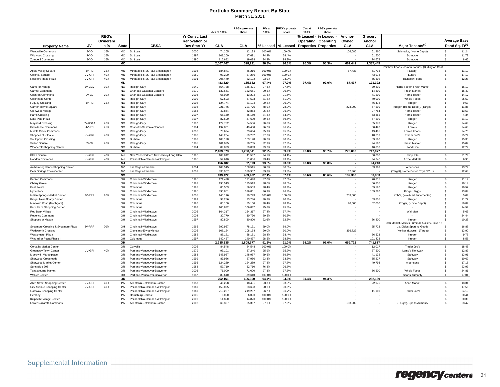## **Portfolio Summary Report By State**

March 31, 2011

|                                         |         |              |                        |                                         |                      | JVs at 100%          | <b>REG's pro-rata</b><br>share | JVs at<br>100% | <b>EG's pro-rata</b><br>share | JVs at<br>100% | EG's pro-rata<br>share       |                    |                     |                                                                              |                    |                             |
|-----------------------------------------|---------|--------------|------------------------|-----------------------------------------|----------------------|----------------------|--------------------------------|----------------|-------------------------------|----------------|------------------------------|--------------------|---------------------|------------------------------------------------------------------------------|--------------------|-----------------------------|
|                                         |         | <b>REG's</b> |                        |                                         | Yr Const, Last       |                      |                                |                |                               | ⁄օ Leased      | % Leased                     | Anchor             | Grocery             |                                                                              |                    |                             |
|                                         |         | Ownershi     |                        |                                         | <b>Renovation or</b> |                      |                                |                |                               | Operating      | Operating                    | Owned              | Anchor              |                                                                              |                    | <b>Average Base</b>         |
|                                         | JV      |              | <b>State</b>           | <b>CBSA</b>                             | Dev Start Yr         | GLA                  | GLA                            |                | % Leased                      |                |                              |                    |                     | Maior Tenants <sup>(1)</sup>                                                 |                    | Rent/ Sq. Ft <sup>(2)</sup> |
| <b>Property Name</b>                    |         | p %          |                        |                                         |                      |                      |                                | % Leased       |                               |                | <b>Properties Properties</b> | GLA                | <b>GLA</b>          |                                                                              |                    |                             |
| <b>Wentzville Commons</b>               | JV-D    | 16%          | <b>MO</b>              | St. Louis                               | 2000                 | 74,205               | 12,133                         | 100.0%         | 100.0%                        |                |                              | 106,086            | 61,860              | Schnucks, (Home Depot)                                                       | $\mathbf{\hat{s}}$ | 11.24                       |
| Wildwood Crossing                       | JV-D    | 16%          | <b>MO</b>              | St. Louis                               | 1997                 | 108,200              | 17,691                         | 74.4%          | 74.4%                         |                |                              |                    | 61,500              | Schnucks                                                                     | $\mathbf{\hat{s}}$ | 11.77                       |
| Zumbehl Commons                         | JV-D    | 16%          | MO<br>МO               | St. Louis                               | 1990                 | 116,682<br>2,007,467 | 19,078<br>328.221              | 94.3%<br>96.3% | 94.3%<br>96.3%                | 96.3%          | 96.3%                        | 661,441            | 74,672<br>1,337,449 | Schnucks                                                                     | $\mathbf{s}$       | 8.65                        |
|                                         |         |              |                        |                                         |                      |                      |                                |                |                               |                |                              |                    |                     | Rainbow Foods, Jo-Ann Fabrics, (Burlington Coat                              |                    |                             |
| Apple Valley Square                     | JV-RC   | 25%          | MN                     | Minneapolis-St. Paul-Bloomington        | 1998                 | 184,841              | 46,210                         | 100.0%         | 100.0%                        |                |                              | 87,437             | 61,736              | Factory)                                                                     | ŝ.                 | 11.19                       |
| <b>Colonial Square</b>                  | JV-GRI  | 40%          | MN                     | Minneapolis-St. Paul-Bloomington        | 1959                 | 93.200               | 37.280                         | 100.0%         | 100.0%                        |                |                              |                    | 43,978              | Lund's                                                                       | $\mathbf{\hat{s}}$ | 17.19                       |
| Rockford Road Plaza                     | JV-GRI  | 40%          | MN                     | Minneapolis-St. Paul-Bloomington        | 1991                 | 205.479              | 82.192                         | 93.9%          | 93.9%                         |                |                              |                    | 65,608              | Rainbow Foods                                                                | $\mathbf{\hat{s}}$ | 12.28                       |
|                                         |         |              | <b>MN</b>              |                                         |                      | 483,520              | 165,682                        | 97.4%          | 97.0%                         | 97.4%          | 97.0%                        | 87,437             | 171,322             |                                                                              |                    |                             |
| Cameron Village                         | JV-CCV  | 30%          | <b>NC</b>              | Raleigh-Cary                            | 1949                 | 554.738              | 166.421                        | 97.6%          | 97.6%                         |                |                              |                    | 79.830              | Harris Teeter, Fresh Market                                                  | $\mathbf{\hat{s}}$ | 16.10                       |
| Carmel Commons                          |         |              | NC                     | Charlotte-Gastonia-Concord              | 1979                 | 132,651              | 132,651                        | 90.5%          | 90.5%                         |                |                              |                    | 14,300              | Fresh Market                                                                 | s.                 | 16.40                       |
| Cochran Commons                         | JV-C2   | 20%          | <b>NC</b>              | Charlotte-Gastonia-Concord              | 2003                 | 66,020               | 13,204                         | 91.6%          | 91.6%                         |                |                              |                    | 41,500              | Harris Teeter                                                                | s                  | 14.17                       |
| Colonnade Center                        | JV-RC   | 25%          | <b>NC</b>              | Raleigh-Carv                            | 2009                 | 57,503<br>124,774    | 57.503                         | 81.2%          | 81.2%<br>90.2%                |                |                              |                    | 40.000              | Whole Foods                                                                  | s                  | 25.50                       |
| <b>Fuquay Crossing</b>                  |         |              | $NC$<br><b>NC</b>      | Raleigh-Cary<br>Raleigh-Cary            | 2002<br>1998         | 221,776              | 31,194<br>221,776              | 90.2%<br>78.9% | 78.9%                         |                |                              | 273,000            | 46,478<br>57,590    | Kroger<br>Kroger, (Home Depot), (Target)                                     | s<br>s             | 9.53<br>11.86               |
| Garner Towne Square<br>Glenwood Village |         |              | <b>NC</b>              | Raleigh-Cary                            | 1983                 | 42.864               | 42.864                         | 96.8%          | 96.8%                         |                |                              |                    | 27.764              | <b>Harris Teeter</b>                                                         | s                  | 13.53                       |
| Harris Crossing                         |         |              | NC                     | Raleigh-Cary                            | 2007                 | 65,150               | 65,150                         | 84.8%          | 84.8%                         |                |                              |                    | 53,365              | Harris Teeter                                                                | s                  | 4.34                        |
| Lake Pine Plaza                         |         |              | <b>NC</b>              | Raleigh-Cary                            | 1997                 | 87,690               | 87,690                         | 89.6%          | 89.6%                         |                |                              |                    | 57,590              | Kroger                                                                       | s                  | 11.10                       |
| <b>Maynard Crossing</b>                 | JV-USAA | 20%          | <b>NC</b>              | Raleigh-Cary                            | 1997                 | 122.782              | 24.556                         | 90.8%          | 90.8%                         |                |                              |                    | 55.973              | Kroger                                                                       | s                  | 14.69                       |
| Providence Commons                      | JV-RC   | 25%          | <b>NC</b>              | Charlotte-Gastonia-Concord              | 1994                 | 197,801              | 49,450                         | 96.7%          | 96.7%                         |                |                              |                    | 50,420              | Lowe's                                                                       | s                  | 14.63                       |
| Middle Creek Commons                    |         |              | <b>NC</b>              | Raleigh-Cary                            | 2006                 | 73,634               | 73,634                         | 95.9%          | 95.9%                         |                |                              |                    | 49,495              | Lowes Foods                                                                  | s                  | 14.70                       |
| Shoppes of Kildaire                     | JV-GRI  | 40%          | <b>NC</b>              | Raleigh-Cary                            | 1986                 | 148.204              | 59.282                         | 97.2%          | 97.2%                         |                |                              |                    | 18.613              | Trader Joe's                                                                 | s                  | 15.24                       |
| Southpoint Crossing                     |         |              | NC                     | Durham                                  | 1998                 | 103,128              | 103,128                        | 90.2%          | 90.2%                         |                |                              |                    | 59,160              | Kroger                                                                       | s                  | 15.36                       |
| Sutton Square                           | JV-C2   | 20%          | <b>NC</b>              | Raleigh-Cary                            | 1985                 | 101,025              | 20,205                         | 92.9%          | 92.9%                         |                |                              |                    | 24,167              | Fresh Market                                                                 | s                  | 15.02                       |
| Woodcroft Shopping Center               |         |              | <b>NC</b>              | Durham                                  | 1984                 | 89.833               | 89.833                         | 93.2%          | 93.2%                         |                |                              |                    | 40.832              | Food Lion                                                                    | \$.                | 12.22                       |
|                                         |         |              | <b>NC</b>              |                                         |                      | 2,189,573            | 1.238.541                      | 92.2%          | 89.9%                         | 92.8%          | 90.7%                        | 273.000            | 717,077             |                                                                              |                    |                             |
| Plaza Square                            | JV-GRI  | 40%          | <b>NJ</b>              | New York-Northern New Jersey-Long Islan | 1990                 | 103,842              | 41,537                         | 94.1%          | 94.1%                         |                |                              |                    | 60,000              | Shop Rite                                                                    | Ŝ.                 | 21.79                       |
| <b>Haddon Commons</b>                   | JV-GRI  | 40%          | <b>NJ</b>              | Philadelphia-Camden-Wilmington          | 1985                 | 52,640               | 21,056                         | 93.4%          | 93.4%                         |                |                              |                    | 34,240              | Acme Markets                                                                 | ŝ.                 | 6.90                        |
|                                         |         |              | <b>NJ</b>              |                                         |                      | 156.482              | 62.593                         | 93.8%          | 93.8%                         | 93.8%          | 93.8%                        |                    | 94.240              |                                                                              |                    |                             |
| Anthem Highlands Shopping Center        |         |              | <b>NV</b><br><b>NV</b> | Las Vegas-Paradise                      | 2004                 | 108,515<br>330,907   | 108,515<br>330,907             | 80.6%<br>89.3% | 80.6%<br>89.3%                |                |                              |                    | 53,963              | Albertsons                                                                   | \$<br>ŝ.           | 13.22<br>12.68              |
| Deer Springs Town Center                |         |              | <b>NV</b>              | Las Vegas-Paradise                      | 2007                 | 439.422              | 439.422                        | 87.1%          | 87.1%                         | 80.6%          | 80.6%                        | 132,360<br>132.360 | 53.963              | (Target), Home Depot, Toys "R" Us                                            |                    |                             |
| <b>Beckett Commons</b>                  |         |              | OH                     | Cincinnati-Middletown                   | 1995                 | 121,498              | 121,498                        | 87.0%          | 87.0%                         |                |                              |                    | 70,815              | Kroger                                                                       | \$                 | 11.12                       |
| Cherry Grove                            |         |              | OH                     | Cincinnati-Middletown                   | 1997                 | 195,513              | 195,513                        | 98.0%          | 98.0%                         |                |                              |                    | 66,336              | Kroger                                                                       | \$                 | 10.14                       |
| <b>Fast Pointe</b>                      |         |              | OH                     | Columbus                                | 1993                 | 86,503               | 86,503                         | 98.4%          | 98.4%                         |                |                              |                    | 59.120              | Kroger                                                                       | $\mathbf{\hat{s}}$ | 10.57                       |
| <b>Hyde Park</b>                        |         |              | OH                     | Cincinnati-Middletown                   | 1995                 | 396,861              | 396,861                        | 96.9%          | 96.9%                         |                |                              |                    | 169,267             | Kroger, Biggs                                                                | \$                 | 13.84                       |
| Indian Springs Market Center            | JV-RRP  | 20%          | OH                     | Cincinnati-Middletown                   | 2005                 | 146,116              | 29,223                         | 100.0%         | 100.0%                        |                |                              | 203,000            |                     | Kohl's, (Wal-Mart Supercenter)                                               | \$                 | 5.09                        |
| Kroger New Albany Center                |         |              | OH                     | Columbus                                | 1999                 | 93.286               | 93,286                         | 90.3%          | 90.3%                         |                |                              |                    | 63.805              | Kroger                                                                       | \$.                | 11.27                       |
| Maxtown Road (Northgate)                |         |              | OH                     | Columbus                                | 1996                 | 85.100               | 85,100                         | 98.4%          | 98.4%                         |                |                              | 90,000             | 62,000              | Kroger, (Home Depot)                                                         | \$                 | 10.82                       |
| Park Place Shopping Center              |         |              | OH                     | Columbus                                | 1988                 | 106,832              | 106,832                        | 25.8%          | 25.8%                         |                |                              |                    |                     |                                                                              | s                  | 14.52                       |
| Red Bank Village                        |         |              | OH                     | Cincinnati-Middletown                   | 2006                 | 164.317              | 164.317                        | 97.4%          | 97.4%                         |                |                              |                    |                     | Wal-Mart                                                                     | \$.                | 5.66                        |
| <b>Regency Commons</b>                  |         |              | OH                     | Cincinnati-Middletown                   | 2004                 | 30,770               | 30,770                         | 80.5%          | 80.5%                         |                |                              |                    |                     |                                                                              | s                  | 24.44                       |
| Shoppes at Mason                        |         |              | OH                     | Cincinnati-Middletown                   | 1997                 | 80,800               | 80,800                         | 92.6%          | 92.6%                         |                |                              |                    | 56,800              | Kroger                                                                       | s                  | 10.25                       |
| Sycamore Crossing & Sycamore Plaza      | .JV-RRP | 20%          | OH                     | Cincinnati-Middletown                   | 1966                 | 390,957              | 78,191                         | 89.0%          | 89.0%                         |                |                              |                    | 25,723              | Fresh Market, Macy's Furniture Gallery, Toys 'R<br>Us, Dick's Sporting Goods | S                  | 16.88                       |
| <b>Wadsworth Crossing</b>               |         |              | OH                     | Cleveland-Elyria-Mentor                 | 2005                 | 108,164              | 108,164                        | 90.0%          | 90.0%                         |                |                              | 366,722            |                     | (Kohl's), (Lowe's), (Target)                                                 | s.                 | 13.90                       |
| Westchester Plaza                       |         |              | OH                     | Cincinnati-Middletown                   | 1988                 | 88.181               | 88.181                         | 98.4%          | 98.4%                         |                |                              |                    | 66.523              | Kroger                                                                       | s.                 | 9.78                        |
| Windmiller Plaza Phase                  |         |              | OH                     | Columbus                                | 1997                 | 140,437              | 140,437                        | 98.5%          | 98.5%                         |                |                              |                    | 101,428             | Kroger                                                                       | \$.                | 8.58                        |
|                                         |         |              | OH                     |                                         |                      | 2,235,335            | 1,805,677                      | 91.2%          | 91.0%                         | 91.2%          | 91.0%                        | 659,722            | 741,817             |                                                                              |                    |                             |
| <b>Corvallis Market Center</b>          |         |              | <b>OR</b>              | Corvallis                               | 2006                 | 84.548               | 84.548                         | 100.0%         | 100.0%                        |                |                              |                    | 12,017              | Trader Joe's                                                                 | Ŝ.                 | 18.45                       |
| Greenway Town Center                    | JV-GRI  | 40%          | OR                     | Portland-Vancouver-Beavertor            | 1979                 | 93,101               | 37,240                         | 95.9%          | 95.9%                         |                |                              |                    | 37,500              | Lamb's Thriftway                                                             | \$                 | 12.89                       |
| Murrayhill Marketplace                  |         |              | OR                     | Portland-Vancouver-Beaverton            | 1988                 | 148,967              | 148,967                        | 89.6%          | 89.6%                         |                |                              |                    | 41,132              | Safeway                                                                      | \$                 | 13.91                       |
| Sherwood Crossroads                     |         |              | <b>OR</b>              | Portland-Vancouver-Beaverton            | 1999                 | 87.966               | 87.966                         | 93.3%          | 93.3%                         |                |                              |                    | 55.227              | Safeway                                                                      | \$.                | 10.62                       |
| Sherwood Market Center                  |         |              | OR                     | Portland-Vancouver-Beaverton            | 1995                 | 124,259              | 124,259                        | 97.8%          | 97.8%                         |                |                              |                    | 49,793              | Albertsons                                                                   | s                  | 17.15                       |
| Sunnyside 205                           |         |              | OR                     | Portland-Vancouver-Beaverton            | 1988                 | 52,710               | 52,710                         | 76.8%          | 76.8%                         |                |                              |                    |                     |                                                                              | s                  | 23.93                       |
| Tanasbourne Market                      |         |              | <b>OR</b>              | Portland-Vancouver-Beaverton            | 2006                 | 71,000               | 71,000                         | 97.3%          | 97.3%                         |                |                              |                    | 56,500              | Whole Foods                                                                  | $\mathbf{s}$       | 24.81                       |
| <b>Walker Center</b>                    |         |              | <b>OR</b>              | Portland-Vancouver-Beaverton            | 1987                 | 89,610               | 89.610                         | 100.0%         | 100.0%                        |                |                              |                    |                     | Sports Authority                                                             | <sub>S</sub>       | 17.01                       |
| Allen Street Shopping Center            | JV-GRI  | 40%          | OR<br>PA               | Allentown-Bethlehem-Easton              | 1958                 | 752,161<br>46,228    | 696,300<br>18,491              | 94.4%<br>93.3% | 94.3%<br>93.3%                | 94.4%          | 94.3%                        | $\sim$             | 252,169<br>22,075   | Ahart Market                                                                 | $\mathbf{s}$       | 13.34                       |
| City Avenue Shopping Center             | JV-GRI  | 40%          | PA                     | Philadelphia-Camden-Wilmington          | 1960                 | 159.095              | 63.638                         | 90.6%          | 90.6%                         |                |                              |                    |                     |                                                                              | $\mathbf{s}$       | 17.56                       |
| Gateway Shopping Center                 |         |              | PA                     | Philadelphia-Camden-Wilmington          | 1960                 | 219,257              | 219,257                        | 96.7%          | 96.7%                         |                |                              |                    | 11,100              | Trader Joe's                                                                 | \$                 | 24.10                       |
| Hershey                                 |         |              | PA                     | Harrisburg-Carlisle                     | 2000                 | 6,000                | 6,000                          | 100.0%         | 100.0%                        |                |                              |                    |                     |                                                                              | $\mathbf{\hat{s}}$ | 30.41                       |
| Kulpsville Village Center               |         |              | PA                     | Philadelphia-Camden-Wilmington          | 2006                 | 14.820               | 14.820                         | 100.0%         | 100.0%                        |                |                              |                    |                     |                                                                              | $\mathbf{\hat{s}}$ | 30.36                       |
| Lower Nazareth Commons                  |         |              | PA                     | Allentown-Bethlehem-Easton              | 2007                 | 65,367               | 65,367                         | 97.6%          | 97.6%                         |                |                              | 133,000            |                     | (Target), Sports Authority                                                   | s.                 | 23.42                       |
|                                         |         |              |                        |                                         |                      |                      |                                |                |                               |                |                              |                    |                     |                                                                              |                    |                             |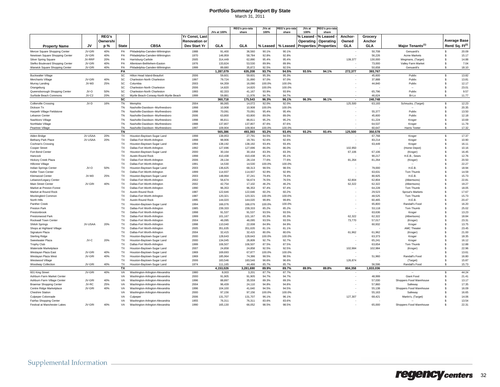## **Portfolio Summary Report By State**

| March 31, 2011 |
|----------------|
|----------------|

|                                                |         |              |                        |                                                            |                      | JVs at 100%        | REG's pro-rata<br>share | JVsam<br>100%  | <b>EG's pro-rat</b><br>share | JVs.at<br>100% | :EG's pro-rata<br>share      |               |                   |                              |                    |                             |
|------------------------------------------------|---------|--------------|------------------------|------------------------------------------------------------|----------------------|--------------------|-------------------------|----------------|------------------------------|----------------|------------------------------|---------------|-------------------|------------------------------|--------------------|-----------------------------|
|                                                |         | <b>REG's</b> |                        |                                                            | Yr Const, Last       |                    |                         |                |                              | % Leased       | % Leased                     | <b>Anchor</b> | Grocery           |                              |                    |                             |
|                                                |         | Ownershi     |                        |                                                            | <b>Renovation or</b> |                    |                         |                |                              | Operating      | Operating                    | Owned         | Anchor            |                              |                    | <b>Average Base</b>         |
|                                                |         |              |                        | <b>CBSA</b>                                                |                      | GLA                |                         |                |                              |                |                              |               |                   |                              |                    | Rent/ Sq. Ft <sup>(2)</sup> |
| <b>Property Name</b>                           | JV      | p %          | <b>State</b>           |                                                            | Dev Start Yr         |                    | GLA                     | % Leased       | % Leased                     |                | <b>Properties Properties</b> | GLA           | <b>GLA</b>        | Major Tenants <sup>(1)</sup> |                    |                             |
| Mercer Square Shopping Center                  | JV-GRI  | 40%          | PA                     | Philadelphia-Camden-Wilmington                             | 1988                 | 91,400             | 36,560                  | 90.1%          | 90.1%                        |                |                              |               | 50,708            | Genuardi's                   | $\mathbf{\hat{s}}$ | 20.09                       |
| Newtown Square Shopping Center                 | JV-GRI  | 40%          | PA                     | Philadelphia-Camden-Wilmington                             | 1970                 | 146,959            | 58,784                  | 92.8%          | 92.8%                        |                |                              |               | 56,226            | Acme Markets                 | \$.                | 15.17                       |
| <b>Silver Spring Square</b>                    | JV-RRP  | 20%          | PA                     | Harrisburg-Carlisle                                        | 2005                 | 314,449            | 62,890                  | 95.4%          | 95.4%                        |                |                              | 139,377       | 130,000           | Wegmans, (Target)            | $\mathbf{\hat{s}}$ | 14.88                       |
| Stefko Boulevard Shopping Center               | JV-GRI  | 40%          | PA                     | Allentown-Bethlehem-Easton                                 | 1976                 | 133,824            | 53,530                  | 89.9%          | 89.9%                        |                |                              |               | 73,000            | Valley Farm Market           | \$                 | 7.04                        |
| Warwick Square Shopping Center                 | JV-GRI  | 40%          | PA                     | Philadelphia-Camden-Wilmington                             | 1999                 | 89.680             | 35.872                  | 92.5%          | 92.5%                        |                |                              |               | 50.658            | Genuardi's                   | \$.                | 18.10                       |
|                                                |         |              | PA<br>SC               |                                                            | 2006                 | 1,287,079          | 635,208                 | 93.7%          | 94.5%                        | 93.5%          | 94.1%                        | 272,377       | 393,767<br>45,600 | Publix                       | s.                 | 13.82                       |
| <b>Buckwalter Village</b><br>Merchants Village | JV-GRI  | 40%          | SC                     | Hilton Head Island-Beaufort<br>Charleston-North Charleston | 1997                 | 59,601<br>79,724   | 59,601<br>31,890        | 95.3%<br>97.0% | 95.3%<br>97.0%               |                |                              |               | 37,888            | Publix                       | \$                 | 13.81                       |
|                                                | JV-M3   | 25%          | SC                     | Columbia                                                   | 2003                 | 64,359             | 16,090                  | 100.0%         | 100.0%                       |                |                              |               | 44,840            | Publix                       | \$                 | 12.17                       |
| Murray Landing<br>Orangeburg                   |         |              | SC                     | Charleston-North Charleston                                | 2006                 | 14,820             | 14,820                  | 100.0%         | 100.0%                       |                |                              |               |                   |                              | \$                 | 23.01                       |
| Queensborough Shopping Center                  | JV-O    | 50%          | SC                     | Charleston-North Charleston                                | 1993                 | 82,333             | 41,167                  | 93.9%          | 93.9%                        |                |                              |               | 65,796            | Publix                       | s                  | 9.57                        |
| Surfside Beach Commons                         | JV-C2   | 20%          | SC                     | Myrtle Beach-Conway-North Myrtle Beach                     | 1999                 | 59.881             | 11.976                  | 94.7%          | 94.7%                        |                |                              |               | 46,624            | Bi-Lo                        | \$.                | 11.77                       |
|                                                |         |              | $\overline{\text{sc}}$ |                                                            |                      | 360,718            | 175,543                 | 96.3%          | 96.1%                        | 96.3%          | 96.1%                        |               | 240,748           |                              |                    |                             |
| <b>Collierville Crossing</b>                   | JV-D    | 16%          | TN                     | Memphis                                                    | 2004                 | 86,065             | 14,072                  | 92.0%          | 92.0%                        |                |                              | 125,500       | 63,193            | Schnucks, (Target)           | \$                 | 12.23                       |
| Dickson Tn                                     |         |              | <b>TN</b>              | Nashville-Davidson--Murfreesboro                           | 1998                 | 10,908             | 10,908                  | 100.0%         | 100.0%                       |                |                              |               |                   |                              | s.                 | 20.35                       |
| Harpeth Village Fieldstone                     |         |              | TN                     | Nashville-Davidson--Murfreesboro                           | 1998                 | 70,091             | 70,091                  | 95.4%          | 95.4%                        |                |                              |               | 55,377            | Publix                       | \$                 | 13.50                       |
| Lebanon Center                                 |         |              | TN                     | Nashville-Davidson--Murfreesboro                           | 2006                 | 63,800             | 63,800                  | 89.0%          | 89.0%                        |                |                              |               | 45,600            | Publix                       | \$                 | 12.18                       |
| Nashboro Village                               |         |              | <b>TN</b>              | Nashville-Davidson--Murfreesboro                           | 1998                 | 86.811             | 86.811                  | 95.2%          | 95.2%                        |                |                              |               | 61,224            | Kroger                       | s.                 | 10.69                       |
| Northlake Village                              |         |              | <b>TN</b>              | Nashville-Davidson--Murfreesboro                           | 1988                 | 137,807            | 137,807                 | 87.6%          | 87.6%                        |                |                              |               | 64,537            | Kroger                       | \$                 | 11.79                       |
| Peartree Village                               |         |              | TN                     | Nashville-Davidson--Murfreesboro                           | 1997                 | 109.904            | 109.904                 | 100.0%         | 100.0%                       |                |                              |               | 60,647            | <b>Harris Teeter</b>         | \$                 | 17.32                       |
|                                                |         |              | <b>TN</b>              |                                                            |                      | 565.386            | 493.393                 | 93.2%          | 93.4%                        | 93.2%          | 93.4%                        | 125.500       | 350.578           |                              |                    |                             |
| Alden Bridge                                   | JV-USAA | 20%          | TX                     | Houston-Baytown-Sugar Land                                 | 1998                 | 138,953            | 27,791                  | 94.5%          | 94.5%                        |                |                              |               | 67,768            | Kroger                       | Ŝ.                 | 17.37                       |
| Bethany Park Place                             | JV-USAA | 20%          | TX                     | Dallas-Fort Worth-Arlington                                | 1998                 | 98,906             | 19,781                  | 92.6%          | 92.6%                        |                |                              |               | 83,214            | Kroger                       | \$                 | 10.90                       |
| Cochran's Crossing                             |         |              | <b>TX</b>              | Houston-Baytown-Sugar Land                                 | 1994                 | 138,192            | 138,192                 | 93.4%          | 93.4%                        |                |                              |               | 63,449            | Kroger                       | s.                 | 16.11                       |
| Cooper Street                                  |         |              | TX                     | Dallas-Fort Worth-Arlington                                | 1992                 | 127,696            | 127,696                 | 86.0%          | 86.0%                        |                |                              | 102,950       |                   | (Home Depot)                 | \$                 | 10.16                       |
| Fort Bend Center                               |         |              | TX                     | Houston-Baytown-Sugar Land                                 | 2000                 | 30,164             | 30,164                  | 83.3%          | 83.3%                        |                |                              | 67,106        | 67,106            | (Kroger)                     | s                  | 16.45                       |
| Hancock                                        |         |              | <b>TX</b>              | Austin-Round Rock                                          | 1998                 | 410.438            | 410.438                 | 95.1%          | 95.1%                        |                |                              |               | 90.217            | H.E.B., Sears                | $\mathbf{\hat{s}}$ | 12.76                       |
| Hickory Creek Plaza                            |         |              | TX                     | Dallas-Fort Worth-Arlington                                | 2006                 | 28,134             | 28,134                  | 77.6%          | 77.6%                        |                |                              | 81,264        | 81,264            | (Kroger)                     | \$                 | 20.50                       |
| <b>Hillcrest Village</b>                       |         |              | TX                     | Dallas-Fort Worth-Arlington                                | 1991                 | 14,530             | 14,530                  | 100.0%         | 100.0%                       |                |                              |               |                   |                              | \$                 | 22.27                       |
| Indian Springs Center                          | JV-O    | 50%          | <b>TX</b>              | Houston-Baytown-Sugar Land                                 | 2003                 | 136.625            | 68.313                  | 98.5%          | 98.5%                        |                |                              |               | 79,000            | H.E.B.                       | \$.                | 18.94                       |
| Keller Town Center                             |         |              | TX                     | Dallas-Fort Worth-Arlington                                | 1999                 | 114,937            | 114,937                 | 92.9%          | 92.9%                        |                |                              |               | 63,631            | Tom Thumb                    | \$                 | 14.59                       |
| Kleinwood Center                               | JV-M3   | 25%          | TX                     | Houston-Baytown-Sugar Land                                 | 2003                 | 148,964            | 37,241                  | 79.4%          | 79.4%                        |                |                              |               | 80,925            | H.E.B.                       | \$                 | 15.73                       |
| Lebanon/Legacy Center                          |         |              | <b>TX</b>              | Dallas-Fort Worth-Arlington                                | 2002                 | 56.674             | 56.674                  | 76.5%          | 76.5%                        |                |                              | 62.804        | 62.804            | (Albertsons)                 | $\mathbf{\hat{s}}$ | 22.81                       |
| Main Street Center                             | JV-GRI  | 40%          | <b>TX</b>              | Dallas-Fort Worth-Arlington                                | 2002                 | 42,754             | 17,102                  | 46.2%          | 46.2%                        |                |                              | 62,322        | 62,322            | (Albertsons)                 | s                  | 19.27                       |
| Market at Preston Forest                       |         |              | TX                     | Dallas-Fort Worth-Arlington                                | 1990                 | 96,353             | 96,353                  | 97.4%          | 97.4%                        |                |                              |               | 64,228            | Tom Thumb                    | s                  | 18.05                       |
| Market at Round Rock                           |         |              | <b>TX</b>              | Austin-Round Rock                                          | 1987                 | 122.646            | 122.646                 | 60.2%          | 60.2%                        |                |                              |               | 29.523            | Sprout's Markets             | \$.                | 17.67                       |
| Mockingbird Common                             |         |              | <b>TX</b>              | Dallas-Fort Worth-Arlington                                | 1987                 | 120,321            | 120,321                 | 100.0%         | 100.0%                       |                |                              |               | 48,525            | Tom Thumb                    | s                  | 15.73                       |
| North Hills                                    |         |              | <b>TX</b>              | Austin-Round Rock                                          | 1995                 | 144,020            | 144,020                 | 99.8%          | 99.8%                        |                |                              |               | 60,465            | H.E.B.                       | s                  | 20.47                       |
| Panther Creek                                  |         |              | <b>TX</b>              | Houston-Baytown-Sugar Land                                 | 1994                 | 166.076            | 166,076                 | 100.0%         | 100.0%                       |                |                              |               | 65,800            | Randall's Food               | $\mathbf{\hat{s}}$ | 16.20                       |
| Preston Park                                   |         |              | TX                     | Dallas-Fort Worth-Arlington                                | 1985                 | 239,333            | 239,333                 | 85.2%          | 85.2%                        |                |                              |               | 53,118            | Tom Thumb                    | \$                 | 25.02                       |
| Prestonbrook                                   |         |              | TX                     | Dallas-Fort Worth-Arlington                                | 1998                 | 91,537             | 91,537                  | 93.5%          | 93.5%                        |                |                              |               | 63,636            | Kroger                       | \$                 | 13.23                       |
| Prestonwood Park                               |         |              | <b>TX</b>              | Dallas-Fort Worth-Arlington                                | 1999                 | 101.167            | 101,167                 | 65.3%          | 65.3%                        |                |                              | 62.322        | 62,322            | (Albertsons)                 | $\mathbf{\hat{s}}$ | 18.84                       |
| Rockwall Town Center                           |         |              | TX                     | Dallas-Fort Worth-Arlington                                | 2004                 | 46.095             | 46,095                  | 93.5%          | 93.5%                        |                |                              | 73,770        | 57,017            | (Kroger)                     | \$                 | 23.31                       |
| <b>Shiloh Springs</b>                          | JV-USAA | 20%          | <b>TX</b>              | Dallas-Fort Worth-Arlington                                | 1998                 | 110.040            | 22,008                  | 84.9%          | 84.9%                        |                |                              |               | 60,932            | Kroger                       | \$.                | 13.75                       |
| Shops at Highland Village                      |         |              | <b>TX</b>              | Dallas-Fort Worth-Arlington                                | 2005                 | 351.635            | 351.635                 | 81.1%          | 81.1%                        |                |                              |               |                   | AMC Theate                   | \$.                | 23.45                       |
| Signature Plaza                                |         |              | TX                     | Dallas-Fort Worth-Arlington                                | 2004                 | 32,415             | 32,415                  | 80.0%          | 80.0%                        |                |                              | 61,962        | 61,962            | (Kroger)                     | s                  | 21.00                       |
| <b>Sterling Ridge</b>                          |         |              | <b>TX</b>              | Houston-Baytown-Sugar Land                                 | 2000                 | 128.643            | 128,643                 | 100.0%         | 100.0%                       |                |                              |               | 63.373            | Kroger                       | \$.                | 18.35                       |
| Sweetwater Plaza                               | JV-C    | 20%          | <b>TX</b><br><b>TX</b> | Houston-Baytown-Sugar Land                                 | 2000<br>1999         | 134.045<br>106,507 | 26,809<br>106,507       | 92.7%<br>87.5% | 92.7%<br>87.5%               |                |                              |               | 65,241<br>63,654  | Kroger<br>Tom Thumb          | $\mathbf{\hat{s}}$ | 16.12<br>12.88              |
| Trophy Club<br>Waterside Marketplace           |         |              | <b>TX</b>              | Dallas-Fort Worth-Arlington<br>Houston-Baytown-Sugar Land  | 2007                 | 24,858             | 24,858                  | 92.5%          | 92.5%                        |                |                              | 102,984       | 102,984           |                              | s<br>s             | 22.96                       |
| Weslayan Plaza East                            | JV-GRI  | 40%          | TX                     | Houston-Baytown-Sugar Land                                 | 1969                 | 169,693            | 67,877                  | 100.0%         | 100.0%                       |                |                              |               |                   | (Kroger)                     | \$.                | 13.61                       |
| Weslayan Plaza West                            | JV-GRI  | 40%          | <b>TX</b>              | Houston-Baytown-Sugar Land                                 | 1969                 | 185,964            | 74,386                  | 98.5%          | 98.5%                        |                |                              | ٠.            | 51,960            | Randall's Food               | \$                 | 16.80                       |
| Westwood Village                               |         |              | <b>TX</b>              | Houston-Baytown-Sugar Land                                 | 2006                 | 183,546            | 183,546                 | 96.6%          | 96.6%                        |                |                              | 126,874       |                   | (Target)                     | \$                 | 15.87                       |
| Woodway Collection                             | JV-GRI  | 40%          | TX                     | Houston-Baytown-Sugar Land                                 | 1974                 | 111,165            | 44.466                  | 85.7%          | 85.7%                        |                |                              |               | 56,596            | Randall's Food               | \$.                | 15.73                       |
|                                                |         |              | TX                     |                                                            |                      | 4.153.026          | 3,281,690               | 89.9%          | 89.7%                        | 89.9%          | 89.8%                        | 804,358       | 1,833,036         |                              |                    |                             |
| 601 King Street                                | JV-GRI  | 40%          | VA                     | Washington-Arlington-Alexandria                            | 1980                 | 8,003              | 3,201                   | 87.7%          | 87.7%                        |                |                              |               |                   |                              | \$                 | 44.24                       |
| Ashburn Farm Market Center                     |         |              | VA                     | Washington-Arlington-Alexandria                            | 2000                 | 91,905             | 91,905                  | 94.7%          | 94.7%                        |                |                              |               | 48,999            | Giant Food                   | \$                 | 21.41                       |
| Ashburn Farm Village Center                    | JV-GRI  | 40%          | VA                     | Washington-Arlington-Alexandria                            | 1996                 | 88,897             | 35,559                  | 89.3%          | 89.3%                        |                |                              |               | 57,030            | Shoppers Food Warehouse      | \$                 | 13.17                       |
| <b>Braemar Shopping Center</b>                 | JV-RC   | 25%          | VA                     | Washington-Arlington-Alexandria                            | 2004                 | 96,439             | 24,110                  | 94.8%          | 94.8%                        |                |                              |               | 57,860            | Safeway                      | s                  | 17.35                       |
| Centre Ridge Marketplace                       | JV-GRI  | 40%          | VA                     | Washington-Arlington-Alexandria                            | 1996                 | 104,100            | 41,640                  | 94.5%          | 94.5%                        |                |                              |               | 55,138            | Shoppers Food Warehouse      | \$                 | 16.09                       |
| <b>Cheshire Station</b>                        |         |              | VA                     | Washington-Arlington-Alexandria                            | 2000                 | 97,156             | 97,156                  | 100.0%         | 100.0%                       |                |                              |               | 55,163            | Safeway                      | S                  | 16.65                       |
| <b>Culpeper Colonnade</b>                      |         |              | VA                     | Culpeper                                                   | 2006                 | 131,707            | 131,707                 | 96.1%          | 96.1%                        |                |                              | 127,307       | 68,421            | Martin's, (Target)           | s                  | 14.06                       |
| Fairfax Shopping Center                        |         |              | VA                     | Washington-Arlington-Alexandria                            | 1955                 | 76,311             | 76,311                  | 83.6%          | 83.6%                        |                |                              |               |                   |                              | \$.                | 13.54                       |
| Festival at Manchester Lakes                   | JV-GRI  | 40%          | VA                     | Washington-Arlington-Alexandria                            | 1990                 | 165.130            | 66.052                  | 98.5%          | 98.5%                        |                |                              |               | 65.000            | Shoppers Food Warehouse      | s                  | 22.31                       |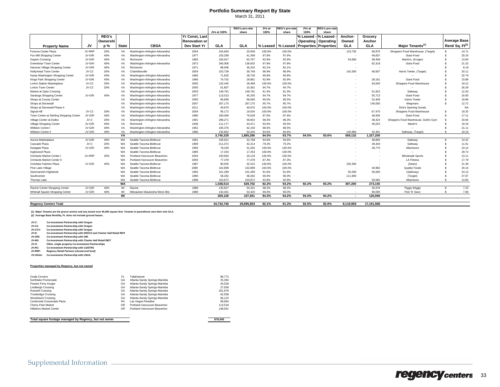|                                         |        |              |              |                                 |                       |             | REG's pro-rata | JVs at   | <b>REG's pro-rata</b> | JVs at              | <b>EG's pro-rata</b>         |                          |            |                                     |                    |                             |
|-----------------------------------------|--------|--------------|--------------|---------------------------------|-----------------------|-------------|----------------|----------|-----------------------|---------------------|------------------------------|--------------------------|------------|-------------------------------------|--------------------|-----------------------------|
|                                         |        |              |              |                                 |                       | JVs at 100% | share          | 100%     | share                 | 100%                | share                        |                          |            |                                     |                    |                             |
|                                         |        | <b>REG's</b> |              |                                 | <b>Yr Const, Last</b> |             |                |          |                       | % Leased - % Leased |                              | Anchor-                  | Grocery    |                                     |                    |                             |
|                                         |        | Ownershi     |              |                                 | <b>Renovation or</b>  |             |                |          |                       |                     | <b>Operating Operating</b>   | Owned                    | Anchor     |                                     |                    | <b>Average Base</b>         |
| <b>Property Name</b>                    | JV     | $p\%$        | <b>State</b> | <b>CBSA</b>                     | Dev Start Yr          | GLA         | <b>GLA</b>     | % Leased | % Leased              |                     | <b>Properties Properties</b> | GLA                      | GLA        | Major Tenants <sup>(1)</sup>        |                    | Rent/ Sq. Ft <sup>(2)</sup> |
| Fortuna Center Plaza                    | JV-RRP | 20%          | VA           | Washington-Arlington-Alexandria | 2004                  | 104,694     | 20,939         | 100.0%   | 100.0%                |                     |                              | 123,735                  | 66,870     | Shoppers Food Warehouse, (Target)   | -S                 | 14.71                       |
| Fox Mill Shopping Center                | JV-GRI | 40%          | VA           | Washington-Arlington-Alexandria | 1977                  | 103.269     | 41,308         | 97.6%    | 97.6%                 |                     |                              |                          | 49,837     | <b>Giant Food</b>                   | $\hat{\mathbf{x}}$ | 20.24                       |
| Gayton Crossing                         | JV-GRI | 40%          | VA           | Richmond                        | 1983                  | 156.917     | 62.767         | 92.9%    | 92.9%                 |                     |                              | 54,606                   | 38,408     | Martin's, (Kroger)                  |                    | 13.65                       |
| <b>Greenbriar Town Center</b>           | JV-GRI | 40%          | VA           | Washington-Arlington-Alexandria | 1972                  | 340,006     | 136,002        | 97.8%    | 97.8%                 |                     |                              | $\overline{\phantom{a}}$ | 62,319     | Giant Food                          |                    | 21.32                       |
| Hanover Village Shopping Center         | JV-GRI | 40%          | VA           | Richmond                        | 1971                  | 88,006      | 35,202         | 82.1%    | 82.1%                 |                     |                              |                          | ٠.         | $\sim$                              |                    | 8.19                        |
| <b>Hollymead Town Center</b>            | JV-C2  | 20%          | VA           | Charlottesville                 | 2004                  | 153.739     | 30.748         | 96.9%    | 96.9%                 |                     |                              | 142,500                  | 60,607     | Harris Teeter, (Target)             |                    | 20.11                       |
| Kamp Washington Shopping Center         | JV-GRI | 40%          | VA           | Washington-Arlington-Alexandria | 1960                  | 71.825      | 28,730         | 95.8%    | 95.8%                 |                     |                              |                          |            |                                     |                    | 32.79                       |
| Kings Park Shopping Center              | JV-GRI | 40%          | VA           | Washington-Arlington-Alexandria | 1966                  | 74,702      | 29.881         | 92.9%    | 92.9%                 |                     |                              |                          | 28,161     | Giant Food                          |                    | 23.89                       |
| <b>Lorton Station Marketplace</b>       | JV-C2  | 20%          | VA           | Washington-Arlington-Alexandria | 2005                  | 132,445     | 26,489         | 100.0%   | 100.0%                |                     |                              |                          | 63,000     | Shoppers Food Warehouse             | $\mathbf{\hat{s}}$ | 19.12                       |
| Lorton Town Center                      | JV-C2  | 20%          | VA           | Washington-Arlington-Alexandria | 2005                  | 51,807      | 10,361         | 94.7%    | 94.7%                 |                     |                              |                          | ٠.         |                                     |                    | 26.29                       |
| Market at Opitz Crossing                |        |              | VA           | Washington-Arlington-Alexandria | 2003                  | 149.791     | 149.791        | 81.3%    | 81.3%                 |                     |                              |                          | 51,922     | Safeway                             |                    | 12.20                       |
| Saratoga Shopping Center                | JV-GRI | 40%          | VA           | Washington-Arlington-Alexandria | 1977                  | 113,013     | 45.205         | 94.7%    | 94.7%                 |                     |                              |                          | 55.713     | <b>Giant Food</b>                   |                    | 16.93                       |
| Shops at County Center                  |        |              | VA           | Washington-Arlington-Alexandria | 2005                  | 96.695      | 96.695         | 95.5%    | 95.5%                 |                     |                              |                          | 52.409     | <b>Harris Teeter</b>                |                    | 19.96                       |
| Shops at Stonewall                      |        |              | VA           | Washington-Arlington-Alexandria | 2007                  | 267.175     | 267.175        | 95.7%    | 95.7%                 |                     |                              |                          | 140,000    | Wegmans                             | $\hat{\mathbf{x}}$ | 12.72                       |
| Shops at Stonewall Phase II             |        |              | VA           | Washington-Arlington-Alexandria | 2011                  | 40.670      | 40.670         | 100.0%   | 100.0%                |                     |                              |                          | ٠.         | Dick's Sporting Goods               |                    | <b>NA</b>                   |
| Signal Hill                             | JV-C2  | 20%          | VA           | Washington-Arlington-Alexandria | 2004                  | 95.172      | 19.034         | 100.0%   | 100.0%                |                     |                              |                          | 67.470     | Shoppers Food Warehouse             | $\mathbf{\hat{s}}$ | 19.25                       |
| Town Center at Sterling Shopping Center | JV-GRI | 40%          | VA           | Washington-Arlington-Alexandria | 1980                  | 190.069     | 76,028         | 87.6%    | 87.6%                 |                     |                              |                          | 46,935     | Giant Food                          | $\mathbf{\hat{s}}$ | 17.11                       |
| Village Center at Dulles                | JV-C   | 20%          | VA           | Washington-Arlington-Alexandria | 1991                  | 298,271     | 59,654         | 98.3%    | 98.3%                 |                     |                              |                          | 48,424     | Shoppers Food Warehouse, Gold's Gym | $\mathbf{\hat{s}}$ | 20.65                       |
| Village Shopping Center                 | JV-GRI | 40%          | VA           | Richmond                        | 1948                  | 111,177     | 44.471         | 93.5%    | 93.5%                 |                     |                              |                          | 45,023     | Martin's                            |                    | 19.16                       |
| Willston Centre I                       | JV-GRI | 40%          | VA           | Washington-Arlington-Alexandria | 1952                  | 105,376     | 42,150         | 88.5%    | 88.5%                 |                     |                              |                          |            | $\overline{\phantom{a}}$            |                    | 21.11                       |
| Willston Centre II                      | JV-GRI | 40%          | VA           | Washington-Arlington-Alexandria | 1986                  | 135.862     | 54.345         | 94.6%    | 94.6%                 |                     |                              | 140.984                  | 42.491     | Safeway, (Target)                   |                    | 19.19                       |
|                                         |        |              | VA           |                                 |                       | 3,740,329   | 1,885,286      | 94.5%    | 93.7%                 | 94.5%               | 93.6%                        | 589,132                  | 1,327,200  |                                     |                    |                             |
| Aurora Marketplace                      | JV-GRI | 40%          | WA           | Seattle-Tacoma-Bellevue         | 1991                  | 106.921     | 42.768         | 94.6%    | 94.6%                 |                     |                              |                          | 48.893     | Safeway                             | $\mathbf{s}$       | 14.41                       |
| Cascade Plaza                           | JV-C   | 20%          | <b>WA</b>    | Seattle-Tacoma-Bellevue         | 1999                  | 211.072     | 42.214         | 79.2%    | 79.2%                 |                     |                              |                          | 49.440     | Safeway                             |                    | 11.01                       |
| Eastgate Plaza                          | JV-GRI | 40%          | <b>WA</b>    | Seattle-Tacoma-Bellevue         | 1956                  | 78,230      | 31.292         | 100.0%   | 100.0%                |                     |                              |                          | 28,775     | Albertsons                          |                    | 23.14                       |
| Inglewood Plaza                         |        |              | <b>WA</b>    | Seattle-Tacoma-Bellevue         | 1985                  | 17,253      | 17,253         | 100.0%   | 100.0%                |                     |                              |                          | ٠          | $\overline{\phantom{a}}$            |                    | 29.72                       |
| Orchards Market Center                  | JV-RRP | 20%          | <b>WA</b>    | Portland-Vancouver-Beaverton    | 2004                  | 100,663     | 20.133         | 100.0%   | 100.0%                |                     |                              |                          |            | <b>Wholesale Sports</b>             |                    | 13.11                       |
| Orchards Market Center II               |        |              | <b>WA</b>    | Portland-Vancouver-Beaverton    | 2005                  | 77,478      | 77,478         | 87.3%    | 87.3%                 |                     |                              |                          | ٠          | <b>LA Fitness</b>                   |                    | 17.79                       |
| Overlake Fashion Plaza                  | JV-GRI | 40%          | <b>WA</b>    | Seattle-Tacoma-Bellevue         | 1987                  | 80.555      | 32.222         | 100.0%   | 100.0%                |                     |                              | 230,300                  |            | (Sears)                             |                    | 21.36                       |
| Pine Lake Village                       |        |              | <b>WA</b>    | Seattle-Tacoma-Bellevue         | 1989                  | 102,899     | 102,899        | 100.0%   | 100.0%                |                     |                              |                          | 40,982     | <b>Quality Foods</b>                | $\mathbf{\hat{s}}$ | 20.14                       |
| Sammamish-Highlands                     |        |              | <b>WA</b>    | Seattle-Tacoma-Bellevue         | 1992                  | 101,289     | 101,289        | 91.6%    | 91.6%                 |                     |                              | 55,000                   | 55,000     | (Safeway)                           |                    | 24.12                       |
| Southcenter                             |        |              | WA           | Seattle-Tacoma-Bellevue         | 1990                  | 58.282      | 58.282         | 90.0%    | 90.0%                 |                     |                              | 111,900                  |            | (Target)                            |                    | 27.07                       |
| <b>Thomas Lake</b>                      |        |              | <b>WA</b>    | Seattle-Tacoma-Bellevue         | 1998                  | 103.872     | 103.872        | 92.8%    | 92.8%                 |                     |                              |                          | 50.065     | Albertsons                          |                    | 14.83                       |
|                                         |        |              | <b>WA</b>    |                                 |                       | 1.038.514   | 629.702        | 92.2%    | 93.2%                 | 92.2%               | 93.2%                        | 397,200                  | 273,155    |                                     |                    |                             |
| Racine Centre Shopping Center           | JV-GRI | 40%          | WI           | Racine                          | 1988                  | 135.827     | 54,331         | 98.2%    | 98.2%                 |                     |                              |                          | 50,979     | Piggly Wiggly                       | $\mathbf{s}$       | 7.23                        |
| Whitnall Square Shopping Center         | JV-GRI | 40%          | WI           | Milwaukee-Waukesha-West Allis   | 1989                  | 133,301     | 53,320         | 90.0%    | 90.0%                 |                     |                              |                          | 69,090     | Pick 'N' Save                       | $\mathbf{\hat{s}}$ | 7.68                        |
|                                         |        |              | WI           |                                 |                       | 269.128     | 107.651        | 94.2%    | 94.2%                 | 94.2%               | 94.2%                        | $\sim$                   | 120.069    |                                     |                    |                             |
|                                         |        |              |              |                                 |                       |             |                |          |                       |                     |                              |                          |            |                                     |                    |                             |
| <b>Regency Centers Total</b>            |        |              |              |                                 |                       | 44.743.740  | 29.895.803     | 92.1%    | 91.3%                 | 92.5%               | 92.0%                        | 8.119.959                | 17.191.568 |                                     |                    |                             |

**(1) Major Tenants are the grocer anchor and any tenant over 40,000 square feet. Tenants in parenthesis own their own GLA. (2) Average Base Rent/Sq. Ft. does not include ground leases.**

**JV-C: Co-investment Partnership with Oregon JV-C2: Co-investment Partnership with Oregon**

- **JV-CCV: Co-investment Partnership with Oregon JV-D: Co-investment Partnership with DESCO and Charter Hall Retail REIT**
- **JV-GRI: Co-investment Partnership with GRI**
- **JV-M3: Co-investment Partnership with Charter Hall Retail REIT**
- **JV-O: Other, single property Co-investment Partnerships**
- **JV-RC: Co-investment Partnership with CalSTRS JV-RRP: Regency Retail Partners (closed-end fund)**
- 
- **JV-USAA: Co-investment Partnership with USAA**

#### **Properties managed by Regency, but not owned**

| Ocala Comers<br>FL                          | Tallahassee                    | 86,772  |
|---------------------------------------------|--------------------------------|---------|
| Northlake Promenade<br>GA                   | Atlanta-Sandy Springs-Marietta | 25.394  |
| GA<br>Powers Ferry Kroger                   | Atlanta-Sandy Springs-Marietta | 45.528  |
| GA<br><b>Lindbergh Crossing</b>             | Atlanta-Sandy Springs-Marietta | 27.059  |
| Roswell Crossing<br>GA                      | Atlanta-Sandy Springs-Marietta | 201.979 |
| GA<br><b>Trowbridge Crossing</b>            | Atlanta-Sandy Springs-Marietta | 62.558  |
| <b>Woodstock Crossing</b><br>GA             | Atlanta-Sandy Springs-Marietta | 66.122  |
| Centennial Crossroads Plaza<br><b>NV</b>    | Las Vegas-Paradise             | 99.064  |
| OR<br>Cherry Park Market                    | Portland-Vancouver-Beaverton   | 113,518 |
| <b>Hillsboro Market Center</b><br><b>OR</b> | Portland-Vancouver-Beaverton   | 148.051 |

#### **Total square footage managed by Regency, but not owned 876,045**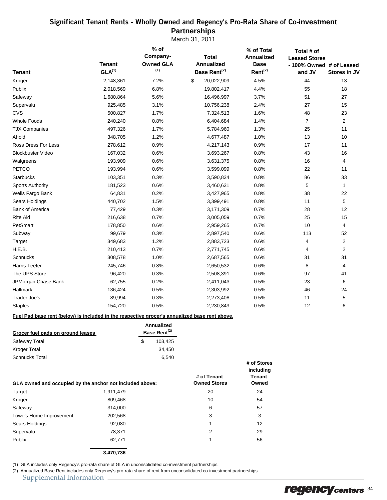## Significant Tenant Rents - Wholly Owned and Regency's Pro-Rata Share of Co-**investment Partnerships**

March 31, 2011

| <b>Tenant</b>                                                                                 | <b>Tenant</b><br>GLA <sup>(1)</sup> | % of<br>Company-<br><b>Owned GLA</b><br>(1) | <b>Total</b><br><b>Annualized</b><br>Base Rent <sup>(2)</sup> | % of Total<br><b>Annualized</b><br><b>Base</b><br>Rent <sup>(2)</sup> | Total # of<br><b>Leased Stores</b><br>- 100% Owned # of Leased<br>and JV | Stores in JV   |  |
|-----------------------------------------------------------------------------------------------|-------------------------------------|---------------------------------------------|---------------------------------------------------------------|-----------------------------------------------------------------------|--------------------------------------------------------------------------|----------------|--|
| Kroger                                                                                        | 2,148,361                           | 7.2%                                        | \$<br>20,022,909                                              | 4.5%                                                                  | 44                                                                       | 13             |  |
| Publix                                                                                        | 2,018,569                           | 6.8%                                        | 19,802,417                                                    | 4.4%                                                                  | 55                                                                       | 18             |  |
| Safeway                                                                                       | 1,680,864                           | 5.6%                                        | 16,496,997                                                    | 3.7%                                                                  | 51                                                                       | 27             |  |
| Supervalu                                                                                     | 925,485                             | 3.1%                                        | 10,756,238                                                    | 2.4%                                                                  | 27                                                                       | 15             |  |
| <b>CVS</b>                                                                                    | 500,827                             | 1.7%                                        | 7,324,513                                                     | 1.6%                                                                  | 48                                                                       | 23             |  |
| <b>Whole Foods</b>                                                                            | 240,240                             | 0.8%                                        | 6,404,684                                                     | 1.4%                                                                  | $\overline{7}$                                                           | $\overline{2}$ |  |
| <b>TJX Companies</b>                                                                          | 497,326                             | 1.7%                                        | 5,784,960                                                     | 1.3%                                                                  | 25                                                                       | 11             |  |
| Ahold                                                                                         | 348,705                             | 1.2%                                        | 4,677,487                                                     | 1.0%                                                                  | 13                                                                       | 10             |  |
| Ross Dress For Less                                                                           | 278,612                             | 0.9%                                        | 4,217,143                                                     | 0.9%                                                                  | 17                                                                       | 11             |  |
| <b>Blockbuster Video</b>                                                                      | 167,032                             | 0.6%                                        | 3,693,267                                                     | 0.8%                                                                  | 43                                                                       | 16             |  |
| Walgreens                                                                                     | 193,909                             | 0.6%                                        | 3,631,375                                                     | 0.8%                                                                  | 16                                                                       | 4              |  |
| PETCO                                                                                         | 193,994                             | 0.6%                                        | 3,599,099                                                     | 0.8%                                                                  | 22                                                                       | 11             |  |
| <b>Starbucks</b>                                                                              | 103,351                             | 0.3%                                        | 3,590,834                                                     | 0.8%                                                                  | 86                                                                       | 33             |  |
| <b>Sports Authority</b>                                                                       | 181,523                             | 0.6%                                        | 3,460,631                                                     | 0.8%                                                                  | 5                                                                        | 1              |  |
| Wells Fargo Bank                                                                              | 64,831                              | 0.2%                                        | 3,427,965                                                     | 0.8%                                                                  | 38                                                                       | 22             |  |
| Sears Holdings                                                                                | 440,702                             | 1.5%                                        | 3,399,491                                                     | 0.8%                                                                  | 11                                                                       | 5              |  |
| <b>Bank of America</b>                                                                        | 77,429                              | 0.3%                                        | 3,171,309                                                     | 0.7%                                                                  | 28                                                                       | 12             |  |
| <b>Rite Aid</b>                                                                               | 216,638                             | 0.7%                                        | 3,005,059                                                     | 0.7%                                                                  | 25                                                                       | 15             |  |
| PetSmart                                                                                      | 178,850                             | 0.6%                                        | 2,959,265                                                     | 0.7%                                                                  | 10                                                                       | 4              |  |
| Subway                                                                                        | 99,679                              | 0.3%                                        | 2,897,540                                                     | 0.6%                                                                  | 113                                                                      | 52             |  |
| Target                                                                                        | 349,683                             | 1.2%                                        | 2,883,723                                                     | 0.6%                                                                  | 4                                                                        | 2              |  |
| H.E.B.                                                                                        | 210,413                             | 0.7%                                        | 2,771,745                                                     | 0.6%                                                                  | 4                                                                        | $\overline{2}$ |  |
| <b>Schnucks</b>                                                                               | 308,578                             | 1.0%                                        | 2,687,565                                                     | 0.6%                                                                  | 31                                                                       | 31             |  |
| Harris Teeter                                                                                 | 245,746                             | 0.8%                                        | 2,650,532                                                     | 0.6%                                                                  | 8                                                                        | $\overline{4}$ |  |
| The UPS Store                                                                                 | 96,420                              | 0.3%                                        | 2,508,391                                                     | 0.6%                                                                  | 97                                                                       | 41             |  |
| JPMorgan Chase Bank                                                                           | 62,755                              | 0.2%                                        | 2,411,043                                                     | 0.5%                                                                  | 23                                                                       | 6              |  |
| Hallmark                                                                                      | 136,424                             | 0.5%                                        | 2,303,992                                                     | 0.5%                                                                  | 46                                                                       | 24             |  |
| Trader Joe's                                                                                  | 89,994                              | 0.3%                                        | 2,273,408                                                     | 0.5%                                                                  | 11                                                                       | 5              |  |
| <b>Staples</b>                                                                                | 154,720                             | 0.5%                                        | 2,230,843                                                     | 0.5%                                                                  | 12                                                                       | 6              |  |
| Fuel Pad base rent (below) is included in the respective grocer's annualized base rent above. |                                     |                                             |                                                               |                                                                       |                                                                          |                |  |
| Grocor fuel nade on around logene                                                             |                                     | <b>Annualized</b><br>$Baseo$ $Dont(2)$      |                                                               |                                                                       |                                                                          |                |  |

| Grocer fuel pads on ground leases | Base Rent <sup>(2)</sup> |         |  |
|-----------------------------------|--------------------------|---------|--|
| Safeway Total                     | £.                       | 103.425 |  |
| Kroger Total                      |                          | 34.450  |  |
| <b>Schnucks Total</b>             |                          | 6.540   |  |

| GLA owned and occupied by the anchor not included above: | # of Tenant-<br><b>Owned Stores</b> | including<br>Tenant-<br>Owned |    |
|----------------------------------------------------------|-------------------------------------|-------------------------------|----|
| Target                                                   | 1,911,479                           | 20                            | 24 |
| Kroger                                                   | 809.468                             | 10                            | 54 |
| Safeway                                                  | 314,000                             | 6                             | 57 |
| Lowe's Home Improvement                                  | 202,568                             | 3                             | 3  |
| Sears Holdings                                           | 92,080                              | 1                             | 12 |
| Supervalu                                                | 78.371                              | 2                             | 29 |
| Publix                                                   | 62,771                              | 1                             | 56 |
|                                                          | 3,470,736                           |                               |    |

(1) GLA includes only Regency's pro-rata share of GLA in unconsolidated co-investment partnerships.

(2) Annualized Base Rent includes only Regency's pro-rata share of rent from unconsolidated co-investment partnerships. Supplemental Information

**# of Stores**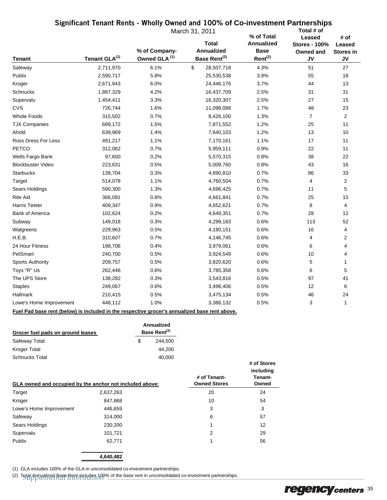## Significant Tenant Rents - Wholly Owned and 100% **of Co-investment Partnerships**

|                          |                           |                                          | March 31, 2011                                         | % of Total                                       | Total # of<br>Leased                           | # of                             |
|--------------------------|---------------------------|------------------------------------------|--------------------------------------------------------|--------------------------------------------------|------------------------------------------------|----------------------------------|
| <b>Tenant</b>            | Tenant GLA <sup>(1)</sup> | % of Company<br>Owned GLA <sup>(1)</sup> | <b>Total</b><br>Annualized<br>Base Rent <sup>(2)</sup> | <b>Annualized</b><br><b>Base</b><br>$Rent^{(2)}$ | <b>Stores - 100%</b><br>Owned and<br><b>JV</b> | Leased<br><b>Stores in</b><br>JV |
| Safeway                  | 2,711,970                 | 6.1%                                     | \$<br>28,507,718                                       | 4.3%                                             | 51                                             | 27                               |
| Publix                   | 2,590,717                 | 5.8%                                     | 25,530,538                                             | 3.9%                                             | 55                                             | 18                               |
| Kroger                   | 2,671,943                 | 6.0%                                     | 24,446,176                                             | 3.7%                                             | 44                                             | 13                               |
| Schnucks                 | 1,887,329                 | 4.2%                                     | 16,437,709                                             | 2.5%                                             | 31                                             | 31                               |
| Supervalu                | 1,454,411                 | 3.3%                                     | 16,320,307                                             | 2.5%                                             | 27                                             | 15                               |
| <b>CVS</b>               | 726,744                   | 1.6%                                     | 11,098,088                                             | 1.7%                                             | 48                                             | 23                               |
| <b>Whole Foods</b>       | 315,502                   | 0.7%                                     | 8,426,100                                              | 1.3%                                             | 7                                              | $\mathbf{2}$                     |
| <b>TJX Companies</b>     | 689,172                   | 1.5%                                     | 7,871,552                                              | 1.2%                                             | 25                                             | 11                               |
| Ahold                    | 639,969                   | 1.4%                                     | 7,640,103                                              | 1.2%                                             | 13                                             | 10                               |
| Ross Dress For Less      | 491,217                   | 1.1%                                     | 7,170,161                                              | 1.1%                                             | 17                                             | 11                               |
| <b>PETCO</b>             | 312,062                   | 0.7%                                     | 5,959,111                                              | 0.9%                                             | 22                                             | 11                               |
| Wells Fargo Bank         | 97,600                    | 0.2%                                     | 5,570,315                                              | 0.8%                                             | 38                                             | 22                               |
| <b>Blockbuster Video</b> | 223,631                   | 0.5%                                     | 5,009,760                                              | 0.8%                                             | 43                                             | 16                               |
| <b>Starbucks</b>         | 139,704                   | 0.3%                                     | 4,890,810                                              | 0.7%                                             | 86                                             | 33                               |
| Target                   | 514,078                   | 1.1%                                     | 4,760,504                                              | 0.7%                                             | 4                                              | 2                                |
| Sears Holdings           | 590,300                   | 1.3%                                     | 4,696,425                                              | 0.7%                                             | 11                                             | 5                                |
| <b>Rite Aid</b>          | 366,091                   | 0.8%                                     | 4,661,841                                              | 0.7%                                             | 25                                             | 15                               |
| <b>Harris Teeter</b>     | 409,347                   | 0.9%                                     | 4,652,621                                              | 0.7%                                             | 8                                              | 4                                |
| <b>Bank of America</b>   | 102,624                   | 0.2%                                     | 4,649,351                                              | 0.7%                                             | 28                                             | 12                               |
| Subway                   | 149,018                   | 0.3%                                     | 4,299,183                                              | 0.6%                                             | 113                                            | 52                               |
| Walgreens                | 229,963                   | 0.5%                                     | 4,180,151                                              | 0.6%                                             | 16                                             | 4                                |
| H.E.B.                   | 310,607                   | 0.7%                                     | 4,146,745                                              | 0.6%                                             | 4                                              | 2                                |
| 24 Hour Fitness          | 198,706                   | 0.4%                                     | 3,979,061                                              | 0.6%                                             | 6                                              | 4                                |
| PetSmart                 | 240,700                   | 0.5%                                     | 3,924,549                                              | 0.6%                                             | 10                                             | 4                                |
| <b>Sports Authority</b>  | 209,757                   | 0.5%                                     | 3,820,620                                              | 0.6%                                             | 5                                              | 1                                |
| Toys "R" Us              | 262,446                   | 0.6%                                     | 3,785,358                                              | 0.6%                                             | 6                                              | 5                                |
| The UPS Store            | 138,282                   | 0.3%                                     | 3,543,816                                              | 0.5%                                             | 97                                             | 41                               |
| <b>Staples</b>           | 249,067                   | 0.6%                                     | 3,496,406                                              | 0.5%                                             | 12                                             | 6                                |
| Hallmark                 | 210,415                   | 0.5%                                     | 3,475,134                                              | 0.5%                                             | 46                                             | 24                               |
| Lowe's Home Improvement  | 448,112                   | 1.0%                                     | 3,386,132                                              | 0.5%                                             | 3                                              | 1                                |

#### **Fuel Pad base rent (below) is included in the respective grocer's annualized base rent above.**

| Grocer fuel pads on ground leases | Annualized<br>Base Rent <sup>(2)</sup> |         |  |
|-----------------------------------|----------------------------------------|---------|--|
| Safeway Total                     | S                                      | 244.500 |  |
| <b>Kroger Total</b>               |                                        | 44.200  |  |
| <b>Schnucks Total</b>             |                                        | 40.000  |  |

| GLA owned and occupied by the anchor not included above: |           | # of Tenant-<br><b>Owned Stores</b> | including<br>Tenant-<br>Owned |
|----------------------------------------------------------|-----------|-------------------------------------|-------------------------------|
| Target                                                   | 2,637,263 | 20                                  | 24                            |
| Kroger                                                   | 847,868   | 10                                  | 54                            |
| Lowe's Home Improvement                                  | 446,659   | 3                                   | 3                             |
| Safeway                                                  | 314,000   | 6                                   | 57                            |
| Sears Holdings                                           | 230,200   |                                     | 12                            |
| Supervalu                                                | 101,721   | 2                                   | 29                            |
| Publix                                                   | 62,771    |                                     | 56                            |

**4,640,482**

(1) GLA includes 100% of the GLA in unconsolidated co-investment partnerships.

(2) Total Annualized Base Rent includes 100% of the base rent in unconsolidated co-investment partnerships.<br>
Supplemental Information of the base in the base rent in unconsolidated co-investment partnerships.

**# of Stores**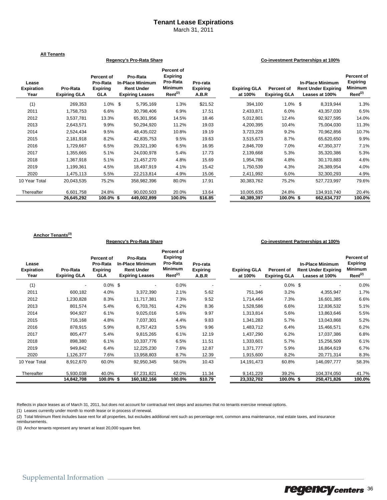#### **Tenant Lease Expirations**

March 31, 2011

|                                    | <b>All Tenants</b>              |                                                         |                                                                                    |                                                                                           |                                      |                                |                                   |                                                                         |                                                                 |
|------------------------------------|---------------------------------|---------------------------------------------------------|------------------------------------------------------------------------------------|-------------------------------------------------------------------------------------------|--------------------------------------|--------------------------------|-----------------------------------|-------------------------------------------------------------------------|-----------------------------------------------------------------|
|                                    |                                 |                                                         | Regency's Pro-Rata Share                                                           |                                                                                           |                                      |                                |                                   | Co-investment Partnerships at 100%                                      |                                                                 |
| Lease<br><b>Expiration</b><br>Year | Pro-Rata<br><b>Expiring GLA</b> | Percent of<br>Pro-Rata<br><b>Expiring</b><br><b>GLA</b> | Pro-Rata<br><b>In-Place Minimum</b><br><b>Rent Under</b><br><b>Expiring Leases</b> | <b>Percent of</b><br><b>Expiring</b><br>Pro-Rata<br><b>Minimum</b><br>Rent <sup>(2)</sup> | Pro-rata<br><b>Expiring</b><br>A.B.R | <b>Expiring GLA</b><br>at 100% | Percent of<br><b>Expiring GLA</b> | <b>In-Place Minimum</b><br><b>Rent Under Expiring</b><br>Leases at 100% | Percent of<br><b>Expiring</b><br><b>Minimum</b><br>$Rent^{(2)}$ |
| (1)                                | 269,353                         | $1.0\%$ \$                                              | 5,795,169                                                                          | 1.3%                                                                                      | \$21.52                              | 394,100                        | $1.0\%$ \$                        | 8,319,944                                                               | 1.3%                                                            |
| 2011                               | 1,758,753                       | 6.6%                                                    | 30,798,406                                                                         | 6.9%                                                                                      | 17.51                                | 2,433,871                      | 6.0%                              | 43,357,030                                                              | 6.5%                                                            |
| 2012                               | 3,537,781                       | 13.3%                                                   | 65,301,956                                                                         | 14.5%                                                                                     | 18.46                                | 5,012,801                      | 12.4%                             | 92,927,595                                                              | 14.0%                                                           |
| 2013                               | 2,643,571                       | 9.9%                                                    | 50,294,920                                                                         | 11.2%                                                                                     | 19.03                                | 4,200,395                      | 10.4%                             | 75,004,030                                                              | 11.3%                                                           |
| 2014                               | 2,524,434                       | 9.5%                                                    | 48,435,022                                                                         | 10.8%                                                                                     | 19.19                                | 3,723,228                      | 9.2%                              | 70,962,856                                                              | 10.7%                                                           |
| 2015                               | 2,181,918                       | 8.2%                                                    | 42,835,753                                                                         | 9.5%                                                                                      | 19.63                                | 3,515,673                      | 8.7%                              | 65,620,650                                                              | 9.9%                                                            |
| 2016                               | 1,729,667                       | 6.5%                                                    | 29,321,190                                                                         | 6.5%                                                                                      | 16.95                                | 2,846,709                      | 7.0%                              | 47,350,377                                                              | 7.1%                                                            |
| 2017                               | 1,355,665                       | 5.1%                                                    | 24,030,978                                                                         | 5.4%                                                                                      | 17.73                                | 2,139,668                      | 5.3%                              | 35,320,386                                                              | 5.3%                                                            |
| 2018                               | 1,367,918                       | 5.1%                                                    | 21,457,270                                                                         | 4.8%                                                                                      | 15.69                                | 1,954,786                      | 4.8%                              | 30,170,883                                                              | 4.6%                                                            |
| 2019                               | 1,199,361                       | 4.5%                                                    | 18,497,919                                                                         | 4.1%                                                                                      | 15.42                                | 1,750,539                      | 4.3%                              | 26,389,954                                                              | 4.0%                                                            |
| 2020                               | 1,475,113                       | 5.5%                                                    | 22,213,814                                                                         | 4.9%                                                                                      | 15.06                                | 2,411,992                      | 6.0%                              | 32,300,293                                                              | 4.9%                                                            |
| 10 Year Total                      | 20,043,535                      | 75.2%                                                   | 358.982.396                                                                        | 80.0%                                                                                     | 17.91                                | 30,383,762                     | 75.2%                             | 527,723,997                                                             | 79.6%                                                           |
| Thereafter                         | 6,601,758                       | 24.8%                                                   | 90,020,503                                                                         | 20.0%                                                                                     | 13.64                                | 10,005,635                     | 24.8%                             | 134,910,740                                                             | 20.4%                                                           |
|                                    | 26,645,292                      | $100.0\%$ \$                                            | 449,002,899                                                                        | 100.0%                                                                                    | \$16.85                              | 40.389.397                     | $100.0\%$ \$                      | 662,634,737                                                             | 100.0%                                                          |

#### **Anchor Tenants(3)**

#### **Regency's Pro-Rata Share Co-investment Partnerships at 100%**

| Lease<br><b>Expiration</b><br>Year | Pro-Rata<br><b>Expiring GLA</b> | Percent of<br>Pro-Rata<br><b>Expiring</b><br><b>GLA</b> | Pro-Rata<br><b>In-Place Minimum</b><br><b>Rent Under</b><br><b>Expiring Leases</b> | Percent of<br><b>Expiring</b><br>Pro-Rata<br><b>Minimum</b><br>Rent <sup>(2)</sup> | Pro-rata<br><b>Expiring</b><br>A.B.R | <b>Expiring GLA</b><br>at 100% | Percent of<br><b>Expiring GLA</b> | <b>In-Place Minimum</b><br><b>Rent Under Expiring</b><br>Leases at 100% | Percent of<br><b>Expiring</b><br><b>Minimum</b><br>Rent <sup>(2)</sup> |
|------------------------------------|---------------------------------|---------------------------------------------------------|------------------------------------------------------------------------------------|------------------------------------------------------------------------------------|--------------------------------------|--------------------------------|-----------------------------------|-------------------------------------------------------------------------|------------------------------------------------------------------------|
| (1)                                |                                 | $0.0\%$ \$                                              | $\overline{\phantom{a}}$                                                           | 0.0%                                                                               |                                      |                                | $0.0\%$ \$                        | ٠                                                                       | 0.0%                                                                   |
| 2011                               | 600,182                         | 4.0%                                                    | 3,372,390                                                                          | 2.1%                                                                               | 5.62                                 | 751,346                        | 3.2%                              | 4,355,947                                                               | 1.7%                                                                   |
| 2012                               | 1,230,828                       | 8.3%                                                    | 11,717,381                                                                         | 7.3%                                                                               | 9.52                                 | 1,714,464                      | 7.3%                              | 16,601,385                                                              | 6.6%                                                                   |
| 2013                               | 801,574                         | 5.4%                                                    | 6,703,761                                                                          | 4.2%                                                                               | 8.36                                 | 1,528,586                      | 6.6%                              | 12,836,532                                                              | 5.1%                                                                   |
| 2014                               | 904,927                         | 6.1%                                                    | 9,025,016                                                                          | 5.6%                                                                               | 9.97                                 | 1,313,814                      | 5.6%                              | 13,863,646                                                              | 5.5%                                                                   |
| 2015                               | 716,168                         | 4.8%                                                    | 7,037,301                                                                          | 4.4%                                                                               | 9.83                                 | 1,341,283                      | 5.7%                              | 13,043,868                                                              | 5.2%                                                                   |
| 2016                               | 878,915                         | 5.9%                                                    | 8,757,423                                                                          | 5.5%                                                                               | 9.96                                 | 1,483,712                      | 6.4%                              | 15,466,571                                                              | 6.2%                                                                   |
| 2017                               | 805,477                         | 5.4%                                                    | 9,815,265                                                                          | 6.1%                                                                               | 12.19                                | 1,437,290                      | 6.2%                              | 17,037,386                                                              | 6.8%                                                                   |
| 2018                               | 898,380                         | 6.1%                                                    | 10,337,776                                                                         | 6.5%                                                                               | 11.51                                | 1,333,601                      | 5.7%                              | 15,256,509                                                              | 6.1%                                                                   |
| 2019                               | 949,842                         | 6.4%                                                    | 12,225,230                                                                         | 7.6%                                                                               | 12.87                                | 1,371,777                      | 5.9%                              | 16,864,619                                                              | 6.7%                                                                   |
| 2020                               | 1,126,377                       | 7.6%                                                    | 13,958,803                                                                         | 8.7%                                                                               | 12.39                                | 1,915,600                      | 8.2%                              | 20,771,314                                                              | 8.3%                                                                   |
| 10 Year Total                      | 8,912,670                       | 60.0%                                                   | 92,950,345                                                                         | 58.0%                                                                              | 10.43                                | 14, 191, 473                   | 60.8%                             | 146,097,777                                                             | 58.3%                                                                  |
| Thereafter                         | 5,930,038                       | 40.0%                                                   | 67,231,821                                                                         | 42.0%                                                                              | 11.34                                | 9,141,229                      | 39.2%                             | 104,374,050                                                             | 41.7%                                                                  |
|                                    | 14,842,708                      | 100.0% \$                                               | 160,182,166                                                                        | 100.0%                                                                             | \$10.79                              | 23,332,702                     | 100.0%\$                          | 250,471,826                                                             | 100.0%                                                                 |

Reflects in place leases as of March 31, 2011, but does not account for contractual rent steps and assumes that no tenants exercise renewal options.

(1) Leases currently under month to month lease or in process of renewal.

(2) Total Minimum Rent includes base rent for all properties, but excludes additional rent such as percentage rent, common area maintenance, real estate taxes, and insurance reimbursements.

(3) Anchor tenants represent any tenant at least 20,000 square feet.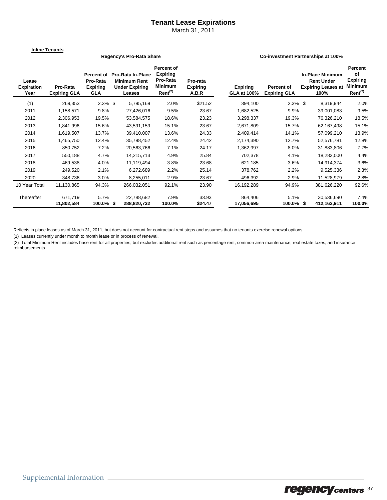## **Tenant Lease Expirations**

March 31, 2011

**Inline Tenants**

#### **Regency's Pro-Rata Share Co-investment Partnerships at 100%**

| Lease<br><b>Expiration</b><br>Year | Pro-Rata<br><b>Expiring GLA</b> | Percent of<br>Pro-Rata<br><b>Expiring</b><br><b>GLA</b> | <b>Pro-Rata In-Place</b><br><b>Minimum Rent</b><br><b>Under Expiring</b><br>Leases | <b>Percent of</b><br><b>Expiring</b><br>Pro-Rata<br>Minimum<br>$Rent^{(2)}$ | Pro-rata<br><b>Expiring</b><br>A.B.R | <b>Expiring</b><br><b>GLA at 100%</b> | Percent of<br><b>Expiring GLA</b> | <b>In-Place Minimum</b><br><b>Rent Under</b><br><b>Expiring Leases at</b><br>100% | Percent<br>of<br><b>Expiring</b><br><b>Minimum</b><br>$Rent^{(2)}$ |
|------------------------------------|---------------------------------|---------------------------------------------------------|------------------------------------------------------------------------------------|-----------------------------------------------------------------------------|--------------------------------------|---------------------------------------|-----------------------------------|-----------------------------------------------------------------------------------|--------------------------------------------------------------------|
| (1)                                | 269,353                         | $2.3\%$ \$                                              | 5,795,169                                                                          | 2.0%                                                                        | \$21.52                              | 394,100                               | $2.3\%$ \$                        | 8,319,944                                                                         | 2.0%                                                               |
| 2011                               | 1,158,571                       | 9.8%                                                    | 27,426,016                                                                         | 9.5%                                                                        | 23.67                                | 1,682,525                             | $9.9\%$                           | 39,001,083                                                                        | 9.5%                                                               |
| 2012                               | 2,306,953                       | 19.5%                                                   | 53,584,575                                                                         | 18.6%                                                                       | 23.23                                | 3,298,337                             | 19.3%                             | 76,326,210                                                                        | 18.5%                                                              |
| 2013                               | 1,841,996                       | 15.6%                                                   | 43,591,159                                                                         | 15.1%                                                                       | 23.67                                | 2,671,809                             | 15.7%                             | 62,167,498                                                                        | 15.1%                                                              |
| 2014                               | 1,619,507                       | 13.7%                                                   | 39,410,007                                                                         | 13.6%                                                                       | 24.33                                | 2,409,414                             | 14.1%                             | 57,099,210                                                                        | 13.9%                                                              |
| 2015                               | 1,465,750                       | 12.4%                                                   | 35,798,452                                                                         | 12.4%                                                                       | 24.42                                | 2,174,390                             | 12.7%                             | 52,576,781                                                                        | 12.8%                                                              |
| 2016                               | 850,752                         | 7.2%                                                    | 20,563,766                                                                         | 7.1%                                                                        | 24.17                                | 1,362,997                             | 8.0%                              | 31,883,806                                                                        | 7.7%                                                               |
| 2017                               | 550,188                         | 4.7%                                                    | 14,215,713                                                                         | 4.9%                                                                        | 25.84                                | 702,378                               | 4.1%                              | 18,283,000                                                                        | 4.4%                                                               |
| 2018                               | 469,538                         | 4.0%                                                    | 11,119,494                                                                         | 3.8%                                                                        | 23.68                                | 621,185                               | 3.6%                              | 14,914,374                                                                        | 3.6%                                                               |
| 2019                               | 249,520                         | 2.1%                                                    | 6,272,689                                                                          | 2.2%                                                                        | 25.14                                | 378,762                               | 2.2%                              | 9,525,336                                                                         | 2.3%                                                               |
| 2020                               | 348,736                         | 3.0%                                                    | 8,255,011                                                                          | 2.9%                                                                        | 23.67                                | 496,392                               | 2.9%                              | 11,528,979                                                                        | 2.8%                                                               |
| 10 Year Total                      | 11,130,865                      | 94.3%                                                   | 266,032,051                                                                        | 92.1%                                                                       | 23.90                                | 16,192,289                            | 94.9%                             | 381,626,220                                                                       | 92.6%                                                              |
| Thereafter                         | 671,719                         | 5.7%                                                    | 22,788,682                                                                         | 7.9%                                                                        | 33.93                                | 864,406                               | 5.1%                              | 30,536,690                                                                        | 7.4%                                                               |
|                                    | 11,802,584                      | 100.0% \$                                               | 288,820,732                                                                        | 100.0%                                                                      | \$24.47                              | 17,056,695                            | 100.0%                            | \$<br>412,162,911                                                                 | 100.0%                                                             |

Reflects in place leases as of March 31, 2011, but does not account for contractual rent steps and assumes that no tenants exercise renewal options.

(1) Leases currently under month to month lease or in process of renewal.

(2) Total Minimum Rent includes base rent for all properties, but excludes additional rent such as percentage rent, common area maintenance, real estate taxes, and insurance reimbursements.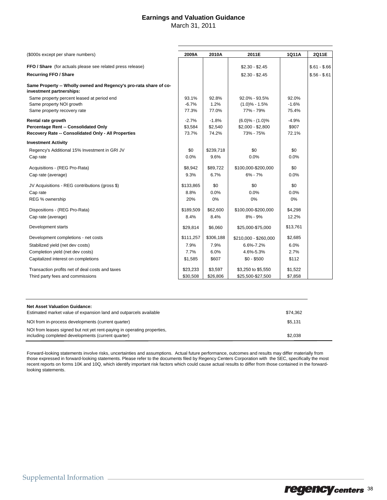## **Earnings and Valuation Guidance**

March 31, 2011

| (\$000s except per share numbers)                                                             |           | 2010A     | 2011E                 | 1Q11A    | 2Q11E         |
|-----------------------------------------------------------------------------------------------|-----------|-----------|-----------------------|----------|---------------|
| FFO / Share (for actuals please see related press release)                                    |           |           | $$2.30 - $2.45$       |          | $$.61 - $.66$ |
| <b>Recurring FFO / Share</b>                                                                  |           |           | $$2.30 - $2.45$       |          | $$.56 - $.61$ |
|                                                                                               |           |           |                       |          |               |
| Same Property -- Wholly owned and Regency's pro-rata share of co-<br>investment partnerships: |           |           |                       |          |               |
| Same property percent leased at period end                                                    | 93.1%     | 92.8%     | 92.0% - 93.5%         | 92.0%    |               |
| Same property NOI growth                                                                      | $-6.7%$   | 1.2%      | $(1.0)\% - 1.5\%$     | $-1.6%$  |               |
| Same property recovery rate                                                                   | 77.3%     | 77.0%     | 77% - 79%             | 75.4%    |               |
| Rental rate growth                                                                            | $-2.7%$   | $-1.8%$   | $(6.0)$ % - $(1.0)$ % | $-4.9%$  |               |
| Percentage Rent -- Consolidated Only                                                          | \$3,584   | \$2,540   | $$2,000 - $2,800$     | \$907    |               |
| Recovery Rate -- Consolidated Only - All Properties                                           | 73.7%     | 74.2%     | 73% - 75%             | 72.1%    |               |
| <b>Investment Activity</b>                                                                    |           |           |                       |          |               |
| Regency's Additional 15% Investment in GRI JV                                                 | \$0       | \$239,718 | \$0                   | \$0      |               |
| Cap rate                                                                                      | 0.0%      | 9.6%      | 0.0%                  | 0.0%     |               |
|                                                                                               |           |           |                       |          |               |
| Acquisitions - (REG Pro-Rata)                                                                 | \$8,942   | \$89,722  | \$100,000-\$200,000   | \$0      |               |
| Cap rate (average)                                                                            | 9.3%      | 6.7%      | $6\% - 7\%$           | 0.0%     |               |
| JV Acquisitions - REG contributions (gross \$)                                                | \$133,865 | \$0       | \$0                   | \$0      |               |
| Cap rate                                                                                      | 8.8%      | 0.0%      | 0.0%                  | 0.0%     |               |
| REG % ownership                                                                               | 20%       | 0%        | 0%                    | $0\%$    |               |
| Dispositions - (REG Pro-Rata)                                                                 | \$189,509 | \$62,600  | \$100,000-\$200,000   | \$4,298  |               |
| Cap rate (average)                                                                            | 8.4%      | 8.4%      | 8% - 9%               | 12.2%    |               |
| Development starts                                                                            | \$29,814  | \$6,060   | \$25,000-\$75,000     | \$13,761 |               |
| Development completions - net costs                                                           | \$111,257 | \$306,188 | \$210,000 - \$260,000 | \$2,685  |               |
| Stabilized yield (net dev costs)                                                              | 7.9%      | 7.9%      | 6.6%-7.2%             | 6.0%     |               |
| Completion yield (net dev costs)                                                              | 7.7%      | 6.0%      | 4.6%-5.3%             | 2.7%     |               |
| Capitalized interest on completions                                                           | \$1,585   | \$607     | $$0 - $500$           | \$112    |               |
| Transaction profits net of deal costs and taxes                                               | \$23,233  | \$3,597   | \$3,250 to \$5,550    | \$1,522  |               |
| Third party fees and commissions                                                              | \$30,508  | \$26,806  | \$25,500-\$27,500     | \$7,858  |               |

| Net Asset Valuation Guidance:                                                                                                 |          |
|-------------------------------------------------------------------------------------------------------------------------------|----------|
| Estimated market value of expansion land and outparcels available                                                             | \$74.362 |
| NOI from in-process developments (current quarter)                                                                            | \$5.131  |
| NOI from leases signed but not yet rent-paying in operating properties,<br>including completed developments (current quarter) | \$2.038  |

Forward-looking statements involve risks, uncertainties and assumptions. Actual future performance, outcomes and results may differ materially from those expressed in forward-looking statements. Please refer to the documents filed by Regency Centers Corporation with the SEC, specifically the most recent reports on forms 10K and 10Q, which identify important risk factors which could cause actual results to differ from those contained in the forwardlooking statements.